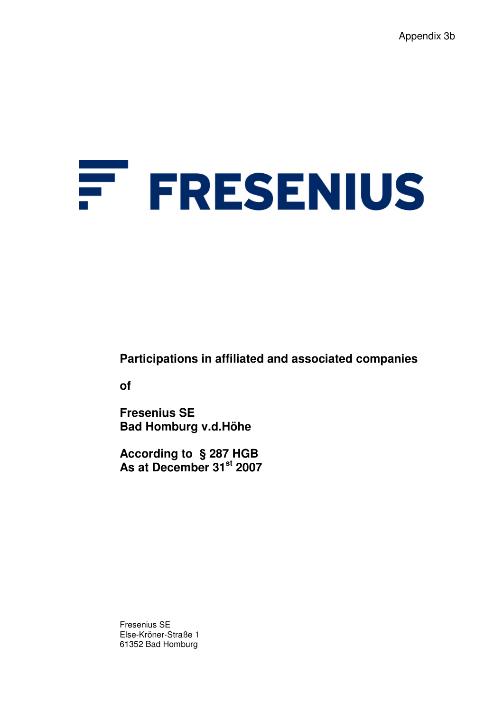# F. **FRESENIUS**

**Participations in affiliated and associated companies** 

**of** 

**Fresenius SE Bad Homburg v.d.Höhe** 

**According to § 287 HGB As at December 31st 2007** 

Fresenius SE Else-Kröner-Straße 1 61352 Bad Homburg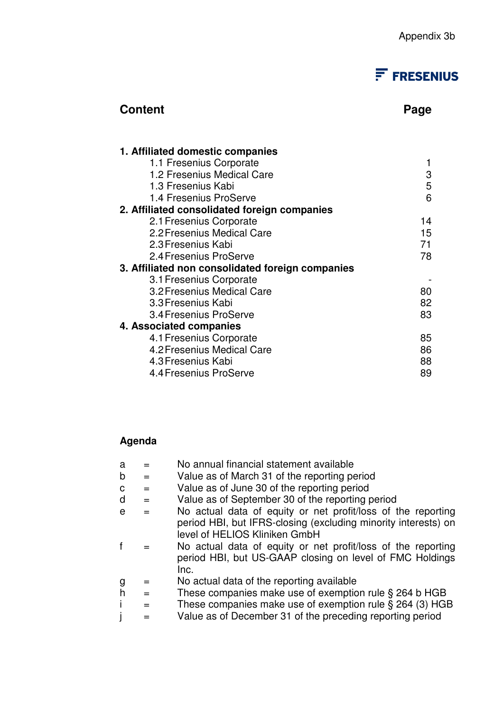# $F$  FRESENIUS

## **Content Page 2018**

| 1. Affiliated domestic companies                 |    |
|--------------------------------------------------|----|
| 1.1 Fresenius Corporate                          |    |
| 1.2 Fresenius Medical Care                       | 3  |
| 1.3 Fresenius Kabi                               | 5  |
| 1.4 Fresenius ProServe                           | 6  |
| 2. Affiliated consolidated foreign companies     |    |
| 2.1 Fresenius Corporate                          | 14 |
| 2.2 Fresenius Medical Care                       | 15 |
| 2.3 Fresenius Kabi                               | 71 |
| 2.4 Fresenius ProServe                           | 78 |
| 3. Affiliated non consolidated foreign companies |    |
| 3.1 Fresenius Corporate                          |    |
| 3.2 Fresenius Medical Care                       | 80 |
| 3.3 Fresenius Kabi                               | 82 |
| 3.4 Fresenius ProServe                           | 83 |
| 4. Associated companies                          |    |
| 4.1 Fresenius Corporate                          | 85 |
| 4.2 Fresenius Medical Care                       | 86 |
| 4.3 Fresenius Kabi                               | 88 |
| 4.4 Fresenius ProServe                           | 89 |

## **Agenda**

- $a = No$  annual financial statement available
- $b =$  Value as of March 31 of the reporting period
- $c =$  Value as of June 30 of the reporting period
- $d =$  Value as of September 30 of the reporting period
- e = No actual data of equity or net profit/loss of the reporting period HBI, but IFRS-closing (excluding minority interests) on level of HELIOS Kliniken GmbH
- f = No actual data of equity or net profit/loss of the reporting period HBI, but US-GAAP closing on level of FMC Holdings Inc.
- g = No actual data of the reporting available
- $h =$  These companies make use of exemption rule § 264 b HGB
- i  $=$  These companies make use of exemption rule § 264 (3) HGB
- $j =$  Value as of December 31 of the preceding reporting period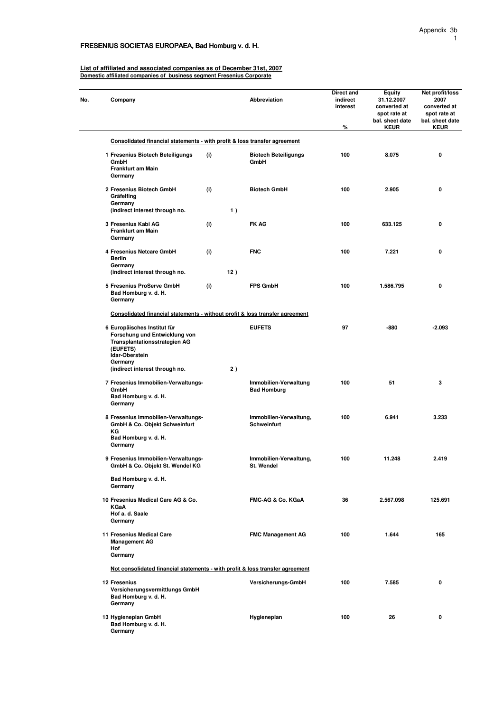#### FRESENIUS SOCIETAS EUROPAEA, Bad Homburg v. d. H.

**List of affiliated and associated companies as of December 31st, 2007 Domestic affiliated companies of business segment Fresenius Corporate**

| No. | Company                                                                                                                                       |     | <b>Abbreviation</b>                          | Direct and<br>indirect<br>interest<br>% | Equity<br>31.12.2007<br>converted at<br>spot rate at<br>bal. sheet date<br><b>KEUR</b> | Net profit/loss<br>2007<br>converted at<br>spot rate at<br>bal. sheet date<br><b>KEUR</b> |
|-----|-----------------------------------------------------------------------------------------------------------------------------------------------|-----|----------------------------------------------|-----------------------------------------|----------------------------------------------------------------------------------------|-------------------------------------------------------------------------------------------|
|     | Consolidated financial statements - with profit & loss transfer agreement                                                                     |     |                                              |                                         |                                                                                        |                                                                                           |
|     | 1 Fresenius Biotech Beteiligungs<br>GmbH<br>Frankfurt am Main<br>Germany                                                                      | (i) | <b>Biotech Beteiligungs</b><br>GmbH          | 100                                     | 8.075                                                                                  | 0                                                                                         |
|     | 2 Fresenius Biotech GmbH<br>Gräfelfing<br>Germany                                                                                             | (i) | <b>Biotech GmbH</b>                          | 100                                     | 2.905                                                                                  | 0                                                                                         |
|     | (indirect interest through no.                                                                                                                | 1)  |                                              |                                         |                                                                                        |                                                                                           |
|     | 3 Fresenius Kabi AG<br>Frankfurt am Main<br>Germany                                                                                           | (i) | <b>FK AG</b>                                 | 100                                     | 633.125                                                                                | 0                                                                                         |
|     | 4 Fresenius Netcare GmbH<br><b>Berlin</b><br>Germany                                                                                          | (i) | <b>FNC</b>                                   | 100                                     | 7.221                                                                                  | 0                                                                                         |
|     | (indirect interest through no.                                                                                                                | 12) |                                              |                                         |                                                                                        |                                                                                           |
|     | 5 Fresenius ProServe GmbH<br>Bad Homburg v. d. H.<br>Germany                                                                                  | (i) | <b>FPS GmbH</b>                              | 100                                     | 1.586.795                                                                              | 0                                                                                         |
|     | Consolidated financial statements - without profit & loss transfer agreement                                                                  |     |                                              |                                         |                                                                                        |                                                                                           |
|     | 6 Europäisches Institut für<br>Forschung und Entwicklung von<br><b>Transplantationsstrategien AG</b><br>(EUFETS)<br>Idar-Oberstein<br>Germany |     | <b>EUFETS</b>                                | 97                                      | -880                                                                                   | $-2.093$                                                                                  |
|     | (indirect interest through no.                                                                                                                | 2)  |                                              |                                         |                                                                                        |                                                                                           |
|     | 7 Fresenius Immobilien-Verwaltungs-<br>GmbH<br>Bad Homburg v. d. H.<br>Germany                                                                |     | Immobilien-Verwaltung<br><b>Bad Homburg</b>  | 100                                     | 51                                                                                     | 3                                                                                         |
|     | 8 Fresenius Immobilien-Verwaltungs-<br>GmbH & Co. Objekt Schweinfurt<br>КG<br>Bad Homburg v. d. H.<br>Germany                                 |     | Immobilien-Verwaltung,<br><b>Schweinfurt</b> | 100                                     | 6.941                                                                                  | 3.233                                                                                     |
|     | 9 Fresenius Immobilien-Verwaltungs-<br>GmbH & Co. Objekt St. Wendel KG                                                                        |     | Immobilien-Verwaltung,<br>St. Wendel         | 100                                     | 11.248                                                                                 | 2.419                                                                                     |
|     | Bad Homburg v. d. H.<br>Germany                                                                                                               |     |                                              |                                         |                                                                                        |                                                                                           |
|     | 10 Fresenius Medical Care AG & Co.<br><b>KGaA</b><br>Hof a. d. Saale<br>Germany                                                               |     | FMC-AG & Co. KGaA                            | 36                                      | 2.567.098                                                                              | 125.691                                                                                   |
|     | 11 Fresenius Medical Care<br><b>Management AG</b><br>Hof<br>Germany                                                                           |     | <b>FMC Management AG</b>                     | 100                                     | 1.644                                                                                  | 165                                                                                       |
|     | Not consolidated financial statements - with profit & loss transfer agreement                                                                 |     |                                              |                                         |                                                                                        |                                                                                           |
|     | 12 Fresenius<br>Versicherungsvermittlungs GmbH<br>Bad Homburg v. d. H.<br>Germany                                                             |     | Versicherungs-GmbH                           | 100                                     | 7.585                                                                                  | 0                                                                                         |
|     | 13 Hygieneplan GmbH<br>Bad Homburg v. d. H.<br>Germany                                                                                        |     | Hygieneplan                                  | 100                                     | 26                                                                                     | 0                                                                                         |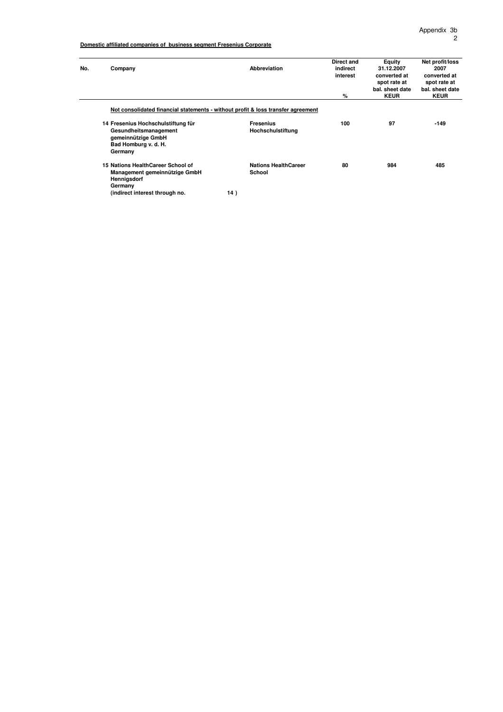| No. | Company                                                                          |     | Abbreviation                | Direct and<br>indirect<br>interest<br>% | <b>Equity</b><br>31.12.2007<br>converted at<br>spot rate at<br>bal, sheet date<br><b>KEUR</b> | Net profit/loss<br>2007<br>converted at<br>spot rate at<br>bal. sheet date<br><b>KEUR</b> |
|-----|----------------------------------------------------------------------------------|-----|-----------------------------|-----------------------------------------|-----------------------------------------------------------------------------------------------|-------------------------------------------------------------------------------------------|
|     |                                                                                  |     |                             |                                         |                                                                                               |                                                                                           |
|     | Not consolidated financial statements - without profit & loss transfer agreement |     |                             |                                         |                                                                                               |                                                                                           |
|     | 14 Fresenius Hochschulstiftung für                                               |     | <b>Fresenius</b>            | 100                                     | 97                                                                                            | $-149$                                                                                    |
|     | Gesundheitsmanagement<br>gemeinnützige GmbH                                      |     | Hochschulstiftung           |                                         |                                                                                               |                                                                                           |
|     | Bad Homburg v. d. H.                                                             |     |                             |                                         |                                                                                               |                                                                                           |
|     | Germany                                                                          |     |                             |                                         |                                                                                               |                                                                                           |
|     | 15 Nations HealthCareer School of                                                |     | <b>Nations HealthCareer</b> | 80                                      | 984                                                                                           | 485                                                                                       |
|     | Management gemeinnützige GmbH<br>Hennigsdorf                                     |     | School                      |                                         |                                                                                               |                                                                                           |
|     | Germany                                                                          |     |                             |                                         |                                                                                               |                                                                                           |
|     | (indirect interest through no.                                                   | 14) |                             |                                         |                                                                                               |                                                                                           |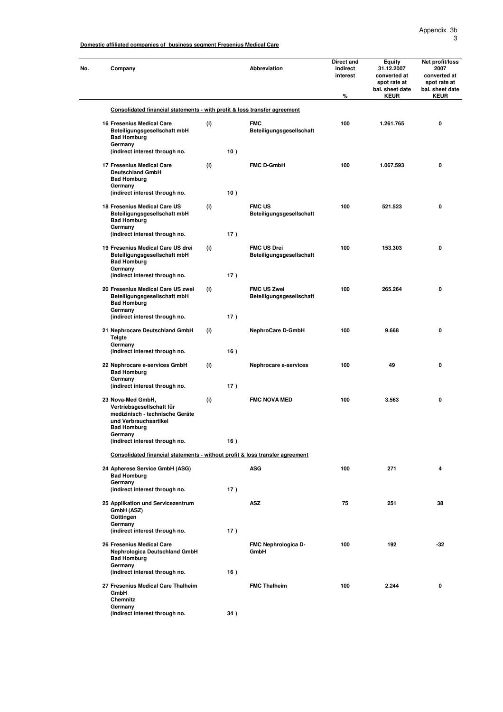Appendix 3b 3

**Domestic affiliated companies of business segment Fresenius Medical Care**

| No. | Company                                                                                                    |     |     | Abbreviation                                   | Direct and<br>indirect<br>interest<br>$\%$ | Equity<br>31.12.2007<br>converted at<br>spot rate at<br>bal. sheet date<br><b>KEUR</b> | Net profit/loss<br>2007<br>converted at<br>spot rate at<br>bal. sheet date<br><b>KEUR</b> |
|-----|------------------------------------------------------------------------------------------------------------|-----|-----|------------------------------------------------|--------------------------------------------|----------------------------------------------------------------------------------------|-------------------------------------------------------------------------------------------|
|     | Consolidated financial statements - with profit & loss transfer agreement                                  |     |     |                                                |                                            |                                                                                        |                                                                                           |
|     | 16 Fresenius Medical Care<br>Beteiligungsgesellschaft mbH<br><b>Bad Homburg</b><br>Germany                 | (i) |     | <b>FMC</b><br>Beteiligungsgesellschaft         | 100                                        | 1.261.765                                                                              | 0                                                                                         |
|     | (indirect interest through no.                                                                             |     | 10) |                                                |                                            |                                                                                        |                                                                                           |
|     | 17 Fresenius Medical Care<br><b>Deutschland GmbH</b><br><b>Bad Homburg</b><br>Germany                      | (i) |     | <b>FMC D-GmbH</b>                              | 100                                        | 1.067.593                                                                              | 0                                                                                         |
|     | (indirect interest through no.<br>18 Fresenius Medical Care US<br>Beteiligungsgesellschaft mbH             | (i) | 10) | <b>FMC US</b><br>Beteiligungsgesellschaft      | 100                                        | 521.523                                                                                | 0                                                                                         |
|     | <b>Bad Homburg</b><br>Germany<br>(indirect interest through no.                                            |     | 17) |                                                |                                            |                                                                                        |                                                                                           |
|     | 19 Fresenius Medical Care US drei<br>Beteiligungsgesellschaft mbH<br><b>Bad Homburg</b><br>Germany         | (i) |     | <b>FMC US Drei</b><br>Beteiligungsgesellschaft | 100                                        | 153.303                                                                                | 0                                                                                         |
|     | (indirect interest through no.                                                                             |     | 17) |                                                |                                            |                                                                                        |                                                                                           |
|     | 20 Fresenius Medical Care US zwei<br>Beteiligungsgesellschaft mbH<br><b>Bad Homburg</b><br>Germany         | (i) |     | <b>FMC US Zwei</b><br>Beteiligungsgesellschaft | 100                                        | 265.264                                                                                | 0                                                                                         |
|     | (indirect interest through no.                                                                             |     | 17) |                                                |                                            |                                                                                        |                                                                                           |
|     | 21 Nephrocare Deutschland GmbH<br><b>Telgte</b><br>Germany<br>(indirect interest through no.               | (i) | 16) | <b>NephroCare D-GmbH</b>                       | 100                                        | 9.668                                                                                  | 0                                                                                         |
|     | 22 Nephrocare e-services GmbH<br><b>Bad Homburg</b>                                                        | (i) |     | Nephrocare e-services                          | 100                                        | 49                                                                                     | 0                                                                                         |
|     | Germany<br>(indirect interest through no.                                                                  |     | 17) |                                                |                                            |                                                                                        |                                                                                           |
|     | 23 Nova-Med GmbH,<br>Vertriebsgesellschaft für<br>medizinisch - technische Geräte<br>und Verbrauchsartikel | (i) |     | <b>FMC NOVA MED</b>                            | 100                                        | 3.563                                                                                  | 0                                                                                         |
|     | <b>Bad Homburg</b><br>Germany                                                                              |     |     |                                                |                                            |                                                                                        |                                                                                           |
|     | (indirect interest through no.                                                                             |     | 16) |                                                |                                            |                                                                                        |                                                                                           |
|     | Consolidated financial statements - without profit & loss transfer agreement                               |     |     |                                                |                                            |                                                                                        |                                                                                           |
|     | 24 Apherese Service GmbH (ASG)<br><b>Bad Homburg</b><br>Germany                                            |     |     | <b>ASG</b>                                     | 100                                        | 271                                                                                    | 4                                                                                         |
|     | (indirect interest through no.                                                                             |     | 17) |                                                |                                            |                                                                                        |                                                                                           |
|     | 25 Applikation und Servicezentrum<br>GmbH (ASZ)<br>Göttingen                                               |     |     | <b>ASZ</b>                                     | 75                                         | 251                                                                                    | 38                                                                                        |
|     | Germany<br>(indirect interest through no.                                                                  |     | 17) |                                                |                                            |                                                                                        |                                                                                           |
|     | 26 Fresenius Medical Care<br>Nephrologica Deutschland GmbH<br><b>Bad Homburg</b><br>Germany                |     |     | FMC Nephrologica D-<br>GmbH                    | 100                                        | 192                                                                                    | -32                                                                                       |
|     | (indirect interest through no.                                                                             |     | 16) |                                                |                                            |                                                                                        |                                                                                           |
|     | 27 Fresenius Medical Care Thalheim<br>GmbH<br>Chemnitz                                                     |     |     | <b>FMC Thalheim</b>                            | 100                                        | 2.244                                                                                  | 0                                                                                         |
|     | Germany<br>(indirect interest through no.                                                                  |     | 34) |                                                |                                            |                                                                                        |                                                                                           |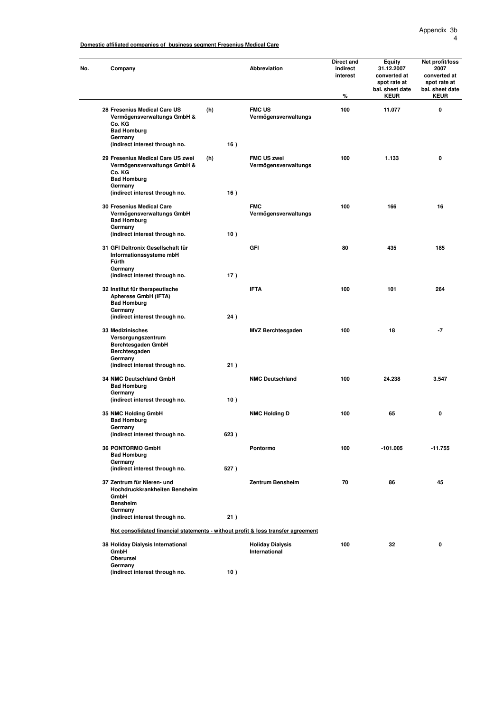Appendix 3b 4

**Domestic affiliated companies of business segment Fresenius Medical Care**

| No. | Company                                                                                          |      | <b>Abbreviation</b>                      | Direct and<br>indirect<br>interest<br>$\%$ | Equity<br>31.12.2007<br>converted at<br>spot rate at<br>bal. sheet date<br><b>KEUR</b> | Net profit/loss<br>2007<br>converted at<br>spot rate at<br>bal. sheet date<br><b>KEUR</b> |
|-----|--------------------------------------------------------------------------------------------------|------|------------------------------------------|--------------------------------------------|----------------------------------------------------------------------------------------|-------------------------------------------------------------------------------------------|
|     | 28 Fresenius Medical Care US<br>Vermögensverwaltungs GmbH &<br>Co. KG                            | (h)  | <b>FMC US</b><br>Vermögensverwaltungs    | 100                                        | 11.077                                                                                 | 0                                                                                         |
|     | <b>Bad Homburg</b>                                                                               |      |                                          |                                            |                                                                                        |                                                                                           |
|     | Germany<br>(indirect interest through no.                                                        | 16)  |                                          |                                            |                                                                                        |                                                                                           |
|     |                                                                                                  |      | <b>FMC US zwei</b>                       | 100                                        |                                                                                        | 0                                                                                         |
|     | 29 Fresenius Medical Care US zwei<br>Vermögensverwaltungs GmbH &<br>Co. KG<br><b>Bad Homburg</b> | (h)  | Vermögensverwaltungs                     |                                            | 1.133                                                                                  |                                                                                           |
|     | Germany<br>(indirect interest through no.                                                        | 16)  |                                          |                                            |                                                                                        |                                                                                           |
|     |                                                                                                  |      |                                          |                                            |                                                                                        |                                                                                           |
|     | 30 Fresenius Medical Care<br>Vermögensverwaltungs GmbH<br><b>Bad Homburg</b><br>Germany          |      | <b>FMC</b><br>Vermögensverwaltungs       | 100                                        | 166                                                                                    | 16                                                                                        |
|     | (indirect interest through no.                                                                   | 10)  |                                          |                                            |                                                                                        |                                                                                           |
|     | 31 GFI Deltronix Gesellschaft für<br>Informationssysteme mbH<br>Fürth                            |      | GFI                                      | 80                                         | 435                                                                                    | 185                                                                                       |
|     | Germany<br>(indirect interest through no.                                                        | 17)  |                                          |                                            |                                                                                        |                                                                                           |
|     | 32 Institut für therapeutische<br>Apherese GmbH (IFTA)<br><b>Bad Homburg</b>                     |      | <b>IFTA</b>                              | 100                                        | 101                                                                                    | 264                                                                                       |
|     | Germany<br>(indirect interest through no.                                                        | 24)  |                                          |                                            |                                                                                        |                                                                                           |
|     | 33 Medizinisches<br>Versorgungszentrum<br>Berchtesgaden GmbH<br>Berchtesgaden<br>Germany         |      | <b>MVZ Berchtesgaden</b>                 | 100                                        | 18                                                                                     | $-7$                                                                                      |
|     | (indirect interest through no.                                                                   | 21)  |                                          |                                            |                                                                                        |                                                                                           |
|     | 34 NMC Deutschland GmbH<br><b>Bad Homburg</b>                                                    |      | <b>NMC Deutschland</b>                   | 100                                        | 24.238                                                                                 | 3.547                                                                                     |
|     | Germany<br>(indirect interest through no.                                                        | 10)  |                                          |                                            |                                                                                        |                                                                                           |
|     | 35 NMC Holding GmbH                                                                              |      | <b>NMC Holding D</b>                     | 100                                        | 65                                                                                     | 0                                                                                         |
|     | <b>Bad Homburg</b><br>Germany                                                                    |      |                                          |                                            |                                                                                        |                                                                                           |
|     | (indirect interest through no.                                                                   | 623) |                                          |                                            |                                                                                        |                                                                                           |
|     | <b>36 PONTORMO GmbH</b><br><b>Bad Homburg</b><br>Germany                                         |      | Pontormo                                 | 100                                        | -101.005                                                                               | $-11.755$                                                                                 |
|     | (indirect interest through no.                                                                   | 527) |                                          |                                            |                                                                                        |                                                                                           |
|     | 37 Zentrum für Nieren- und<br>Hochdruckkrankheiten Bensheim<br>GmbH<br><b>Bensheim</b>           |      | <b>Zentrum Bensheim</b>                  | 70                                         | 86                                                                                     | 45                                                                                        |
|     | Germany<br>(indirect interest through no.                                                        | 21)  |                                          |                                            |                                                                                        |                                                                                           |
|     | Not consolidated financial statements - without profit & loss transfer agreement                 |      |                                          |                                            |                                                                                        |                                                                                           |
|     | 38 Holiday Dialysis International<br>GmbH                                                        |      | <b>Holiday Dialysis</b><br>International | 100                                        | 32                                                                                     | 0                                                                                         |
|     | Oberursel                                                                                        |      |                                          |                                            |                                                                                        |                                                                                           |
|     | Germany<br>(indirect interest through no.                                                        | 10)  |                                          |                                            |                                                                                        |                                                                                           |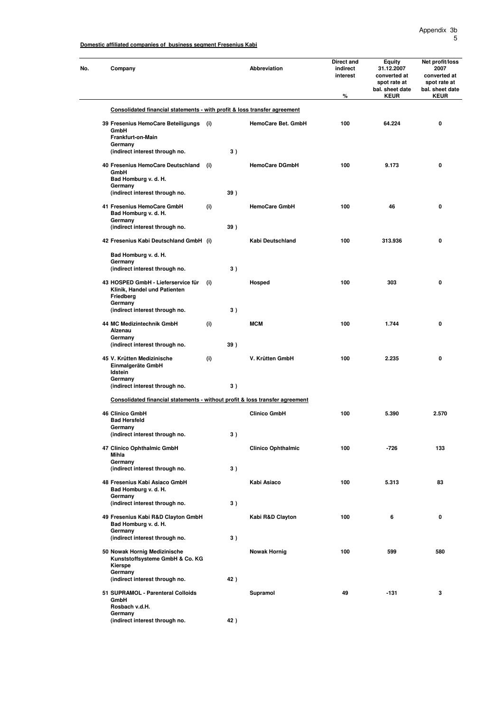| No. | Company                                                                                    |     |     | <b>Abbreviation</b>       | Direct and<br>indirect<br>interest<br>% | <b>Equity</b><br>31.12.2007<br>converted at<br>spot rate at<br>bal. sheet date<br><b>KEUR</b> | Net profit/loss<br>2007<br>converted at<br>spot rate at<br>bal. sheet date<br><b>KEUR</b> |
|-----|--------------------------------------------------------------------------------------------|-----|-----|---------------------------|-----------------------------------------|-----------------------------------------------------------------------------------------------|-------------------------------------------------------------------------------------------|
|     | Consolidated financial statements - with profit & loss transfer agreement                  |     |     |                           |                                         |                                                                                               |                                                                                           |
|     | 39 Fresenius HemoCare Beteiligungs<br>GmbH                                                 | (i) |     | HemoCare Bet. GmbH        | 100                                     | 64.224                                                                                        | $\mathbf 0$                                                                               |
|     | Frankfurt-on-Main<br>Germany                                                               |     |     |                           |                                         |                                                                                               |                                                                                           |
|     | (indirect interest through no.                                                             |     | 3)  |                           |                                         |                                                                                               |                                                                                           |
|     | 40 Fresenius HemoCare Deutschland<br>GmbH<br>Bad Homburg v. d. H.<br>Germany               | (i) |     | <b>HemoCare DGmbH</b>     | 100                                     | 9.173                                                                                         | $\mathbf 0$                                                                               |
|     | (indirect interest through no.                                                             |     | 39) |                           |                                         |                                                                                               |                                                                                           |
|     | 41 Fresenius HemoCare GmbH<br>Bad Homburg v. d. H.<br>Germany                              | (i) |     | <b>HemoCare GmbH</b>      | 100                                     | 46                                                                                            | 0                                                                                         |
|     | (indirect interest through no.                                                             |     | 39) |                           |                                         |                                                                                               |                                                                                           |
|     | 42 Fresenius Kabi Deutschland GmbH (i)                                                     |     |     | Kabi Deutschland          | 100                                     | 313.936                                                                                       | $\mathbf 0$                                                                               |
|     | Bad Homburg v. d. H.<br>Germany                                                            |     |     |                           |                                         |                                                                                               |                                                                                           |
|     | (indirect interest through no.                                                             |     | 3)  |                           |                                         |                                                                                               |                                                                                           |
|     | 43 HOSPED GmbH - Lieferservice für<br>Klinik, Handel und Patienten<br>Friedberg<br>Germany | (i) |     | Hosped                    | 100                                     | 303                                                                                           | $\mathbf{0}$                                                                              |
|     | (indirect interest through no.                                                             |     | 3)  |                           |                                         |                                                                                               |                                                                                           |
|     | 44 MC Medizintechnik GmbH<br>Alzenau<br>Germany                                            | (i) |     | <b>MCM</b>                | 100                                     | 1.744                                                                                         | 0                                                                                         |
|     | (indirect interest through no.                                                             |     | 39) |                           |                                         |                                                                                               |                                                                                           |
|     | 45 V. Krütten Medizinische<br>Einmalgeräte GmbH<br>Idstein                                 | (i) |     | V. Krütten GmbH           | 100                                     | 2.235                                                                                         | $\mathbf{0}$                                                                              |
|     | Germany<br>(indirect interest through no.                                                  |     | 3)  |                           |                                         |                                                                                               |                                                                                           |
|     | Consolidated financial statements - without profit & loss transfer agreement               |     |     |                           |                                         |                                                                                               |                                                                                           |
|     | <b>46 Clinico GmbH</b>                                                                     |     |     | <b>Clinico GmbH</b>       | 100                                     | 5.390                                                                                         | 2.570                                                                                     |
|     | <b>Bad Hersfeld</b>                                                                        |     |     |                           |                                         |                                                                                               |                                                                                           |
|     | Germany<br>(indirect interest through no.                                                  |     | 3)  |                           |                                         |                                                                                               |                                                                                           |
|     | 47 Clinico Ophthalmic GmbH<br>Mihla                                                        |     |     | <b>Clinico Ophthalmic</b> | 100                                     | $-726$                                                                                        | 133                                                                                       |
|     | Germany<br>(indirect interest through no.                                                  |     | 3)  |                           |                                         |                                                                                               |                                                                                           |
|     | 48 Fresenius Kabi Asiaco GmbH<br>Bad Homburg v. d. H.                                      |     |     | Kabi Asiaco               | 100                                     | 5.313                                                                                         | 83                                                                                        |
|     | Germany<br>(indirect interest through no.                                                  |     | 3)  |                           |                                         |                                                                                               |                                                                                           |
|     | 49 Fresenius Kabi R&D Clayton GmbH<br>Bad Homburg v. d. H.                                 |     |     | Kabi R&D Clayton          | 100                                     | 6                                                                                             | $\mathbf 0$                                                                               |
|     | Germany<br>(indirect interest through no.                                                  |     | 3)  |                           |                                         |                                                                                               |                                                                                           |
|     | 50 Nowak Hornig Medizinische<br>Kunststoffsysteme GmbH & Co. KG<br>Kierspe<br>Germany      |     |     | <b>Nowak Hornig</b>       | 100                                     | 599                                                                                           | 580                                                                                       |
|     | (indirect interest through no.                                                             |     | 42) |                           |                                         |                                                                                               |                                                                                           |
|     | 51 SUPRAMOL - Parenteral Colloids<br>GmbH<br>Rosbach v.d.H.                                |     |     | Supramol                  | 49                                      | -131                                                                                          | 3                                                                                         |
|     | Germany<br>(indirect interest through no.                                                  |     | 42) |                           |                                         |                                                                                               |                                                                                           |
|     |                                                                                            |     |     |                           |                                         |                                                                                               |                                                                                           |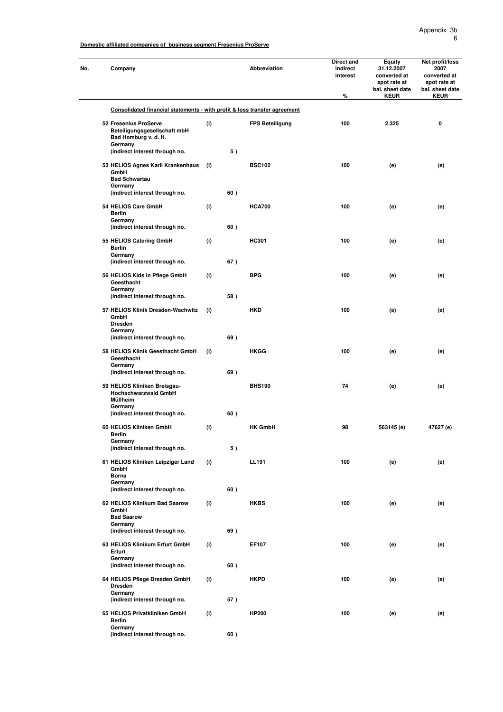| No. | Company                                                                                                              |     |     | Abbreviation           | Direct and<br>indirect<br>interest<br>$\%$ | <b>Equity</b><br>31.12.2007<br>converted at<br>spot rate at<br>bal. sheet date<br><b>KEUR</b> | Net profit/loss<br>2007<br>converted at<br>spot rate at<br>bal. sheet date<br><b>KEUR</b> |
|-----|----------------------------------------------------------------------------------------------------------------------|-----|-----|------------------------|--------------------------------------------|-----------------------------------------------------------------------------------------------|-------------------------------------------------------------------------------------------|
|     | Consolidated financial statements - with profit & loss transfer agreement                                            |     |     |                        |                                            |                                                                                               |                                                                                           |
|     | 52 Fresenius ProServe<br>Beteiligungsgesellschaft mbH<br>Bad Homburg v. d. H.<br>Germany                             | (i) |     | <b>FPS Beteiligung</b> | 100                                        | 2.325                                                                                         | 0                                                                                         |
|     | (indirect interest through no.                                                                                       |     | 5)  |                        |                                            |                                                                                               |                                                                                           |
|     | 53 HELIOS Agnes Karll Krankenhaus<br>GmbH<br><b>Bad Schwartau</b><br>Germany<br>(indirect interest through no.       | (i) | 60) | <b>BSC102</b>          | 100                                        | (e)                                                                                           | (e)                                                                                       |
|     | 54 HELIOS Care GmbH<br><b>Berlin</b><br>Germany<br>(indirect interest through no.                                    | (i) | 60) | <b>HCA700</b>          | 100                                        | (e)                                                                                           | (e)                                                                                       |
|     | 55 HELIOS Catering GmbH<br>Berlin                                                                                    | (i) |     | HC301                  | 100                                        | (e)                                                                                           | (e)                                                                                       |
|     | Germany<br>(indirect interest through no.                                                                            |     | 67) |                        |                                            |                                                                                               |                                                                                           |
|     | 56 HELIOS Kids in Pflege GmbH<br>Geesthacht<br>Germany                                                               | (i) |     | <b>BPG</b>             | 100                                        | (e)                                                                                           | (e)                                                                                       |
|     | (indirect interest through no.                                                                                       |     | 58) |                        |                                            |                                                                                               |                                                                                           |
|     | 57 HELIOS Klinik Dresden-Wachwitz<br>GmbH<br><b>Dresden</b><br>Germany                                               | (i) |     | <b>HKD</b>             | 100                                        | (e)                                                                                           | (e)                                                                                       |
|     | (indirect interest through no.                                                                                       |     | 69) |                        |                                            |                                                                                               |                                                                                           |
|     | 58 HELIOS Klinik Geesthacht GmbH<br>Geesthacht<br>Germany                                                            | (i) | 69) | HKGG                   | 100                                        | (e)                                                                                           | (e)                                                                                       |
|     | (indirect interest through no.<br>59 HELIOS Kliniken Breisgau-<br><b>Hochschwarzwald GmbH</b><br>Müllheim<br>Germany |     |     | <b>BHS190</b>          | 74                                         | (e)                                                                                           | (e)                                                                                       |
|     | (indirect interest through no.<br>60 HELIOS Kliniken GmbH                                                            | (i) | 60) | <b>HK GmbH</b>         | 98                                         | 563145 (e)                                                                                    | 47627 (e)                                                                                 |
|     | <b>Berlin</b><br>Germany<br>(indirect interest through no.                                                           |     | 5)  |                        |                                            |                                                                                               |                                                                                           |
|     | 61 HELIOS Kliniken Leipziger Land<br>GmbH<br><b>Borna</b>                                                            | (i) |     | <b>LL191</b>           | 100                                        | (e)                                                                                           | (e)                                                                                       |
|     | Germany<br>(indirect interest through no.                                                                            |     | 60) |                        |                                            |                                                                                               |                                                                                           |
|     | 62 HELIOS Klinikum Bad Saarow<br>GmbH<br><b>Bad Saarow</b>                                                           | (i) |     | <b>HKBS</b>            | 100                                        | (e)                                                                                           | (e)                                                                                       |
|     | Germany<br>(indirect interest through no.                                                                            |     | 69) |                        |                                            |                                                                                               |                                                                                           |
|     | 63 HELIOS Klinikum Erfurt GmbH<br>Erfurt<br>Germany<br>(indirect interest through no.                                | (i) | 60) | EF107                  | 100                                        | (e)                                                                                           | (e)                                                                                       |
|     | 64 HELIOS Pflege Dresden GmbH<br><b>Dresden</b><br>Germany                                                           | (i) |     | <b>HKPD</b>            | 100                                        | (e)                                                                                           | (e)                                                                                       |
|     | (indirect interest through no.                                                                                       |     | 57) |                        |                                            |                                                                                               |                                                                                           |
|     | 65 HELIOS Privatkliniken GmbH<br><b>Berlin</b><br>Germany<br>(indirect interest through no.                          | (i) | 60) | <b>HP200</b>           | 100                                        | (e)                                                                                           | (e)                                                                                       |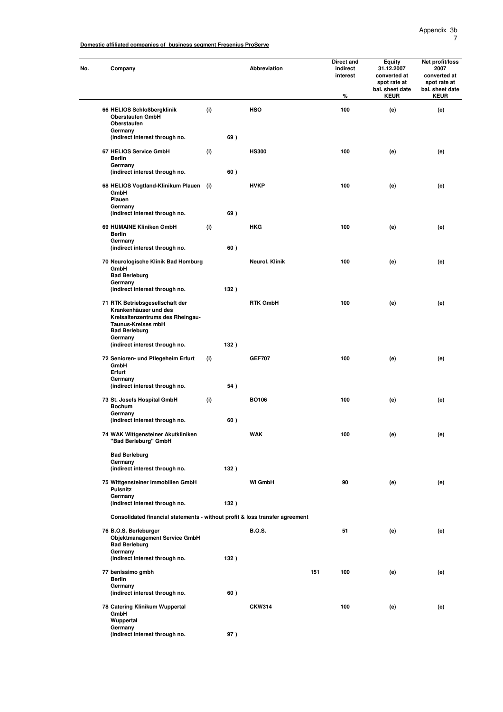| Company                                                                                      |     |      | Abbreviation    |     | Direct and<br>indirect<br>interest<br>% | Equity<br>31.12.2007<br>converted at<br>spot rate at<br>bal. sheet date<br><b>KEUR</b> | Net profit/loss<br>2007<br>converted at<br>spot rate at<br>bal. sheet date<br><b>KEUR</b> |
|----------------------------------------------------------------------------------------------|-----|------|-----------------|-----|-----------------------------------------|----------------------------------------------------------------------------------------|-------------------------------------------------------------------------------------------|
| 66 HELIOS Schloßbergklinik<br><b>Oberstaufen GmbH</b><br>Oberstaufen                         | (i) |      | <b>HSO</b>      |     | 100                                     | (e)                                                                                    | (e)                                                                                       |
| Germany<br>(indirect interest through no.                                                    |     | 69)  |                 |     |                                         |                                                                                        |                                                                                           |
| 67 HELIOS Service GmbH                                                                       | (i) |      | <b>HS300</b>    |     | 100                                     | (e)                                                                                    | (e)                                                                                       |
| Berlin<br>Germany<br>(indirect interest through no.                                          |     | 60)  |                 |     |                                         |                                                                                        |                                                                                           |
| 68 HELIOS Vogtland-Klinikum Plauen (i)<br>GmbH<br>Plauen                                     |     |      | <b>HVKP</b>     |     | 100                                     | (e)                                                                                    | (e)                                                                                       |
| Germany<br>(indirect interest through no.                                                    |     | 69)  |                 |     |                                         |                                                                                        |                                                                                           |
| 69 HUMAINE Kliniken GmbH<br><b>Berlin</b>                                                    | (i) |      | <b>HKG</b>      |     | 100                                     | (e)                                                                                    | (e)                                                                                       |
| Germany<br>(indirect interest through no.                                                    |     | 60)  |                 |     |                                         |                                                                                        |                                                                                           |
| 70 Neurologische Klinik Bad Homburg<br>GmbH<br><b>Bad Berleburg</b>                          |     |      | Neurol. Klinik  |     | 100                                     | (e)                                                                                    | (e)                                                                                       |
| Germany<br>(indirect interest through no.                                                    |     | 132) |                 |     |                                         |                                                                                        |                                                                                           |
| 71 RTK Betriebsgesellschaft der<br>Krankenhäuser und des<br>Kreisaltenzentrums des Rheingau- |     |      | <b>RTK GmbH</b> |     | 100                                     | (e)                                                                                    | (e)                                                                                       |
| Taunus-Kreises mbH<br><b>Bad Berleburg</b><br>Germany<br>(indirect interest through no.      |     | 132) |                 |     |                                         |                                                                                        |                                                                                           |
| 72 Senioren- und Pflegeheim Erfurt<br>GmbH<br>Erfurt                                         | (i) |      | <b>GEF707</b>   |     | 100                                     | (e)                                                                                    | (e)                                                                                       |
| Germany<br>(indirect interest through no.                                                    |     | 54)  |                 |     |                                         |                                                                                        |                                                                                           |
| 73 St. Josefs Hospital GmbH<br><b>Bochum</b>                                                 | (i) |      | BO106           |     | 100                                     | (e)                                                                                    | (e)                                                                                       |
| Germany<br>(indirect interest through no.                                                    |     | 60)  |                 |     |                                         |                                                                                        |                                                                                           |
| 74 WAK Wittgensteiner Akutkliniken<br>"Bad Berleburg" GmbH                                   |     |      | WAK             |     | 100                                     | (e)                                                                                    | (e)                                                                                       |
| <b>Bad Berleburg</b><br>Germany                                                              |     |      |                 |     |                                         |                                                                                        |                                                                                           |
| (indirect interest through no.                                                               |     | 132) |                 |     |                                         |                                                                                        |                                                                                           |
| 75 Wittgensteiner Immobilien GmbH<br><b>Pulsnitz</b><br>Germany                              |     |      | <b>WI GmbH</b>  |     | 90                                      | (e)                                                                                    | (e)                                                                                       |
| (indirect interest through no.                                                               |     | 132) |                 |     |                                         |                                                                                        |                                                                                           |
| Consolidated financial statements - without profit & loss transfer agreement                 |     |      |                 |     |                                         |                                                                                        |                                                                                           |
| 76 B.O.S. Berleburger<br><b>Objektmanagement Service GmbH</b><br><b>Bad Berleburg</b>        |     |      | <b>B.O.S.</b>   |     | 51                                      | (e)                                                                                    | (e)                                                                                       |
| Germany<br>(indirect interest through no.                                                    |     | 132) |                 |     |                                         |                                                                                        |                                                                                           |
| 77 benissimo gmbh<br>Berlin                                                                  |     |      |                 | 151 | 100                                     | (e)                                                                                    | (e)                                                                                       |
| Germany<br>(indirect interest through no.                                                    |     | 60)  |                 |     |                                         |                                                                                        |                                                                                           |
| 78 Catering Klinikum Wuppertal<br>GmbH                                                       |     |      | <b>CKW314</b>   |     | 100                                     | (e)                                                                                    | (e)                                                                                       |
| Wuppertal<br>Germany                                                                         |     |      |                 |     |                                         |                                                                                        |                                                                                           |
| (indirect interest through no.                                                               |     | 97)  |                 |     |                                         |                                                                                        |                                                                                           |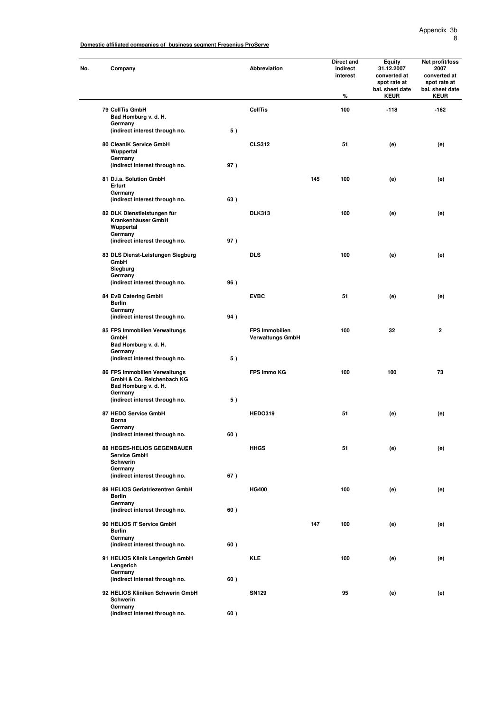| No. | Company                                                                                       |     | Abbreviation                                     |     | <b>Direct and</b><br>indirect<br>interest<br>$\%$ | Equity<br>31.12.2007<br>converted at<br>spot rate at<br>bal. sheet date<br><b>KEUR</b> | Net profit/loss<br>2007<br>converted at<br>spot rate at<br>bal. sheet date<br><b>KEUR</b> |
|-----|-----------------------------------------------------------------------------------------------|-----|--------------------------------------------------|-----|---------------------------------------------------|----------------------------------------------------------------------------------------|-------------------------------------------------------------------------------------------|
|     | 79 CellTis GmbH                                                                               |     | <b>CellTis</b>                                   |     | 100                                               | $-118$                                                                                 | $-162$                                                                                    |
|     | Bad Homburg v. d. H.<br>Germany<br>(indirect interest through no.                             | 5)  |                                                  |     |                                                   |                                                                                        |                                                                                           |
|     | 80 CleaniK Service GmbH<br>Wuppertal                                                          |     | <b>CLS312</b>                                    |     | 51                                                | (e)                                                                                    | (e)                                                                                       |
|     | Germany<br>(indirect interest through no.                                                     | 97) |                                                  |     |                                                   |                                                                                        |                                                                                           |
|     | 81 D.i.a. Solution GmbH<br>Erfurt                                                             |     |                                                  | 145 | 100                                               | (e)                                                                                    | (e)                                                                                       |
|     | Germany<br>(indirect interest through no.                                                     | 63) |                                                  |     |                                                   |                                                                                        |                                                                                           |
|     | 82 DLK Dienstleistungen für<br>Krankenhäuser GmbH<br>Wuppertal<br>Germany                     |     | <b>DLK313</b>                                    |     | 100                                               | (e)                                                                                    | (e)                                                                                       |
|     | (indirect interest through no.                                                                | 97) |                                                  |     |                                                   |                                                                                        |                                                                                           |
|     | 83 DLS Dienst-Leistungen Siegburg<br>GmbH<br>Siegburg                                         |     | <b>DLS</b>                                       |     | 100                                               | (e)                                                                                    | (e)                                                                                       |
|     | Germany<br>(indirect interest through no.                                                     | 96) |                                                  |     |                                                   |                                                                                        |                                                                                           |
|     | 84 EvB Catering GmbH<br>Berlin<br>Germany                                                     |     | <b>EVBC</b>                                      |     | 51                                                | (e)                                                                                    | (e)                                                                                       |
|     | (indirect interest through no.                                                                | 94) |                                                  |     |                                                   |                                                                                        |                                                                                           |
|     | 85 FPS Immobilien Verwaltungs<br>GmbH<br>Bad Homburg v. d. H.<br>Germany                      |     | <b>FPS Immobilien</b><br><b>Verwaltungs GmbH</b> |     | 100                                               | 32                                                                                     | $\mathbf{2}$                                                                              |
|     | (indirect interest through no.                                                                | 5)  |                                                  |     |                                                   |                                                                                        |                                                                                           |
|     | 86 FPS Immobilien Verwaltungs<br>GmbH & Co. Reichenbach KG<br>Bad Homburg v. d. H.<br>Germany |     | FPS Immo KG                                      |     | 100                                               | 100                                                                                    | 73                                                                                        |
|     | (indirect interest through no.                                                                | 5)  |                                                  |     |                                                   |                                                                                        |                                                                                           |
|     | 87 HEDO Service GmbH<br>Borna<br>Germany                                                      |     | <b>HEDO319</b>                                   |     | 51                                                | (e)                                                                                    | (e)                                                                                       |
|     | (indirect interest through no.                                                                | 60) |                                                  |     |                                                   |                                                                                        |                                                                                           |
|     | 88 HEGES-HELIOS GEGENBAUER<br><b>Service GmbH</b><br>Schwerin                                 |     | <b>HHGS</b>                                      |     | 51                                                | (e)                                                                                    | (e)                                                                                       |
|     | Germany<br>(indirect interest through no.                                                     | 67) |                                                  |     |                                                   |                                                                                        |                                                                                           |
|     | 89 HELIOS Geriatriezentren GmbH<br><b>Berlin</b><br>Germany                                   |     | <b>HG400</b>                                     |     | 100                                               | (e)                                                                                    | (e)                                                                                       |
|     | (indirect interest through no.                                                                | 60) |                                                  |     |                                                   |                                                                                        |                                                                                           |
|     | 90 HELIOS IT Service GmbH<br><b>Berlin</b><br>Germany                                         |     |                                                  | 147 | 100                                               | (e)                                                                                    | (e)                                                                                       |
|     | (indirect interest through no.                                                                | 60) |                                                  |     |                                                   |                                                                                        |                                                                                           |
|     | 91 HELIOS Klinik Lengerich GmbH<br>Lengerich<br>Germany                                       |     | <b>KLE</b>                                       |     | 100                                               | (e)                                                                                    | (e)                                                                                       |
|     | (indirect interest through no.                                                                | 60) |                                                  |     |                                                   |                                                                                        |                                                                                           |
|     | 92 HELIOS Kliniken Schwerin GmbH<br>Schwerin<br>Germany                                       |     | <b>SN129</b>                                     |     | 95                                                | (e)                                                                                    | (e)                                                                                       |
|     | (indirect interest through no.                                                                | 60) |                                                  |     |                                                   |                                                                                        |                                                                                           |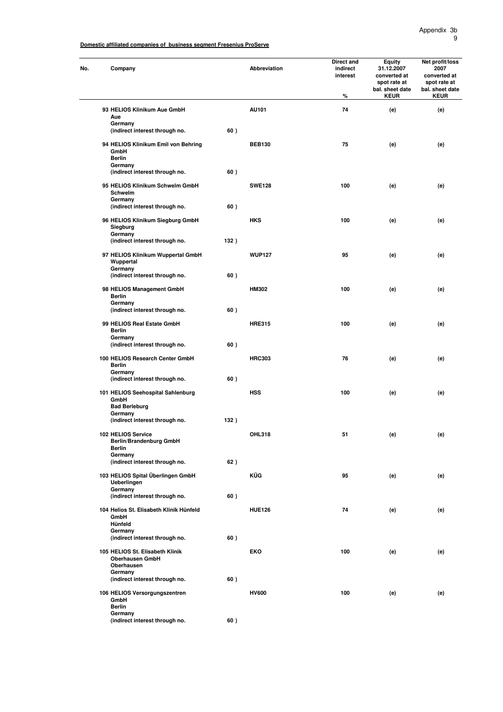| Company                                                                 |      | Abbreviation  | Direct and<br>indirect<br>interest<br>% | <b>Equity</b><br>31.12.2007<br>converted at<br>spot rate at<br>bal. sheet date<br><b>KEUR</b> | Net profit/loss<br>2007<br>converted at<br>spot rate at<br>bal. sheet date<br><b>KEUR</b> |
|-------------------------------------------------------------------------|------|---------------|-----------------------------------------|-----------------------------------------------------------------------------------------------|-------------------------------------------------------------------------------------------|
| 93 HELIOS Klinikum Aue GmbH                                             |      | AU101         | 74                                      | (e)                                                                                           | (e)                                                                                       |
| Aue<br>Germany                                                          |      |               |                                         |                                                                                               |                                                                                           |
| (indirect interest through no.                                          | 60)  |               |                                         |                                                                                               |                                                                                           |
| 94 HELIOS Klinikum Emil von Behring<br>GmbH<br><b>Berlin</b><br>Germany |      | <b>BEB130</b> | 75                                      | (e)                                                                                           | (e)                                                                                       |
| (indirect interest through no.                                          | 60)  |               |                                         |                                                                                               |                                                                                           |
| 95 HELIOS Klinikum Schwelm GmbH<br>Schwelm<br>Germany                   |      | <b>SWE128</b> | 100                                     | (e)                                                                                           | (e)                                                                                       |
| (indirect interest through no.                                          | 60)  |               |                                         |                                                                                               |                                                                                           |
| 96 HELIOS Klinikum Siegburg GmbH<br>Siegburg<br>Germany                 |      | <b>HKS</b>    | 100                                     | (e)                                                                                           | (e)                                                                                       |
| (indirect interest through no.                                          | 132) |               |                                         |                                                                                               |                                                                                           |
| 97 HELIOS Klinikum Wuppertal GmbH<br>Wuppertal<br>Germany               |      | <b>WUP127</b> | 95                                      | (e)                                                                                           | (e)                                                                                       |
| (indirect interest through no.                                          | 60)  |               |                                         |                                                                                               |                                                                                           |
| 98 HELIOS Management GmbH<br><b>Berlin</b><br>Germany                   |      | <b>HM302</b>  | 100                                     | (e)                                                                                           | (e)                                                                                       |
| (indirect interest through no.                                          | 60)  |               |                                         |                                                                                               |                                                                                           |
| 99 HELIOS Real Estate GmbH<br><b>Berlin</b><br>Germany                  |      | <b>HRE315</b> | 100                                     | (e)                                                                                           | (e)                                                                                       |
| (indirect interest through no.                                          | 60)  |               |                                         |                                                                                               |                                                                                           |
| 100 HELIOS Research Center GmbH<br><b>Berlin</b><br>Germany             |      | <b>HRC303</b> | 76                                      | (e)                                                                                           | (e)                                                                                       |
| (indirect interest through no.                                          | 60)  |               |                                         |                                                                                               |                                                                                           |
| 101 HELIOS Seehospital Sahlenburg<br>GmbH                               |      | <b>HSS</b>    | 100                                     | (e)                                                                                           | (e)                                                                                       |
| <b>Bad Berleburg</b><br>Germany                                         |      |               |                                         |                                                                                               |                                                                                           |
| (indirect interest through no.                                          | 132) |               |                                         |                                                                                               |                                                                                           |
| 102 HELIOS Service<br>Berlin/Brandenburg GmbH<br><b>Berlin</b>          |      | OHL318        | 51                                      | (e)                                                                                           | (e)                                                                                       |
| Germany<br>(indirect interest through no.                               | 62)  |               |                                         |                                                                                               |                                                                                           |
| 103 HELIOS Spital Überlingen GmbH<br><b>Ueberlingen</b>                 |      | KÜG           | 95                                      | (e)                                                                                           | (e)                                                                                       |
| Germany<br>(indirect interest through no.                               | 60)  |               |                                         |                                                                                               |                                                                                           |
| 104 Helios St. Elisabeth Klinik Hünfeld<br>GmbH                         |      | <b>HUE126</b> | 74                                      | (e)                                                                                           | (e)                                                                                       |
| Hünfeld<br>Germany                                                      |      |               |                                         |                                                                                               |                                                                                           |
| (indirect interest through no.                                          | 60)  |               |                                         |                                                                                               |                                                                                           |
| 105 HELIOS St. Elisabeth Klinik<br><b>Oberhausen GmbH</b><br>Oberhausen |      | <b>EKO</b>    | 100                                     | (e)                                                                                           | (e)                                                                                       |
| Germany<br>(indirect interest through no.                               | 60)  |               |                                         |                                                                                               |                                                                                           |
|                                                                         |      | <b>HV600</b>  | 100                                     |                                                                                               |                                                                                           |
| 106 HELIOS Versorgungszentren<br>GmbH<br><b>Berlin</b><br>Germany       |      |               |                                         | (e)                                                                                           | (e)                                                                                       |
| (indirect interest through no.                                          | 60)  |               |                                         |                                                                                               |                                                                                           |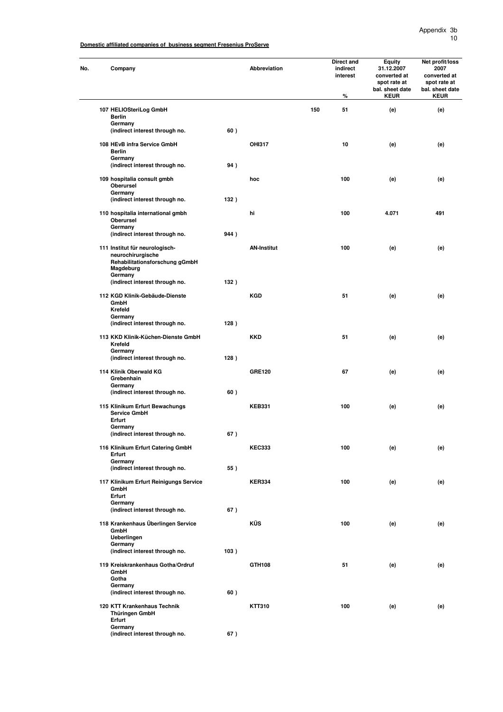| Company                                                                                            |      | Abbreviation       |     | Direct and<br>indirect<br>interest<br>% | <b>Equity</b><br>31.12.2007<br>converted at<br>spot rate at<br>bal. sheet date<br><b>KEUR</b> | Net profit/loss<br>2007<br>converted at<br>spot rate at<br>bal. sheet date<br><b>KEUR</b> |
|----------------------------------------------------------------------------------------------------|------|--------------------|-----|-----------------------------------------|-----------------------------------------------------------------------------------------------|-------------------------------------------------------------------------------------------|
| 107 HELIOSteriLog GmbH                                                                             |      |                    | 150 | 51                                      | (e)                                                                                           | (e)                                                                                       |
| <b>Berlin</b><br>Germany                                                                           |      |                    |     |                                         |                                                                                               |                                                                                           |
| (indirect interest through no.                                                                     | 60)  |                    |     |                                         |                                                                                               |                                                                                           |
| 108 HEvB infra Service GmbH<br><b>Berlin</b><br>Germany                                            |      | <b>OHI317</b>      |     | 10                                      | (e)                                                                                           | (e)                                                                                       |
| (indirect interest through no.                                                                     | 94)  |                    |     |                                         |                                                                                               |                                                                                           |
| 109 hospitalia consult gmbh<br>Oberursel<br>Germany                                                |      | hoc                |     | 100                                     | (e)                                                                                           | (e)                                                                                       |
| (indirect interest through no.                                                                     | 132) |                    |     |                                         |                                                                                               |                                                                                           |
| 110 hospitalia international gmbh<br>Oberursel<br>Germany                                          |      | hi                 |     | 100                                     | 4.071                                                                                         | 491                                                                                       |
| (indirect interest through no.                                                                     | 944) |                    |     |                                         |                                                                                               |                                                                                           |
| 111 Institut für neurologisch-<br>neurochirurgische<br>Rehabilitationsforschung gGmbH<br>Magdeburg |      | <b>AN-Institut</b> |     | 100                                     | (e)                                                                                           | (e)                                                                                       |
| Germany<br>(indirect interest through no.                                                          | 132) |                    |     |                                         |                                                                                               |                                                                                           |
| 112 KGD Klinik-Gebäude-Dienste<br>GmbH<br>Krefeld                                                  |      | <b>KGD</b>         |     | 51                                      | (e)                                                                                           | (e)                                                                                       |
| Germany<br>(indirect interest through no.                                                          | 128) |                    |     |                                         |                                                                                               |                                                                                           |
| 113 KKD Klinik-Küchen-Dienste GmbH<br>Krefeld                                                      |      | <b>KKD</b>         |     | 51                                      | (e)                                                                                           | (e)                                                                                       |
| Germany<br>(indirect interest through no.                                                          | 128) |                    |     |                                         |                                                                                               |                                                                                           |
| 114 Klinik Oberwald KG<br>Grebenhain<br>Germany                                                    |      | <b>GRE120</b>      |     | 67                                      | (e)                                                                                           | (e)                                                                                       |
| (indirect interest through no.                                                                     | 60)  |                    |     |                                         |                                                                                               |                                                                                           |
| 115 Klinikum Erfurt Bewachungs<br><b>Service GmbH</b><br>Erfurt                                    |      | <b>KEB331</b>      |     | 100                                     | (e)                                                                                           | (e)                                                                                       |
| Germany                                                                                            | 67)  |                    |     |                                         |                                                                                               |                                                                                           |
| (indirect interest through no.                                                                     |      | <b>KEC333</b>      |     | 100                                     |                                                                                               |                                                                                           |
| 116 Klinikum Erfurt Catering GmbH<br>Erfurt<br>Germany                                             |      |                    |     |                                         | (e)                                                                                           | (e)                                                                                       |
| (indirect interest through no.                                                                     | 55)  |                    |     |                                         |                                                                                               |                                                                                           |
| 117 Klinikum Erfurt Reinigungs Service<br>GmbH<br>Erfurt                                           |      | <b>KER334</b>      |     | 100                                     | (e)                                                                                           | (e)                                                                                       |
| Germany<br>(indirect interest through no.                                                          | 67)  |                    |     |                                         |                                                                                               |                                                                                           |
| 118 Krankenhaus Überlingen Service<br>GmbH                                                         |      | <b>KÜS</b>         |     | 100                                     | (e)                                                                                           | (e)                                                                                       |
| Ueberlingen<br>Germany<br>(indirect interest through no.                                           | 103) |                    |     |                                         |                                                                                               |                                                                                           |
| 119 Kreiskrankenhaus Gotha/Ordruf<br>GmbH                                                          |      | GTH108             |     | 51                                      | (e)                                                                                           | (e)                                                                                       |
| Gotha<br>Germany                                                                                   |      |                    |     |                                         |                                                                                               |                                                                                           |
| (indirect interest through no.                                                                     | 60)  |                    |     |                                         |                                                                                               |                                                                                           |
| 120 KTT Krankenhaus Technik<br>Thüringen GmbH<br>Erfurt                                            |      | KTT310             |     | 100                                     | (e)                                                                                           | (e)                                                                                       |
| Germany<br>(indirect interest through no.                                                          | 67)  |                    |     |                                         |                                                                                               |                                                                                           |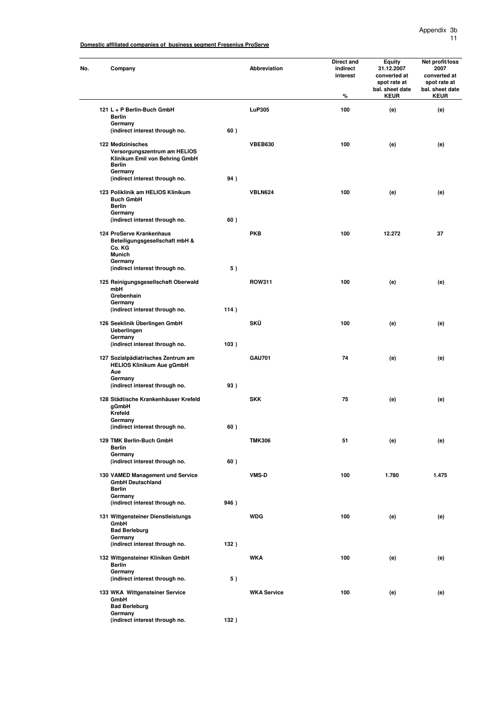| No. | Company                                                                                                         |      | <b>Abbreviation</b> | Direct and<br>indirect<br>interest<br>% | <b>Equity</b><br>31.12.2007<br>converted at<br>spot rate at<br>bal. sheet date<br><b>KEUR</b> | Net profit/loss<br>2007<br>converted at<br>spot rate at<br>bal. sheet date<br><b>KEUR</b> |
|-----|-----------------------------------------------------------------------------------------------------------------|------|---------------------|-----------------------------------------|-----------------------------------------------------------------------------------------------|-------------------------------------------------------------------------------------------|
|     | 121 L + P Berlin-Buch GmbH                                                                                      |      | <b>LuP305</b>       | 100                                     | (e)                                                                                           | (e)                                                                                       |
|     | <b>Berlin</b><br>Germany                                                                                        |      |                     |                                         |                                                                                               |                                                                                           |
|     | (indirect interest through no.                                                                                  | 60)  |                     |                                         |                                                                                               |                                                                                           |
|     | 122 Medizinisches<br>Versorgungszentrum am HELIOS<br>Klinikum Emil von Behring GmbH<br><b>Berlin</b><br>Germany |      | <b>VBEB630</b>      | 100                                     | (e)                                                                                           | (e)                                                                                       |
|     | (indirect interest through no.                                                                                  | 94)  |                     |                                         |                                                                                               |                                                                                           |
|     | 123 Poliklinik am HELIOS Klinikum<br><b>Buch GmbH</b><br>Berlin<br>Germany                                      |      | <b>VBLN624</b>      | 100                                     | (e)                                                                                           | (e)                                                                                       |
|     | (indirect interest through no.                                                                                  | 60)  |                     |                                         |                                                                                               |                                                                                           |
|     | 124 ProServe Krankenhaus<br>Beteiligungsgesellschaft mbH &<br>Co. KG<br><b>Munich</b>                           |      | <b>PKB</b>          | 100                                     | 12.272                                                                                        | 37                                                                                        |
|     | Germany<br>(indirect interest through no.                                                                       | 5)   |                     |                                         |                                                                                               |                                                                                           |
|     | 125 Reinigungsgesellschaft Oberwald<br>mbH<br>Grebenhain                                                        |      | <b>ROW311</b>       | 100                                     | (e)                                                                                           | (e)                                                                                       |
|     | Germany<br>(indirect interest through no.                                                                       | 114) |                     |                                         |                                                                                               |                                                                                           |
|     | 126 Seeklinik Überlingen GmbH<br>Ueberlingen<br>Germany                                                         |      | SKÜ                 | 100                                     | (e)                                                                                           | (e)                                                                                       |
|     | (indirect interest through no.                                                                                  | 103) |                     |                                         |                                                                                               |                                                                                           |
|     | 127 Sozialpädiatrisches Zentrum am<br><b>HELIOS Klinikum Aue gGmbH</b><br>Aue                                   |      | <b>GAU701</b>       | 74                                      | (e)                                                                                           | (e)                                                                                       |
|     | Germany<br>(indirect interest through no.                                                                       | 93)  |                     |                                         |                                                                                               |                                                                                           |
|     | 128 Städtische Krankenhäuser Krefeld<br>gGmbH<br>Krefeld                                                        |      | <b>SKK</b>          | 75                                      | (e)                                                                                           | (e)                                                                                       |
|     | Germany<br>(indirect interest through no.                                                                       | 60)  |                     |                                         |                                                                                               |                                                                                           |
|     | 129 TMK Berlin-Buch GmbH<br><b>Berlin</b>                                                                       |      | <b>TMK306</b>       | 51                                      | (e)                                                                                           | (e)                                                                                       |
|     | Germany                                                                                                         | 60)  |                     |                                         |                                                                                               |                                                                                           |
|     | (indirect interest through no.<br>130 VAMED Management und Service<br><b>GmbH Deutschland</b>                   |      | <b>VMS-D</b>        | 100                                     | 1.780                                                                                         | 1.475                                                                                     |
|     | <b>Berlin</b><br>Germany<br>(indirect interest through no.                                                      | 946) |                     |                                         |                                                                                               |                                                                                           |
|     | 131 Wittgensteiner Dienstleistungs<br>GmbH<br><b>Bad Berleburg</b>                                              |      | <b>WDG</b>          | 100                                     | (e)                                                                                           | (e)                                                                                       |
|     | Germany                                                                                                         |      |                     |                                         |                                                                                               |                                                                                           |
|     | (indirect interest through no.                                                                                  | 132) |                     |                                         |                                                                                               |                                                                                           |
|     | 132 Wittgensteiner Kliniken GmbH<br><b>Berlin</b>                                                               |      | <b>WKA</b>          | 100                                     | (e)                                                                                           | (e)                                                                                       |
|     | Germany<br>(indirect interest through no.                                                                       | 5)   |                     |                                         |                                                                                               |                                                                                           |
|     | 133 WKA Wittgensteiner Service<br>GmbH                                                                          |      | <b>WKA Service</b>  | 100                                     | (e)                                                                                           | (e)                                                                                       |
|     | <b>Bad Berleburg</b><br>Germany                                                                                 |      |                     |                                         |                                                                                               |                                                                                           |
|     | (indirect interest through no.                                                                                  | 132) |                     |                                         |                                                                                               |                                                                                           |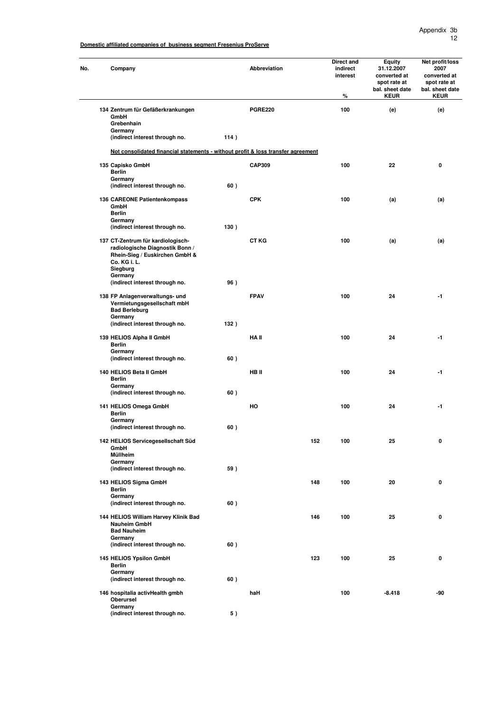#### Appendix 3b 12

**Domestic affiliated companies of business segment Fresenius ProServe**

| No. | Company                                                                                                                            |      | Abbreviation   |     | Direct and<br>indirect<br>interest<br>% | <b>Equity</b><br>31.12.2007<br>converted at<br>spot rate at<br>bal. sheet date<br><b>KEUR</b> | Net profit/loss<br>2007<br>converted at<br>spot rate at<br>bal. sheet date<br><b>KEUR</b> |
|-----|------------------------------------------------------------------------------------------------------------------------------------|------|----------------|-----|-----------------------------------------|-----------------------------------------------------------------------------------------------|-------------------------------------------------------------------------------------------|
|     | 134 Zentrum für Gefäßerkrankungen<br>GmbH<br>Grebenhain                                                                            |      | <b>PGRE220</b> |     | 100                                     | (e)                                                                                           | (e)                                                                                       |
|     | Germany                                                                                                                            |      |                |     |                                         |                                                                                               |                                                                                           |
|     | (indirect interest through no.                                                                                                     | 114) |                |     |                                         |                                                                                               |                                                                                           |
|     | Not consolidated financial statements - without profit & loss transfer agreement                                                   |      |                |     |                                         |                                                                                               |                                                                                           |
|     | 135 Capisko GmbH<br><b>Berlin</b>                                                                                                  |      | <b>CAP309</b>  |     | 100                                     | 22                                                                                            | 0                                                                                         |
|     | Germany<br>(indirect interest through no.                                                                                          | 60)  |                |     |                                         |                                                                                               |                                                                                           |
|     | 136 CAREONE Patientenkompass<br>GmbH                                                                                               |      | <b>CPK</b>     |     | 100                                     | (a)                                                                                           | (a)                                                                                       |
|     | <b>Berlin</b><br>Germany                                                                                                           |      |                |     |                                         |                                                                                               |                                                                                           |
|     | (indirect interest through no.                                                                                                     | 130) |                |     |                                         |                                                                                               |                                                                                           |
|     | 137 CT-Zentrum für kardiologisch-<br>radiologische Diagnostik Bonn /<br>Rhein-Sieg / Euskirchen GmbH &<br>Co. KG i. L.<br>Siegburg |      | <b>CT KG</b>   |     | 100                                     | (a)                                                                                           | (a)                                                                                       |
|     | Germany<br>(indirect interest through no.                                                                                          | 96)  |                |     |                                         |                                                                                               |                                                                                           |
|     | 138 FP Anlagenverwaltungs- und<br>Vermietungsgesellschaft mbH<br><b>Bad Berleburg</b><br>Germany                                   |      | <b>FPAV</b>    |     | 100                                     | 24                                                                                            | $-1$                                                                                      |
|     | (indirect interest through no.                                                                                                     | 132) |                |     |                                         |                                                                                               |                                                                                           |
|     | 139 HELIOS Alpha II GmbH<br><b>Berlin</b><br>Germany                                                                               |      | HA II          |     | 100                                     | 24                                                                                            | $-1$                                                                                      |
|     | (indirect interest through no.                                                                                                     | 60)  |                |     |                                         |                                                                                               |                                                                                           |
|     | 140 HELIOS Beta II GmbH<br><b>Berlin</b><br>Germany                                                                                |      | HB II          |     | 100                                     | 24                                                                                            | $-1$                                                                                      |
|     | (indirect interest through no.                                                                                                     | 60)  |                |     |                                         |                                                                                               |                                                                                           |
|     | 141 HELIOS Omega GmbH<br><b>Berlin</b>                                                                                             |      | HO             |     | 100                                     | 24                                                                                            | $-1$                                                                                      |
|     | Germany<br>(indirect interest through no.                                                                                          | 60)  |                |     |                                         |                                                                                               |                                                                                           |
|     | 142 HELIOS Servicegesellschaft Süd<br>GmbH<br>Müllheim                                                                             |      |                | 152 | 100                                     | 25                                                                                            | 0                                                                                         |
|     | Germany                                                                                                                            |      |                |     |                                         |                                                                                               |                                                                                           |
|     | (indirect interest through no.                                                                                                     | 59)  |                |     |                                         |                                                                                               |                                                                                           |
|     | 143 HELIOS Sigma GmbH<br><b>Berlin</b><br>Germany                                                                                  |      |                | 148 | 100                                     | 20                                                                                            | 0                                                                                         |
|     | (indirect interest through no.                                                                                                     | 60)  |                |     |                                         |                                                                                               |                                                                                           |
|     | 144 HELIOS William Harvey Klinik Bad<br><b>Nauheim GmbH</b><br><b>Bad Nauheim</b>                                                  |      |                | 146 | 100                                     | 25                                                                                            | 0                                                                                         |
|     | Germany<br>(indirect interest through no.                                                                                          | 60)  |                |     |                                         |                                                                                               |                                                                                           |
|     | 145 HELIOS Ypsilon GmbH<br>Berlin<br>Germany                                                                                       |      |                | 123 | 100                                     | 25                                                                                            | 0                                                                                         |
|     | (indirect interest through no.                                                                                                     | 60)  |                |     |                                         |                                                                                               |                                                                                           |
|     | 146 hospitalia activHealth gmbh<br>Oberursel                                                                                       |      | haH            |     | 100                                     | $-8.418$                                                                                      | -90                                                                                       |
|     | Germany<br>(indirect interest through no.                                                                                          | 5)   |                |     |                                         |                                                                                               |                                                                                           |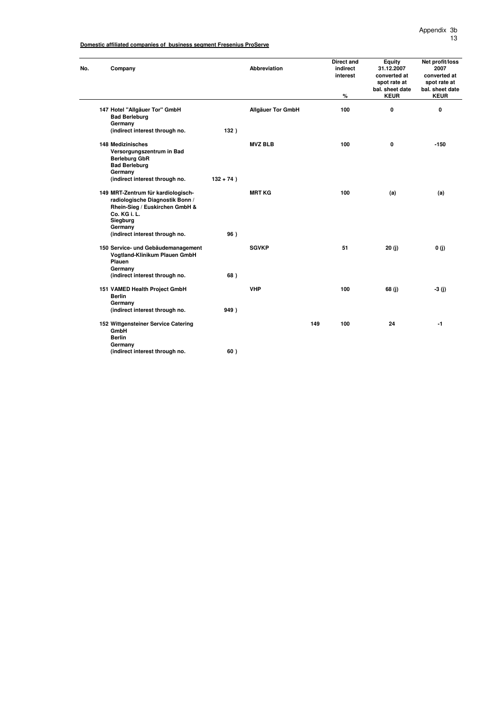| No. | Company                                                                                                                                        |              | Abbreviation             | <b>Direct and</b><br>indirect<br>interest<br>% | <b>Equity</b><br>31.12.2007<br>converted at<br>spot rate at<br>bal. sheet date<br><b>KEUR</b> | Net profit/loss<br>2007<br>converted at<br>spot rate at<br>bal. sheet date<br><b>KEUR</b> |
|-----|------------------------------------------------------------------------------------------------------------------------------------------------|--------------|--------------------------|------------------------------------------------|-----------------------------------------------------------------------------------------------|-------------------------------------------------------------------------------------------|
|     | 147 Hotel "Allgäuer Tor" GmbH<br><b>Bad Berleburg</b>                                                                                          |              | <b>Allgäuer Tor GmbH</b> | 100                                            | 0                                                                                             | 0                                                                                         |
|     | Germany<br>(indirect interest through no.                                                                                                      | 132)         |                          |                                                |                                                                                               |                                                                                           |
|     | <b>148 Medizinisches</b><br>Versorgungszentrum in Bad<br><b>Berleburg GbR</b><br><b>Bad Berleburg</b><br>Germany                               |              | <b>MVZ BLB</b>           | 100                                            | 0                                                                                             | $-150$                                                                                    |
|     | (indirect interest through no.                                                                                                                 | $132 + 74$ ) |                          |                                                |                                                                                               |                                                                                           |
|     | 149 MRT-Zentrum für kardiologisch-<br>radiologische Diagnostik Bonn /<br>Rhein-Sieg / Euskirchen GmbH &<br>Co. KG i. L.<br>Siegburg<br>Germany |              | <b>MRT KG</b>            | 100                                            | (a)                                                                                           | (a)                                                                                       |
|     | (indirect interest through no.                                                                                                                 | 96)          |                          |                                                |                                                                                               |                                                                                           |
|     | 150 Service- und Gebäudemanagement<br>Vogtland-Klinikum Plauen GmbH<br>Plauen<br>Germany                                                       |              | <b>SGVKP</b>             | 51                                             | 20(j)                                                                                         | 0(j)                                                                                      |
|     | (indirect interest through no.                                                                                                                 | 68)          |                          |                                                |                                                                                               |                                                                                           |
|     | 151 VAMED Health Project GmbH<br><b>Berlin</b><br>Germany<br>(indirect interest through no.                                                    | 949)         | <b>VHP</b>               | 100                                            | 68(j)                                                                                         | $-3$ (j)                                                                                  |
|     |                                                                                                                                                |              |                          |                                                |                                                                                               |                                                                                           |
|     | 152 Wittgensteiner Service Catering<br>GmbH<br><b>Berlin</b><br>Germany                                                                        |              |                          | 149<br>100                                     | 24                                                                                            | $-1$                                                                                      |
|     | (indirect interest through no.                                                                                                                 | 60)          |                          |                                                |                                                                                               |                                                                                           |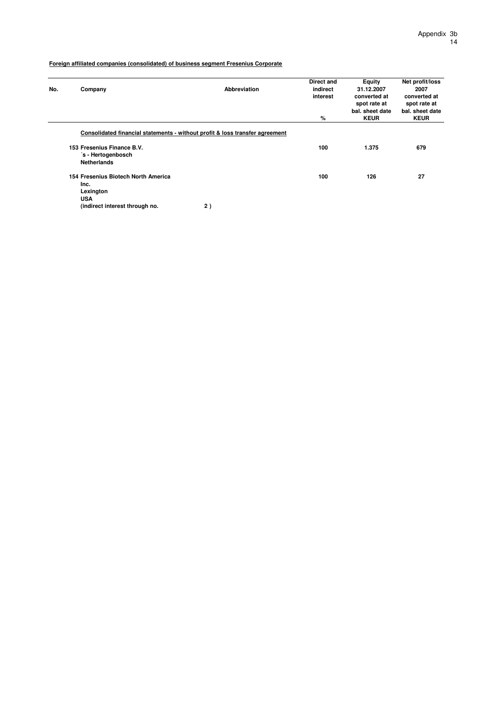| No. | Company                                                                | <b>Abbreviation</b>                                                          | Direct and<br>indirect<br>interest | <b>Equity</b><br>31.12.2007<br>converted at<br>spot rate at<br>bal. sheet date | Net profit/loss<br>2007<br>converted at<br>spot rate at |
|-----|------------------------------------------------------------------------|------------------------------------------------------------------------------|------------------------------------|--------------------------------------------------------------------------------|---------------------------------------------------------|
|     |                                                                        |                                                                              | %                                  |                                                                                | bal. sheet date<br><b>KEUR</b>                          |
|     |                                                                        | Consolidated financial statements - without profit & loss transfer agreement |                                    |                                                                                |                                                         |
|     | 153 Fresenius Finance B.V.<br>'s - Hertogenbosch<br><b>Netherlands</b> |                                                                              | 100                                | 1.375                                                                          | 679                                                     |
|     | 154 Fresenius Biotech North America<br>Inc.                            |                                                                              | 100                                | 126                                                                            | 27                                                      |
|     | Lexington<br><b>USA</b><br>(indirect interest through no.              | 2)                                                                           |                                    |                                                                                |                                                         |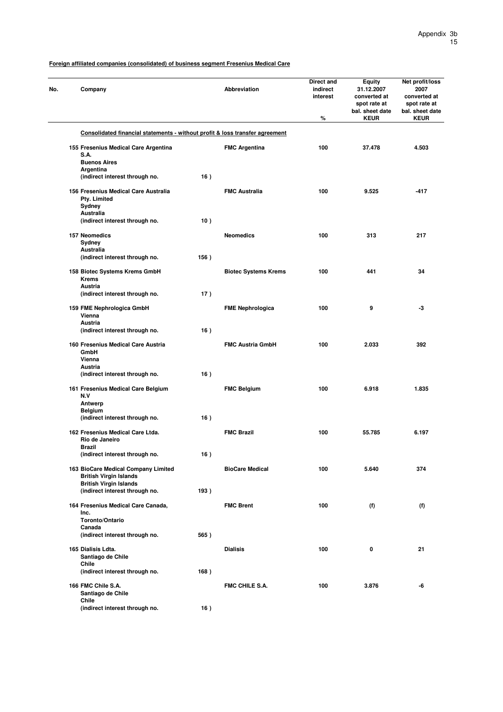| No. | Company                                                                                               |      | Abbreviation                | Direct and<br>indirect<br>interest<br>% | Equity<br>31.12.2007<br>converted at<br>spot rate at<br>bal. sheet date<br><b>KEUR</b> | Net profit/loss<br>2007<br>converted at<br>spot rate at<br>bal. sheet date<br><b>KEUR</b> |
|-----|-------------------------------------------------------------------------------------------------------|------|-----------------------------|-----------------------------------------|----------------------------------------------------------------------------------------|-------------------------------------------------------------------------------------------|
|     | Consolidated financial statements - without profit & loss transfer agreement                          |      |                             |                                         |                                                                                        |                                                                                           |
|     | 155 Fresenius Medical Care Argentina<br>S.A.                                                          |      | <b>FMC Argentina</b>        | 100                                     | 37.478                                                                                 | 4.503                                                                                     |
|     | <b>Buenos Aires</b><br>Argentina<br>(indirect interest through no.                                    | 16)  |                             |                                         |                                                                                        |                                                                                           |
|     | 156 Fresenius Medical Care Australia<br>Pty. Limited                                                  |      | <b>FMC Australia</b>        | 100                                     | 9.525                                                                                  | $-417$                                                                                    |
|     | Sydney<br>Australia<br>(indirect interest through no.                                                 | 10)  |                             |                                         |                                                                                        |                                                                                           |
|     | 157 Neomedics<br>Sydney                                                                               |      | <b>Neomedics</b>            | 100                                     | 313                                                                                    | 217                                                                                       |
|     | Australia<br>(indirect interest through no.                                                           | 156) |                             |                                         |                                                                                        |                                                                                           |
|     | 158 Biotec Systems Krems GmbH<br><b>Krems</b>                                                         |      | <b>Biotec Systems Krems</b> | 100                                     | 441                                                                                    | 34                                                                                        |
|     | Austria<br>(indirect interest through no.                                                             | 17)  |                             |                                         |                                                                                        |                                                                                           |
|     | 159 FME Nephrologica GmbH<br>Vienna<br><b>Austria</b>                                                 |      | <b>FME Nephrologica</b>     | 100                                     | 9                                                                                      | -3                                                                                        |
|     | (indirect interest through no.                                                                        | 16)  |                             |                                         |                                                                                        |                                                                                           |
|     | 160 Fresenius Medical Care Austria<br>GmbH<br>Vienna<br>Austria                                       |      | <b>FMC Austria GmbH</b>     | 100                                     | 2.033                                                                                  | 392                                                                                       |
|     | (indirect interest through no.                                                                        | 16)  |                             |                                         |                                                                                        |                                                                                           |
|     | 161 Fresenius Medical Care Belgium<br>N.V<br>Antwerp                                                  |      | <b>FMC Belgium</b>          | 100                                     | 6.918                                                                                  | 1.835                                                                                     |
|     | <b>Belgium</b><br>(indirect interest through no.                                                      | 16)  |                             |                                         |                                                                                        |                                                                                           |
|     | 162 Fresenius Medical Care Ltda.<br>Rio de Janeiro<br><b>Brazil</b>                                   |      | <b>FMC Brazil</b>           | 100                                     | 55.785                                                                                 | 6.197                                                                                     |
|     | (indirect interest through no.                                                                        | 16)  |                             |                                         |                                                                                        |                                                                                           |
|     | 163 BioCare Medical Company Limited<br><b>British Virgin Islands</b><br><b>British Virgin Islands</b> |      | <b>BioCare Medical</b>      | 100                                     | 5.640                                                                                  | 374                                                                                       |
|     | (indirect interest through no.                                                                        | 193) |                             |                                         |                                                                                        |                                                                                           |
|     | 164 Fresenius Medical Care Canada,<br>Inc.<br>Toronto/Ontario                                         |      | <b>FMC Brent</b>            | 100                                     | (f)                                                                                    | (f)                                                                                       |
|     | Canada<br>(indirect interest through no.                                                              | 565) |                             |                                         |                                                                                        |                                                                                           |
|     | 165 Dialisis Ldta.<br>Santiago de Chile<br>Chile                                                      |      | <b>Dialisis</b>             | 100                                     | 0                                                                                      | 21                                                                                        |
|     | (indirect interest through no.                                                                        | 168) |                             |                                         |                                                                                        |                                                                                           |
|     | 166 FMC Chile S.A.<br>Santiago de Chile<br>Chile                                                      |      | <b>FMC CHILE S.A.</b>       | 100                                     | 3.876                                                                                  | -6                                                                                        |
|     | (indirect interest through no.                                                                        | 16)  |                             |                                         |                                                                                        |                                                                                           |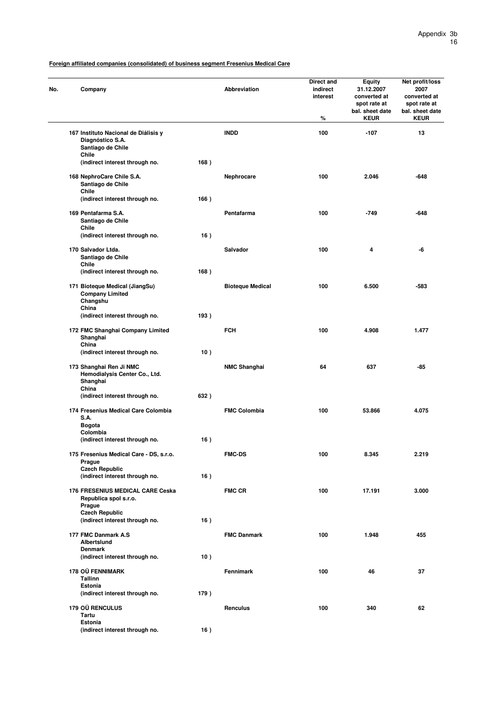| No. | Company                                                                       |      | <b>Abbreviation</b>     | Direct and<br>indirect<br>interest<br>% | <b>Equity</b><br>31.12.2007<br>converted at<br>spot rate at<br>bal. sheet date<br><b>KEUR</b> | Net profit/loss<br>2007<br>converted at<br>spot rate at<br>bal. sheet date<br><b>KEUR</b> |
|-----|-------------------------------------------------------------------------------|------|-------------------------|-----------------------------------------|-----------------------------------------------------------------------------------------------|-------------------------------------------------------------------------------------------|
|     | 167 Instituto Nacional de Diálisis y<br>Diagnóstico S.A.<br>Santiago de Chile |      | <b>INDD</b>             | 100                                     | $-107$                                                                                        | 13                                                                                        |
|     | Chile<br>(indirect interest through no.                                       | 168) |                         |                                         |                                                                                               |                                                                                           |
|     | 168 NephroCare Chile S.A.<br>Santiago de Chile<br>Chile                       |      | Nephrocare              | 100                                     | 2.046                                                                                         | $-648$                                                                                    |
|     | (indirect interest through no.                                                | 166) |                         |                                         |                                                                                               |                                                                                           |
|     | 169 Pentafarma S.A.<br>Santiago de Chile<br>Chile                             |      | Pentafarma              | 100                                     | $-749$                                                                                        | $-648$                                                                                    |
|     | (indirect interest through no.                                                | 16)  |                         |                                         |                                                                                               |                                                                                           |
|     | 170 Salvador Ltda.<br>Santiago de Chile<br>Chile                              |      | Salvador                | 100                                     | 4                                                                                             | -6                                                                                        |
|     | (indirect interest through no.                                                | 168) |                         |                                         |                                                                                               |                                                                                           |
|     | 171 Bioteque Medical (JiangSu)<br><b>Company Limited</b><br>Changshu<br>China |      | <b>Bioteque Medical</b> | 100                                     | 6.500                                                                                         | $-583$                                                                                    |
|     | (indirect interest through no.                                                | 193) |                         |                                         |                                                                                               |                                                                                           |
|     | 172 FMC Shanghai Company Limited<br>Shanghai<br>China                         |      | <b>FCH</b>              | 100                                     | 4.908                                                                                         | 1.477                                                                                     |
|     | (indirect interest through no.                                                | 10)  |                         |                                         |                                                                                               |                                                                                           |
|     | 173 Shanghai Ren Ji NMC<br>Hemodialysis Center Co., Ltd.<br>Shanghai<br>China |      | <b>NMC Shanghai</b>     | 64                                      | 637                                                                                           | $-85$                                                                                     |
|     | (indirect interest through no.                                                | 632) |                         |                                         |                                                                                               |                                                                                           |
|     | 174 Fresenius Medical Care Colombia<br><b>S.A.</b><br><b>Bogota</b>           |      | <b>FMC Colombia</b>     | 100                                     | 53.866                                                                                        | 4.075                                                                                     |
|     | Colombia                                                                      |      |                         |                                         |                                                                                               |                                                                                           |
|     | (indirect interest through no.                                                | 16)  |                         |                                         |                                                                                               |                                                                                           |
|     | 175 Fresenius Medical Care - DS, s.r.o.<br>Prague<br><b>Czech Republic</b>    |      | <b>FMC-DS</b>           | 100                                     | 8.345                                                                                         | 2.219                                                                                     |
|     | (indirect interest through no.                                                | 16)  |                         |                                         |                                                                                               |                                                                                           |
|     | <b>176 FRESENIUS MEDICAL CARE Ceska</b><br>Republica spol s.r.o.<br>Prague    |      | <b>FMC CR</b>           | 100                                     | 17.191                                                                                        | 3.000                                                                                     |
|     | <b>Czech Republic</b><br>(indirect interest through no.                       | 16)  |                         |                                         |                                                                                               |                                                                                           |
|     |                                                                               |      |                         |                                         |                                                                                               |                                                                                           |
|     | 177 FMC Danmark A.S<br>Albertslund<br><b>Denmark</b>                          |      | <b>FMC Danmark</b>      | 100                                     | 1.948                                                                                         | 455                                                                                       |
|     | (indirect interest through no.                                                | 10)  |                         |                                         |                                                                                               |                                                                                           |
|     | 178 OÜ FENNIMARK<br><b>Tallinn</b>                                            |      | Fennimark               | 100                                     | 46                                                                                            | 37                                                                                        |
|     | Estonia<br>(indirect interest through no.                                     | 179) |                         |                                         |                                                                                               |                                                                                           |
|     | 179 OÜ RENCULUS<br>Tartu                                                      |      | Renculus                | 100                                     | 340                                                                                           | 62                                                                                        |
|     | Estonia<br>(indirect interest through no.                                     | 16)  |                         |                                         |                                                                                               |                                                                                           |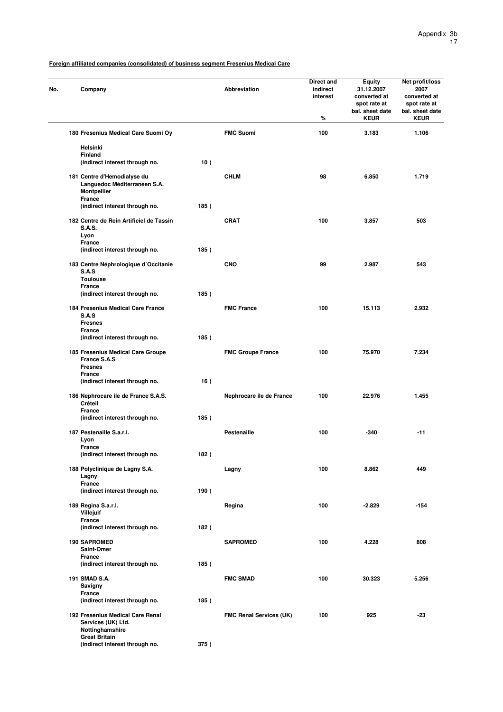| No. | Company                                                                                     |      | Abbreviation                   | Direct and<br>indirect<br>interest<br>% | Equity<br>31.12.2007<br>converted at<br>spot rate at<br>bal. sheet date<br><b>KEUR</b> | Net profit/loss<br>2007<br>converted at<br>spot rate at<br>bal. sheet date<br><b>KEUR</b> |
|-----|---------------------------------------------------------------------------------------------|------|--------------------------------|-----------------------------------------|----------------------------------------------------------------------------------------|-------------------------------------------------------------------------------------------|
|     | 180 Fresenius Medical Care Suomi Oy                                                         |      | <b>FMC Suomi</b>               | 100                                     | 3.183                                                                                  | 1.106                                                                                     |
|     | Helsinki                                                                                    |      |                                |                                         |                                                                                        |                                                                                           |
|     | <b>Finland</b><br>(indirect interest through no.                                            | 10)  |                                |                                         |                                                                                        |                                                                                           |
|     | 181 Centre d'Hemodialyse du<br>Languedoc Méditerranéen S.A.<br><b>Montpellier</b><br>France |      | <b>CHLM</b>                    | 98                                      | 6.850                                                                                  | 1.719                                                                                     |
|     | (indirect interest through no.                                                              | 185) |                                |                                         |                                                                                        |                                                                                           |
|     | 182 Centre de Rein Artificiel de Tassin<br><b>S.A.S.</b><br>Lyon<br>France                  |      | <b>CRAT</b>                    | 100                                     | 3.857                                                                                  | 503                                                                                       |
|     | (indirect interest through no.                                                              | 185) |                                |                                         |                                                                                        |                                                                                           |
|     | 183 Centre Néphrologique d'Occitanie<br>S.A.S<br><b>Toulouse</b>                            |      | <b>CNO</b>                     | 99                                      | 2.987                                                                                  | 543                                                                                       |
|     | <b>France</b><br>(indirect interest through no.                                             | 185) |                                |                                         |                                                                                        |                                                                                           |
|     | 184 Fresenius Medical Care France<br>S.A.S                                                  |      | <b>FMC France</b>              | 100                                     | 15.113                                                                                 | 2.932                                                                                     |
|     | <b>Fresnes</b><br><b>France</b><br>(indirect interest through no.                           | 185) |                                |                                         |                                                                                        |                                                                                           |
|     | 185 Fresenius Medical Care Groupe<br>France S.A.S<br><b>Fresnes</b>                         |      | <b>FMC Groupe France</b>       | 100                                     | 75.970                                                                                 | 7.234                                                                                     |
|     | <b>France</b><br>(indirect interest through no.                                             | 16)  |                                |                                         |                                                                                        |                                                                                           |
|     | 186 Nephrocare ile de France S.A.S.<br>Créteil<br><b>France</b>                             |      | Nephrocare ile de France       | 100                                     | 22.976                                                                                 | 1.455                                                                                     |
|     | (indirect interest through no.                                                              | 185) |                                |                                         |                                                                                        |                                                                                           |
|     | 187 Pestenaille S.a.r.l.<br>Lyon<br>France                                                  |      | <b>Pestenaille</b>             | 100                                     | $-340$                                                                                 | $-11$                                                                                     |
|     | (indirect interest through no.                                                              | 182) |                                |                                         |                                                                                        |                                                                                           |
|     | 188 Polyclinique de Lagny S.A.<br>Lagny<br>France                                           |      | Lagny                          | 100                                     | 8.862                                                                                  | 449                                                                                       |
|     | (indirect interest through no.                                                              | 190) |                                |                                         |                                                                                        |                                                                                           |
|     | 189 Regina S.a.r.l.<br>Villejuit                                                            |      | Regina                         | 100                                     | $-2.829$                                                                               | $-154$                                                                                    |
|     | France<br>(indirect interest through no.                                                    | 182) |                                |                                         |                                                                                        |                                                                                           |
|     | <b>190 SAPROMED</b><br>Saint-Omer                                                           |      | <b>SAPROMED</b>                | 100                                     | 4.228                                                                                  | 808                                                                                       |
|     | <b>France</b>                                                                               |      |                                |                                         |                                                                                        |                                                                                           |
|     | (indirect interest through no.                                                              | 185) |                                |                                         |                                                                                        |                                                                                           |
|     | 191 SMAD S.A.<br>Savigny<br>France                                                          |      | <b>FMC SMAD</b>                | 100                                     | 30.323                                                                                 | 5.256                                                                                     |
|     | (indirect interest through no.                                                              | 185) |                                |                                         |                                                                                        |                                                                                           |
|     | 192 Fresenius Medical Care Renal<br>Services (UK) Ltd.<br>Nottinghamshire                   |      | <b>FMC Renal Services (UK)</b> | 100                                     | 925                                                                                    | $-23$                                                                                     |
|     | <b>Great Britain</b><br>(indirect interest through no.                                      | 375) |                                |                                         |                                                                                        |                                                                                           |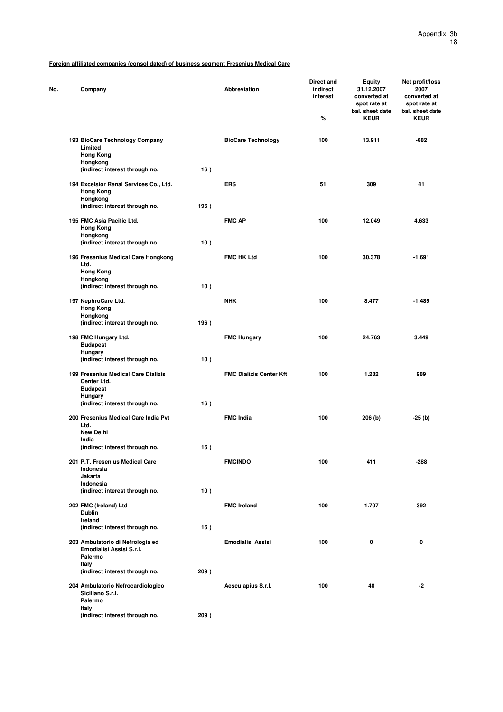**(indirect interest through no. 209 )**

| Company                                                                   |      | <b>Abbreviation</b>            | Direct and<br>indirect<br>interest<br>$\%$ | <b>Equity</b><br>31.12.2007<br>converted at<br>spot rate at<br>bal. sheet date<br><b>KEUR</b> | Net profit/loss<br>2007<br>converted at<br>spot rate at<br>bal. sheet date<br><b>KEUR</b> |
|---------------------------------------------------------------------------|------|--------------------------------|--------------------------------------------|-----------------------------------------------------------------------------------------------|-------------------------------------------------------------------------------------------|
|                                                                           |      |                                |                                            |                                                                                               |                                                                                           |
| 193 BioCare Technology Company<br>Limited<br><b>Hong Kong</b>             |      | <b>BioCare Technology</b>      | 100                                        | 13.911                                                                                        | -682                                                                                      |
| Hongkong<br>(indirect interest through no.                                | 16)  |                                |                                            |                                                                                               |                                                                                           |
| 194 Excelsior Renal Services Co., Ltd.<br><b>Hong Kong</b><br>Hongkong    |      | <b>ERS</b>                     | 51                                         | 309                                                                                           | 41                                                                                        |
| (indirect interest through no.                                            | 196) |                                |                                            |                                                                                               |                                                                                           |
| 195 FMC Asia Pacific Ltd.<br><b>Hong Kong</b><br>Hongkong                 |      | <b>FMC AP</b>                  | 100                                        | 12.049                                                                                        | 4.633                                                                                     |
| (indirect interest through no.                                            | 10)  |                                |                                            |                                                                                               |                                                                                           |
| 196 Fresenius Medical Care Hongkong<br>Ltd.<br><b>Hong Kong</b>           |      | <b>FMC HK Ltd</b>              | 100                                        | 30.378                                                                                        | $-1.691$                                                                                  |
| Hongkong<br>(indirect interest through no.                                | 10)  |                                |                                            |                                                                                               |                                                                                           |
| 197 NephroCare Ltd.<br><b>Hong Kong</b>                                   |      | <b>NHK</b>                     | 100                                        | 8.477                                                                                         | $-1.485$                                                                                  |
| Hongkong<br>(indirect interest through no.                                | 196) |                                |                                            |                                                                                               |                                                                                           |
| 198 FMC Hungary Ltd.<br><b>Budapest</b>                                   |      | <b>FMC Hungary</b>             | 100                                        | 24.763                                                                                        | 3.449                                                                                     |
| Hungary<br>(indirect interest through no.                                 | 10)  |                                |                                            |                                                                                               |                                                                                           |
| 199 Fresenius Medical Care Dializis<br>Center Ltd.<br><b>Budapest</b>     |      | <b>FMC Dialízis Center Kft</b> | 100                                        | 1.282                                                                                         | 989                                                                                       |
| <b>Hungary</b><br>(indirect interest through no.                          | 16)  |                                |                                            |                                                                                               |                                                                                           |
| 200 Fresenius Medical Care India Pvt<br>Ltd.                              |      | <b>FMC India</b>               | 100                                        | 206 (b)                                                                                       | -25 (b)                                                                                   |
| <b>New Delhi</b>                                                          |      |                                |                                            |                                                                                               |                                                                                           |
| India<br>(indirect interest through no.                                   | 16)  |                                |                                            |                                                                                               |                                                                                           |
| 201 P.T. Fresenius Medical Care<br>Indonesia<br>Jakarta                   |      | <b>FMCINDO</b>                 | 100                                        | 411                                                                                           | $-288$                                                                                    |
| Indonesia<br>(indirect interest through no.                               | 10)  |                                |                                            |                                                                                               |                                                                                           |
| 202 FMC (Ireland) Ltd<br><b>Dublin</b>                                    |      | <b>FMC Ireland</b>             | 100                                        | 1.707                                                                                         | 392                                                                                       |
| Ireland<br>(indirect interest through no.                                 | 16)  |                                |                                            |                                                                                               |                                                                                           |
| 203 Ambulatorio di Nefrologia ed<br>Emodialisi Assisi S.r.l.<br>Palermo   |      | <b>Emodialisi Assisi</b>       | 100                                        | 0                                                                                             | 0                                                                                         |
| Italy<br>(indirect interest through no.                                   | 209) |                                |                                            |                                                                                               |                                                                                           |
| 204 Ambulatorio Nefrocardiologico<br>Siciliano S.r.l.<br>Palermo<br>Italy |      | Aesculapius S.r.l.             | 100                                        | 40                                                                                            | -2                                                                                        |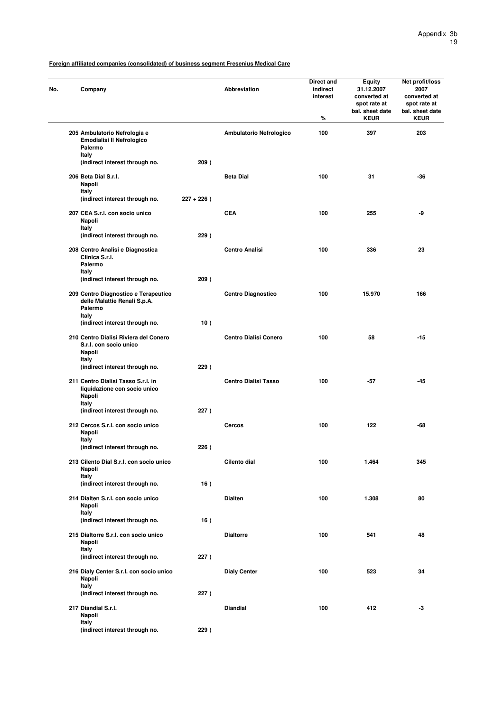| Company                                                                               |               | <b>Abbreviation</b>          | Direct and<br>indirect<br>interest<br>$\%$ | <b>Equity</b><br>31.12.2007<br>converted at<br>spot rate at<br>bal. sheet date<br><b>KEUR</b> | Net profit/loss<br>2007<br>converted at<br>spot rate at<br>bal. sheet date<br><b>KEUR</b> |
|---------------------------------------------------------------------------------------|---------------|------------------------------|--------------------------------------------|-----------------------------------------------------------------------------------------------|-------------------------------------------------------------------------------------------|
| 205 Ambulatorio Nefrologia e<br>Emodialisi II Nefrologico<br>Palermo                  |               | Ambulatorio Nefrologico      | 100                                        | 397                                                                                           | 203                                                                                       |
| Italy<br>(indirect interest through no.                                               | 209)          |                              |                                            |                                                                                               |                                                                                           |
| 206 Beta Dial S.r.l.<br>Napoli<br>Italy                                               |               | <b>Beta Dial</b>             | 100                                        | 31                                                                                            | -36                                                                                       |
| (indirect interest through no.                                                        | $227 + 226$ ) |                              |                                            |                                                                                               |                                                                                           |
| 207 CEA S.r.I. con socio unico<br>Napoli<br>Italy                                     |               | <b>CEA</b>                   | 100                                        | 255                                                                                           | -9                                                                                        |
| (indirect interest through no.                                                        | 229)          |                              |                                            |                                                                                               |                                                                                           |
| 208 Centro Analisi e Diagnostica<br>Clinica S.r.l.<br>Palermo<br>Italy                |               | <b>Centro Analisi</b>        | 100                                        | 336                                                                                           | 23                                                                                        |
| (indirect interest through no.                                                        | 209)          |                              |                                            |                                                                                               |                                                                                           |
| 209 Centro Diagnostico e Terapeutico<br>delle Malattie Renali S.p.A.<br>Palermo       |               | <b>Centro Diagnostico</b>    | 100                                        | 15.970                                                                                        | 166                                                                                       |
| Italy<br>(indirect interest through no.                                               | 10)           |                              |                                            |                                                                                               |                                                                                           |
| 210 Centro Dialisi Riviera del Conero<br>S.r.I. con socio unico<br>Napoli             |               | <b>Centro Dialisi Conero</b> | 100                                        | 58                                                                                            | $-15$                                                                                     |
| Italy<br>(indirect interest through no.                                               | 229)          |                              |                                            |                                                                                               |                                                                                           |
| 211 Centro Dialisi Tasso S.r.l. in<br>liquidazione con socio unico<br>Napoli<br>Italy |               | <b>Centro Dialisi Tasso</b>  | 100                                        | -57                                                                                           | -45                                                                                       |
| (indirect interest through no.                                                        | 227)          |                              |                                            |                                                                                               |                                                                                           |
| 212 Cercos S.r.I. con socio unico<br>Napoli<br>Italy                                  |               | Cercos                       | 100                                        | 122                                                                                           | -68                                                                                       |
| (indirect interest through no.                                                        | 226)          |                              |                                            |                                                                                               |                                                                                           |
| 213 Cilento Dial S.r.l. con socio unico<br>Napoli<br>Italy                            |               | Cilento dial                 | 100                                        | 1.464                                                                                         | 345                                                                                       |
| (indirect interest through no.                                                        | 16)           |                              |                                            |                                                                                               |                                                                                           |
| 214 Dialten S.r.I. con socio unico<br>Napoli<br>Italy                                 |               | <b>Dialten</b>               | 100                                        | 1.308                                                                                         | 80                                                                                        |
| (indirect interest through no.                                                        | 16)           |                              |                                            |                                                                                               |                                                                                           |
| 215 Dialtorre S.r.I. con socio unico<br>Napoli<br>Italy                               |               | <b>Dialtorre</b>             | 100                                        | 541                                                                                           | 48                                                                                        |
| (indirect interest through no.                                                        | 227)          |                              |                                            |                                                                                               |                                                                                           |
| 216 Dialy Center S.r.l. con socio unico<br>Napoli<br>Italy                            |               | <b>Dialy Center</b>          | 100                                        | 523                                                                                           | 34                                                                                        |
| (indirect interest through no.                                                        | 227)          |                              |                                            |                                                                                               |                                                                                           |
| 217 Diandial S.r.I.<br>Napoli<br>Italy                                                |               | <b>Diandial</b>              | 100                                        | 412                                                                                           | -3                                                                                        |
| (indirect interest through no.                                                        | 229)          |                              |                                            |                                                                                               |                                                                                           |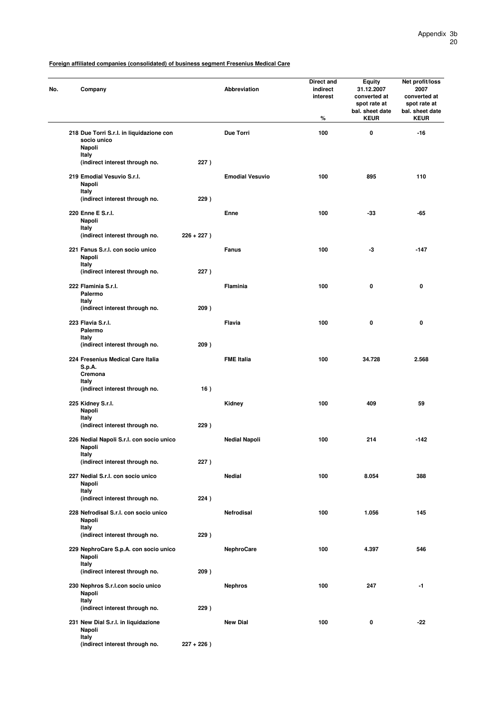| No. | Company                                                           |               | Abbreviation           | <b>Direct and</b><br>indirect<br>interest<br>% | Equity<br>31.12.2007<br>converted at<br>spot rate at<br>bal. sheet date<br><b>KEUR</b> | Net profit/loss<br>2007<br>converted at<br>spot rate at<br>bal. sheet date<br><b>KEUR</b> |
|-----|-------------------------------------------------------------------|---------------|------------------------|------------------------------------------------|----------------------------------------------------------------------------------------|-------------------------------------------------------------------------------------------|
|     | 218 Due Torri S.r.l. in liquidazione con<br>socio unico<br>Napoli |               | Due Torri              | 100                                            | 0                                                                                      | -16                                                                                       |
|     | Italy<br>(indirect interest through no.                           | 227)          |                        |                                                |                                                                                        |                                                                                           |
|     | 219 Emodial Vesuvio S.r.I.<br>Napoli<br>Italy                     |               | <b>Emodial Vesuvio</b> | 100                                            | 895                                                                                    | 110                                                                                       |
|     | (indirect interest through no.                                    | 229)          |                        |                                                |                                                                                        |                                                                                           |
|     | 220 Enne E S.r.l.<br>Napoli<br>Italy                              |               | Enne                   | 100                                            | -33                                                                                    | -65                                                                                       |
|     | (indirect interest through no.                                    | $226 + 227$ ) |                        |                                                |                                                                                        |                                                                                           |
|     | 221 Fanus S.r.l. con socio unico<br>Napoli<br>Italy               |               | Fanus                  | 100                                            | -3                                                                                     | $-147$                                                                                    |
|     | (indirect interest through no.                                    | 227)          |                        |                                                |                                                                                        |                                                                                           |
|     | 222 Flaminia S.r.l.<br>Palermo<br>Italy                           |               | Flaminia               | 100                                            | 0                                                                                      | 0                                                                                         |
|     | (indirect interest through no.                                    | 209)          |                        |                                                |                                                                                        |                                                                                           |
|     | 223 Flavia S.r.I.<br>Palermo                                      |               | Flavia                 | 100                                            | 0                                                                                      | 0                                                                                         |
|     | Italy<br>(indirect interest through no.                           | 209)          |                        |                                                |                                                                                        |                                                                                           |
|     | 224 Fresenius Medical Care Italia<br>S.p.A.<br>Cremona<br>Italy   |               | <b>FME Italia</b>      | 100                                            | 34.728                                                                                 | 2.568                                                                                     |
|     | (indirect interest through no.                                    | 16)           |                        |                                                |                                                                                        |                                                                                           |
|     | 225 Kidney S.r.l.<br>Napoli<br>Italy                              |               | Kidney                 | 100                                            | 409                                                                                    | 59                                                                                        |
|     | (indirect interest through no.                                    | 229)          |                        |                                                |                                                                                        |                                                                                           |
|     | 226 Nedial Napoli S.r.l. con socio unico<br>Napoli                |               | <b>Nedial Napoli</b>   | 100                                            | 214                                                                                    | $-142$                                                                                    |
|     | Italy<br>(indirect interest through no.                           | 227)          |                        |                                                |                                                                                        |                                                                                           |
|     | 227 Nedial S.r.l. con socio unico<br>Napoli                       |               | Nedial                 | 100                                            | 8.054                                                                                  | 388                                                                                       |
|     | Italy<br>(indirect interest through no.                           | 224)          |                        |                                                |                                                                                        |                                                                                           |
|     | 228 Nefrodisal S.r.l. con socio unico<br>Napoli                   |               | Netrodisal             | 100                                            | 1.056                                                                                  | 145                                                                                       |
|     | Italy<br>(indirect interest through no.                           | 229)          |                        |                                                |                                                                                        |                                                                                           |
|     | 229 NephroCare S.p.A. con socio unico<br>Napoli                   |               | <b>NephroCare</b>      | 100                                            | 4.397                                                                                  | 546                                                                                       |
|     | Italy<br>(indirect interest through no.                           | 209)          |                        |                                                |                                                                                        |                                                                                           |
|     | 230 Nephros S.r.I.con socio unico<br>Napoli                       |               | <b>Nephros</b>         | 100                                            | 247                                                                                    | -1                                                                                        |
|     | Italy<br>(indirect interest through no.                           | 229)          |                        |                                                |                                                                                        |                                                                                           |
|     | 231 New Dial S.r.I. in liquidazione<br>Napoli<br>Italy            |               | <b>New Dial</b>        | 100                                            | 0                                                                                      | -22                                                                                       |
|     | (indirect interest through no.                                    | $227 + 226$ ) |                        |                                                |                                                                                        |                                                                                           |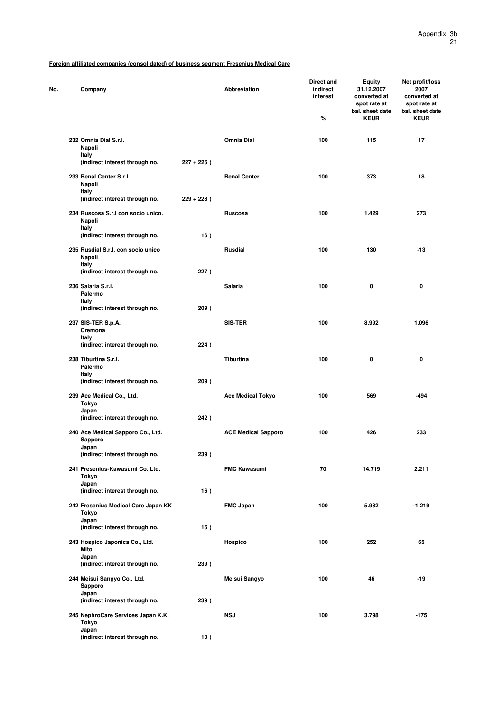| No. | Company                                                      |                                     |               | Abbreviation               | Direct and<br>indirect<br>interest<br>% | <b>Equity</b><br>31.12.2007<br>converted at<br>spot rate at<br>bal. sheet date<br><b>KEUR</b> | Net profit/loss<br>2007<br>converted at<br>spot rate at<br>bal. sheet date<br><b>KEUR</b> |
|-----|--------------------------------------------------------------|-------------------------------------|---------------|----------------------------|-----------------------------------------|-----------------------------------------------------------------------------------------------|-------------------------------------------------------------------------------------------|
|     |                                                              |                                     |               |                            |                                         |                                                                                               |                                                                                           |
|     | 232 Omnia Dial S.r.l.<br>Napoli                              |                                     |               | Omnia Dial                 | 100                                     | 115                                                                                           | 17                                                                                        |
|     | Italy                                                        | (indirect interest through no.      | $227 + 226$ ) |                            |                                         |                                                                                               |                                                                                           |
|     | 233 Renal Center S.r.l.<br>Napoli                            |                                     |               | <b>Renal Center</b>        | 100                                     | 373                                                                                           | 18                                                                                        |
|     | Italy                                                        | (indirect interest through no.      | $229 + 228$ ) |                            |                                         |                                                                                               |                                                                                           |
|     | 234 Ruscosa S.r.I con socio unico.<br>Napoli                 |                                     |               | Ruscosa                    | 100                                     | 1.429                                                                                         | 273                                                                                       |
|     | Italy                                                        | (indirect interest through no.      | 16)           |                            |                                         |                                                                                               |                                                                                           |
|     | 235 Rusdial S.r.l. con socio unico<br>Napoli                 |                                     |               | <b>Rusdial</b>             | 100                                     | 130                                                                                           | -13                                                                                       |
|     | Italy                                                        | (indirect interest through no.      | 227)          |                            |                                         |                                                                                               |                                                                                           |
|     | 236 Salaria S.r.l.<br>Palermo                                |                                     |               | Salaria                    | 100                                     | $\mathbf 0$                                                                                   | 0                                                                                         |
|     | Italy                                                        | (indirect interest through no.      | 209)          |                            |                                         |                                                                                               |                                                                                           |
|     | 237 SIS-TER S.p.A.<br>Cremona                                |                                     |               | <b>SIS-TER</b>             | 100                                     | 8.992                                                                                         | 1.096                                                                                     |
|     | Italy                                                        | (indirect interest through no.      | 224)          |                            |                                         |                                                                                               |                                                                                           |
|     | 238 Tiburtina S.r.l.<br>Palermo                              |                                     |               | <b>Tiburtina</b>           | 100                                     | 0                                                                                             | 0                                                                                         |
|     | Italy                                                        | (indirect interest through no.      | 209)          |                            |                                         |                                                                                               |                                                                                           |
|     | 239 Ace Medical Co., Ltd.<br>Tokyo<br>Japan                  |                                     |               | <b>Ace Medical Tokyo</b>   | 100                                     | 569                                                                                           | $-494$                                                                                    |
|     |                                                              | (indirect interest through no.      | 242)          |                            |                                         |                                                                                               |                                                                                           |
|     | 240 Ace Medical Sapporo Co., Ltd.<br><b>Sapporo</b><br>Japan |                                     |               | <b>ACE Medical Sapporo</b> | 100                                     | 426                                                                                           | 233                                                                                       |
|     |                                                              | (indirect interest through no.      | 239)          |                            |                                         |                                                                                               |                                                                                           |
|     | 241 Fresenius-Kawasumi Co. Ltd.<br>Tokyo                     |                                     |               | <b>FMC Kawasumi</b>        | 70                                      | 14.719                                                                                        | 2.211                                                                                     |
|     | Japan                                                        | (indirect interest through no.      | 16)           |                            |                                         |                                                                                               |                                                                                           |
|     | Tokyo                                                        | 242 Fresenius Medical Care Japan KK |               | <b>FMC Japan</b>           | 100                                     | 5.982                                                                                         | $-1.219$                                                                                  |
|     | Japan                                                        | (indirect interest through no.      | 16)           |                            |                                         |                                                                                               |                                                                                           |
|     | 243 Hospico Japonica Co., Ltd.<br>Mito                       |                                     |               | Hospico                    | 100                                     | 252                                                                                           | 65                                                                                        |
|     | Japan                                                        | (indirect interest through no.      | 239)          |                            |                                         |                                                                                               |                                                                                           |
|     | 244 Meisui Sangyo Co., Ltd.<br>Sapporo                       |                                     |               | Meisui Sangyo              | 100                                     | 46                                                                                            | -19                                                                                       |
|     | Japan                                                        | (indirect interest through no.      | 239)          |                            |                                         |                                                                                               |                                                                                           |
|     | Tokyo<br>Japan                                               | 245 NephroCare Services Japan K.K.  |               | <b>NSJ</b>                 | 100                                     | 3.798                                                                                         | $-175$                                                                                    |
|     |                                                              | (indirect interest through no.      | 10)           |                            |                                         |                                                                                               |                                                                                           |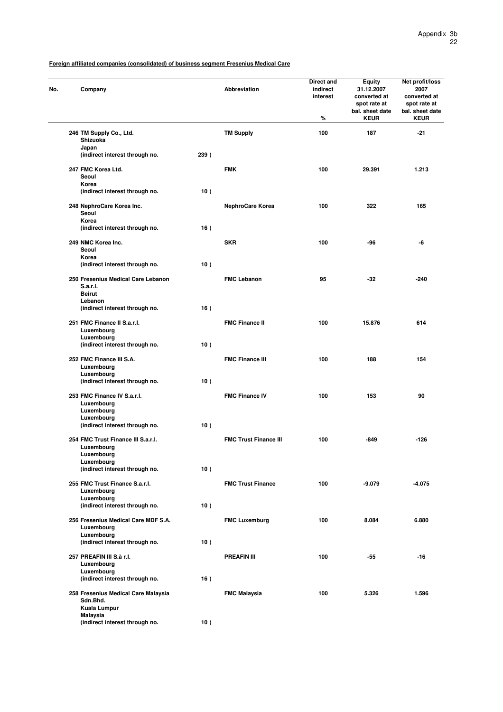| No. | Company                                                         |      | Abbreviation                 | Direct and<br>indirect<br>interest<br>% | <b>Equity</b><br>31.12.2007<br>converted at<br>spot rate at<br>bal. sheet date<br><b>KEUR</b> | Net profit/loss<br>2007<br>converted at<br>spot rate at<br>bal. sheet date<br><b>KEUR</b> |
|-----|-----------------------------------------------------------------|------|------------------------------|-----------------------------------------|-----------------------------------------------------------------------------------------------|-------------------------------------------------------------------------------------------|
|     | 246 TM Supply Co., Ltd.<br>Shizuoka                             |      | <b>TM Supply</b>             | 100                                     | 187                                                                                           | -21                                                                                       |
|     | Japan<br>(indirect interest through no.                         | 239) |                              |                                         |                                                                                               |                                                                                           |
|     | 247 FMC Korea Ltd.                                              |      | <b>FMK</b>                   | 100                                     | 29.391                                                                                        | 1.213                                                                                     |
|     | Seoul                                                           |      |                              |                                         |                                                                                               |                                                                                           |
|     | Korea                                                           |      |                              |                                         |                                                                                               |                                                                                           |
|     | (indirect interest through no.                                  | 10)  |                              |                                         |                                                                                               |                                                                                           |
|     | 248 NephroCare Korea Inc.<br>Seoul<br>Korea                     |      | NephroCare Korea             | 100                                     | 322                                                                                           | 165                                                                                       |
|     | (indirect interest through no.                                  | 16)  |                              |                                         |                                                                                               |                                                                                           |
|     | 249 NMC Korea Inc.<br>Seoul                                     |      | <b>SKR</b>                   | 100                                     | -96                                                                                           | -6                                                                                        |
|     | Korea<br>(indirect interest through no.                         | 10)  |                              |                                         |                                                                                               |                                                                                           |
|     | 250 Fresenius Medical Care Lebanon<br>S.a.r.l.<br><b>Beirut</b> |      | <b>FMC Lebanon</b>           | 95                                      | -32                                                                                           | $-240$                                                                                    |
|     | Lebanon                                                         |      |                              |                                         |                                                                                               |                                                                                           |
|     | (indirect interest through no.                                  | 16)  |                              |                                         |                                                                                               |                                                                                           |
|     | 251 FMC Finance II S.a.r.I.<br>Luxembourg                       |      | <b>FMC Finance II</b>        | 100                                     | 15.876                                                                                        | 614                                                                                       |
|     | Luxembourg<br>(indirect interest through no.                    | 10)  |                              |                                         |                                                                                               |                                                                                           |
|     | 252 FMC Finance III S.A.<br>Luxembourg                          |      | <b>FMC Finance III</b>       | 100                                     | 188                                                                                           | 154                                                                                       |
|     | Luxembourg<br>(indirect interest through no.                    | 10)  |                              |                                         |                                                                                               |                                                                                           |
|     | 253 FMC Finance IV S.a.r.l.<br>Luxembourg                       |      | <b>FMC Finance IV</b>        | 100                                     | 153                                                                                           | 90                                                                                        |
|     | Luxembourg                                                      |      |                              |                                         |                                                                                               |                                                                                           |
|     | Luxembourg<br>(indirect interest through no.                    | 10)  |                              |                                         |                                                                                               |                                                                                           |
|     | 254 FMC Trust Finance III S.a.r.I.<br>Luxembourg                |      | <b>FMC Trust Finance III</b> | 100                                     | -849                                                                                          | -126                                                                                      |
|     | Luxembourg                                                      |      |                              |                                         |                                                                                               |                                                                                           |
|     | Luxembourg<br>(indirect interest through no.                    | 10)  |                              |                                         |                                                                                               |                                                                                           |
|     |                                                                 |      |                              |                                         |                                                                                               |                                                                                           |
|     | 255 FMC Trust Finance S.a.r.l.<br>Luxembourg                    |      | <b>FMC Trust Finance</b>     | 100                                     | $-9.079$                                                                                      | $-4.075$                                                                                  |
|     | Luxembourg                                                      |      |                              |                                         |                                                                                               |                                                                                           |
|     | (indirect interest through no.                                  | 10)  |                              |                                         |                                                                                               |                                                                                           |
|     | 256 Fresenius Medical Care MDF S.A.<br>Luxembourg               |      | <b>FMC Luxemburg</b>         | 100                                     | 8.084                                                                                         | 6.880                                                                                     |
|     | Luxembourg<br>(indirect interest through no.                    | 10)  |                              |                                         |                                                                                               |                                                                                           |
|     | 257 PREAFIN III S.à r.I.                                        |      | <b>PREAFIN III</b>           | 100                                     | -55                                                                                           | -16                                                                                       |
|     | Luxembourg<br>Luxembourg                                        |      |                              |                                         |                                                                                               |                                                                                           |
|     | (indirect interest through no.                                  | 16)  |                              |                                         |                                                                                               |                                                                                           |
|     | 258 Fresenius Medical Care Malaysia<br>Sdn.Bhd.<br>Kuala Lumpur |      | <b>FMC Malaysia</b>          | 100                                     | 5.326                                                                                         | 1.596                                                                                     |
|     | Malaysia                                                        |      |                              |                                         |                                                                                               |                                                                                           |
|     | (indirect interest through no.                                  | 10)  |                              |                                         |                                                                                               |                                                                                           |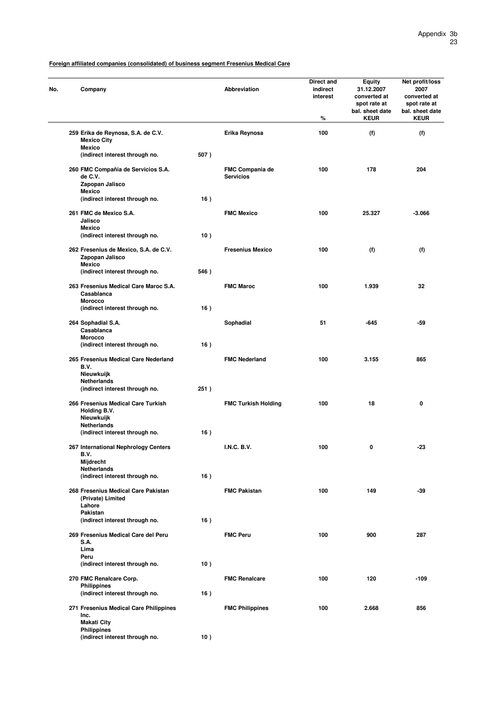| No. |              | Company                                                                         |      | <b>Abbreviation</b>                 | <b>Direct and</b><br>indirect<br>interest<br>℅ | <b>Equity</b><br>31.12.2007<br>converted at<br>spot rate at<br>bal. sheet date<br><b>KEUR</b> | Net profit/loss<br>2007<br>converted at<br>spot rate at<br>bal. sheet date<br><b>KEUR</b> |
|-----|--------------|---------------------------------------------------------------------------------|------|-------------------------------------|------------------------------------------------|-----------------------------------------------------------------------------------------------|-------------------------------------------------------------------------------------------|
|     |              | 259 Erika de Reynosa, S.A. de C.V.<br><b>Mexico City</b><br><b>Mexico</b>       |      | Erika Reynosa                       | 100                                            | (f)                                                                                           | (f)                                                                                       |
|     |              | (indirect interest through no.                                                  | 507) |                                     |                                                |                                                                                               |                                                                                           |
|     |              | 260 FMC Compañia de Servicios S.A.<br>de C.V.<br>Zapopan Jalisco<br>Mexico      |      | FMC Compania de<br><b>Servicios</b> | 100                                            | 178                                                                                           | 204                                                                                       |
|     |              | (indirect interest through no.                                                  | 16)  |                                     |                                                |                                                                                               |                                                                                           |
|     |              | 261 FMC de Mexico S.A.<br>Jalisco<br><b>Mexico</b>                              |      | <b>FMC Mexico</b>                   | 100                                            | 25.327                                                                                        | $-3.066$                                                                                  |
|     |              | (indirect interest through no.                                                  | 10)  |                                     |                                                |                                                                                               |                                                                                           |
|     |              | 262 Fresenius de Mexico, S.A. de C.V.<br>Zapopan Jalisco<br><b>Mexico</b>       |      | <b>Fresenius Mexico</b>             | 100                                            | (f)                                                                                           | (f)                                                                                       |
|     |              | (indirect interest through no.                                                  | 546) |                                     |                                                |                                                                                               |                                                                                           |
|     |              | 263 Fresenius Medical Care Maroc S.A.<br>Casablanca<br><b>Morocco</b>           |      | <b>FMC Maroc</b>                    | 100                                            | 1.939                                                                                         | 32                                                                                        |
|     |              | (indirect interest through no.                                                  | 16)  |                                     |                                                |                                                                                               |                                                                                           |
|     |              | 264 Sophadial S.A.<br>Casablanca<br><b>Morocco</b>                              |      | Sophadial                           | 51                                             | -645                                                                                          | -59                                                                                       |
|     |              | (indirect interest through no.                                                  | 16)  |                                     |                                                |                                                                                               |                                                                                           |
|     | B.V.         | 265 Fresenius Medical Care Nederland<br>Nieuwkuijk                              |      | <b>FMC Nederland</b>                | 100                                            | 3.155                                                                                         | 865                                                                                       |
|     |              | Netherlands<br>(indirect interest through no.                                   | 251) |                                     |                                                |                                                                                               |                                                                                           |
|     |              | 266 Fresenius Medical Care Turkish<br>Holding B.V.<br>Nieuwkuijk                |      | <b>FMC Turkish Holding</b>          | 100                                            | 18                                                                                            | 0                                                                                         |
|     |              | Netherlands<br>(indirect interest through no.                                   | 16)  |                                     |                                                |                                                                                               |                                                                                           |
|     | B.V.         | 267 International Nephrology Centers                                            |      | <b>I.N.C. B.V.</b>                  | 100                                            | 0                                                                                             | -23                                                                                       |
|     |              | Mijdrecht<br>Netherlands<br>(indirect interest through no.                      | 16)  |                                     |                                                |                                                                                               |                                                                                           |
|     |              | 268 Fresenius Medical Care Pakistan<br>(Private) Limited<br>Lahore              |      | <b>FMC Pakistan</b>                 | 100                                            | 149                                                                                           | -39                                                                                       |
|     |              | Pakistan<br>(indirect interest through no.                                      | 16)  |                                     |                                                |                                                                                               |                                                                                           |
|     | S.A.         | 269 Fresenius Medical Care del Peru                                             |      | <b>FMC Peru</b>                     | 100                                            | 900                                                                                           | 287                                                                                       |
|     | Lima<br>Peru |                                                                                 |      |                                     |                                                |                                                                                               |                                                                                           |
|     |              | (indirect interest through no.                                                  | 10)  |                                     |                                                |                                                                                               |                                                                                           |
|     |              | 270 FMC Renalcare Corp.<br><b>Philippines</b><br>(indirect interest through no. | 16)  | <b>FMC Renalcare</b>                | 100                                            | 120                                                                                           | $-109$                                                                                    |
|     | Inc.         | 271 Fresenius Medical Care Philippines                                          |      | <b>FMC Philippines</b>              | 100                                            | 2.668                                                                                         | 856                                                                                       |
|     |              | <b>Makati City</b><br><b>Philippines</b>                                        |      |                                     |                                                |                                                                                               |                                                                                           |
|     |              | (indirect interest through no.                                                  | 10)  |                                     |                                                |                                                                                               |                                                                                           |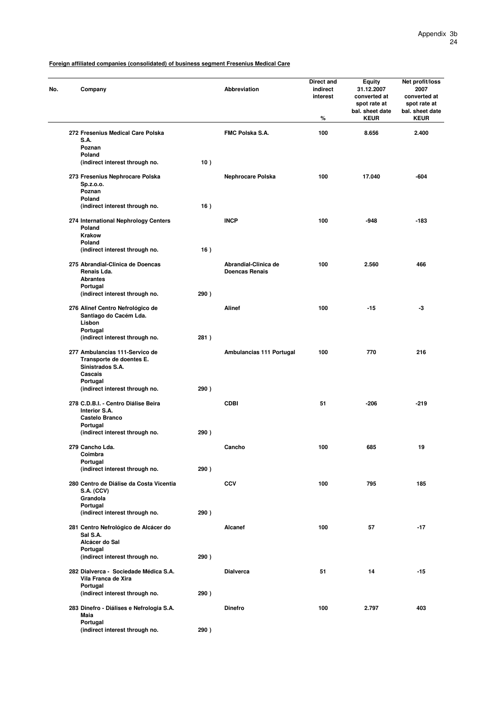| No. | Company                                                                                   |      | <b>Abbreviation</b>                           | Direct and<br>indirect<br>interest<br>$\%$ | <b>Equity</b><br>31.12.2007<br>converted at<br>spot rate at<br>bal. sheet date<br><b>KEUR</b> | Net profit/loss<br>2007<br>converted at<br>spot rate at<br>bal. sheet date<br><b>KEUR</b> |
|-----|-------------------------------------------------------------------------------------------|------|-----------------------------------------------|--------------------------------------------|-----------------------------------------------------------------------------------------------|-------------------------------------------------------------------------------------------|
|     | 272 Fresenius Medical Care Polska<br>S.A.                                                 |      | FMC Polska S.A.                               | 100                                        | 8.656                                                                                         | 2.400                                                                                     |
|     | Poznan                                                                                    |      |                                               |                                            |                                                                                               |                                                                                           |
|     | Poland<br>(indirect interest through no.                                                  | 10)  |                                               |                                            |                                                                                               |                                                                                           |
|     |                                                                                           |      |                                               |                                            |                                                                                               |                                                                                           |
|     | 273 Fresenius Nephrocare Polska<br>Sp.z.o.o.<br>Poznan                                    |      | Nephrocare Polska                             | 100                                        | 17.040                                                                                        | $-604$                                                                                    |
|     | Poland<br>(indirect interest through no.                                                  | 16)  |                                               |                                            |                                                                                               |                                                                                           |
|     |                                                                                           |      |                                               |                                            |                                                                                               |                                                                                           |
|     | 274 International Nephrology Centers<br>Poland<br><b>Krakow</b>                           |      | <b>INCP</b>                                   | 100                                        | -948                                                                                          | $-183$                                                                                    |
|     | Poland<br>(indirect interest through no.                                                  | 16)  |                                               |                                            |                                                                                               |                                                                                           |
|     |                                                                                           |      |                                               |                                            |                                                                                               |                                                                                           |
|     | 275 Abrandial-Clinica de Doencas<br>Renais Lda.<br><b>Abrantes</b>                        |      | Abrandial-Clinica de<br><b>Doencas Renais</b> | 100                                        | 2.560                                                                                         | 466                                                                                       |
|     | Portugal<br>(indirect interest through no.                                                | 290) |                                               |                                            |                                                                                               |                                                                                           |
|     |                                                                                           |      |                                               |                                            |                                                                                               |                                                                                           |
|     | 276 Alinef Centro Nefrológico de<br>Santiago do Cacém Lda.<br>Lisbon                      |      | <b>Alinef</b>                                 | 100                                        | $-15$                                                                                         | -3                                                                                        |
|     | Portugal                                                                                  |      |                                               |                                            |                                                                                               |                                                                                           |
|     | (indirect interest through no.                                                            | 281) |                                               |                                            |                                                                                               |                                                                                           |
|     | 277 Ambulancias 111-Servico de<br>Transporte de doentes E.<br>Sinistrados S.A.<br>Cascais |      | Ambulancias 111 Portugal                      | 100                                        | 770                                                                                           | 216                                                                                       |
|     | Portugal<br>(indirect interest through no.                                                | 290) |                                               |                                            |                                                                                               |                                                                                           |
|     | 278 C.D.B.I. - Centro Diálise Beira<br>Interior S.A.<br>Castelo Branco                    |      | <b>CDBI</b>                                   | 51                                         | -206                                                                                          | $-219$                                                                                    |
|     | Portugal                                                                                  |      |                                               |                                            |                                                                                               |                                                                                           |
|     | (indirect interest through no.                                                            | 290) |                                               |                                            |                                                                                               |                                                                                           |
|     | 279 Cancho Lda.<br>Coimbra                                                                |      | Cancho                                        | 100                                        | 685                                                                                           | 19                                                                                        |
|     | Portugal<br>(indirect interest through no.                                                | 290) |                                               |                                            |                                                                                               |                                                                                           |
|     | 280 Centro de Diálise da Costa Vicentia                                                   |      | <b>CCV</b>                                    | 100                                        | 795                                                                                           | 185                                                                                       |
|     | <b>S.A. (CCV)</b><br>Grandola<br>Portugal                                                 |      |                                               |                                            |                                                                                               |                                                                                           |
|     | (indirect interest through no.                                                            | 290) |                                               |                                            |                                                                                               |                                                                                           |
|     | 281 Centro Nefrológico de Alcácer do<br>Sal S.A.                                          |      | Alcanef                                       | 100                                        | 57                                                                                            | $-17$                                                                                     |
|     | Alcácer do Sal                                                                            |      |                                               |                                            |                                                                                               |                                                                                           |
|     | Portugal<br>(indirect interest through no.                                                | 290) |                                               |                                            |                                                                                               |                                                                                           |
|     | 282 Dialverca - Sociedade Médica S.A.<br>Vila Franca de Xira                              |      | <b>Dialverca</b>                              | 51                                         | 14                                                                                            | $-15$                                                                                     |
|     | Portugal                                                                                  |      |                                               |                                            |                                                                                               |                                                                                           |
|     | (indirect interest through no.<br>283 Dinefro - Diálises e Nefrologia S.A.                | 290) | <b>Dinefro</b>                                | 100                                        | 2.797                                                                                         | 403                                                                                       |
|     | Maia<br>Portugal                                                                          |      |                                               |                                            |                                                                                               |                                                                                           |
|     | (indirect interest through no.                                                            | 290) |                                               |                                            |                                                                                               |                                                                                           |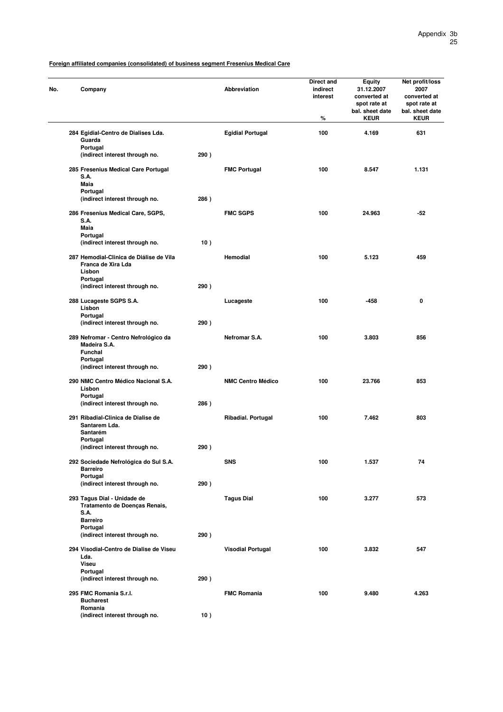| Company                                                                                 |      | Abbreviation             | Direct and<br>indirect<br>interest<br>% | <b>Equity</b><br>31.12.2007<br>converted at<br>spot rate at<br>bal. sheet date<br><b>KEUR</b> | Net profit/loss<br>2007<br>converted at<br>spot rate at<br>bal. sheet date<br><b>KEUR</b> |
|-----------------------------------------------------------------------------------------|------|--------------------------|-----------------------------------------|-----------------------------------------------------------------------------------------------|-------------------------------------------------------------------------------------------|
| 284 Egidial-Centro de Dialises Lda.                                                     |      | <b>Egidial Portugal</b>  | 100                                     | 4.169                                                                                         | 631                                                                                       |
| Guarda<br>Portugal<br>(indirect interest through no.                                    | 290) |                          |                                         |                                                                                               |                                                                                           |
| 285 Fresenius Medical Care Portugal                                                     |      | <b>FMC Portugal</b>      | 100                                     | 8.547                                                                                         | 1.131                                                                                     |
| S.A.<br>Maia                                                                            |      |                          |                                         |                                                                                               |                                                                                           |
| Portugal<br>(indirect interest through no.                                              | 286) |                          |                                         |                                                                                               |                                                                                           |
| 286 Fresenius Medical Care, SGPS,<br>S.A.                                               |      | <b>FMC SGPS</b>          | 100                                     | 24.963                                                                                        | $-52$                                                                                     |
| Maia<br>Portugal                                                                        |      |                          |                                         |                                                                                               |                                                                                           |
| (indirect interest through no.                                                          | 10)  |                          |                                         |                                                                                               |                                                                                           |
| 287 Hemodial-Clinica de Diálise de Vila<br>Franca de Xira Lda<br>Lisbon                 |      | Hemodial                 | 100                                     | 5.123                                                                                         | 459                                                                                       |
| Portugal<br>(indirect interest through no.                                              | 290) |                          |                                         |                                                                                               |                                                                                           |
| 288 Lucageste SGPS S.A.<br>Lisbon                                                       |      | Lucageste                | 100                                     | $-458$                                                                                        | 0                                                                                         |
| Portugal<br>(indirect interest through no.                                              | 290) |                          |                                         |                                                                                               |                                                                                           |
| 289 Nefromar - Centro Nefrológico da<br>Madeira S.A.<br>Funchal<br>Portugal             |      | Netromar S.A.            | 100                                     | 3.803                                                                                         | 856                                                                                       |
| (indirect interest through no.                                                          | 290) |                          |                                         |                                                                                               |                                                                                           |
| 290 NMC Centro Médico Nacional S.A.<br>Lisbon<br>Portugal                               |      | <b>NMC Centro Médico</b> | 100                                     | 23.766                                                                                        | 853                                                                                       |
| (indirect interest through no.                                                          | 286) |                          |                                         |                                                                                               |                                                                                           |
| 291 Ribadial-Clinica de Dialise de<br>Santarem Lda.<br>Santarém                         |      | Ribadial. Portugal       | 100                                     | 7.462                                                                                         | 803                                                                                       |
| Portugal<br>(indirect interest through no.                                              | 290) |                          |                                         |                                                                                               |                                                                                           |
| 292 Sociedade Nefrológica do Sul S.A.<br><b>Barreiro</b><br>Portugal                    |      | <b>SNS</b>               | 100                                     | 1.537                                                                                         | 74                                                                                        |
| (indirect interest through no.                                                          | 290) |                          |                                         |                                                                                               |                                                                                           |
| 293 Tagus Dial - Unidade de<br>Tratamento de Doenças Renais,<br>S.A.<br><b>Barreiro</b> |      | <b>Tagus Dial</b>        | 100                                     | 3.277                                                                                         | 573                                                                                       |
| Portugal<br>(indirect interest through no.                                              | 290) |                          |                                         |                                                                                               |                                                                                           |
| 294 Visodial-Centro de Dialise de Viseu<br>Lda.                                         |      | <b>Visodial Portugal</b> | 100                                     | 3.832                                                                                         | 547                                                                                       |
| Viseu<br>Portugal                                                                       |      |                          |                                         |                                                                                               |                                                                                           |
| (indirect interest through no.                                                          | 290) |                          |                                         |                                                                                               |                                                                                           |
| 295 FMC Romania S.r.I.<br><b>Bucharest</b><br>Romania                                   |      | <b>FMC Romania</b>       | 100                                     | 9.480                                                                                         | 4.263                                                                                     |
| (indirect interest through no.                                                          | 10)  |                          |                                         |                                                                                               |                                                                                           |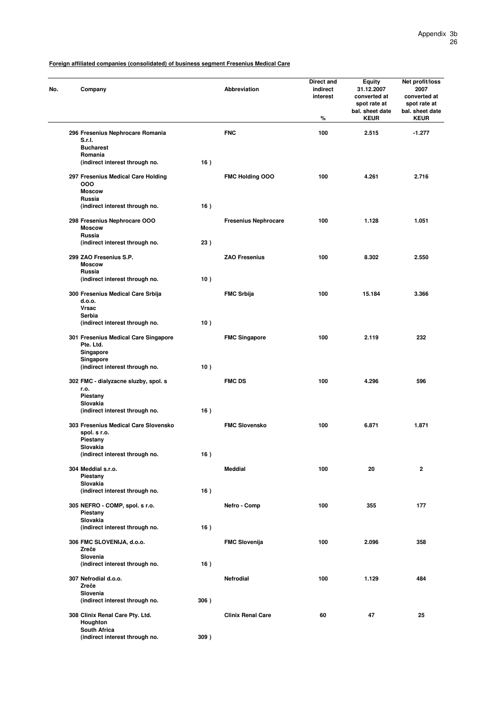| No. | Company                                                        |      | Abbreviation                | Direct and<br>indirect<br>interest<br>% | Equity<br>31.12.2007<br>converted at<br>spot rate at<br>bal. sheet date<br><b>KEUR</b> | Net profit/loss<br>2007<br>converted at<br>spot rate at<br>bal. sheet date<br><b>KEUR</b> |
|-----|----------------------------------------------------------------|------|-----------------------------|-----------------------------------------|----------------------------------------------------------------------------------------|-------------------------------------------------------------------------------------------|
|     | 296 Fresenius Nephrocare Romania<br>S.r.I.                     |      | <b>FNC</b>                  | 100                                     | 2.515                                                                                  | $-1.277$                                                                                  |
|     | <b>Bucharest</b><br>Romania                                    |      |                             |                                         |                                                                                        |                                                                                           |
|     | (indirect interest through no.                                 | 16)  |                             |                                         |                                                                                        |                                                                                           |
|     | 297 Fresenius Medical Care Holding<br>000<br><b>Moscow</b>     |      | FMC Holding OOO             | 100                                     | 4.261                                                                                  | 2.716                                                                                     |
|     | Russia<br>(indirect interest through no.                       | 16)  |                             |                                         |                                                                                        |                                                                                           |
|     |                                                                |      |                             |                                         |                                                                                        |                                                                                           |
|     | 298 Fresenius Nephrocare OOO<br><b>Moscow</b><br>Russia        |      | <b>Fresenius Nephrocare</b> | 100                                     | 1.128                                                                                  | 1.051                                                                                     |
|     | (indirect interest through no.                                 | 23)  |                             |                                         |                                                                                        |                                                                                           |
|     | 299 ZAO Fresenius S.P.<br><b>Moscow</b>                        |      | <b>ZAO Fresenius</b>        | 100                                     | 8.302                                                                                  | 2.550                                                                                     |
|     | Russia                                                         |      |                             |                                         |                                                                                        |                                                                                           |
|     | (indirect interest through no.                                 | 10)  |                             |                                         |                                                                                        |                                                                                           |
|     | 300 Fresenius Medical Care Srbija<br>d.o.o.<br><b>Vrsac</b>    |      | <b>FMC Srbija</b>           | 100                                     | 15.184                                                                                 | 3.366                                                                                     |
|     | Serbia                                                         |      |                             |                                         |                                                                                        |                                                                                           |
|     | (indirect interest through no.                                 | 10)  |                             |                                         |                                                                                        |                                                                                           |
|     | 301 Fresenius Medical Care Singapore<br>Pte. Ltd.<br>Singapore |      | <b>FMC Singapore</b>        | 100                                     | 2.119                                                                                  | 232                                                                                       |
|     | Singapore<br>(indirect interest through no.                    | 10)  |                             |                                         |                                                                                        |                                                                                           |
|     | 302 FMC - dialyzacne sluzby, spol. s<br>r.o.                   |      | <b>FMC DS</b>               | 100                                     | 4.296                                                                                  | 596                                                                                       |
|     | Piestany<br>Slovakia                                           |      |                             |                                         |                                                                                        |                                                                                           |
|     | (indirect interest through no.                                 | 16)  |                             |                                         |                                                                                        |                                                                                           |
|     | 303 Fresenius Medical Care Slovensko<br>spol. s r.o.           |      | <b>FMC Slovensko</b>        | 100                                     | 6.871                                                                                  | 1.871                                                                                     |
|     | Piestany<br>Slovakia                                           |      |                             |                                         |                                                                                        |                                                                                           |
|     | (indirect interest through no.                                 | 16)  |                             |                                         |                                                                                        |                                                                                           |
|     | 304 Meddial s.r.o.<br>Piestany                                 |      | <b>Meddial</b>              | 100                                     | 20                                                                                     | $\mathbf 2$                                                                               |
|     | Slovakia<br>(indirect interest through no.                     | 16)  |                             |                                         |                                                                                        |                                                                                           |
|     |                                                                |      |                             |                                         |                                                                                        |                                                                                           |
|     | 305 NEFRO - COMP, spol. s r.o.<br>Piestany                     |      | Nefro - Comp                | 100                                     | 355                                                                                    | 177                                                                                       |
|     | Slovakia                                                       |      |                             |                                         |                                                                                        |                                                                                           |
|     | (indirect interest through no.                                 | 16)  |                             |                                         |                                                                                        |                                                                                           |
|     | 306 FMC SLOVENIJA, d.o.o.<br>Zreče                             |      | <b>FMC Slovenija</b>        | 100                                     | 2.096                                                                                  | 358                                                                                       |
|     | Slovenia<br>(indirect interest through no.                     | 16)  |                             |                                         |                                                                                        |                                                                                           |
|     | 307 Nefrodial d.o.o.                                           |      | Nefrodial                   | 100                                     | 1.129                                                                                  | 484                                                                                       |
|     | Zreče<br>Slovenia                                              |      |                             |                                         |                                                                                        |                                                                                           |
|     | (indirect interest through no.                                 | 306) |                             |                                         |                                                                                        |                                                                                           |
|     | 308 Clinix Renal Care Pty. Ltd.<br>Houghton                    |      | <b>Clinix Renal Care</b>    | 60                                      | 47                                                                                     | 25                                                                                        |
|     | South Africa<br>(indirect interest through no.                 | 309) |                             |                                         |                                                                                        |                                                                                           |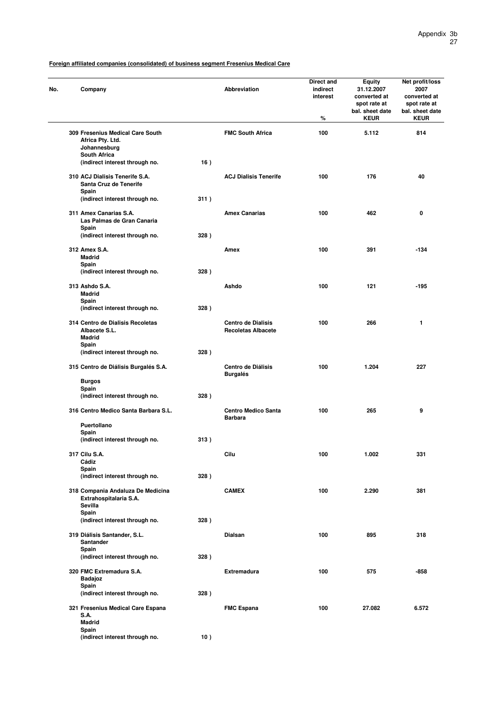| No. | Company                                                                |      | <b>Abbreviation</b>                                    | Direct and<br>indirect<br>interest<br>$\%$ | <b>Equity</b><br>31.12.2007<br>converted at<br>spot rate at<br>bal. sheet date<br><b>KEUR</b> | Net profit/loss<br>2007<br>converted at<br>spot rate at<br>bal. sheet date<br><b>KEUR</b> |
|-----|------------------------------------------------------------------------|------|--------------------------------------------------------|--------------------------------------------|-----------------------------------------------------------------------------------------------|-------------------------------------------------------------------------------------------|
|     | 309 Fresenius Medical Care South<br>Africa Pty. Ltd.<br>Johannesburg   |      | <b>FMC South Africa</b>                                | 100                                        | 5.112                                                                                         | 814                                                                                       |
|     | <b>South Africa</b><br>(indirect interest through no.                  | 16)  |                                                        |                                            |                                                                                               |                                                                                           |
|     | 310 ACJ Dialisis Tenerife S.A.<br>Santa Cruz de Tenerife               |      | <b>ACJ Dialisis Tenerife</b>                           | 100                                        | 176                                                                                           | 40                                                                                        |
|     | Spain<br>(indirect interest through no.                                | 311) |                                                        |                                            |                                                                                               |                                                                                           |
|     | 311 Amex Canarias S.A.<br>Las Palmas de Gran Canaria<br>Spain          |      | <b>Amex Canarias</b>                                   | 100                                        | 462                                                                                           | 0                                                                                         |
|     | (indirect interest through no.                                         | 328) |                                                        |                                            |                                                                                               |                                                                                           |
|     | 312 Amex S.A.<br><b>Madrid</b>                                         |      | Amex                                                   | 100                                        | 391                                                                                           | $-134$                                                                                    |
|     | Spain<br>(indirect interest through no.                                | 328) |                                                        |                                            |                                                                                               |                                                                                           |
|     | 313 Ashdo S.A.<br><b>Madrid</b>                                        |      | Ashdo                                                  | 100                                        | 121                                                                                           | $-195$                                                                                    |
|     | Spain<br>(indirect interest through no.                                | 328) |                                                        |                                            |                                                                                               |                                                                                           |
|     | 314 Centro de Dialisis Recoletas<br>Albacete S.L.<br><b>Madrid</b>     |      | <b>Centro de Dialisis</b><br><b>Recoletas Albacete</b> | 100                                        | 266                                                                                           | 1                                                                                         |
|     | Spain<br>(indirect interest through no.                                | 328) |                                                        |                                            |                                                                                               |                                                                                           |
|     | 315 Centro de Diálisis Burgalés S.A.                                   |      | Centro de Diálisis<br><b>Burgalés</b>                  | 100                                        | 1.204                                                                                         | 227                                                                                       |
|     | <b>Burgos</b><br>Spain                                                 |      |                                                        |                                            |                                                                                               |                                                                                           |
|     | (indirect interest through no.                                         | 328) |                                                        |                                            |                                                                                               |                                                                                           |
|     | 316 Centro Medico Santa Barbara S.L.<br>Puertollano                    |      | <b>Centro Medico Santa</b><br><b>Barbara</b>           | 100                                        | 265                                                                                           | 9                                                                                         |
|     | Spain                                                                  |      |                                                        |                                            |                                                                                               |                                                                                           |
|     | (indirect interest through no.                                         | 313) |                                                        |                                            |                                                                                               |                                                                                           |
|     | 317 Cilu S.A.<br>Cádiz<br>Spain                                        |      | Cilu                                                   | 100                                        | 1.002                                                                                         | 331                                                                                       |
|     | (indirect interest through no.                                         | 328) |                                                        |                                            |                                                                                               |                                                                                           |
|     | 318 Compania Andaluza De Medicina<br>Extrahospitalaria S.A.<br>Sevilla |      | <b>CAMEX</b>                                           | 100                                        | 2.290                                                                                         | 381                                                                                       |
|     | Spain<br>(indirect interest through no.                                | 328) |                                                        |                                            |                                                                                               |                                                                                           |
|     | 319 Diálisis Santander, S.L.<br>Santander                              |      | Dialsan                                                | 100                                        | 895                                                                                           | 318                                                                                       |
|     | Spain<br>(indirect interest through no.                                | 328) |                                                        |                                            |                                                                                               |                                                                                           |
|     | 320 FMC Extremadura S.A.<br>Badajoz                                    |      | <b>Extremadura</b>                                     | 100                                        | 575                                                                                           | -858                                                                                      |
|     | Spain<br>(indirect interest through no.                                | 328) |                                                        |                                            |                                                                                               |                                                                                           |
|     | 321 Fresenius Medical Care Espana<br>S.A.                              |      | <b>FMC Espana</b>                                      | 100                                        | 27.082                                                                                        | 6.572                                                                                     |
|     | <b>Madrid</b><br>Spain                                                 |      |                                                        |                                            |                                                                                               |                                                                                           |
|     | (indirect interest through no.                                         | 10)  |                                                        |                                            |                                                                                               |                                                                                           |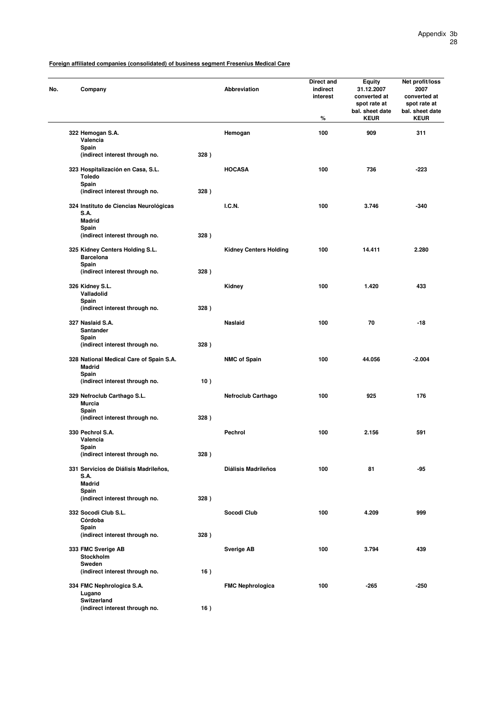| No. | Company                                                                |      | <b>Abbreviation</b>           | Direct and<br>indirect<br>interest<br>% | Equity<br>31.12.2007<br>converted at<br>spot rate at<br>bal. sheet date<br><b>KEUR</b> | Net profit/loss<br>2007<br>converted at<br>spot rate at<br>bal. sheet date<br><b>KEUR</b> |
|-----|------------------------------------------------------------------------|------|-------------------------------|-----------------------------------------|----------------------------------------------------------------------------------------|-------------------------------------------------------------------------------------------|
|     | 322 Hemogan S.A.<br>Valencia                                           |      | Hemogan                       | 100                                     | 909                                                                                    | 311                                                                                       |
|     | Spain<br>(indirect interest through no.                                | 328) |                               |                                         |                                                                                        |                                                                                           |
|     | 323 Hospitalización en Casa, S.L.<br><b>Toledo</b>                     |      | <b>HOCASA</b>                 | 100                                     | 736                                                                                    | $-223$                                                                                    |
|     | Spain<br>(indirect interest through no.                                | 328) |                               |                                         |                                                                                        |                                                                                           |
|     | 324 Instituto de Ciencias Neurológicas<br><b>S.A.</b><br><b>Madrid</b> |      | <b>I.C.N.</b>                 | 100                                     | 3.746                                                                                  | $-340$                                                                                    |
|     | Spain<br>(indirect interest through no.                                | 328) |                               |                                         |                                                                                        |                                                                                           |
|     | 325 Kidney Centers Holding S.L.<br><b>Barcelona</b>                    |      | <b>Kidney Centers Holding</b> | 100                                     | 14.411                                                                                 | 2.280                                                                                     |
|     | Spain<br>(indirect interest through no.                                | 328) |                               |                                         |                                                                                        |                                                                                           |
|     | 326 Kidney S.L.<br>Valladolid                                          |      | Kidney                        | 100                                     | 1.420                                                                                  | 433                                                                                       |
|     | Spain<br>(indirect interest through no.                                | 328) |                               |                                         |                                                                                        |                                                                                           |
|     | 327 Naslaid S.A.<br>Santander<br>Spain                                 |      | Naslaid                       | 100                                     | 70                                                                                     | $-18$                                                                                     |
|     | (indirect interest through no.                                         | 328) |                               |                                         |                                                                                        |                                                                                           |
|     | 328 National Medical Care of Spain S.A.<br><b>Madrid</b><br>Spain      |      | <b>NMC of Spain</b>           | 100                                     | 44.056                                                                                 | $-2.004$                                                                                  |
|     | (indirect interest through no.                                         | 10)  |                               |                                         |                                                                                        |                                                                                           |
|     | 329 Nefroclub Carthago S.L.<br>Murcia<br>Spain                         |      | <b>Nefroclub Carthago</b>     | 100                                     | 925                                                                                    | 176                                                                                       |
|     | (indirect interest through no.                                         | 328) |                               |                                         |                                                                                        |                                                                                           |
|     | 330 Pechrol S.A.<br>Valencia<br>Spain                                  |      | Pechrol                       | 100                                     | 2.156                                                                                  | 591                                                                                       |
|     | (indirect interest through no.                                         | 328) |                               |                                         |                                                                                        |                                                                                           |
|     | 331 Servicios de Diálisis Madrileños,<br><b>S.A.</b><br><b>Madrid</b>  |      | <b>Diálisis Madrileños</b>    | 100                                     | 81                                                                                     | -95                                                                                       |
|     | Spain<br>(indirect interest through no.                                | 328) |                               |                                         |                                                                                        |                                                                                           |
|     | 332 Socodi Club S.L.                                                   |      | Socodi Club                   | 100                                     | 4.209                                                                                  | 999                                                                                       |
|     | Córdoba<br>Spain                                                       |      |                               |                                         |                                                                                        |                                                                                           |
|     | (indirect interest through no.                                         | 328) |                               |                                         |                                                                                        |                                                                                           |
|     | 333 FMC Sverige AB<br>Stockholm<br>Sweden                              |      | <b>Sverige AB</b>             | 100                                     | 3.794                                                                                  | 439                                                                                       |
|     | (indirect interest through no.                                         | 16)  |                               |                                         |                                                                                        |                                                                                           |
|     | 334 FMC Nephrologica S.A.<br>Lugano<br>Switzerland                     |      | <b>FMC Nephrologica</b>       | 100                                     | $-265$                                                                                 | $-250$                                                                                    |
|     | (indirect interest through no.                                         | 16)  |                               |                                         |                                                                                        |                                                                                           |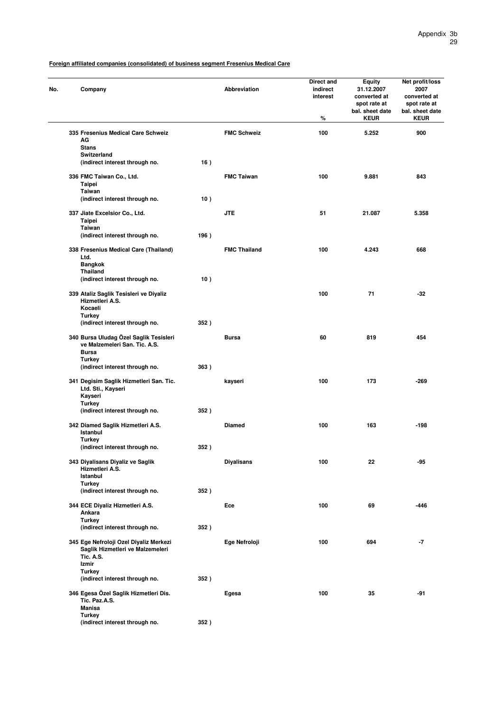| No. | Company                                                       |      | <b>Abbreviation</b> | Direct and<br>indirect<br>interest<br>℅ | Equity<br>31.12.2007<br>converted at<br>spot rate at<br>bal. sheet date<br><b>KEUR</b> | Net profit/loss<br>2007<br>converted at<br>spot rate at<br>bal. sheet date<br><b>KEUR</b> |
|-----|---------------------------------------------------------------|------|---------------------|-----------------------------------------|----------------------------------------------------------------------------------------|-------------------------------------------------------------------------------------------|
|     | 335 Fresenius Medical Care Schweiz<br>AG                      |      | <b>FMC Schweiz</b>  | 100                                     | 5.252                                                                                  | 900                                                                                       |
|     | <b>Stans</b>                                                  |      |                     |                                         |                                                                                        |                                                                                           |
|     | <b>Switzerland</b>                                            |      |                     |                                         |                                                                                        |                                                                                           |
|     | (indirect interest through no.                                | 16)  |                     |                                         |                                                                                        |                                                                                           |
|     | 336 FMC Taiwan Co., Ltd.                                      |      | <b>FMC Taiwan</b>   | 100                                     | 9.881                                                                                  | 843                                                                                       |
|     | Taipei                                                        |      |                     |                                         |                                                                                        |                                                                                           |
|     | Taiwan                                                        |      |                     |                                         |                                                                                        |                                                                                           |
|     | (indirect interest through no.                                | 10)  |                     |                                         |                                                                                        |                                                                                           |
|     | 337 Jiate Excelsior Co., Ltd.                                 |      | <b>JTE</b>          | 51                                      | 21.087                                                                                 | 5.358                                                                                     |
|     | Taipei                                                        |      |                     |                                         |                                                                                        |                                                                                           |
|     | <b>Taiwan</b>                                                 |      |                     |                                         |                                                                                        |                                                                                           |
|     | (indirect interest through no.                                | 196) |                     |                                         |                                                                                        |                                                                                           |
|     | 338 Fresenius Medical Care (Thailand)                         |      | <b>FMC Thailand</b> | 100                                     | 4.243                                                                                  | 668                                                                                       |
|     | Ltd.                                                          |      |                     |                                         |                                                                                        |                                                                                           |
|     | <b>Bangkok</b>                                                |      |                     |                                         |                                                                                        |                                                                                           |
|     | Thailand                                                      | 10)  |                     |                                         |                                                                                        |                                                                                           |
|     | (indirect interest through no.                                |      |                     |                                         |                                                                                        |                                                                                           |
|     | 339 Ataliz Saglik Tesisleri ve Diyaliz                        |      |                     | 100                                     | 71                                                                                     | $-32$                                                                                     |
|     | Hizmetleri A.S.                                               |      |                     |                                         |                                                                                        |                                                                                           |
|     | Kocaeli                                                       |      |                     |                                         |                                                                                        |                                                                                           |
|     | <b>Turkey</b><br>(indirect interest through no.               | 352) |                     |                                         |                                                                                        |                                                                                           |
|     | 340 Bursa Uludag Özel Saglik Tesisleri                        |      | <b>Bursa</b>        | 60                                      | 819                                                                                    | 454                                                                                       |
|     | ve Malzemeleri San. Tic. A.S.<br><b>Bursa</b>                 |      |                     |                                         |                                                                                        |                                                                                           |
|     | <b>Turkey</b>                                                 |      |                     |                                         |                                                                                        |                                                                                           |
|     | (indirect interest through no.                                | 363) |                     |                                         |                                                                                        |                                                                                           |
|     |                                                               |      |                     |                                         |                                                                                        |                                                                                           |
|     | 341 Degisim Saglik Hizmetleri San. Tic.<br>Ltd. Sti., Kayseri |      | kayseri             | 100                                     | 173                                                                                    | $-269$                                                                                    |
|     | Kayseri                                                       |      |                     |                                         |                                                                                        |                                                                                           |
|     | Turkey                                                        |      |                     |                                         |                                                                                        |                                                                                           |
|     | (indirect interest through no.                                | 352) |                     |                                         |                                                                                        |                                                                                           |
|     | 342 Diamed Saglik Hizmetleri A.S.                             |      | <b>Diamed</b>       | 100                                     | 163                                                                                    | $-198$                                                                                    |
|     | Istanbul                                                      |      |                     |                                         |                                                                                        |                                                                                           |
|     | Turkey                                                        |      |                     |                                         |                                                                                        |                                                                                           |
|     | (indirect interest through no.                                | 352) |                     |                                         |                                                                                        |                                                                                           |
|     | 343 Diyalisans Diyaliz ve Saglik                              |      | <b>Diyalisans</b>   | 100                                     | 22                                                                                     | -95                                                                                       |
|     | Hizmetleri A.S.                                               |      |                     |                                         |                                                                                        |                                                                                           |
|     | Istanbul                                                      |      |                     |                                         |                                                                                        |                                                                                           |
|     | <b>Turkey</b><br>(indirect interest through no.               | 352) |                     |                                         |                                                                                        |                                                                                           |
|     |                                                               |      |                     |                                         |                                                                                        |                                                                                           |
|     | 344 ECE Diyaliz Hizmetleri A.S.                               |      | Ece                 | 100                                     | 69                                                                                     | -446                                                                                      |
|     | Ankara                                                        |      |                     |                                         |                                                                                        |                                                                                           |
|     | <b>Turkey</b><br>(indirect interest through no.               | 352) |                     |                                         |                                                                                        |                                                                                           |
|     |                                                               |      |                     |                                         |                                                                                        |                                                                                           |
|     | 345 Ege Nefroloji Ozel Diyaliz Merkezi                        |      | Ege Nefroloji       | 100                                     | 694                                                                                    | $-7$                                                                                      |
|     | Saglik Hizmetleri ve Malzemeleri                              |      |                     |                                         |                                                                                        |                                                                                           |
|     | <b>Tic. A.S.</b><br>Izmir                                     |      |                     |                                         |                                                                                        |                                                                                           |
|     | <b>Turkey</b>                                                 |      |                     |                                         |                                                                                        |                                                                                           |
|     | (indirect interest through no.                                | 352) |                     |                                         |                                                                                        |                                                                                           |
|     | 346 Egesa Özel Saglik Hizmetleri Dis.                         |      | Egesa               | 100                                     | 35                                                                                     | -91                                                                                       |
|     | Tic. Paz.A.S.                                                 |      |                     |                                         |                                                                                        |                                                                                           |
|     | <b>Manisa</b>                                                 |      |                     |                                         |                                                                                        |                                                                                           |
|     | <b>Turkey</b>                                                 |      |                     |                                         |                                                                                        |                                                                                           |
|     | (indirect interest through no.                                | 352) |                     |                                         |                                                                                        |                                                                                           |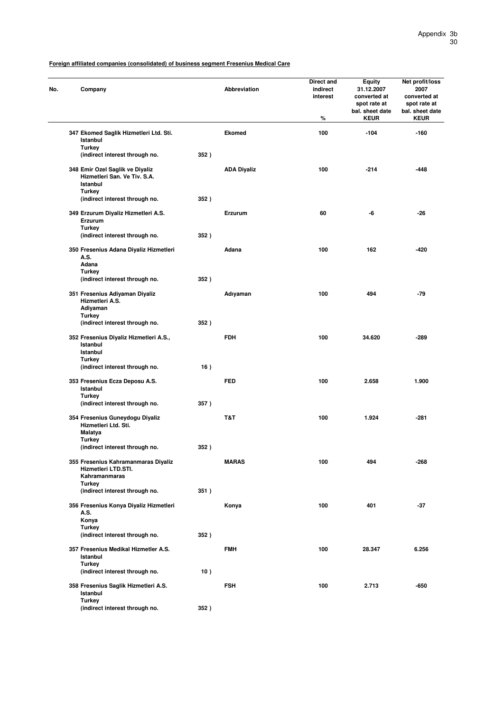| No. |                                | Company                                                         |      | <b>Abbreviation</b> | Direct and<br>indirect<br>interest<br>$\%$ | Equity<br>31.12.2007<br>converted at<br>spot rate at<br>bal. sheet date<br><b>KEUR</b> | Net profit/loss<br>2007<br>converted at<br>spot rate at<br>bal. sheet date<br><b>KEUR</b> |
|-----|--------------------------------|-----------------------------------------------------------------|------|---------------------|--------------------------------------------|----------------------------------------------------------------------------------------|-------------------------------------------------------------------------------------------|
|     | Istanbul                       | 347 Ekomed Saglik Hizmetleri Ltd. Sti.                          |      | Ekomed              | 100                                        | $-104$                                                                                 | $-160$                                                                                    |
|     | <b>Turkey</b>                  | (indirect interest through no.                                  | 352) |                     |                                            |                                                                                        |                                                                                           |
|     | Istanbul<br><b>Turkey</b>      | 348 Emir Ozel Saglik ve Diyaliz<br>Hizmetleri San. Ve Tiv. S.A. |      | <b>ADA Diyaliz</b>  | 100                                        | $-214$                                                                                 | -448                                                                                      |
|     |                                | (indirect interest through no.                                  | 352) |                     |                                            |                                                                                        |                                                                                           |
|     | <b>Turkey</b>                  | 349 Erzurum Diyaliz Hizmetleri A.S.<br>Erzurum                  |      | Erzurum             | 60                                         | -6                                                                                     | $-26$                                                                                     |
|     |                                | (indirect interest through no.                                  | 352) |                     |                                            |                                                                                        |                                                                                           |
|     | A.S.<br>Adana                  | 350 Fresenius Adana Diyaliz Hizmetleri                          |      | Adana               | 100                                        | 162                                                                                    | $-420$                                                                                    |
|     | <b>Turkey</b>                  | (indirect interest through no.                                  | 352) |                     |                                            |                                                                                        |                                                                                           |
|     |                                | 351 Fresenius Adiyaman Diyaliz<br>Hizmetleri A.S.<br>Adiyaman   |      | Adıyaman            | 100                                        | 494                                                                                    | $-79$                                                                                     |
|     | Turkey                         |                                                                 |      |                     |                                            |                                                                                        |                                                                                           |
|     |                                | (indirect interest through no.                                  | 352) |                     |                                            |                                                                                        |                                                                                           |
|     | Istanbul<br>Istanbul<br>Turkey | 352 Fresenius Diyaliz Hizmetleri A.S.,                          |      | <b>FDH</b>          | 100                                        | 34.620                                                                                 | -289                                                                                      |
|     |                                | (indirect interest through no.                                  | 16)  |                     |                                            |                                                                                        |                                                                                           |
|     | Istanbul<br>Turkey             | 353 Fresenius Ecza Deposu A.S.                                  |      | <b>FED</b>          | 100                                        | 2.658                                                                                  | 1.900                                                                                     |
|     |                                | (indirect interest through no.                                  | 357) |                     |                                            |                                                                                        |                                                                                           |
|     | <b>Malatya</b>                 | 354 Fresenius Guneydogu Diyaliz<br>Hizmetleri Ltd. Sti.         |      | T&T                 | 100                                        | 1.924                                                                                  | -281                                                                                      |
|     | <b>Turkey</b>                  | (indirect interest through no.                                  | 352) |                     |                                            |                                                                                        |                                                                                           |
|     |                                | 355 Fresenius Kahramanmaras Diyaliz<br>Hizmetleri LTD.STI.      |      | <b>MARAS</b>        | 100                                        | 494                                                                                    | -268                                                                                      |
|     | Turkey                         | Kahramanmaras                                                   |      |                     |                                            |                                                                                        |                                                                                           |
|     |                                | (indirect interest through no.                                  | 351) |                     |                                            |                                                                                        |                                                                                           |
|     | A.S.                           | 356 Fresenius Konya Diyaliz Hizmetleri                          |      | Konya               | 100                                        | 401                                                                                    | -37                                                                                       |
|     | Konya<br><b>Turkey</b>         |                                                                 |      |                     |                                            |                                                                                        |                                                                                           |
|     |                                | (indirect interest through no.                                  | 352) |                     |                                            |                                                                                        |                                                                                           |
|     | Istanbul<br><b>Turkey</b>      | 357 Fresenius Medikal Hizmetler A.S.                            |      | <b>FMH</b>          | 100                                        | 28.347                                                                                 | 6.256                                                                                     |
|     |                                | (indirect interest through no.                                  | 10)  |                     |                                            |                                                                                        |                                                                                           |
|     | Istanbul<br><b>Turkey</b>      | 358 Fresenius Saglik Hizmetleri A.S.                            |      | <b>FSH</b>          | 100                                        | 2.713                                                                                  | -650                                                                                      |
|     |                                | (indirect interest through no.                                  | 352) |                     |                                            |                                                                                        |                                                                                           |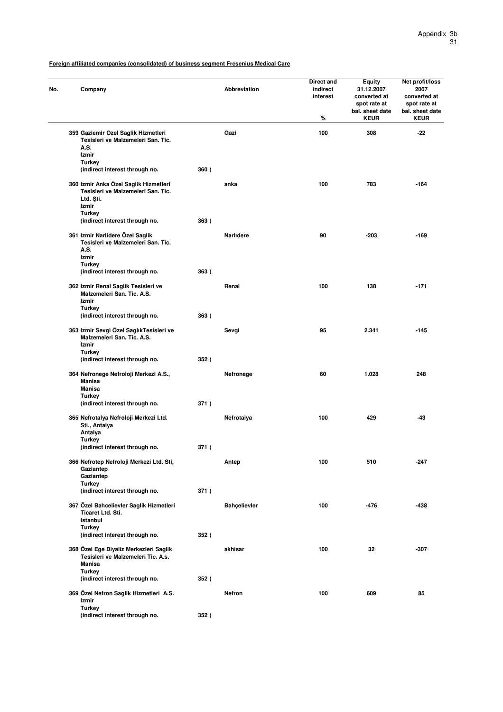| Company                                                                                       |      | Abbreviation        | Direct and<br>indirect<br>interest<br>% | <b>Equity</b><br>31.12.2007<br>converted at<br>spot rate at<br>bal. sheet date<br><b>KEUR</b> | Net profit/loss<br>2007<br>converted at<br>spot rate at<br>bal. sheet date<br><b>KEUR</b> |
|-----------------------------------------------------------------------------------------------|------|---------------------|-----------------------------------------|-----------------------------------------------------------------------------------------------|-------------------------------------------------------------------------------------------|
| 359 Gaziemir Ozel Saglik Hizmetleri<br>Tesisleri ve Malzemeleri San. Tic.<br>A.S.             |      | Gazi                | 100                                     | 308                                                                                           | -22                                                                                       |
| Izmir<br><b>Turkey</b>                                                                        |      |                     |                                         |                                                                                               |                                                                                           |
| (indirect interest through no.                                                                | 360) |                     |                                         |                                                                                               |                                                                                           |
| 360 Izmir Anka Özel Saglik Hizmetleri<br>Tesisleri ve Malzemeleri San. Tic.<br>Ltd. Sti.      |      | anka                | 100                                     | 783                                                                                           | $-164$                                                                                    |
| Izmir<br><b>Turkey</b>                                                                        |      |                     |                                         |                                                                                               |                                                                                           |
| (indirect interest through no.                                                                | 363) |                     |                                         |                                                                                               |                                                                                           |
| 361 Izmir Narlidere Özel Saglik<br>Tesisleri ve Malzemeleri San. Tic.<br>A.S.<br>Izmir        |      | <b>Narlidere</b>    | 90                                      | $-203$                                                                                        | $-169$                                                                                    |
| <b>Turkey</b><br>(indirect interest through no.                                               | 363) |                     |                                         |                                                                                               |                                                                                           |
| 362 Izmir Renal Saglik Tesisleri ve<br>Malzemeleri San. Tic. A.S.                             |      | Renal               | 100                                     | 138                                                                                           | $-171$                                                                                    |
| Izmir<br><b>Turkey</b>                                                                        |      |                     |                                         |                                                                                               |                                                                                           |
| (indirect interest through no.                                                                | 363) |                     |                                         |                                                                                               |                                                                                           |
| 363 Izmir Sevgi Özel SaglıkTesisleri ve<br>Malzemeleri San. Tic. A.S.<br>Izmir                |      | Sevgi               | 95                                      | 2.341                                                                                         | $-145$                                                                                    |
| Turkey<br>(indirect interest through no.                                                      | 352) |                     |                                         |                                                                                               |                                                                                           |
| 364 Nefronege Nefroloji Merkezi A.S.,<br><b>Manisa</b><br><b>Manisa</b><br><b>Turkey</b>      |      | Nefronege           | 60                                      | 1.028                                                                                         | 248                                                                                       |
| (indirect interest through no.                                                                | 371) |                     |                                         |                                                                                               |                                                                                           |
| 365 Nefrotalya Nefroloji Merkezi Ltd.<br>Sti., Antalya<br>Antalya                             |      | Nefrotalya          | 100                                     | 429                                                                                           | $-43$                                                                                     |
| Turkey<br>(indirect interest through no.                                                      | 371) |                     |                                         |                                                                                               |                                                                                           |
| 366 Nefrotep Nefroloji Merkezi Ltd. Sti,<br>Gaziantep<br>Gaziantep                            |      | Antep               | 100                                     | 510                                                                                           | $-247$                                                                                    |
| Turkey                                                                                        |      |                     |                                         |                                                                                               |                                                                                           |
| (indirect interest through no.                                                                | 371) |                     |                                         |                                                                                               |                                                                                           |
| 367 Özel Bahcelievler Saglik Hizmetleri<br><b>Ticaret Ltd. Sti.</b><br>Istanbul               |      | <b>Bahçelievler</b> | 100                                     | -476                                                                                          | -438                                                                                      |
| <b>Turkey</b><br>(indirect interest through no.                                               | 352) |                     |                                         |                                                                                               |                                                                                           |
| 368 Özel Ege Diyaliz Merkezleri Saglik<br>Tesisleri ve Malzemeleri Tic. A.s.<br><b>Manisa</b> |      | akhisar             | 100                                     | 32                                                                                            | $-307$                                                                                    |
| <b>Turkey</b><br>(indirect interest through no.                                               | 352) |                     |                                         |                                                                                               |                                                                                           |
| 369 Özel Nefron Saglik Hizmetleri A.S.                                                        |      | Nefron              | 100                                     | 609                                                                                           | 85                                                                                        |
| Izmir<br><b>Turkey</b>                                                                        |      |                     |                                         |                                                                                               |                                                                                           |
| (indirect interest through no.                                                                | 352) |                     |                                         |                                                                                               |                                                                                           |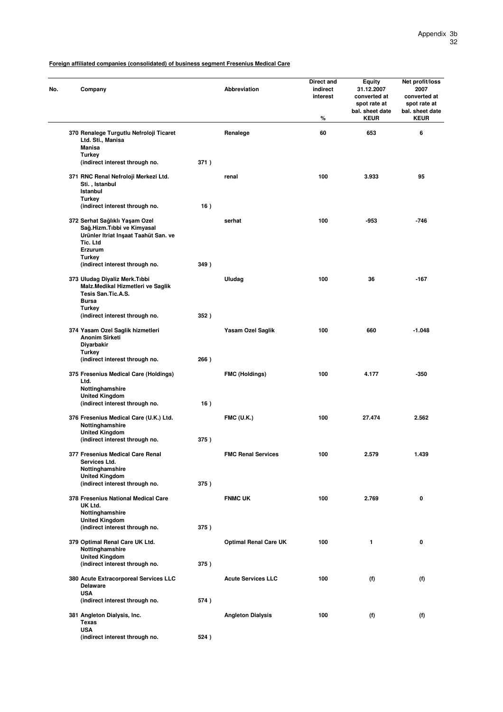| Company                                                                                                                                                       |      | Abbreviation                 | Direct and<br>indirect<br>interest<br>% | Equity<br>31.12.2007<br>converted at<br>spot rate at<br>bal. sheet date<br><b>KEUR</b> | Net profit/loss<br>2007<br>converted at<br>spot rate at<br>bal. sheet date<br><b>KEUR</b> |
|---------------------------------------------------------------------------------------------------------------------------------------------------------------|------|------------------------------|-----------------------------------------|----------------------------------------------------------------------------------------|-------------------------------------------------------------------------------------------|
| 370 Renalege Turgutlu Nefroloji Ticaret<br>Ltd. Sti., Manisa<br>Manisa<br>Turkey                                                                              |      | Renalege                     | 60                                      | 653                                                                                    | 6                                                                                         |
| (indirect interest through no.                                                                                                                                | 371) |                              |                                         |                                                                                        |                                                                                           |
| 371 RNC Renal Nefroloji Merkezi Ltd.<br>Sti., Istanbul<br>Istanbul<br><b>Turkey</b>                                                                           |      | renal                        | 100                                     | 3.933                                                                                  | 95                                                                                        |
| (indirect interest through no.<br>372 Serhat Sağlıklı Yaşam Ozel<br>Sağ.Hizm.Tıbbi ve Kimyasal<br>Urünler Itriat Inşaat Taahüt San. ve<br>Tic. Ltd<br>Erzurum | 16)  | serhat                       | 100                                     | $-953$                                                                                 | $-746$                                                                                    |
| <b>Turkey</b><br>(indirect interest through no.                                                                                                               | 349) |                              |                                         |                                                                                        |                                                                                           |
| 373 Uludag Diyaliz Merk.Tıbbi<br>Malz.Medikal Hizmetleri ve Saglik<br>Tesis San.Tic.A.S.<br><b>Bursa</b>                                                      |      | Uludag                       | 100                                     | 36                                                                                     | $-167$                                                                                    |
| Turkey<br>(indirect interest through no.                                                                                                                      | 352) |                              |                                         |                                                                                        |                                                                                           |
| 374 Yasam Ozel Saglik hizmetleri<br><b>Anonim Sirketi</b><br>Diyarbakir<br>Turkey<br>(indirect interest through no.                                           | 266) | Yasam Ozel Saglik            | 100                                     | 660                                                                                    | $-1.048$                                                                                  |
| 375 Fresenius Medical Care (Holdings)<br>Ltd.<br>Nottinghamshire<br><b>United Kingdom</b>                                                                     |      | <b>FMC (Holdings)</b>        | 100                                     | 4.177                                                                                  | $-350$                                                                                    |
| (indirect interest through no.<br>376 Fresenius Medical Care (U.K.) Ltd.<br>Nottinghamshire<br><b>United Kingdom</b>                                          | 16)  | <b>FMC (U.K.)</b>            | 100                                     | 27.474                                                                                 | 2.562                                                                                     |
| (indirect interest through no.                                                                                                                                | 375) |                              |                                         |                                                                                        |                                                                                           |
| 377 Fresenius Medical Care Renal<br>Services Ltd.<br>Nottinghamshire<br><b>United Kingdom</b>                                                                 |      | <b>FMC Renal Services</b>    | 100                                     | 2.579                                                                                  | 1.439                                                                                     |
| (indirect interest through no.<br>378 Fresenius National Medical Care<br>UK Ltd.<br>Nottinghamshire<br><b>United Kingdom</b>                                  | 375) | <b>FNMC UK</b>               | 100                                     | 2.769                                                                                  | 0                                                                                         |
| (indirect interest through no.                                                                                                                                | 375) |                              |                                         |                                                                                        |                                                                                           |
| 379 Optimal Renal Care UK Ltd.<br>Nottinghamshire<br><b>United Kingdom</b>                                                                                    |      | <b>Optimal Renal Care UK</b> | 100                                     | 1                                                                                      | 0                                                                                         |
| (indirect interest through no.<br>380 Acute Extracorporeal Services LLC                                                                                       | 375) | <b>Acute Services LLC</b>    | 100                                     | (f)                                                                                    | (f)                                                                                       |
| <b>Delaware</b><br><b>USA</b>                                                                                                                                 |      |                              |                                         |                                                                                        |                                                                                           |
| (indirect interest through no.<br>381 Angleton Dialysis, Inc.                                                                                                 | 574) | <b>Angleton Dialysis</b>     | 100                                     | (f)                                                                                    | (f)                                                                                       |
| <b>Texas</b><br><b>USA</b><br>(indirect interest through no.                                                                                                  | 524) |                              |                                         |                                                                                        |                                                                                           |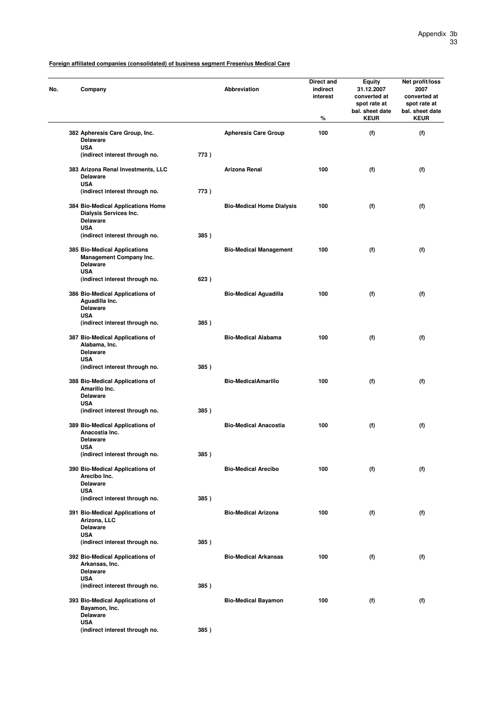| No. | Company                                                                                         |      | <b>Abbreviation</b>              | Direct and<br>indirect<br>interest<br>% | <b>Equity</b><br>31.12.2007<br>converted at<br>spot rate at<br>bal. sheet date<br><b>KEUR</b> | Net profit/loss<br>2007<br>converted at<br>spot rate at<br>bal. sheet date<br><b>KEUR</b> |
|-----|-------------------------------------------------------------------------------------------------|------|----------------------------------|-----------------------------------------|-----------------------------------------------------------------------------------------------|-------------------------------------------------------------------------------------------|
|     | 382 Apheresis Care Group, Inc.<br><b>Delaware</b>                                               |      | <b>Apheresis Care Group</b>      | 100                                     | (f)                                                                                           | (f)                                                                                       |
|     | <b>USA</b><br>(indirect interest through no.                                                    | 773) |                                  |                                         |                                                                                               |                                                                                           |
|     | 383 Arizona Renal Investments, LLC<br><b>Delaware</b><br><b>USA</b>                             |      | <b>Arizona Renal</b>             | 100                                     | (f)                                                                                           | (f)                                                                                       |
|     | (indirect interest through no.                                                                  | 773) |                                  |                                         |                                                                                               |                                                                                           |
|     | 384 Bio-Medical Applications Home<br>Dialysis Services Inc.<br><b>Delaware</b><br><b>USA</b>    |      | <b>Bio-Medical Home Dialysis</b> | 100                                     | (f)                                                                                           | (f)                                                                                       |
|     | (indirect interest through no.                                                                  | 385) |                                  |                                         |                                                                                               |                                                                                           |
|     | 385 Bio-Medical Applications<br><b>Management Company Inc.</b><br><b>Delaware</b><br><b>USA</b> |      | <b>Bio-Medical Management</b>    | 100                                     | (f)                                                                                           | (f)                                                                                       |
|     | (indirect interest through no.                                                                  | 623) |                                  |                                         |                                                                                               |                                                                                           |
|     | 386 Bio-Medical Applications of<br>Aguadilla Inc.<br><b>Delaware</b>                            |      | <b>Bio-Medical Aguadilla</b>     | 100                                     | (f)                                                                                           | (f)                                                                                       |
|     | <b>USA</b><br>(indirect interest through no.                                                    | 385) |                                  |                                         |                                                                                               |                                                                                           |
|     | 387 Bio-Medical Applications of<br>Alabama, Inc.<br><b>Delaware</b>                             |      | <b>Bio-Medical Alabama</b>       | 100                                     | (f)                                                                                           | (f)                                                                                       |
|     | <b>USA</b><br>(indirect interest through no.                                                    | 385) |                                  |                                         |                                                                                               |                                                                                           |
|     | 388 Bio-Medical Applications of<br>Amarillo Inc.<br><b>Delaware</b>                             |      | <b>Bio-MedicalAmarillo</b>       | 100                                     | (f)                                                                                           | (f)                                                                                       |
|     | <b>USA</b><br>(indirect interest through no.                                                    | 385) |                                  |                                         |                                                                                               |                                                                                           |
|     | 389 Bio-Medical Applications of<br>Anacostia Inc.<br><b>Delaware</b><br><b>USA</b>              |      | <b>Bio-Medical Anacostia</b>     | 100                                     | (f)                                                                                           | (f)                                                                                       |
|     | (indirect interest through no.                                                                  | 385) |                                  |                                         |                                                                                               |                                                                                           |
|     | 390 Bio-Medical Applications of<br>Arecibo Inc.<br><b>Delaware</b>                              |      | <b>Bio-Medical Arecibo</b>       | 100                                     | (f)                                                                                           | (f)                                                                                       |
|     | <b>USA</b><br>(indirect interest through no.                                                    | 385) |                                  |                                         |                                                                                               |                                                                                           |
|     | 391 Bio-Medical Applications of<br>Arizona, LLC<br><b>Delaware</b>                              |      | <b>Bio-Medical Arizona</b>       | 100                                     | (f)                                                                                           | (f)                                                                                       |
|     | <b>USA</b><br>(indirect interest through no.                                                    | 385) |                                  |                                         |                                                                                               |                                                                                           |
|     | 392 Bio-Medical Applications of<br>Arkansas, Inc.<br><b>Delaware</b><br><b>USA</b>              |      | <b>Bio-Medical Arkansas</b>      | 100                                     | (f)                                                                                           | (f)                                                                                       |
|     | (indirect interest through no.                                                                  | 385) |                                  |                                         |                                                                                               |                                                                                           |
|     | 393 Bio-Medical Applications of<br>Bayamon, Inc.<br><b>Delaware</b><br><b>USA</b>               |      | <b>Bio-Medical Bayamon</b>       | 100                                     | (f)                                                                                           | (f)                                                                                       |
|     | (indirect interest through no.                                                                  | 385) |                                  |                                         |                                                                                               |                                                                                           |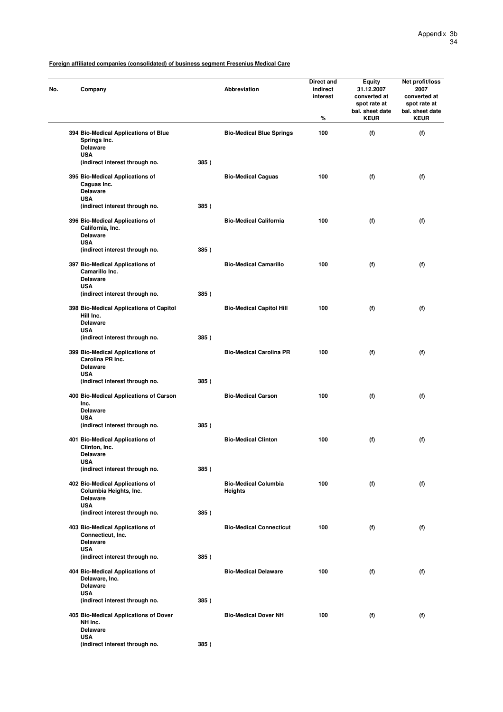| No. | Company                                                                                    |      | Abbreviation                           | Direct and<br>indirect<br>interest<br>℅ | <b>Equity</b><br>31.12.2007<br>converted at<br>spot rate at<br>bal. sheet date<br><b>KEUR</b> | Net profit/loss<br>2007<br>converted at<br>spot rate at<br>bal. sheet date<br><b>KEUR</b> |
|-----|--------------------------------------------------------------------------------------------|------|----------------------------------------|-----------------------------------------|-----------------------------------------------------------------------------------------------|-------------------------------------------------------------------------------------------|
|     | 394 Bio-Medical Applications of Blue<br>Springs Inc.<br><b>Delaware</b>                    |      | <b>Bio-Medical Blue Springs</b>        | 100                                     | (f)                                                                                           | (f)                                                                                       |
|     | <b>USA</b><br>(indirect interest through no.                                               | 385) |                                        |                                         |                                                                                               |                                                                                           |
|     | 395 Bio-Medical Applications of<br>Caguas Inc.<br><b>Delaware</b><br><b>USA</b>            |      | <b>Bio-Medical Caguas</b>              | 100                                     | (f)                                                                                           | (f)                                                                                       |
|     | (indirect interest through no.                                                             | 385) |                                        |                                         |                                                                                               |                                                                                           |
|     | 396 Bio-Medical Applications of<br>California, Inc.<br><b>Delaware</b><br><b>USA</b>       |      | <b>Bio-Medical California</b>          | 100                                     | (f)                                                                                           | (f)                                                                                       |
|     | (indirect interest through no.                                                             | 385) |                                        |                                         |                                                                                               |                                                                                           |
|     | 397 Bio-Medical Applications of<br>Camarillo Inc.<br><b>Delaware</b>                       |      | <b>Bio-Medical Camarillo</b>           | 100                                     | (f)                                                                                           | (f)                                                                                       |
|     | <b>USA</b><br>(indirect interest through no.                                               | 385) |                                        |                                         |                                                                                               |                                                                                           |
|     | 398 Bio-Medical Applications of Capitol<br>Hill Inc.<br><b>Delaware</b><br><b>USA</b>      |      | <b>Bio-Medical Capitol Hill</b>        | 100                                     | (f)                                                                                           | (f)                                                                                       |
|     | (indirect interest through no.                                                             | 385) |                                        |                                         |                                                                                               |                                                                                           |
|     | 399 Bio-Medical Applications of<br>Carolina PR Inc.<br><b>Delaware</b><br><b>USA</b>       |      | <b>Bio-Medical Carolina PR</b>         | 100                                     | (f)                                                                                           | (f)                                                                                       |
|     | (indirect interest through no.                                                             | 385) |                                        |                                         |                                                                                               |                                                                                           |
|     | 400 Bio-Medical Applications of Carson<br>Inc.<br><b>Delaware</b><br><b>USA</b>            |      | <b>Bio-Medical Carson</b>              | 100                                     | (f)                                                                                           | (f)                                                                                       |
|     | (indirect interest through no.                                                             | 385) |                                        |                                         |                                                                                               |                                                                                           |
|     | 401 Bio-Medical Applications of<br>Clinton, Inc.<br>Delaware<br><b>USA</b>                 |      | <b>Bio-Medical Clinton</b>             | 100                                     | (f)                                                                                           | (f)                                                                                       |
|     | (indirect interest through no.                                                             | 385) |                                        |                                         |                                                                                               |                                                                                           |
|     | 402 Bio-Medical Applications of<br>Columbia Heights, Inc.<br><b>Delaware</b><br><b>USA</b> |      | <b>Bio-Medical Columbia</b><br>Heights | 100                                     | (f)                                                                                           | (f)                                                                                       |
|     | (indirect interest through no.                                                             | 385) |                                        |                                         |                                                                                               |                                                                                           |
|     | 403 Bio-Medical Applications of<br>Connecticut, Inc.<br><b>Delaware</b><br><b>USA</b>      |      | <b>Bio-Medical Connecticut</b>         | 100                                     | (f)                                                                                           | (f)                                                                                       |
|     | (indirect interest through no.                                                             | 385) |                                        |                                         |                                                                                               |                                                                                           |
|     | 404 Bio-Medical Applications of<br>Delaware, Inc.<br><b>Delaware</b><br><b>USA</b>         |      | <b>Bio-Medical Delaware</b>            | 100                                     | (f)                                                                                           | (f)                                                                                       |
|     | (indirect interest through no.                                                             | 385) |                                        |                                         |                                                                                               |                                                                                           |
|     | 405 Bio-Medical Applications of Dover<br>NH Inc.<br><b>Delaware</b>                        |      | <b>Bio-Medical Dover NH</b>            | 100                                     | (f)                                                                                           | (f)                                                                                       |
|     | <b>USA</b><br>(indirect interest through no.                                               | 385) |                                        |                                         |                                                                                               |                                                                                           |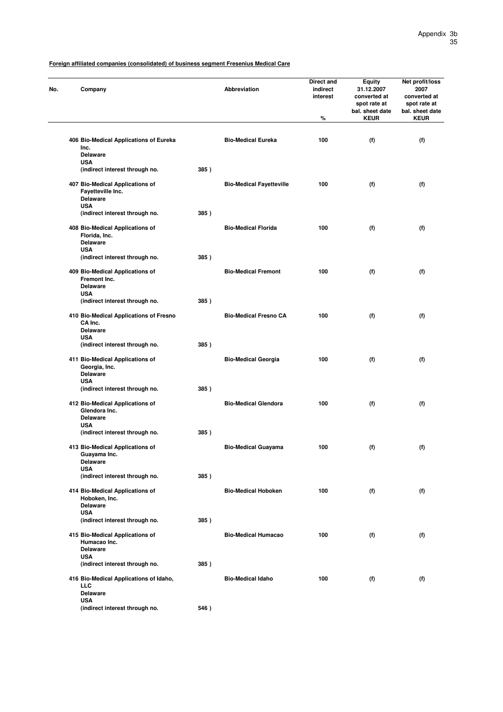| Company                                                                 |      | <b>Abbreviation</b>             | Direct and<br>indirect<br>interest<br>% | <b>Equity</b><br>31.12.2007<br>converted at<br>spot rate at<br>bal. sheet date<br><b>KEUR</b> | Net profit/loss<br>2007<br>converted at<br>spot rate at<br>bal. sheet date<br><b>KEUR</b> |
|-------------------------------------------------------------------------|------|---------------------------------|-----------------------------------------|-----------------------------------------------------------------------------------------------|-------------------------------------------------------------------------------------------|
|                                                                         |      |                                 |                                         |                                                                                               |                                                                                           |
| 406 Bio-Medical Applications of Eureka<br>Inc.<br><b>Delaware</b>       |      | <b>Bio-Medical Eureka</b>       | 100                                     | (f)                                                                                           | (f)                                                                                       |
| <b>USA</b>                                                              |      |                                 |                                         |                                                                                               |                                                                                           |
| (indirect interest through no.                                          | 385) |                                 |                                         |                                                                                               |                                                                                           |
| 407 Bio-Medical Applications of<br>Fayetteville Inc.<br><b>Delaware</b> |      | <b>Bio-Medical Fayetteville</b> | 100                                     | (f)                                                                                           | (f)                                                                                       |
| <b>USA</b>                                                              |      |                                 |                                         |                                                                                               |                                                                                           |
| (indirect interest through no.                                          | 385) |                                 |                                         |                                                                                               |                                                                                           |
| 408 Bio-Medical Applications of<br>Florida, Inc.<br><b>Delaware</b>     |      | <b>Bio-Medical Florida</b>      | 100                                     | (f)                                                                                           | (f)                                                                                       |
| <b>USA</b>                                                              |      |                                 |                                         |                                                                                               |                                                                                           |
| (indirect interest through no.                                          | 385) |                                 |                                         |                                                                                               |                                                                                           |
| 409 Bio-Medical Applications of<br>Fremont Inc.<br><b>Delaware</b>      |      | <b>Bio-Medical Fremont</b>      | 100                                     | (f)                                                                                           | (f)                                                                                       |
| <b>USA</b>                                                              |      |                                 |                                         |                                                                                               |                                                                                           |
| (indirect interest through no.                                          | 385) |                                 |                                         |                                                                                               |                                                                                           |
| 410 Bio-Medical Applications of Fresno<br>CA Inc.<br><b>Delaware</b>    |      | <b>Bio-Medical Fresno CA</b>    | 100                                     | (f)                                                                                           | (f)                                                                                       |
| <b>USA</b>                                                              |      |                                 |                                         |                                                                                               |                                                                                           |
| (indirect interest through no.                                          | 385) |                                 |                                         |                                                                                               |                                                                                           |
| 411 Bio-Medical Applications of<br>Georgia, Inc.<br><b>Delaware</b>     |      | <b>Bio-Medical Georgia</b>      | 100                                     | (f)                                                                                           | (f)                                                                                       |
| <b>USA</b><br>(indirect interest through no.                            | 385) |                                 |                                         |                                                                                               |                                                                                           |
|                                                                         |      |                                 |                                         |                                                                                               |                                                                                           |
| 412 Bio-Medical Applications of<br>Glendora Inc.<br><b>Delaware</b>     |      | <b>Bio-Medical Glendora</b>     | 100                                     | (f)                                                                                           | (f)                                                                                       |
| <b>USA</b>                                                              |      |                                 |                                         |                                                                                               |                                                                                           |
| (indirect interest through no.                                          | 385) |                                 |                                         |                                                                                               |                                                                                           |
| 413 Bio-Medical Applications of<br>Guayama Inc.                         |      | <b>Bio-Medical Guayama</b>      | 100                                     | (f)                                                                                           | (f)                                                                                       |
| <b>Delaware</b><br><b>USA</b>                                           |      |                                 |                                         |                                                                                               |                                                                                           |
| (indirect interest through no.                                          | 385) |                                 |                                         |                                                                                               |                                                                                           |
| 414 Bio-Medical Applications of<br>Hoboken, Inc.                        |      | <b>Bio-Medical Hoboken</b>      | 100                                     | (f)                                                                                           | (f)                                                                                       |
| <b>Delaware</b><br><b>USA</b>                                           |      |                                 |                                         |                                                                                               |                                                                                           |
| (indirect interest through no.                                          | 385) |                                 |                                         |                                                                                               |                                                                                           |
| 415 Bio-Medical Applications of<br>Humacao Inc.                         |      | <b>Bio-Medical Humacao</b>      | 100                                     | (f)                                                                                           | (f)                                                                                       |
| <b>Delaware</b>                                                         |      |                                 |                                         |                                                                                               |                                                                                           |
| <b>USA</b><br>(indirect interest through no.                            | 385) |                                 |                                         |                                                                                               |                                                                                           |
| 416 Bio-Medical Applications of Idaho,                                  |      | <b>Bio-Medical Idaho</b>        | 100                                     | (f)                                                                                           | (f)                                                                                       |
| <b>LLC</b><br><b>Delaware</b><br><b>USA</b>                             |      |                                 |                                         |                                                                                               |                                                                                           |
| (indirect interest through no.                                          | 546) |                                 |                                         |                                                                                               |                                                                                           |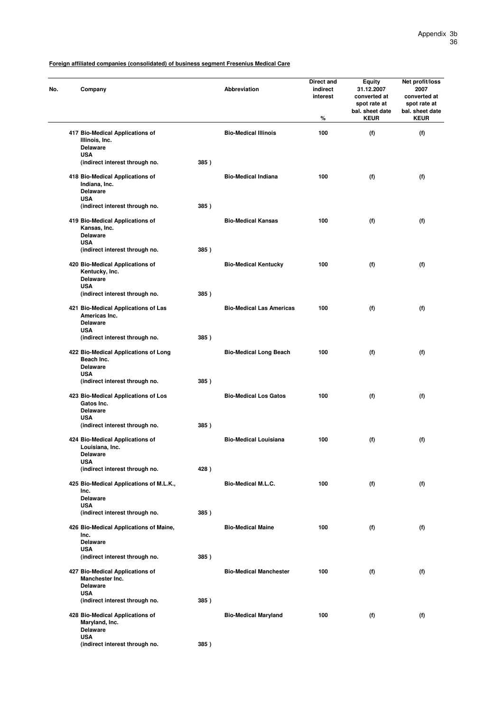| No. | Company                                                                               |      | Abbreviation                    | Direct and<br>indirect<br>interest<br>% | <b>Equity</b><br>31.12.2007<br>converted at<br>spot rate at<br>bal. sheet date<br><b>KEUR</b> | Net profit/loss<br>2007<br>converted at<br>spot rate at<br>bal. sheet date<br><b>KEUR</b> |
|-----|---------------------------------------------------------------------------------------|------|---------------------------------|-----------------------------------------|-----------------------------------------------------------------------------------------------|-------------------------------------------------------------------------------------------|
|     | 417 Bio-Medical Applications of<br>Illinois, Inc.<br><b>Delaware</b>                  |      | <b>Bio-Medical Illinois</b>     | 100                                     | (f)                                                                                           | (f)                                                                                       |
|     | <b>USA</b><br>(indirect interest through no.                                          | 385) |                                 |                                         |                                                                                               |                                                                                           |
|     | 418 Bio-Medical Applications of<br>Indiana, Inc.<br><b>Delaware</b><br><b>USA</b>     |      | <b>Bio-Medical Indiana</b>      | 100                                     | (f)                                                                                           | (f)                                                                                       |
|     | (indirect interest through no.                                                        | 385) |                                 |                                         |                                                                                               |                                                                                           |
|     | 419 Bio-Medical Applications of<br>Kansas, Inc.<br><b>Delaware</b><br><b>USA</b>      |      | <b>Bio-Medical Kansas</b>       | 100                                     | (f)                                                                                           | (f)                                                                                       |
|     | (indirect interest through no.                                                        | 385) |                                 |                                         |                                                                                               |                                                                                           |
|     | 420 Bio-Medical Applications of<br>Kentucky, Inc.<br>Delaware<br><b>USA</b>           |      | <b>Bio-Medical Kentucky</b>     | 100                                     | (f)                                                                                           | (f)                                                                                       |
|     | (indirect interest through no.                                                        | 385) |                                 |                                         |                                                                                               |                                                                                           |
|     | 421 Bio-Medical Applications of Las<br>Americas Inc.<br><b>Delaware</b><br><b>USA</b> |      | <b>Bio-Medical Las Americas</b> | 100                                     | (f)                                                                                           | (f)                                                                                       |
|     | (indirect interest through no.                                                        | 385) |                                 |                                         |                                                                                               |                                                                                           |
|     | 422 Bio-Medical Applications of Long<br>Beach Inc.<br><b>Delaware</b><br><b>USA</b>   |      | <b>Bio-Medical Long Beach</b>   | 100                                     | (f)                                                                                           | (f)                                                                                       |
|     | (indirect interest through no.                                                        | 385) |                                 |                                         |                                                                                               |                                                                                           |
|     | 423 Bio-Medical Applications of Los<br>Gatos Inc.<br><b>Delaware</b><br><b>USA</b>    |      | <b>Bio-Medical Los Gatos</b>    | 100                                     | (f)                                                                                           | (f)                                                                                       |
|     | (indirect interest through no.                                                        | 385) |                                 |                                         |                                                                                               |                                                                                           |
|     | 424 Bio-Medical Applications of<br>Louisiana, Inc.<br>Delaware<br><b>USA</b>          |      | <b>Bio-Medical Louisiana</b>    | 100                                     | (f)                                                                                           | (f)                                                                                       |
|     | (indirect interest through no.                                                        | 428) |                                 |                                         |                                                                                               |                                                                                           |
|     | 425 Bio-Medical Applications of M.L.K.,<br>Inc.<br><b>Delaware</b>                    |      | <b>Bio-Medical M.L.C.</b>       | 100                                     | (f)                                                                                           | (f)                                                                                       |
|     | <b>USA</b><br>(indirect interest through no.                                          | 385) |                                 |                                         |                                                                                               |                                                                                           |
|     | 426 Bio-Medical Applications of Maine,<br>Inc.<br><b>Delaware</b>                     |      | <b>Bio-Medical Maine</b>        | 100                                     | (f)                                                                                           | (f)                                                                                       |
|     | <b>USA</b><br>(indirect interest through no.                                          | 385) |                                 |                                         |                                                                                               |                                                                                           |
|     | 427 Bio-Medical Applications of<br>Manchester Inc.<br><b>Delaware</b><br><b>USA</b>   |      | <b>Bio-Medical Manchester</b>   | 100                                     | (f)                                                                                           | (f)                                                                                       |
|     | (indirect interest through no.                                                        | 385) |                                 |                                         |                                                                                               |                                                                                           |
|     | 428 Bio-Medical Applications of<br>Maryland, Inc.<br><b>Delaware</b><br><b>USA</b>    |      | <b>Bio-Medical Maryland</b>     | 100                                     | (f)                                                                                           | (f)                                                                                       |
|     | (indirect interest through no.                                                        | 385) |                                 |                                         |                                                                                               |                                                                                           |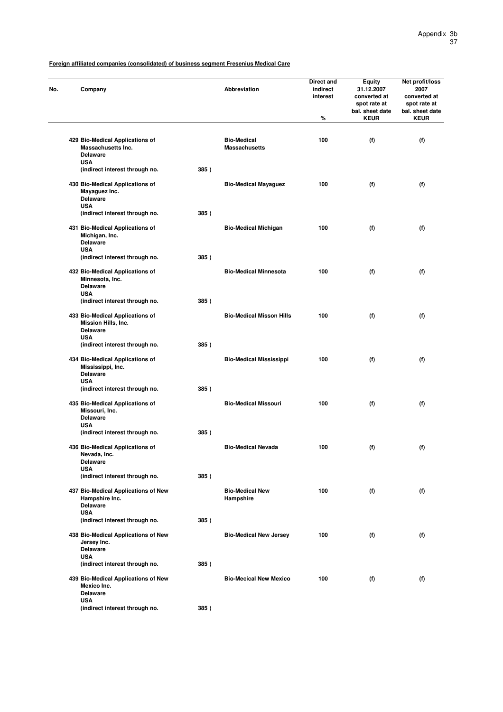| No. | Company                                                                               |      | <b>Abbreviation</b>                        | Direct and<br>indirect<br>interest<br>% | <b>Equity</b><br>31.12.2007<br>converted at<br>spot rate at<br>bal. sheet date<br><b>KEUR</b> | Net profit/loss<br>2007<br>converted at<br>spot rate at<br>bal. sheet date<br><b>KEUR</b> |
|-----|---------------------------------------------------------------------------------------|------|--------------------------------------------|-----------------------------------------|-----------------------------------------------------------------------------------------------|-------------------------------------------------------------------------------------------|
|     |                                                                                       |      |                                            |                                         |                                                                                               |                                                                                           |
|     | 429 Bio-Medical Applications of<br><b>Massachusetts Inc.</b><br><b>Delaware</b>       |      | <b>Bio-Medical</b><br><b>Massachusetts</b> | 100                                     | (f)                                                                                           | (f)                                                                                       |
|     | <b>USA</b><br>(indirect interest through no.                                          | 385) |                                            |                                         |                                                                                               |                                                                                           |
|     | 430 Bio-Medical Applications of<br>Mayaguez Inc.<br><b>Delaware</b>                   |      | <b>Bio-Medical Mayaguez</b>                | 100                                     | (f)                                                                                           | (f)                                                                                       |
|     | <b>USA</b><br>(indirect interest through no.                                          | 385) |                                            |                                         |                                                                                               |                                                                                           |
|     | 431 Bio-Medical Applications of<br>Michigan, Inc.<br><b>Delaware</b><br><b>USA</b>    |      | <b>Bio-Medical Michigan</b>                | 100                                     | (f)                                                                                           | (f)                                                                                       |
|     | (indirect interest through no.                                                        | 385) |                                            |                                         |                                                                                               |                                                                                           |
|     | 432 Bio-Medical Applications of<br>Minnesota, Inc.<br><b>Delaware</b>                 |      | <b>Bio-Medical Minnesota</b>               | 100                                     | (f)                                                                                           | (f)                                                                                       |
|     | <b>USA</b><br>(indirect interest through no.                                          | 385) |                                            |                                         |                                                                                               |                                                                                           |
|     | 433 Bio-Medical Applications of<br>Mission Hills, Inc.<br><b>Delaware</b>             |      | <b>Bio-Medical Misson Hills</b>            | 100                                     | (f)                                                                                           | (f)                                                                                       |
|     | <b>USA</b><br>(indirect interest through no.                                          | 385) |                                            |                                         |                                                                                               |                                                                                           |
|     | 434 Bio-Medical Applications of<br>Mississippi, Inc.<br><b>Delaware</b><br><b>USA</b> |      | <b>Bio-Medical Mississippi</b>             | 100                                     | (f)                                                                                           | (f)                                                                                       |
|     | (indirect interest through no.                                                        | 385) |                                            |                                         |                                                                                               |                                                                                           |
|     | 435 Bio-Medical Applications of<br>Missouri, Inc.<br><b>Delaware</b><br><b>USA</b>    |      | <b>Bio-Medical Missouri</b>                | 100                                     | (f)                                                                                           | (f)                                                                                       |
|     | (indirect interest through no.                                                        | 385) |                                            |                                         |                                                                                               |                                                                                           |
|     | 436 Bio-Medical Applications of<br>Nevada, Inc.<br><b>Delaware</b>                    |      | <b>Bio-Medical Nevada</b>                  | 100                                     | (f)                                                                                           | (f)                                                                                       |
|     | <b>USA</b><br>(indirect interest through no.                                          | 385) |                                            |                                         |                                                                                               |                                                                                           |
|     | 437 Bio-Medical Applications of New<br>Hampshire Inc.<br><b>Delaware</b>              |      | <b>Bio-Medical New</b><br>Hampshire        | 100                                     | (f)                                                                                           | (f)                                                                                       |
|     | <b>USA</b><br>(indirect interest through no.                                          | 385) |                                            |                                         |                                                                                               |                                                                                           |
|     | 438 Bio-Medical Applications of New<br>Jersey Inc.<br><b>Delaware</b><br><b>USA</b>   |      | <b>Bio-Medical New Jersey</b>              | 100                                     | (f)                                                                                           | (f)                                                                                       |
|     | (indirect interest through no.                                                        | 385) |                                            |                                         |                                                                                               |                                                                                           |
|     | 439 Bio-Medical Applications of New<br>Mexico Inc.<br><b>Delaware</b>                 |      | <b>Bio-Mecical New Mexico</b>              | 100                                     | (f)                                                                                           | (f)                                                                                       |
|     | <b>USA</b><br>(indirect interest through no.                                          | 385) |                                            |                                         |                                                                                               |                                                                                           |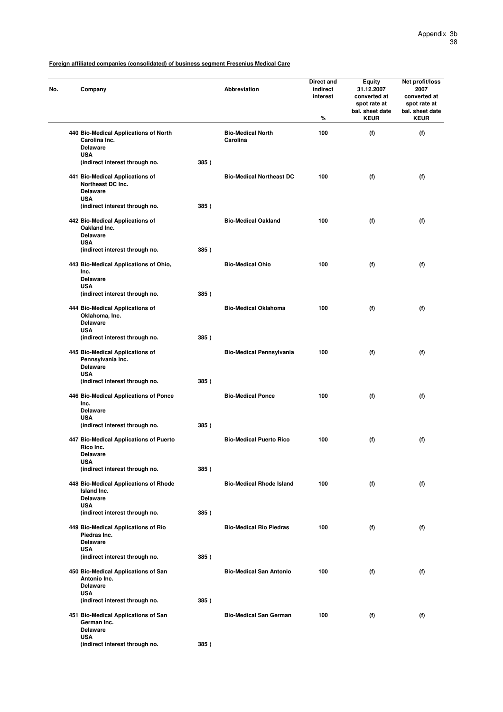| No. | Company                                                                               |      | <b>Abbreviation</b>                  | Direct and<br>indirect<br>interest<br>% | <b>Equity</b><br>31.12.2007<br>converted at<br>spot rate at<br>bal. sheet date<br><b>KEUR</b> | Net profit/loss<br>2007<br>converted at<br>spot rate at<br>bal. sheet date<br><b>KEUR</b> |
|-----|---------------------------------------------------------------------------------------|------|--------------------------------------|-----------------------------------------|-----------------------------------------------------------------------------------------------|-------------------------------------------------------------------------------------------|
|     | 440 Bio-Medical Applications of North<br>Carolina Inc.<br><b>Delaware</b>             |      | <b>Bio-Medical North</b><br>Carolina | 100                                     | (f)                                                                                           | (f)                                                                                       |
|     | <b>USA</b><br>(indirect interest through no.                                          | 385) |                                      |                                         |                                                                                               |                                                                                           |
|     | 441 Bio-Medical Applications of<br>Northeast DC Inc.<br><b>Delaware</b><br><b>USA</b> |      | <b>Bio-Medical Northeast DC</b>      | 100                                     | (f)                                                                                           | (f)                                                                                       |
|     | (indirect interest through no.                                                        | 385) |                                      |                                         |                                                                                               |                                                                                           |
|     | 442 Bio-Medical Applications of<br>Oakland Inc.<br><b>Delaware</b><br><b>USA</b>      |      | <b>Bio-Medical Oakland</b>           | 100                                     | (f)                                                                                           | (f)                                                                                       |
|     | (indirect interest through no.                                                        | 385) |                                      |                                         |                                                                                               |                                                                                           |
|     | 443 Bio-Medical Applications of Ohio,<br>Inc.<br><b>Delaware</b>                      |      | <b>Bio-Medical Ohio</b>              | 100                                     | (f)                                                                                           | (f)                                                                                       |
|     | <b>USA</b><br>(indirect interest through no.                                          | 385) |                                      |                                         |                                                                                               |                                                                                           |
|     | 444 Bio-Medical Applications of<br>Oklahoma, Inc.<br><b>Delaware</b>                  |      | <b>Bio-Medical Oklahoma</b>          | 100                                     | (f)                                                                                           | (f)                                                                                       |
|     | <b>USA</b><br>(indirect interest through no.                                          | 385) |                                      |                                         |                                                                                               |                                                                                           |
|     | 445 Bio-Medical Applications of<br>Pennsylvania Inc.<br><b>Delaware</b><br><b>USA</b> |      | <b>Bio-Medical Pennsylvania</b>      | 100                                     | (f)                                                                                           | (f)                                                                                       |
|     | (indirect interest through no.                                                        | 385) |                                      |                                         |                                                                                               |                                                                                           |
|     | 446 Bio-Medical Applications of Ponce<br>Inc.<br><b>Delaware</b><br><b>USA</b>        |      | <b>Bio-Medical Ponce</b>             | 100                                     | (f)                                                                                           | (f)                                                                                       |
|     | (indirect interest through no.                                                        | 385) |                                      |                                         |                                                                                               |                                                                                           |
|     | 447 Bio-Medical Applications of Puerto<br>Rico Inc.<br>Delaware<br><b>USA</b>         |      | <b>Bio-Medical Puerto Rico</b>       | 100                                     | (f)                                                                                           | (f)                                                                                       |
|     | (indirect interest through no.                                                        | 385) |                                      |                                         |                                                                                               |                                                                                           |
|     | 448 Bio-Medical Applications of Rhode<br>Island Inc.<br><b>Delaware</b><br><b>USA</b> |      | <b>Bio-Medical Rhode Island</b>      | 100                                     | (f)                                                                                           | (f)                                                                                       |
|     | (indirect interest through no.                                                        | 385) |                                      |                                         |                                                                                               |                                                                                           |
|     | 449 Bio-Medical Applications of Rio<br>Piedras Inc.<br><b>Delaware</b><br><b>USA</b>  |      | <b>Bio-Medical Rio Piedras</b>       | 100                                     | (f)                                                                                           | (f)                                                                                       |
|     | (indirect interest through no.                                                        | 385) |                                      |                                         |                                                                                               |                                                                                           |
|     | 450 Bio-Medical Applications of San<br>Antonio Inc.<br><b>Delaware</b><br><b>USA</b>  |      | <b>Bio-Medical San Antonio</b>       | 100                                     | (f)                                                                                           | (f)                                                                                       |
|     | (indirect interest through no.                                                        | 385) |                                      |                                         |                                                                                               |                                                                                           |
|     | 451 Bio-Medical Applications of San<br>German Inc.<br><b>Delaware</b><br><b>USA</b>   |      | <b>Bio-Medical San German</b>        | 100                                     | (f)                                                                                           | (f)                                                                                       |
|     | (indirect interest through no.                                                        | 385) |                                      |                                         |                                                                                               |                                                                                           |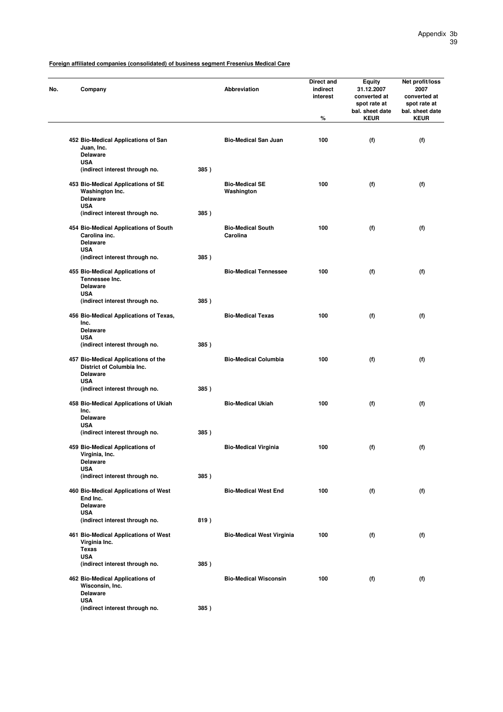| Company                                                                                           |      | Abbreviation                         | <b>Direct and</b><br>indirect<br>interest<br>% | <b>Equity</b><br>31.12.2007<br>converted at<br>spot rate at<br>bal. sheet date<br><b>KEUR</b> | Net profit/loss<br>2007<br>converted at<br>spot rate at<br>bal. sheet date<br><b>KEUR</b> |
|---------------------------------------------------------------------------------------------------|------|--------------------------------------|------------------------------------------------|-----------------------------------------------------------------------------------------------|-------------------------------------------------------------------------------------------|
|                                                                                                   |      |                                      |                                                |                                                                                               |                                                                                           |
| 452 Bio-Medical Applications of San<br>Juan, Inc.<br><b>Delaware</b>                              |      | <b>Bio-Medical San Juan</b>          | 100                                            | (f)                                                                                           | (f)                                                                                       |
| <b>USA</b><br>(indirect interest through no.                                                      | 385) |                                      |                                                |                                                                                               |                                                                                           |
| 453 Bio-Medical Applications of SE<br>Washington Inc.<br><b>Delaware</b><br><b>USA</b>            |      | <b>Bio-Medical SE</b><br>Washington  | 100                                            | (f)                                                                                           | (f)                                                                                       |
| (indirect interest through no.                                                                    | 385) |                                      |                                                |                                                                                               |                                                                                           |
| 454 Bio-Medical Applications of South<br>Carolina inc.<br><b>Delaware</b><br><b>USA</b>           |      | <b>Bio-Medical South</b><br>Carolina | 100                                            | (f)                                                                                           | (f)                                                                                       |
| (indirect interest through no.                                                                    | 385) |                                      |                                                |                                                                                               |                                                                                           |
| 455 Bio-Medical Applications of<br>Tennessee Inc.<br><b>Delaware</b>                              |      | <b>Bio-Medical Tennessee</b>         | 100                                            | (f)                                                                                           | (f)                                                                                       |
| <b>USA</b><br>(indirect interest through no.                                                      | 385) |                                      |                                                |                                                                                               |                                                                                           |
| 456 Bio-Medical Applications of Texas,<br>Inc.<br><b>Delaware</b>                                 |      | <b>Bio-Medical Texas</b>             | 100                                            | (f)                                                                                           | (f)                                                                                       |
| <b>USA</b><br>(indirect interest through no.                                                      | 385) |                                      |                                                |                                                                                               |                                                                                           |
| 457 Bio-Medical Applications of the<br>District of Columbia Inc.<br><b>Delaware</b><br><b>USA</b> |      | <b>Bio-Medical Columbia</b>          | 100                                            | (f)                                                                                           | (f)                                                                                       |
| (indirect interest through no.                                                                    | 385) |                                      |                                                |                                                                                               |                                                                                           |
| 458 Bio-Medical Applications of Ukiah<br>Inc.<br><b>Delaware</b><br><b>USA</b>                    |      | <b>Bio-Medical Ukiah</b>             | 100                                            | (f)                                                                                           | (f)                                                                                       |
| (indirect interest through no.                                                                    | 385) |                                      |                                                |                                                                                               |                                                                                           |
| 459 Bio-Medical Applications of<br>Virginia, Inc.<br><b>Delaware</b><br><b>USA</b>                |      | <b>Bio-Medical Virginia</b>          | 100                                            | (f)                                                                                           | (f)                                                                                       |
| (indirect interest through no.                                                                    | 385) |                                      |                                                |                                                                                               |                                                                                           |
| 460 Bio-Medical Applications of West<br>End Inc.<br><b>Delaware</b>                               |      | <b>Bio-Medical West End</b>          | 100                                            | (f)                                                                                           | (f)                                                                                       |
| <b>USA</b><br>(indirect interest through no.                                                      | 819) |                                      |                                                |                                                                                               |                                                                                           |
| 461 Bio-Medical Applications of West<br>Virginia Inc.<br><b>Texas</b>                             |      | <b>Bio-Medical West Virginia</b>     | 100                                            | (f)                                                                                           | (f)                                                                                       |
| <b>USA</b><br>(indirect interest through no.                                                      | 385) |                                      |                                                |                                                                                               |                                                                                           |
| 462 Bio-Medical Applications of<br>Wisconsin, Inc.<br><b>Delaware</b>                             |      | <b>Bio-Medical Wisconsin</b>         | 100                                            | (f)                                                                                           | (f)                                                                                       |
| <b>USA</b><br>(indirect interest through no.                                                      | 385) |                                      |                                                |                                                                                               |                                                                                           |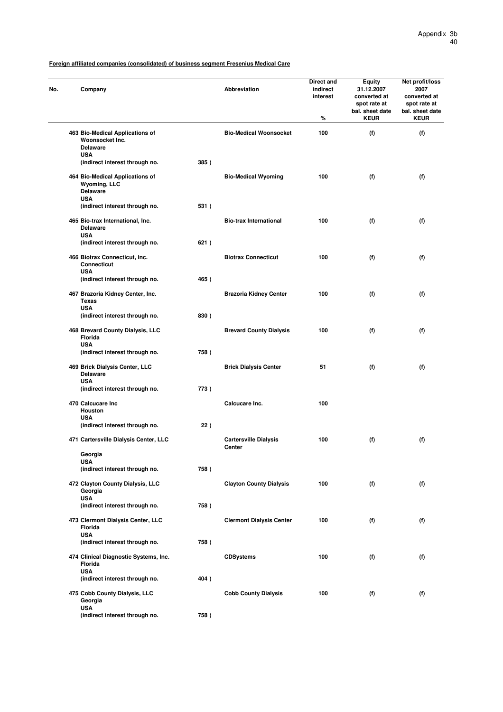| No. | Company                                                               |      | Abbreviation                           | Direct and<br>indirect<br>interest<br>% | <b>Equity</b><br>31.12.2007<br>converted at<br>spot rate at<br>bal. sheet date<br><b>KEUR</b> | Net profit/loss<br>2007<br>converted at<br>spot rate at<br>bal. sheet date<br><b>KEUR</b> |
|-----|-----------------------------------------------------------------------|------|----------------------------------------|-----------------------------------------|-----------------------------------------------------------------------------------------------|-------------------------------------------------------------------------------------------|
|     | 463 Bio-Medical Applications of<br>Woonsocket Inc.<br><b>Delaware</b> |      | <b>Bio-Medical Woonsocket</b>          | 100                                     | (f)                                                                                           | (f)                                                                                       |
|     | <b>USA</b><br>(indirect interest through no.                          | 385) |                                        |                                         |                                                                                               |                                                                                           |
|     | 464 Bio-Medical Applications of<br>Wyoming, LLC<br><b>Delaware</b>    |      | <b>Bio-Medical Wyoming</b>             | 100                                     | (f)                                                                                           | (f)                                                                                       |
|     | <b>USA</b><br>(indirect interest through no.                          | 531) |                                        |                                         |                                                                                               |                                                                                           |
|     | 465 Bio-trax International, Inc.<br><b>Delaware</b><br><b>USA</b>     |      | <b>Bio-trax International</b>          | 100                                     | (f)                                                                                           | (f)                                                                                       |
|     | (indirect interest through no.                                        | 621) |                                        |                                         |                                                                                               |                                                                                           |
|     | 466 Biotrax Connecticut, Inc.<br>Connecticut<br><b>USA</b>            |      | <b>Biotrax Connecticut</b>             | 100                                     | (f)                                                                                           | (f)                                                                                       |
|     | (indirect interest through no.                                        | 465) |                                        |                                         |                                                                                               |                                                                                           |
|     | 467 Brazoria Kidney Center, Inc.<br><b>Texas</b><br><b>USA</b>        |      | <b>Brazoria Kidney Center</b>          | 100                                     | (f)                                                                                           | (f)                                                                                       |
|     | (indirect interest through no.                                        | 830) |                                        |                                         |                                                                                               |                                                                                           |
|     | 468 Brevard County Dialysis, LLC<br><b>Florida</b><br><b>USA</b>      |      | <b>Brevard County Dialysis</b>         | 100                                     | (f)                                                                                           | (f)                                                                                       |
|     | (indirect interest through no.                                        | 758) |                                        |                                         |                                                                                               |                                                                                           |
|     | 469 Brick Dialysis Center, LLC<br><b>Delaware</b><br><b>USA</b>       |      | <b>Brick Dialysis Center</b>           | 51                                      | (f)                                                                                           | (f)                                                                                       |
|     | (indirect interest through no.                                        | 773) |                                        |                                         |                                                                                               |                                                                                           |
|     | 470 Calcucare Inc<br>Houston                                          |      | Calcucare Inc.                         | 100                                     |                                                                                               |                                                                                           |
|     | <b>USA</b><br>(indirect interest through no.                          | 22)  |                                        |                                         |                                                                                               |                                                                                           |
|     | 471 Cartersville Dialysis Center, LLC                                 |      | <b>Cartersville Dialysis</b><br>Center | 100                                     | (f)                                                                                           | (f)                                                                                       |
|     | Georgia<br><b>USA</b>                                                 |      |                                        |                                         |                                                                                               |                                                                                           |
|     | (indirect interest through no.                                        | 758) |                                        |                                         |                                                                                               |                                                                                           |
|     | 472 Clayton County Dialysis, LLC<br>Georgia<br><b>USA</b>             |      | <b>Clayton County Dialysis</b>         | 100                                     | (f)                                                                                           | (f)                                                                                       |
|     | (indirect interest through no.                                        | 758) |                                        |                                         |                                                                                               |                                                                                           |
|     | 473 Clermont Dialysis Center, LLC<br>Florida<br><b>USA</b>            |      | <b>Clermont Dialysis Center</b>        | 100                                     | (f)                                                                                           | (f)                                                                                       |
|     | (indirect interest through no.                                        | 758) |                                        |                                         |                                                                                               |                                                                                           |
|     | 474 Clinical Diagnostic Systems, Inc.<br>Florida                      |      | <b>CDSystems</b>                       | 100                                     | (f)                                                                                           | (f)                                                                                       |
|     | <b>USA</b><br>(indirect interest through no.                          | 404) |                                        |                                         |                                                                                               |                                                                                           |
|     | 475 Cobb County Dialysis, LLC<br>Georgia                              |      | <b>Cobb County Dialysis</b>            | 100                                     | (f)                                                                                           | (f)                                                                                       |
|     | <b>USA</b><br>(indirect interest through no.                          | 758) |                                        |                                         |                                                                                               |                                                                                           |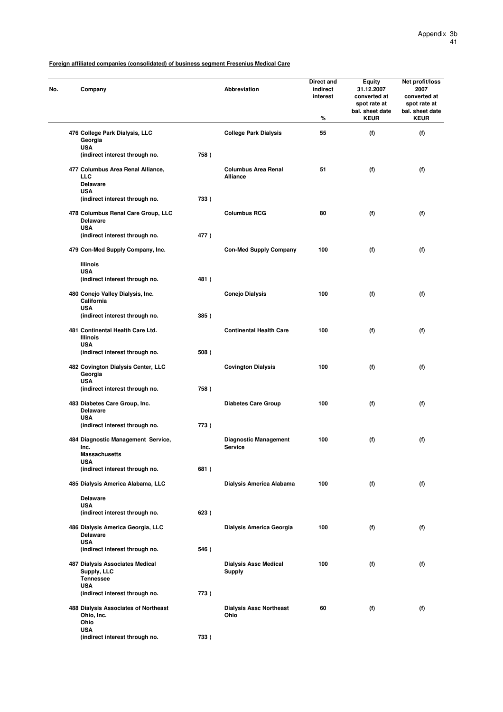| No. | Company                                                             |      | Abbreviation                                   | Direct and<br>indirect<br>interest<br>% | <b>Equity</b><br>31.12.2007<br>converted at<br>spot rate at<br>bal. sheet date<br><b>KEUR</b> | Net profit/loss<br>2007<br>converted at<br>spot rate at<br>bal. sheet date<br><b>KEUR</b> |
|-----|---------------------------------------------------------------------|------|------------------------------------------------|-----------------------------------------|-----------------------------------------------------------------------------------------------|-------------------------------------------------------------------------------------------|
|     | 476 College Park Dialysis, LLC<br>Georgia<br><b>USA</b>             |      | <b>College Park Dialysis</b>                   | 55                                      | (f)                                                                                           | (f)                                                                                       |
|     | (indirect interest through no.                                      | 758) |                                                |                                         |                                                                                               |                                                                                           |
|     | 477 Columbus Area Renal Alliance,<br><b>LLC</b><br><b>Delaware</b>  |      | <b>Columbus Area Renal</b><br><b>Alliance</b>  | 51                                      | (f)                                                                                           | (f)                                                                                       |
|     | <b>USA</b><br>(indirect interest through no.                        | 733) |                                                |                                         |                                                                                               |                                                                                           |
|     | 478 Columbus Renal Care Group, LLC<br><b>Delaware</b><br><b>USA</b> |      | <b>Columbus RCG</b>                            | 80                                      | (f)                                                                                           | (f)                                                                                       |
|     | (indirect interest through no.                                      | 477) |                                                |                                         |                                                                                               |                                                                                           |
|     | 479 Con-Med Supply Company, Inc.                                    |      | <b>Con-Med Supply Company</b>                  | 100                                     | (f)                                                                                           | (f)                                                                                       |
|     | <b>Illinois</b><br><b>USA</b>                                       |      |                                                |                                         |                                                                                               |                                                                                           |
|     | (indirect interest through no.                                      | 481) |                                                |                                         |                                                                                               |                                                                                           |
|     | 480 Conejo Valley Dialysis, Inc.<br>California<br><b>USA</b>        |      | <b>Conejo Dialysis</b>                         | 100                                     | (f)                                                                                           | (f)                                                                                       |
|     | (indirect interest through no.                                      | 385) |                                                |                                         |                                                                                               |                                                                                           |
|     | 481 Continental Health Care Ltd.<br><b>Illinois</b>                 |      | <b>Continental Health Care</b>                 | 100                                     | (f)                                                                                           | (f)                                                                                       |
|     | <b>USA</b><br>(indirect interest through no.                        | 508) |                                                |                                         |                                                                                               |                                                                                           |
|     | 482 Covington Dialysis Center, LLC<br>Georgia<br><b>USA</b>         |      | <b>Covington Dialysis</b>                      | 100                                     | (f)                                                                                           | (f)                                                                                       |
|     | (indirect interest through no.                                      | 758) |                                                |                                         |                                                                                               |                                                                                           |
|     | 483 Diabetes Care Group, Inc.<br><b>Delaware</b><br><b>USA</b>      |      | <b>Diabetes Care Group</b>                     | 100                                     | (f)                                                                                           | (f)                                                                                       |
|     | (indirect interest through no.                                      | 773) |                                                |                                         |                                                                                               |                                                                                           |
|     | 484 Diagnostic Management Service,<br>Inc.<br>Massachusetts         |      | <b>Diagnostic Management</b><br><b>Service</b> | 100                                     | (f)                                                                                           | (f)                                                                                       |
|     | <b>USA</b><br>(indirect interest through no.                        | 681) |                                                |                                         |                                                                                               |                                                                                           |
|     | 485 Dialysis America Alabama, LLC                                   |      | Dialysis America Alabama                       | 100                                     | (f)                                                                                           | (f)                                                                                       |
|     | <b>Delaware</b>                                                     |      |                                                |                                         |                                                                                               |                                                                                           |
|     | <b>USA</b>                                                          |      |                                                |                                         |                                                                                               |                                                                                           |
|     | (indirect interest through no.                                      | 623) |                                                |                                         |                                                                                               |                                                                                           |
|     | 486 Dialysis America Georgia, LLC<br><b>Delaware</b><br><b>USA</b>  |      | Dialysis America Georgia                       | 100                                     | (f)                                                                                           | (f)                                                                                       |
|     | (indirect interest through no.                                      | 546) |                                                |                                         |                                                                                               |                                                                                           |
|     | 487 Dialysis Associates Medical<br>Supply, LLC<br><b>Tennessee</b>  |      | <b>Dialysis Assc Medical</b><br>Supply         | 100                                     | (f)                                                                                           | (f)                                                                                       |
|     | <b>USA</b><br>(indirect interest through no.                        | 773) |                                                |                                         |                                                                                               |                                                                                           |
|     | 488 Dialysis Associates of Northeast<br>Ohio, Inc.<br>Ohio          |      | <b>Dialysis Assc Northeast</b><br>Ohio         | 60                                      | (f)                                                                                           | (f)                                                                                       |
|     | <b>USA</b><br>(indirect interest through no.                        | 733) |                                                |                                         |                                                                                               |                                                                                           |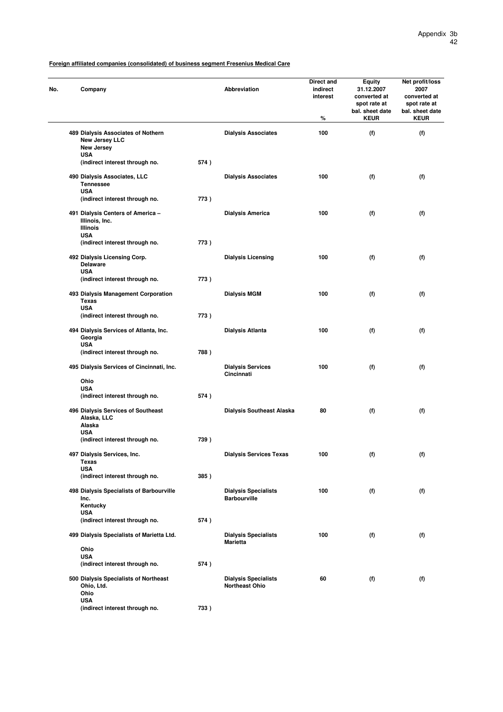| Company                                                                   |      | <b>Abbreviation</b>                                  | Direct and<br>indirect<br>interest<br>℅ | <b>Equity</b><br>31.12.2007<br>converted at<br>spot rate at<br>bal. sheet date<br><b>KEUR</b> | Net profit/loss<br>2007<br>converted at<br>spot rate at<br>bal. sheet date<br><b>KEUR</b> |
|---------------------------------------------------------------------------|------|------------------------------------------------------|-----------------------------------------|-----------------------------------------------------------------------------------------------|-------------------------------------------------------------------------------------------|
| 489 Dialysis Associates of Nothern<br>New Jersey LLC<br>New Jersey        |      | <b>Dialysis Associates</b>                           | 100                                     | (f)                                                                                           | (f)                                                                                       |
| <b>USA</b><br>(indirect interest through no.                              | 574) |                                                      |                                         |                                                                                               |                                                                                           |
| 490 Dialysis Associates, LLC<br><b>Tennessee</b><br><b>USA</b>            |      | <b>Dialysis Associates</b>                           | 100                                     | (f)                                                                                           | (f)                                                                                       |
| (indirect interest through no.                                            | 773) |                                                      |                                         |                                                                                               |                                                                                           |
| 491 Dialysis Centers of America -<br>Illinois, Inc.<br><b>Illinois</b>    |      | Dialysis America                                     | 100                                     | (f)                                                                                           | (f)                                                                                       |
| <b>USA</b><br>(indirect interest through no.                              | 773) |                                                      |                                         |                                                                                               |                                                                                           |
| 492 Dialysis Licensing Corp.<br><b>Delaware</b><br><b>USA</b>             |      | <b>Dialysis Licensing</b>                            | 100                                     | (f)                                                                                           | (f)                                                                                       |
| (indirect interest through no.                                            | 773) |                                                      |                                         |                                                                                               |                                                                                           |
| 493 Dialysis Management Corporation<br><b>Texas</b><br><b>USA</b>         |      | <b>Dialysis MGM</b>                                  | 100                                     | (f)                                                                                           | (f)                                                                                       |
| (indirect interest through no.                                            | 773) |                                                      |                                         |                                                                                               |                                                                                           |
| 494 Dialysis Services of Atlanta, Inc.<br>Georgia<br><b>USA</b>           |      | Dialysis Atlanta                                     | 100                                     | (f)                                                                                           | (f)                                                                                       |
| (indirect interest through no.                                            | 788) |                                                      |                                         |                                                                                               |                                                                                           |
| 495 Dialysis Services of Cincinnati, Inc.                                 |      | <b>Dialysis Services</b><br>Cincinnati               | 100                                     | (f)                                                                                           | (f)                                                                                       |
| Ohio<br><b>USA</b>                                                        |      |                                                      |                                         |                                                                                               |                                                                                           |
| (indirect interest through no.                                            | 574) |                                                      |                                         |                                                                                               |                                                                                           |
| 496 Dialysis Services of Southeast<br>Alaska, LLC<br>Alaska               |      | <b>Dialysis Southeast Alaska</b>                     | 80                                      | (f)                                                                                           | (f)                                                                                       |
| <b>USA</b><br>(indirect interest through no.                              | 739) |                                                      |                                         |                                                                                               |                                                                                           |
| 497 Dialysis Services, Inc.<br><b>Texas</b>                               |      | <b>Dialysis Services Texas</b>                       | 100                                     | (f)                                                                                           | (f)                                                                                       |
| <b>USA</b><br>(indirect interest through no.                              | 385) |                                                      |                                         |                                                                                               |                                                                                           |
| 498 Dialysis Specialists of Barbourville<br>Inc.                          |      | <b>Dialysis Specialists</b><br><b>Barbourville</b>   | 100                                     | (f)                                                                                           | (f)                                                                                       |
| Kentucky<br><b>USA</b>                                                    |      |                                                      |                                         |                                                                                               |                                                                                           |
| (indirect interest through no.                                            | 574) |                                                      |                                         |                                                                                               |                                                                                           |
| 499 Dialysis Specialists of Marietta Ltd.                                 |      | <b>Dialysis Specialists</b><br>Marietta              | 100                                     | (f)                                                                                           | (f)                                                                                       |
| Ohio<br><b>USA</b>                                                        |      |                                                      |                                         |                                                                                               |                                                                                           |
| (indirect interest through no.                                            | 574) |                                                      |                                         |                                                                                               |                                                                                           |
| 500 Dialysis Specialists of Northeast<br>Ohio, Ltd.<br>Ohio<br><b>USA</b> |      | <b>Dialysis Specialists</b><br><b>Northeast Ohio</b> | 60                                      | (f)                                                                                           | (f)                                                                                       |

**(indirect interest through no. 733 )**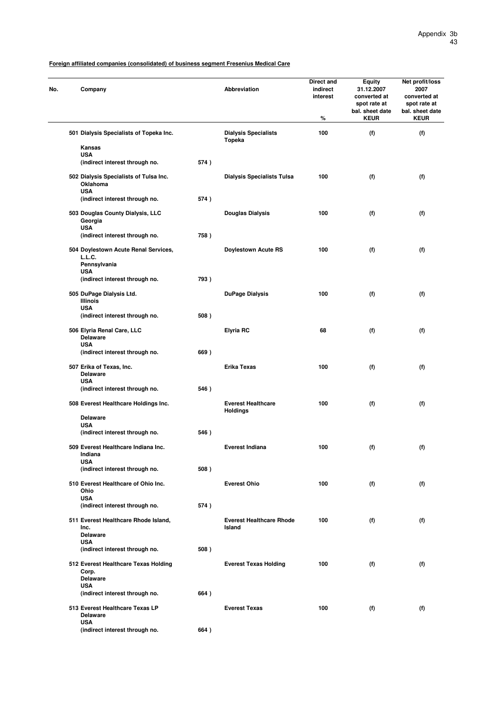| No. | Company                                                          |      | Abbreviation                                 | Direct and<br>indirect<br>interest<br>% | <b>Equity</b><br>31.12.2007<br>converted at<br>spot rate at<br>bal. sheet date<br><b>KEUR</b> | Net profit/loss<br>2007<br>converted at<br>spot rate at<br>bal. sheet date<br><b>KEUR</b> |
|-----|------------------------------------------------------------------|------|----------------------------------------------|-----------------------------------------|-----------------------------------------------------------------------------------------------|-------------------------------------------------------------------------------------------|
|     | 501 Dialysis Specialists of Topeka Inc.                          |      | <b>Dialysis Specialists</b><br>Topeka        | 100                                     | (f)                                                                                           | (f)                                                                                       |
|     | Kansas                                                           |      |                                              |                                         |                                                                                               |                                                                                           |
|     | <b>USA</b><br>(indirect interest through no.                     | 574) |                                              |                                         |                                                                                               |                                                                                           |
|     | 502 Dialysis Specialists of Tulsa Inc.<br>Oklahoma<br><b>USA</b> |      | <b>Dialysis Specialists Tulsa</b>            | 100                                     | (f)                                                                                           | (f)                                                                                       |
|     | (indirect interest through no.                                   | 574) |                                              |                                         |                                                                                               |                                                                                           |
|     | 503 Douglas County Dialysis, LLC<br>Georgia<br><b>USA</b>        |      | Douglas Dialysis                             | 100                                     | (f)                                                                                           | (f)                                                                                       |
|     | (indirect interest through no.                                   | 758) |                                              |                                         |                                                                                               |                                                                                           |
|     | 504 Doylestown Acute Renal Services,<br>L.L.C.<br>Pennsylvania   |      | <b>Doylestown Acute RS</b>                   | 100                                     | (f)                                                                                           | (f)                                                                                       |
|     | <b>USA</b><br>(indirect interest through no.                     | 793) |                                              |                                         |                                                                                               |                                                                                           |
|     | 505 DuPage Dialysis Ltd.<br><b>Illinois</b>                      |      | <b>DuPage Dialysis</b>                       | 100                                     | (f)                                                                                           | (f)                                                                                       |
|     | <b>USA</b><br>(indirect interest through no.                     | 508) |                                              |                                         |                                                                                               |                                                                                           |
|     | 506 Elyria Renal Care, LLC<br><b>Delaware</b>                    |      | <b>Elyria RC</b>                             | 68                                      | (f)                                                                                           | (f)                                                                                       |
|     | <b>USA</b><br>(indirect interest through no.                     | 669) |                                              |                                         |                                                                                               |                                                                                           |
|     | 507 Erika of Texas, Inc.<br><b>Delaware</b>                      |      | Erika Texas                                  | 100                                     | (f)                                                                                           | (f)                                                                                       |
|     | <b>USA</b><br>(indirect interest through no.                     | 546) |                                              |                                         |                                                                                               |                                                                                           |
|     | 508 Everest Healthcare Holdings Inc.                             |      | <b>Everest Healthcare</b><br><b>Holdings</b> | 100                                     | (f)                                                                                           | (f)                                                                                       |
|     | <b>Delaware</b>                                                  |      |                                              |                                         |                                                                                               |                                                                                           |
|     | <b>USA</b><br>(indirect interest through no.                     | 546) |                                              |                                         |                                                                                               |                                                                                           |
|     |                                                                  |      |                                              |                                         |                                                                                               |                                                                                           |
|     | 509 Everest Healthcare Indiana Inc.<br>Indiana<br><b>USA</b>     |      | Everest Indiana                              | 100                                     | (f)                                                                                           | (f)                                                                                       |
|     | (indirect interest through no.                                   | 508) |                                              |                                         |                                                                                               |                                                                                           |
|     | 510 Everest Healthcare of Ohio Inc.<br>Ohio<br><b>USA</b>        |      | <b>Everest Ohio</b>                          | 100                                     | (f)                                                                                           | (f)                                                                                       |
|     | (indirect interest through no.                                   | 574) |                                              |                                         |                                                                                               |                                                                                           |
|     | 511 Everest Healthcare Rhode Island,<br>Inc.                     |      | <b>Everest Healthcare Rhode</b><br>Island    | 100                                     | (f)                                                                                           | (f)                                                                                       |
|     | <b>Delaware</b><br><b>USA</b>                                    |      |                                              |                                         |                                                                                               |                                                                                           |
|     | (indirect interest through no.                                   | 508) |                                              |                                         |                                                                                               |                                                                                           |
|     | 512 Everest Healthcare Texas Holding<br>Corp.                    |      | <b>Everest Texas Holding</b>                 | 100                                     | (f)                                                                                           | (f)                                                                                       |
|     | <b>Delaware</b><br><b>USA</b>                                    |      |                                              |                                         |                                                                                               |                                                                                           |
|     | (indirect interest through no.                                   | 664) |                                              |                                         |                                                                                               |                                                                                           |
|     | 513 Everest Healthcare Texas LP<br><b>Delaware</b>               |      | <b>Everest Texas</b>                         | 100                                     | (f)                                                                                           | (f)                                                                                       |
|     | <b>USA</b><br>(indirect interest through no.                     | 664) |                                              |                                         |                                                                                               |                                                                                           |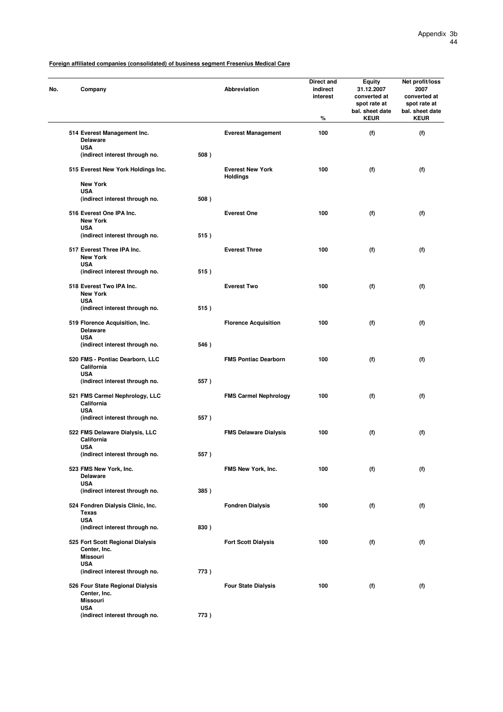| No. | Company                                                             |      | <b>Abbreviation</b>                        | Direct and<br>indirect<br>interest<br>$\%$ | Equity<br>31.12.2007<br>converted at<br>spot rate at<br>bal. sheet date<br><b>KEUR</b> | Net profit/loss<br>2007<br>converted at<br>spot rate at<br>bal. sheet date<br><b>KEUR</b> |
|-----|---------------------------------------------------------------------|------|--------------------------------------------|--------------------------------------------|----------------------------------------------------------------------------------------|-------------------------------------------------------------------------------------------|
|     | 514 Everest Management Inc.<br><b>Delaware</b>                      |      | <b>Everest Management</b>                  | 100                                        | (f)                                                                                    | (f)                                                                                       |
|     | <b>USA</b><br>(indirect interest through no.                        | 508) |                                            |                                            |                                                                                        |                                                                                           |
|     | 515 Everest New York Holdings Inc.                                  |      | <b>Everest New York</b><br><b>Holdings</b> | 100                                        | (f)                                                                                    | (f)                                                                                       |
|     | <b>New York</b><br><b>USA</b>                                       |      |                                            |                                            |                                                                                        |                                                                                           |
|     | (indirect interest through no.                                      | 508) |                                            |                                            |                                                                                        |                                                                                           |
|     | 516 Everest One IPA Inc.<br><b>New York</b><br><b>USA</b>           |      | <b>Everest One</b>                         | 100                                        | (f)                                                                                    | (f)                                                                                       |
|     | (indirect interest through no.                                      | 515) |                                            |                                            |                                                                                        |                                                                                           |
|     | 517 Everest Three IPA Inc.<br><b>New York</b>                       |      | <b>Everest Three</b>                       | 100                                        | (f)                                                                                    | (f)                                                                                       |
|     | <b>USA</b><br>(indirect interest through no.                        | 515) |                                            |                                            |                                                                                        |                                                                                           |
|     | 518 Everest Two IPA Inc.<br><b>New York</b>                         |      | <b>Everest Two</b>                         | 100                                        | (f)                                                                                    | (f)                                                                                       |
|     | <b>USA</b><br>(indirect interest through no.                        | 515) |                                            |                                            |                                                                                        |                                                                                           |
|     | 519 Florence Acquisition, Inc.<br><b>Delaware</b><br><b>USA</b>     |      | <b>Florence Acquisition</b>                | 100                                        | (f)                                                                                    | (f)                                                                                       |
|     | (indirect interest through no.                                      | 546) |                                            |                                            |                                                                                        |                                                                                           |
|     | 520 FMS - Pontiac Dearborn, LLC<br>California<br><b>USA</b>         |      | <b>FMS Pontiac Dearborn</b>                | 100                                        | (f)                                                                                    | (f)                                                                                       |
|     | (indirect interest through no.                                      | 557) |                                            |                                            |                                                                                        |                                                                                           |
|     | 521 FMS Carmel Nephrology, LLC<br>California<br><b>USA</b>          |      | <b>FMS Carmel Nephrology</b>               | 100                                        | (f)                                                                                    | (f)                                                                                       |
|     | (indirect interest through no.                                      | 557) |                                            |                                            |                                                                                        |                                                                                           |
|     | 522 FMS Delaware Dialysis, LLC<br>California<br><b>USA</b>          |      | <b>FMS Delaware Dialysis</b>               | 100                                        | (f)                                                                                    | (f)                                                                                       |
|     | (indirect interest through no.                                      | 557) |                                            |                                            |                                                                                        |                                                                                           |
|     | 523 FMS New York, Inc.<br><b>Delaware</b>                           |      | FMS New York, Inc.                         | 100                                        | (f)                                                                                    | (f)                                                                                       |
|     | <b>USA</b><br>(indirect interest through no.                        | 385) |                                            |                                            |                                                                                        |                                                                                           |
|     | 524 Fondren Dialysis Clinic, Inc.<br><b>Texas</b>                   |      | <b>Fondren Dialysis</b>                    | 100                                        | (f)                                                                                    | (f)                                                                                       |
|     | <b>USA</b><br>(indirect interest through no.                        | 830) |                                            |                                            |                                                                                        |                                                                                           |
|     | 525 Fort Scott Regional Dialysis<br>Center, Inc.<br><b>Missouri</b> |      | <b>Fort Scott Dialysis</b>                 | 100                                        | (f)                                                                                    | (f)                                                                                       |
|     | <b>USA</b><br>(indirect interest through no.                        | 773) |                                            |                                            |                                                                                        |                                                                                           |
|     | 526 Four State Regional Dialysis<br>Center, Inc.<br><b>Missouri</b> |      | <b>Four State Dialysis</b>                 | 100                                        | (f)                                                                                    | (f)                                                                                       |
|     | <b>USA</b><br>(indirect interest through no.                        | 773) |                                            |                                            |                                                                                        |                                                                                           |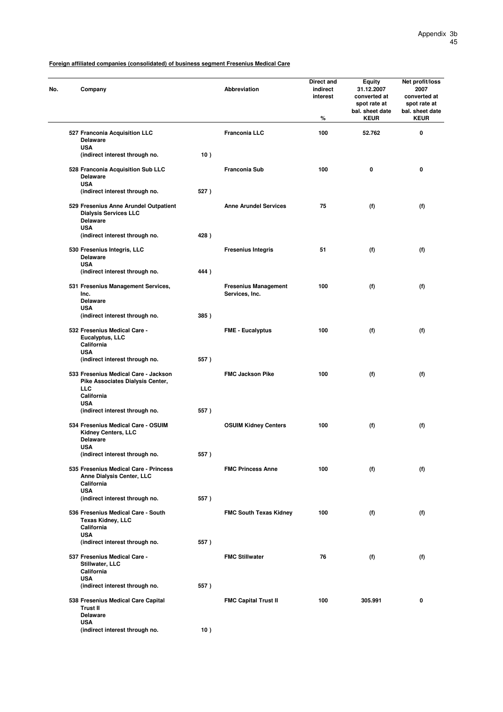| No. | Company                                                                                                |      | <b>Abbreviation</b>                           | Direct and<br>indirect<br>interest<br>% | <b>Equity</b><br>31.12.2007<br>converted at<br>spot rate at<br>bal. sheet date<br><b>KEUR</b> | Net profit/loss<br>2007<br>converted at<br>spot rate at<br>bal. sheet date<br><b>KEUR</b> |
|-----|--------------------------------------------------------------------------------------------------------|------|-----------------------------------------------|-----------------------------------------|-----------------------------------------------------------------------------------------------|-------------------------------------------------------------------------------------------|
|     | 527 Franconia Acquisition LLC<br><b>Delaware</b>                                                       |      | <b>Franconia LLC</b>                          | 100                                     | 52.762                                                                                        | 0                                                                                         |
|     | <b>USA</b><br>(indirect interest through no.                                                           | 10)  |                                               |                                         |                                                                                               |                                                                                           |
|     | 528 Franconia Acquisition Sub LLC<br><b>Delaware</b>                                                   |      | Franconia Sub                                 | 100                                     | 0                                                                                             | 0                                                                                         |
|     | <b>USA</b><br>(indirect interest through no.                                                           | 527) |                                               |                                         |                                                                                               |                                                                                           |
|     | 529 Fresenius Anne Arundel Outpatient<br><b>Dialysis Services LLC</b><br><b>Delaware</b><br><b>USA</b> |      | <b>Anne Arundel Services</b>                  | 75                                      | (f)                                                                                           | (f)                                                                                       |
|     | (indirect interest through no.                                                                         | 428) |                                               |                                         |                                                                                               |                                                                                           |
|     | 530 Fresenius Integris, LLC<br><b>Delaware</b><br><b>USA</b>                                           |      | <b>Fresenius Integris</b>                     | 51                                      | (f)                                                                                           | (f)                                                                                       |
|     | (indirect interest through no.                                                                         | 444) |                                               |                                         |                                                                                               |                                                                                           |
|     | 531 Fresenius Management Services,<br>Inc.<br><b>Delaware</b>                                          |      | <b>Fresenius Management</b><br>Services, Inc. | 100                                     | (f)                                                                                           | (f)                                                                                       |
|     | <b>USA</b><br>(indirect interest through no.                                                           | 385) |                                               |                                         |                                                                                               |                                                                                           |
|     | 532 Fresenius Medical Care -<br>Eucalyptus, LLC<br>California                                          |      | <b>FME - Eucalyptus</b>                       | 100                                     | (f)                                                                                           | (f)                                                                                       |
|     | <b>USA</b><br>(indirect interest through no.                                                           | 557) |                                               |                                         |                                                                                               |                                                                                           |
|     | 533 Fresenius Medical Care - Jackson<br>Pike Associates Dialysis Center,<br><b>LLC</b><br>California   |      | <b>FMC Jackson Pike</b>                       | 100                                     | (f)                                                                                           | (f)                                                                                       |
|     | <b>USA</b><br>(indirect interest through no.                                                           | 557) |                                               |                                         |                                                                                               |                                                                                           |
|     | 534 Fresenius Medical Care - OSUIM<br>Kidney Centers, LLC<br><b>Delaware</b><br><b>USA</b>             |      | <b>OSUIM Kidney Centers</b>                   | 100                                     | (f)                                                                                           | (f)                                                                                       |
|     | (indirect interest through no.                                                                         | 557) |                                               |                                         |                                                                                               |                                                                                           |
|     | 535 Fresenius Medical Care - Princess<br>Anne Dialysis Center, LLC<br>California<br><b>USA</b>         |      | <b>FMC Princess Anne</b>                      | 100                                     | (f)                                                                                           | (f)                                                                                       |
|     | (indirect interest through no.                                                                         | 557) |                                               |                                         |                                                                                               |                                                                                           |
|     | 536 Fresenius Medical Care - South<br><b>Texas Kidney, LLC</b><br>California<br><b>USA</b>             |      | <b>FMC South Texas Kidney</b>                 | 100                                     | (f)                                                                                           | (f)                                                                                       |
|     | (indirect interest through no.                                                                         | 557) |                                               |                                         |                                                                                               |                                                                                           |
|     | 537 Fresenius Medical Care -<br>Stillwater, LLC<br>California                                          |      | <b>FMC Stillwater</b>                         | 76                                      | (f)                                                                                           | (f)                                                                                       |
|     | <b>USA</b><br>(indirect interest through no.                                                           | 557) |                                               |                                         |                                                                                               |                                                                                           |
|     | 538 Fresenius Medical Care Capital<br><b>Trust II</b><br><b>Delaware</b><br><b>USA</b>                 |      | <b>FMC Capital Trust II</b>                   | 100                                     | 305.991                                                                                       | 0                                                                                         |

**(indirect interest through no. 10 )**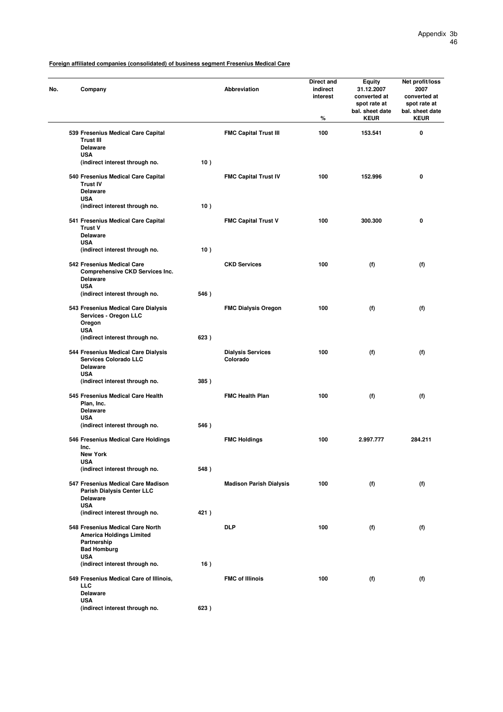| No. | Company                                                                                                  |      | <b>Abbreviation</b>                  | Direct and<br>indirect<br>interest<br>% | <b>Equity</b><br>31.12.2007<br>converted at<br>spot rate at<br>bal. sheet date<br><b>KEUR</b> | Net profit/loss<br>2007<br>converted at<br>spot rate at<br>bal. sheet date<br><b>KEUR</b> |
|-----|----------------------------------------------------------------------------------------------------------|------|--------------------------------------|-----------------------------------------|-----------------------------------------------------------------------------------------------|-------------------------------------------------------------------------------------------|
|     | 539 Fresenius Medical Care Capital<br>Trust III                                                          |      | <b>FMC Capital Trust III</b>         | 100                                     | 153.541                                                                                       | 0                                                                                         |
|     | <b>Delaware</b><br><b>USA</b><br>(indirect interest through no.                                          | 10)  |                                      |                                         |                                                                                               |                                                                                           |
|     | 540 Fresenius Medical Care Capital<br><b>Trust IV</b><br><b>Delaware</b><br><b>USA</b>                   |      | <b>FMC Capital Trust IV</b>          | 100                                     | 152.996                                                                                       | 0                                                                                         |
|     | (indirect interest through no.                                                                           | 10)  |                                      |                                         |                                                                                               |                                                                                           |
|     | 541 Fresenius Medical Care Capital<br><b>Trust V</b>                                                     |      | <b>FMC Capital Trust V</b>           | 100                                     | 300.300                                                                                       | 0                                                                                         |
|     | <b>Delaware</b><br><b>USA</b><br>(indirect interest through no.                                          | 10)  |                                      |                                         |                                                                                               |                                                                                           |
|     | 542 Fresenius Medical Care<br>Comprehensive CKD Services Inc.<br><b>Delaware</b><br><b>USA</b>           |      | <b>CKD Services</b>                  | 100                                     | (f)                                                                                           | (f)                                                                                       |
|     | (indirect interest through no.                                                                           | 546) |                                      |                                         |                                                                                               |                                                                                           |
|     | 543 Fresenius Medical Care Dialysis<br>Services - Oregon LLC<br>Oregon                                   |      | <b>FMC Dialysis Oregon</b>           | 100                                     | (f)                                                                                           | (f)                                                                                       |
|     | <b>USA</b><br>(indirect interest through no.                                                             | 623) |                                      |                                         |                                                                                               |                                                                                           |
|     | 544 Fresenius Medical Care Dialysis<br><b>Services Colorado LLC</b><br><b>Delaware</b><br><b>USA</b>     |      | <b>Dialysis Services</b><br>Colorado | 100                                     | (f)                                                                                           | (f)                                                                                       |
|     | (indirect interest through no.                                                                           | 385) |                                      |                                         |                                                                                               |                                                                                           |
|     | 545 Fresenius Medical Care Health<br>Plan, Inc.<br><b>Delaware</b>                                       |      | <b>FMC Health Plan</b>               | 100                                     | (f)                                                                                           | (f)                                                                                       |
|     | <b>USA</b><br>(indirect interest through no.                                                             | 546) |                                      |                                         |                                                                                               |                                                                                           |
|     | 546 Fresenius Medical Care Holdings<br>Inc.                                                              |      | <b>FMC Holdings</b>                  | 100                                     | 2.997.777                                                                                     | 284.211                                                                                   |
|     | New York<br><b>USA</b>                                                                                   |      |                                      |                                         |                                                                                               |                                                                                           |
|     | (indirect interest through no.                                                                           | 548) |                                      |                                         |                                                                                               |                                                                                           |
|     | 547 Fresenius Medical Care Madison<br><b>Parish Dialysis Center LLC</b><br><b>Delaware</b>               |      | <b>Madison Parish Dialysis</b>       | 100                                     | (f)                                                                                           | (f)                                                                                       |
|     | <b>USA</b><br>(indirect interest through no.                                                             | 421) |                                      |                                         |                                                                                               |                                                                                           |
|     | 548 Fresenius Medical Care North<br><b>America Holdings Limited</b><br>Partnership<br><b>Bad Homburg</b> |      | <b>DLP</b>                           | 100                                     | (f)                                                                                           | (f)                                                                                       |
|     | <b>USA</b><br>(indirect interest through no.                                                             | 16)  |                                      |                                         |                                                                                               |                                                                                           |
|     | 549 Fresenius Medical Care of Illinois,<br><b>LLC</b><br><b>Delaware</b>                                 |      | <b>FMC of Illinois</b>               | 100                                     | (f)                                                                                           | (f)                                                                                       |
|     | <b>USA</b><br>(indirect interest through no.                                                             | 623) |                                      |                                         |                                                                                               |                                                                                           |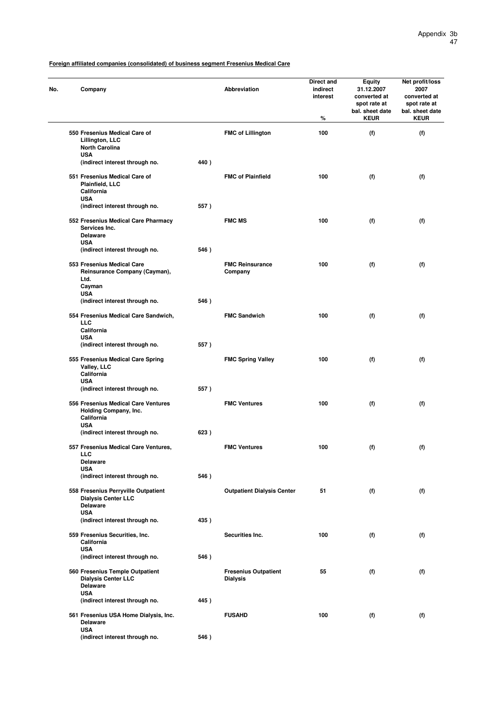| No. | Company                                                                                            |      | <b>Abbreviation</b>                            | Direct and<br>indirect<br>interest<br>% | <b>Equity</b><br>31.12.2007<br>converted at<br>spot rate at<br>bal. sheet date<br><b>KEUR</b> | Net profit/loss<br>2007<br>converted at<br>spot rate at<br>bal. sheet date<br><b>KEUR</b> |
|-----|----------------------------------------------------------------------------------------------------|------|------------------------------------------------|-----------------------------------------|-----------------------------------------------------------------------------------------------|-------------------------------------------------------------------------------------------|
|     | 550 Fresenius Medical Care of<br>Lillington, LLC<br><b>North Carolina</b>                          |      | <b>FMC of Lillington</b>                       | 100                                     | (f)                                                                                           | (f)                                                                                       |
|     | <b>USA</b><br>(indirect interest through no.                                                       | 440) |                                                |                                         |                                                                                               |                                                                                           |
|     | 551 Fresenius Medical Care of<br>Plainfield, LLC<br>California<br><b>USA</b>                       |      | <b>FMC of Plainfield</b>                       | 100                                     | (f)                                                                                           | (f)                                                                                       |
|     | (indirect interest through no.                                                                     | 557) |                                                |                                         |                                                                                               |                                                                                           |
|     | 552 Fresenius Medical Care Pharmacy<br>Services Inc.<br><b>Delaware</b>                            |      | <b>FMC MS</b>                                  | 100                                     | (f)                                                                                           | (f)                                                                                       |
|     | <b>USA</b><br>(indirect interest through no.                                                       | 546) |                                                |                                         |                                                                                               |                                                                                           |
|     | 553 Fresenius Medical Care<br>Reinsurance Company (Cayman),<br>Ltd.<br>Cayman                      |      | <b>FMC Reinsurance</b><br>Company              | 100                                     | (f)                                                                                           | (f)                                                                                       |
|     | <b>USA</b><br>(indirect interest through no.                                                       | 546) |                                                |                                         |                                                                                               |                                                                                           |
|     | 554 Fresenius Medical Care Sandwich,<br>LLC                                                        |      | <b>FMC Sandwich</b>                            | 100                                     | (f)                                                                                           | (f)                                                                                       |
|     | California<br><b>USA</b>                                                                           |      |                                                |                                         |                                                                                               |                                                                                           |
|     | (indirect interest through no.                                                                     | 557) |                                                |                                         |                                                                                               |                                                                                           |
|     | 555 Fresenius Medical Care Spring<br>Valley, LLC<br>California<br><b>USA</b>                       |      | <b>FMC Spring Valley</b>                       | 100                                     | (f)                                                                                           | (f)                                                                                       |
|     | (indirect interest through no.                                                                     | 557) |                                                |                                         |                                                                                               |                                                                                           |
|     | 556 Fresenius Medical Care Ventures<br>Holding Company, Inc.<br>California<br><b>USA</b>           |      | <b>FMC Ventures</b>                            | 100                                     | (f)                                                                                           | (f)                                                                                       |
|     | (indirect interest through no.                                                                     | 623) |                                                |                                         |                                                                                               |                                                                                           |
|     | 557 Fresenius Medical Care Ventures,<br><b>LLC</b><br><b>Delaware</b>                              |      | <b>FMC Ventures</b>                            | 100                                     | (f)                                                                                           | (f)                                                                                       |
|     | <b>USA</b>                                                                                         |      |                                                |                                         |                                                                                               |                                                                                           |
|     | (indirect interest through no.                                                                     | 546) |                                                |                                         |                                                                                               |                                                                                           |
|     | 558 Fresenius Perryville Outpatient<br><b>Dialysis Center LLC</b><br><b>Delaware</b><br><b>USA</b> |      | <b>Outpatient Dialysis Center</b>              | 51                                      | (f)                                                                                           | (f)                                                                                       |
|     | (indirect interest through no.                                                                     | 435) |                                                |                                         |                                                                                               |                                                                                           |
|     | 559 Fresenius Securities, Inc.<br>California<br><b>USA</b>                                         |      | Securities Inc.                                | 100                                     | (f)                                                                                           | (f)                                                                                       |
|     | (indirect interest through no.                                                                     | 546) |                                                |                                         |                                                                                               |                                                                                           |
|     | 560 Fresenius Temple Outpatient<br><b>Dialysis Center LLC</b><br><b>Delaware</b><br><b>USA</b>     |      | <b>Fresenius Outpatient</b><br><b>Dialysis</b> | 55                                      | (f)                                                                                           | (f)                                                                                       |
|     | (indirect interest through no.                                                                     | 445) |                                                |                                         |                                                                                               |                                                                                           |
|     | 561 Fresenius USA Home Dialysis, Inc.<br><b>Delaware</b><br><b>USA</b>                             |      | <b>FUSAHD</b>                                  | 100                                     | (f)                                                                                           | (f)                                                                                       |
|     | (indirect interest through no.                                                                     | 546) |                                                |                                         |                                                                                               |                                                                                           |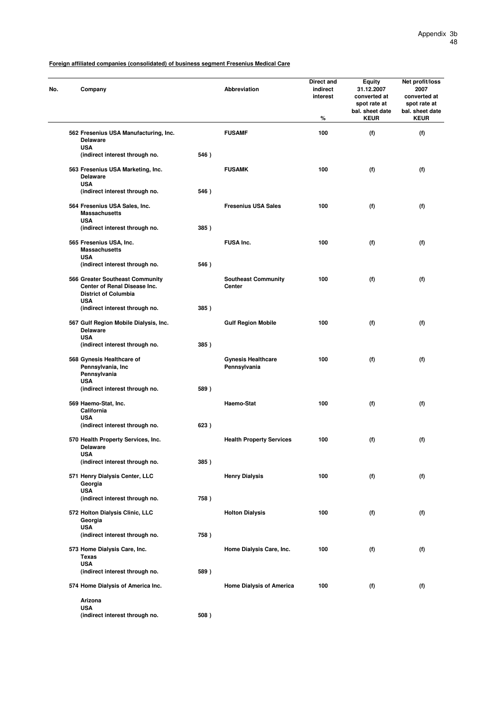| No. | Company                                                                                                      |      | Abbreviation                                | Direct and<br>indirect<br>interest<br>% | Equity<br>31.12.2007<br>converted at<br>spot rate at<br>bal. sheet date<br><b>KEUR</b> | Net profit/loss<br>2007<br>converted at<br>spot rate at<br>bal. sheet date<br><b>KEUR</b> |
|-----|--------------------------------------------------------------------------------------------------------------|------|---------------------------------------------|-----------------------------------------|----------------------------------------------------------------------------------------|-------------------------------------------------------------------------------------------|
|     | 562 Fresenius USA Manufacturing, Inc.<br><b>Delaware</b>                                                     |      | <b>FUSAMF</b>                               | 100                                     | (f)                                                                                    | (f)                                                                                       |
|     | <b>USA</b><br>(indirect interest through no.                                                                 | 546) |                                             |                                         |                                                                                        |                                                                                           |
|     | 563 Fresenius USA Marketing, Inc.<br><b>Delaware</b><br><b>USA</b>                                           |      | <b>FUSAMK</b>                               | 100                                     | (f)                                                                                    | (f)                                                                                       |
|     | (indirect interest through no.                                                                               | 546) |                                             |                                         |                                                                                        |                                                                                           |
|     | 564 Fresenius USA Sales, Inc.<br><b>Massachusetts</b><br><b>USA</b>                                          |      | <b>Fresenius USA Sales</b>                  | 100                                     | (f)                                                                                    | (f)                                                                                       |
|     | (indirect interest through no.                                                                               | 385) |                                             |                                         |                                                                                        |                                                                                           |
|     | 565 Fresenius USA, Inc.<br><b>Massachusetts</b><br><b>USA</b>                                                |      | <b>FUSA Inc.</b>                            | 100                                     | (f)                                                                                    | (f)                                                                                       |
|     | (indirect interest through no.                                                                               | 546) |                                             |                                         |                                                                                        |                                                                                           |
|     | 566 Greater Southeast Community<br>Center of Renal Disease Inc.<br><b>District of Columbia</b><br><b>USA</b> |      | <b>Southeast Community</b><br><b>Center</b> | 100                                     | (f)                                                                                    | (f)                                                                                       |
|     | (indirect interest through no.                                                                               | 385) |                                             |                                         |                                                                                        |                                                                                           |
|     | 567 Gulf Region Mobile Dialysis, Inc.<br><b>Delaware</b><br><b>USA</b>                                       |      | <b>Gulf Region Mobile</b>                   | 100                                     | (f)                                                                                    | (f)                                                                                       |
|     | (indirect interest through no.                                                                               | 385) |                                             |                                         |                                                                                        |                                                                                           |
|     | 568 Gynesis Healthcare of<br>Pennsylvania, Inc<br>Pennsylvania<br><b>USA</b>                                 |      | <b>Gynesis Healthcare</b><br>Pennsylvania   | 100                                     | (f)                                                                                    | (f)                                                                                       |
|     | (indirect interest through no.                                                                               | 589) |                                             |                                         |                                                                                        |                                                                                           |
|     | 569 Haemo-Stat, Inc.<br>California<br><b>USA</b>                                                             |      | Haemo-Stat                                  | 100                                     | (f)                                                                                    | (f)                                                                                       |
|     | (indirect interest through no.                                                                               | 623) |                                             |                                         |                                                                                        |                                                                                           |
|     | 570 Health Property Services, Inc.<br><b>Delaware</b>                                                        |      | <b>Health Property Services</b>             | 100                                     | (f)                                                                                    | (f)                                                                                       |
|     | USA<br>(indirect interest through no.                                                                        | 385) |                                             |                                         |                                                                                        |                                                                                           |
|     | 571 Henry Dialysis Center, LLC<br>Georgia                                                                    |      | <b>Henry Dialysis</b>                       | 100                                     | (f)                                                                                    | (f)                                                                                       |
|     | <b>USA</b><br>(indirect interest through no.                                                                 | 758) |                                             |                                         |                                                                                        |                                                                                           |
|     | 572 Holton Dialysis Clinic, LLC<br>Georgia<br><b>USA</b>                                                     |      | <b>Holton Dialysis</b>                      | 100                                     | (f)                                                                                    | (f)                                                                                       |
|     | (indirect interest through no.                                                                               | 758) |                                             |                                         |                                                                                        |                                                                                           |
|     | 573 Home Dialysis Care, Inc.<br>Texas                                                                        |      | Home Dialysis Care, Inc.                    | 100                                     | (f)                                                                                    | (f)                                                                                       |
|     | <b>USA</b><br>(indirect interest through no.                                                                 | 589) |                                             |                                         |                                                                                        |                                                                                           |
|     | 574 Home Dialysis of America Inc.                                                                            |      | <b>Home Dialysis of America</b>             | 100                                     | (f)                                                                                    | (f)                                                                                       |
|     | Arizona<br><b>USA</b>                                                                                        |      |                                             |                                         |                                                                                        |                                                                                           |

**(indirect interest through no. 508 )**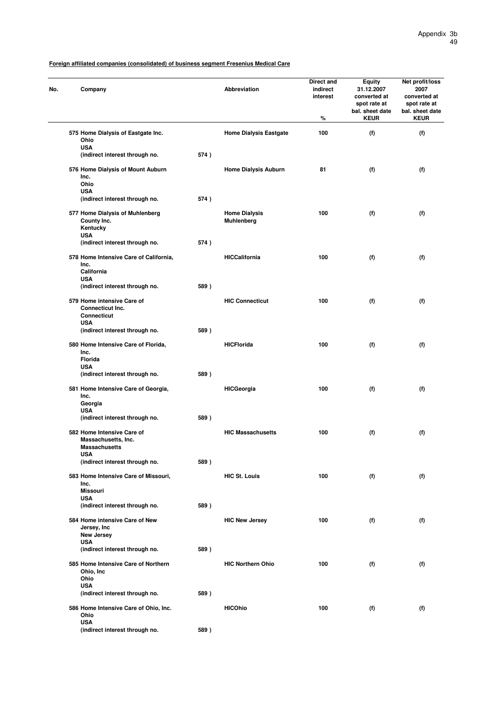| No. | Company                                                                   |      | Abbreviation                       | Direct and<br>indirect<br>interest<br>% | <b>Equity</b><br>31.12.2007<br>converted at<br>spot rate at<br>bal. sheet date<br><b>KEUR</b> | Net profit/loss<br>2007<br>converted at<br>spot rate at<br>bal. sheet date<br><b>KEUR</b> |
|-----|---------------------------------------------------------------------------|------|------------------------------------|-----------------------------------------|-----------------------------------------------------------------------------------------------|-------------------------------------------------------------------------------------------|
|     | 575 Home Dialysis of Eastgate Inc.<br>Ohio                                |      | <b>Home Dialysis Eastgate</b>      | 100                                     | (f)                                                                                           | (f)                                                                                       |
|     | <b>USA</b><br>(indirect interest through no.                              | 574) |                                    |                                         |                                                                                               |                                                                                           |
|     | 576 Home Dialysis of Mount Auburn<br>Inc.<br>Ohio                         |      | <b>Home Dialysis Auburn</b>        | 81                                      | (f)                                                                                           | (f)                                                                                       |
|     | <b>USA</b>                                                                | 574) |                                    |                                         |                                                                                               |                                                                                           |
|     | (indirect interest through no.                                            |      |                                    |                                         |                                                                                               |                                                                                           |
|     | 577 Home Dialysis of Muhlenberg<br>County Inc.<br>Kentucky<br><b>USA</b>  |      | <b>Home Dialysis</b><br>Muhlenberg | 100                                     | (f)                                                                                           | (f)                                                                                       |
|     | (indirect interest through no.                                            | 574) |                                    |                                         |                                                                                               |                                                                                           |
|     | 578 Home Intensive Care of California,<br>Inc.<br>California              |      | <b>HICCalifornia</b>               | 100                                     | (f)                                                                                           | (f)                                                                                       |
|     | <b>USA</b><br>(indirect interest through no.                              | 589) |                                    |                                         |                                                                                               |                                                                                           |
|     | 579 Home intensive Care of<br>Connecticut Inc.                            |      | <b>HIC Connecticut</b>             | 100                                     | (f)                                                                                           | (f)                                                                                       |
|     | <b>Connecticut</b><br><b>USA</b><br>(indirect interest through no.        | 589) |                                    |                                         |                                                                                               |                                                                                           |
|     | 580 Home Intensive Care of Florida,                                       |      | <b>HICFlorida</b>                  | 100                                     | (f)                                                                                           | (f)                                                                                       |
|     | Inc.<br><b>Florida</b>                                                    |      |                                    |                                         |                                                                                               |                                                                                           |
|     | <b>USA</b><br>(indirect interest through no.                              | 589) |                                    |                                         |                                                                                               |                                                                                           |
|     | 581 Home Intensive Care of Georgia,<br>Inc.<br>Georgia                    |      | <b>HICGeorgia</b>                  | 100                                     | (f)                                                                                           | (f)                                                                                       |
|     | <b>USA</b><br>(indirect interest through no.                              | 589) |                                    |                                         |                                                                                               |                                                                                           |
|     | 582 Home Intensive Care of<br>Massachusetts, Inc.<br><b>Massachusetts</b> |      | <b>HIC Massachusetts</b>           | 100                                     | (f)                                                                                           | (f)                                                                                       |
|     | <b>USA</b>                                                                |      |                                    |                                         |                                                                                               |                                                                                           |
|     | (indirect interest through no.                                            | 589) |                                    |                                         |                                                                                               |                                                                                           |
|     | 583 Home Intensive Care of Missouri,<br>Inc.<br><b>Missouri</b>           |      | <b>HIC St. Louis</b>               | 100                                     | (f)                                                                                           | (f)                                                                                       |
|     | <b>USA</b><br>(indirect interest through no.                              | 589) |                                    |                                         |                                                                                               |                                                                                           |
|     | 584 Home intensive Care of New<br>Jersey, Inc.                            |      | <b>HIC New Jersey</b>              | 100                                     | (f)                                                                                           | (f)                                                                                       |
|     | <b>New Jersey</b>                                                         |      |                                    |                                         |                                                                                               |                                                                                           |
|     | <b>USA</b><br>(indirect interest through no.                              | 589) |                                    |                                         |                                                                                               |                                                                                           |
|     | 585 Home Intensive Care of Northern<br>Ohio, Inc                          |      | <b>HIC Northern Ohio</b>           | 100                                     | (f)                                                                                           | (f)                                                                                       |
|     | Ohio<br><b>USA</b>                                                        |      |                                    |                                         |                                                                                               |                                                                                           |
|     | (indirect interest through no.                                            | 589) |                                    |                                         |                                                                                               |                                                                                           |
|     | 586 Home Intensive Care of Ohio, Inc.<br>Ohio<br><b>USA</b>               |      | <b>HICOhio</b>                     | 100                                     | (f)                                                                                           | (f)                                                                                       |
|     | (indirect interest through no.                                            | 589) |                                    |                                         |                                                                                               |                                                                                           |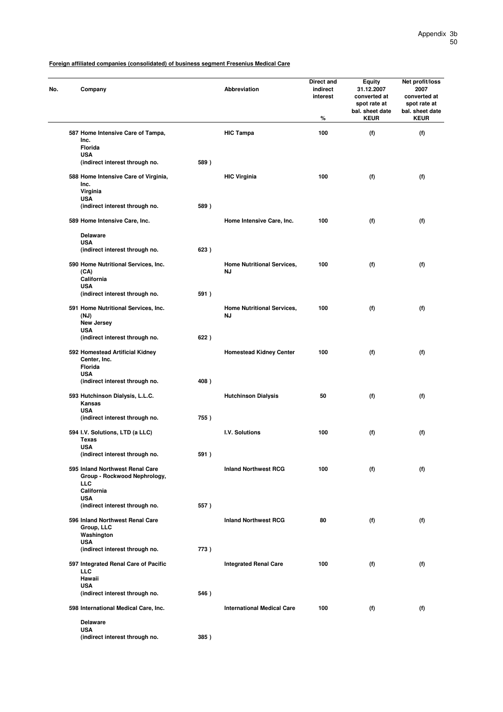| No. | Company                                      |      | Abbreviation                      | Direct and<br>indirect<br>interest<br>% | <b>Equity</b><br>31.12.2007<br>converted at<br>spot rate at<br>bal. sheet date<br><b>KEUR</b> | Net profit/loss<br>2007<br>converted at<br>spot rate at<br>bal. sheet date<br><b>KEUR</b> |
|-----|----------------------------------------------|------|-----------------------------------|-----------------------------------------|-----------------------------------------------------------------------------------------------|-------------------------------------------------------------------------------------------|
|     | 587 Home Intensive Care of Tampa,<br>Inc.    |      | <b>HIC Tampa</b>                  | 100                                     | (f)                                                                                           | (f)                                                                                       |
|     | Florida                                      |      |                                   |                                         |                                                                                               |                                                                                           |
|     | <b>USA</b><br>(indirect interest through no. | 589) |                                   |                                         |                                                                                               |                                                                                           |
|     |                                              |      |                                   |                                         |                                                                                               |                                                                                           |
|     | 588 Home Intensive Care of Virginia,<br>Inc. |      | <b>HIC Virginia</b>               | 100                                     | (f)                                                                                           | (f)                                                                                       |
|     | Virginia                                     |      |                                   |                                         |                                                                                               |                                                                                           |
|     | <b>USA</b>                                   |      |                                   |                                         |                                                                                               |                                                                                           |
|     | (indirect interest through no.               | 589) |                                   |                                         |                                                                                               |                                                                                           |
|     | 589 Home Intensive Care, Inc.                |      | Home Intensive Care, Inc.         | 100                                     | (f)                                                                                           | (f)                                                                                       |
|     | <b>Delaware</b>                              |      |                                   |                                         |                                                                                               |                                                                                           |
|     | <b>USA</b><br>(indirect interest through no. | 623) |                                   |                                         |                                                                                               |                                                                                           |
|     |                                              |      |                                   |                                         |                                                                                               |                                                                                           |
|     | 590 Home Nutritional Services, Inc.          |      | <b>Home Nutritional Services,</b> | 100                                     | (f)                                                                                           | (f)                                                                                       |
|     | (CA)<br>California                           |      | ΝJ                                |                                         |                                                                                               |                                                                                           |
|     | <b>USA</b>                                   |      |                                   |                                         |                                                                                               |                                                                                           |
|     | (indirect interest through no.               | 591) |                                   |                                         |                                                                                               |                                                                                           |
|     | 591 Home Nutritional Services, Inc.          |      | <b>Home Nutritional Services,</b> | 100                                     | (f)                                                                                           | (f)                                                                                       |
|     | (NJ)                                         |      | ΝJ                                |                                         |                                                                                               |                                                                                           |
|     | <b>New Jersey</b><br><b>USA</b>              |      |                                   |                                         |                                                                                               |                                                                                           |
|     | (indirect interest through no.               | 622) |                                   |                                         |                                                                                               |                                                                                           |
|     | 592 Homestead Artificial Kidney              |      | <b>Homestead Kidney Center</b>    | 100                                     | (f)                                                                                           | (f)                                                                                       |
|     | Center, Inc.                                 |      |                                   |                                         |                                                                                               |                                                                                           |
|     | Florida                                      |      |                                   |                                         |                                                                                               |                                                                                           |
|     | <b>USA</b><br>(indirect interest through no. | 408) |                                   |                                         |                                                                                               |                                                                                           |
|     |                                              |      |                                   |                                         |                                                                                               |                                                                                           |
|     | 593 Hutchinson Dialysis, L.L.C.              |      | <b>Hutchinson Dialysis</b>        | 50                                      | (f)                                                                                           | (f)                                                                                       |
|     | Kansas<br><b>USA</b>                         |      |                                   |                                         |                                                                                               |                                                                                           |
|     | (indirect interest through no.               | 755) |                                   |                                         |                                                                                               |                                                                                           |
|     |                                              |      |                                   |                                         |                                                                                               |                                                                                           |
|     | 594 I.V. Solutions, LTD (a LLC)<br>Texas     |      | I.V. Solutions                    | 100                                     | (f)                                                                                           | (f)                                                                                       |
|     | <b>USA</b>                                   |      |                                   |                                         |                                                                                               |                                                                                           |
|     | (indirect interest through no.               | 591) |                                   |                                         |                                                                                               |                                                                                           |
|     | 595 Inland Northwest Renal Care              |      | <b>Inland Northwest RCG</b>       | 100                                     | (f)                                                                                           | (f)                                                                                       |
|     | Group - Rockwood Nephrology,                 |      |                                   |                                         |                                                                                               |                                                                                           |
|     | LLC                                          |      |                                   |                                         |                                                                                               |                                                                                           |
|     | California<br><b>USA</b>                     |      |                                   |                                         |                                                                                               |                                                                                           |
|     | (indirect interest through no.               | 557) |                                   |                                         |                                                                                               |                                                                                           |
|     | 596 Inland Northwest Renal Care              |      | <b>Inland Northwest RCG</b>       | 80                                      | (f)                                                                                           | (f)                                                                                       |
|     | Group, LLC                                   |      |                                   |                                         |                                                                                               |                                                                                           |
|     | Washington<br><b>USA</b>                     |      |                                   |                                         |                                                                                               |                                                                                           |
|     | (indirect interest through no.               | 773) |                                   |                                         |                                                                                               |                                                                                           |
|     | 597 Integrated Renal Care of Pacific         |      | <b>Integrated Renal Care</b>      | 100                                     | (f)                                                                                           | (f)                                                                                       |
|     | <b>LLC</b><br>Hawaii                         |      |                                   |                                         |                                                                                               |                                                                                           |
|     | <b>USA</b>                                   |      |                                   |                                         |                                                                                               |                                                                                           |
|     | (indirect interest through no.               | 546) |                                   |                                         |                                                                                               |                                                                                           |
|     | 598 International Medical Care, Inc.         |      | <b>International Medical Care</b> | 100                                     | (f)                                                                                           | (f)                                                                                       |
|     | <b>Delaware</b>                              |      |                                   |                                         |                                                                                               |                                                                                           |
|     | <b>USA</b>                                   |      |                                   |                                         |                                                                                               |                                                                                           |
|     | (indirect interest through no.               | 385) |                                   |                                         |                                                                                               |                                                                                           |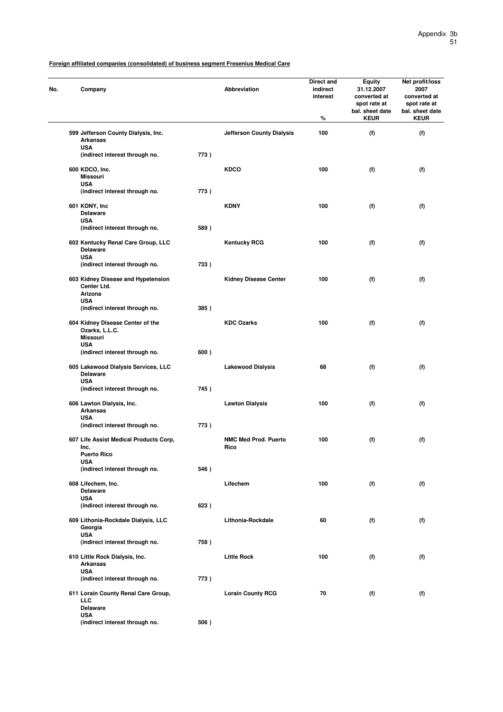| Company                                                               |      | Abbreviation                        | Direct and<br>indirect<br>interest<br>$\%$ | Equity<br>31.12.2007<br>converted at<br>spot rate at<br>bal. sheet date<br><b>KEUR</b> | Net profit/loss<br>2007<br>converted at<br>spot rate at<br>bal. sheet date<br><b>KEUR</b> |
|-----------------------------------------------------------------------|------|-------------------------------------|--------------------------------------------|----------------------------------------------------------------------------------------|-------------------------------------------------------------------------------------------|
| 599 Jefferson County Dialysis, Inc.<br><b>Arkansas</b><br><b>USA</b>  |      | <b>Jefferson County Dialysis</b>    | 100                                        | (f)                                                                                    | (f)                                                                                       |
| (indirect interest through no.                                        | 773) |                                     |                                            |                                                                                        |                                                                                           |
| 600 KDCO, Inc.<br><b>Missouri</b><br><b>USA</b>                       |      | <b>KDCO</b>                         | 100                                        | (f)                                                                                    | (f)                                                                                       |
| (indirect interest through no.                                        | 773) |                                     |                                            |                                                                                        |                                                                                           |
| 601 KDNY, Inc<br><b>Delaware</b><br><b>USA</b>                        |      | <b>KDNY</b>                         | 100                                        | (f)                                                                                    | (f)                                                                                       |
| (indirect interest through no.                                        | 589) |                                     |                                            |                                                                                        |                                                                                           |
| 602 Kentucky Renal Care Group, LLC<br><b>Delaware</b>                 |      | <b>Kentucky RCG</b>                 | 100                                        | (f)                                                                                    | (f)                                                                                       |
| <b>USA</b><br>(indirect interest through no.                          | 733) |                                     |                                            |                                                                                        |                                                                                           |
| 603 Kidney Disease and Hypetension<br>Center Ltd.<br>Arizona          |      | <b>Kidney Disease Center</b>        | 100                                        | (f)                                                                                    | (f)                                                                                       |
| <b>USA</b><br>(indirect interest through no.                          | 385) |                                     |                                            |                                                                                        |                                                                                           |
| 604 Kidney Disease Center of the<br>Ozarks, L.L.C.<br><b>Missouri</b> |      | <b>KDC Ozarks</b>                   | 100                                        | (f)                                                                                    | (f)                                                                                       |
| <b>USA</b><br>(indirect interest through no.                          | 600) |                                     |                                            |                                                                                        |                                                                                           |
| 605 Lakewood Dialysis Services, LLC<br><b>Delaware</b>                |      | <b>Lakewood Dialysis</b>            | 68                                         | (f)                                                                                    | (f)                                                                                       |
| <b>USA</b><br>(indirect interest through no.                          | 745) |                                     |                                            |                                                                                        |                                                                                           |
| 606 Lawton Dialysis, Inc.<br><b>Arkansas</b>                          |      | <b>Lawton Dialysis</b>              | 100                                        | (f)                                                                                    | (f)                                                                                       |
| <b>USA</b><br>(indirect interest through no.                          | 773) |                                     |                                            |                                                                                        |                                                                                           |
| 607 Life Assist Medical Products Corp,<br>Inc.<br><b>Puerto Rico</b>  |      | <b>NMC Med Prod. Puerto</b><br>Rico | 100                                        | (f)                                                                                    | (f)                                                                                       |
| <b>USA</b><br>(indirect interest through no.                          | 546) |                                     |                                            |                                                                                        |                                                                                           |
| 608 Lifechem, Inc.<br><b>Delaware</b>                                 |      | Lifechem                            | 100                                        | (f)                                                                                    | (f)                                                                                       |
| <b>USA</b><br>(indirect interest through no.                          | 623) |                                     |                                            |                                                                                        |                                                                                           |
| 609 Lithonia-Rockdale Dialysis, LLC<br>Georgia                        |      | Lithonia-Rockdale                   | 60                                         | (f)                                                                                    | (f)                                                                                       |
| <b>USA</b><br>(indirect interest through no.                          | 758) |                                     |                                            |                                                                                        |                                                                                           |
| 610 Little Rock Dialysis, Inc.                                        |      | <b>Little Rock</b>                  | 100                                        | (f)                                                                                    | (f)                                                                                       |
| <b>Arkansas</b><br><b>USA</b><br>(indirect interest through no.       | 773) |                                     |                                            |                                                                                        |                                                                                           |
| 611 Lorain County Renal Care Group,<br><b>LLC</b><br><b>Delaware</b>  |      | <b>Lorain County RCG</b>            | 70                                         | (f)                                                                                    | (f)                                                                                       |
| <b>USA</b><br>(indirect interest through no.                          | 506) |                                     |                                            |                                                                                        |                                                                                           |
|                                                                       |      |                                     |                                            |                                                                                        |                                                                                           |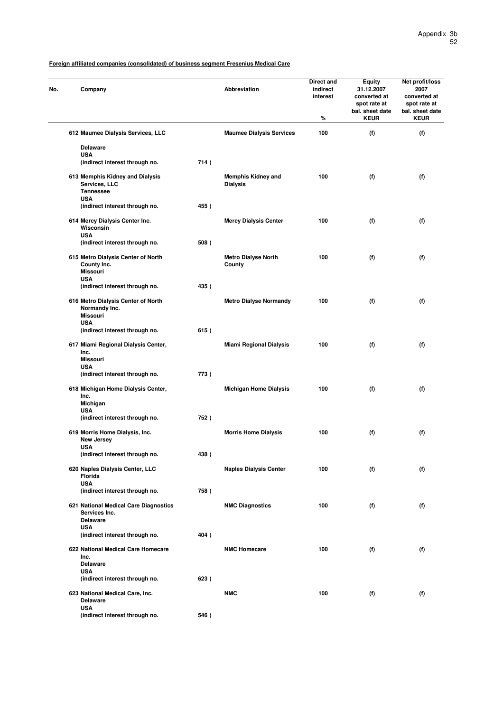| No. | Company                                                                                 |      | Abbreviation                                 | Direct and<br>indirect<br>interest<br>℅ | <b>Equity</b><br>31.12.2007<br>converted at<br>spot rate at<br>bal. sheet date<br><b>KEUR</b> | Net profit/loss<br>2007<br>converted at<br>spot rate at<br>bal. sheet date<br><b>KEUR</b> |
|-----|-----------------------------------------------------------------------------------------|------|----------------------------------------------|-----------------------------------------|-----------------------------------------------------------------------------------------------|-------------------------------------------------------------------------------------------|
|     | 612 Maumee Dialysis Services, LLC                                                       |      | <b>Maumee Dialysis Services</b>              | 100                                     | (f)                                                                                           | (f)                                                                                       |
|     | <b>Delaware</b><br><b>USA</b><br>(indirect interest through no.                         | 714) |                                              |                                         |                                                                                               |                                                                                           |
|     | 613 Memphis Kidney and Dialysis<br>Services, LLC<br><b>Tennessee</b><br><b>USA</b>      |      | <b>Memphis Kidney and</b><br><b>Dialysis</b> | 100                                     | (f)                                                                                           | (f)                                                                                       |
|     | (indirect interest through no.                                                          | 455) |                                              |                                         |                                                                                               |                                                                                           |
|     | 614 Mercy Dialysis Center Inc.<br>Wisconsin<br><b>USA</b>                               |      | <b>Mercy Dialysis Center</b>                 | 100                                     | (f)                                                                                           | (f)                                                                                       |
|     | (indirect interest through no.                                                          | 508) |                                              |                                         |                                                                                               |                                                                                           |
|     | 615 Metro Dialysis Center of North<br>County Inc.<br><b>Missouri</b>                    |      | <b>Metro Dialyse North</b><br>County         | 100                                     | (f)                                                                                           | (f)                                                                                       |
|     | <b>USA</b><br>(indirect interest through no.                                            | 435) |                                              |                                         |                                                                                               |                                                                                           |
|     | 616 Metro Dialysis Center of North<br>Normandy Inc.<br><b>Missouri</b>                  |      | <b>Metro Dialyse Normandy</b>                | 100                                     | (f)                                                                                           | (f)                                                                                       |
|     | <b>USA</b><br>(indirect interest through no.                                            | 615) |                                              |                                         |                                                                                               |                                                                                           |
|     | 617 Miami Regional Dialysis Center,<br>Inc.<br><b>Missouri</b>                          |      | <b>Miami Regional Dialysis</b>               | 100                                     | (f)                                                                                           | (f)                                                                                       |
|     | <b>USA</b><br>(indirect interest through no.                                            | 773) |                                              |                                         |                                                                                               |                                                                                           |
|     | 618 Michigan Home Dialysis Center,<br>Inc.<br>Michigan                                  |      | <b>Michigan Home Dialysis</b>                | 100                                     | (f)                                                                                           | (f)                                                                                       |
|     | <b>USA</b><br>(indirect interest through no.                                            | 752) |                                              |                                         |                                                                                               |                                                                                           |
|     | 619 Morris Home Dialysis, Inc.<br><b>New Jersey</b>                                     |      | <b>Morris Home Dialysis</b>                  | 100                                     | (f)                                                                                           | (f)                                                                                       |
|     | <b>USA</b><br>(indirect interest through no.                                            | 438) |                                              |                                         |                                                                                               |                                                                                           |
|     | 620 Naples Dialysis Center, LLC<br>Florida<br><b>USA</b>                                |      | <b>Naples Dialysis Center</b>                | 100                                     | (f)                                                                                           | (f)                                                                                       |
|     | (indirect interest through no.                                                          | 758) |                                              |                                         |                                                                                               |                                                                                           |
|     | 621 National Medical Care Diagnostics<br>Services Inc.<br><b>Delaware</b><br><b>USA</b> |      | <b>NMC Diagnostics</b>                       | 100                                     | (f)                                                                                           | (f)                                                                                       |
|     | (indirect interest through no.                                                          | 404) |                                              |                                         |                                                                                               |                                                                                           |
|     | 622 National Medical Care Homecare<br>Inc.<br><b>Delaware</b>                           |      | <b>NMC Homecare</b>                          | 100                                     | (f)                                                                                           | (f)                                                                                       |
|     | <b>USA</b><br>(indirect interest through no.                                            | 623) |                                              |                                         |                                                                                               |                                                                                           |
|     | 623 National Medical Care, Inc.<br><b>Delaware</b>                                      |      | <b>NMC</b>                                   | 100                                     | (f)                                                                                           | (f)                                                                                       |
|     | <b>USA</b><br>(indirect interest through no.                                            | 546) |                                              |                                         |                                                                                               |                                                                                           |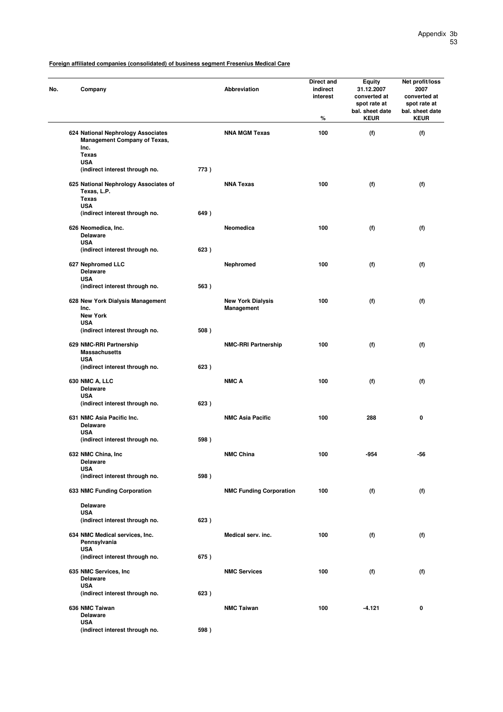| Company                                                                           |      | <b>Abbreviation</b>                    | Direct and<br>indirect<br>interest<br>% | Equity<br>31.12.2007<br>converted at<br>spot rate at<br>bal. sheet date<br><b>KEUR</b> | Net profit/loss<br>2007<br>converted at<br>spot rate at<br>bal. sheet date<br><b>KEUR</b> |
|-----------------------------------------------------------------------------------|------|----------------------------------------|-----------------------------------------|----------------------------------------------------------------------------------------|-------------------------------------------------------------------------------------------|
| 624 National Nephrology Associates<br><b>Management Company of Texas,</b><br>Inc. |      | <b>NNA MGM Texas</b>                   | 100                                     | (f)                                                                                    | (f)                                                                                       |
| <b>Texas</b>                                                                      |      |                                        |                                         |                                                                                        |                                                                                           |
| <b>USA</b><br>(indirect interest through no.                                      | 773) |                                        |                                         |                                                                                        |                                                                                           |
|                                                                                   |      |                                        |                                         |                                                                                        |                                                                                           |
| 625 National Nephrology Associates of<br>Texas, L.P.<br><b>Texas</b>              |      | <b>NNA Texas</b>                       | 100                                     | (f)                                                                                    | (f)                                                                                       |
| <b>USA</b>                                                                        |      |                                        |                                         |                                                                                        |                                                                                           |
| (indirect interest through no.                                                    | 649) |                                        |                                         |                                                                                        |                                                                                           |
| 626 Neomedica, Inc.<br><b>Delaware</b>                                            |      | Neomedica                              | 100                                     | (f)                                                                                    | (f)                                                                                       |
| <b>USA</b><br>(indirect interest through no.                                      | 623) |                                        |                                         |                                                                                        |                                                                                           |
|                                                                                   |      |                                        |                                         |                                                                                        |                                                                                           |
| 627 Nephromed LLC<br><b>Delaware</b><br><b>USA</b>                                |      | Nephromed                              | 100                                     | (f)                                                                                    | (f)                                                                                       |
| (indirect interest through no.                                                    | 563) |                                        |                                         |                                                                                        |                                                                                           |
| 628 New York Dialysis Management<br>Inc.                                          |      | <b>New York Dialysis</b><br>Management | 100                                     | (f)                                                                                    | (f)                                                                                       |
| <b>New York</b>                                                                   |      |                                        |                                         |                                                                                        |                                                                                           |
| <b>USA</b>                                                                        |      |                                        |                                         |                                                                                        |                                                                                           |
| (indirect interest through no.                                                    | 508) |                                        |                                         |                                                                                        |                                                                                           |
| 629 NMC-RRI Partnership<br><b>Massachusetts</b><br><b>USA</b>                     |      | <b>NMC-RRI Partnership</b>             | 100                                     | (f)                                                                                    | (f)                                                                                       |
| (indirect interest through no.                                                    | 623) |                                        |                                         |                                                                                        |                                                                                           |
| <b>630 NMC A, LLC</b><br><b>Delaware</b>                                          |      | <b>NMC A</b>                           | 100                                     | (f)                                                                                    | (f)                                                                                       |
| <b>USA</b>                                                                        |      |                                        |                                         |                                                                                        |                                                                                           |
| (indirect interest through no.                                                    | 623) |                                        |                                         |                                                                                        |                                                                                           |
| 631 NMC Asia Pacific Inc.<br><b>Delaware</b><br><b>USA</b>                        |      | <b>NMC Asia Pacific</b>                | 100                                     | 288                                                                                    | 0                                                                                         |
| (indirect interest through no.                                                    | 598) |                                        |                                         |                                                                                        |                                                                                           |
|                                                                                   |      |                                        |                                         |                                                                                        |                                                                                           |
| 632 NMC China, Inc<br>Delaware<br><b>USA</b>                                      |      | <b>NMC China</b>                       | 100                                     | -954                                                                                   | -56                                                                                       |
| (indirect interest through no.                                                    | 598) |                                        |                                         |                                                                                        |                                                                                           |
| 633 NMC Funding Corporation                                                       |      | <b>NMC Funding Corporation</b>         | 100                                     | (f)                                                                                    | (f)                                                                                       |
| <b>Delaware</b>                                                                   |      |                                        |                                         |                                                                                        |                                                                                           |
| <b>USA</b><br>(indirect interest through no.                                      | 623) |                                        |                                         |                                                                                        |                                                                                           |
|                                                                                   |      |                                        |                                         |                                                                                        |                                                                                           |
| 634 NMC Medical services, Inc.<br>Pennsylvania<br><b>USA</b>                      |      | Medical serv. inc.                     | 100                                     | (f)                                                                                    | (f)                                                                                       |
| (indirect interest through no.                                                    | 675) |                                        |                                         |                                                                                        |                                                                                           |
| 635 NMC Services, Inc.<br><b>Delaware</b>                                         |      | <b>NMC Services</b>                    | 100                                     | (f)                                                                                    | (f)                                                                                       |
| <b>USA</b>                                                                        |      |                                        |                                         |                                                                                        |                                                                                           |
| (indirect interest through no.                                                    | 623) |                                        |                                         |                                                                                        |                                                                                           |
| 636 NMC Taiwan<br><b>Delaware</b><br><b>USA</b>                                   |      | <b>NMC Taiwan</b>                      | 100                                     | $-4.121$                                                                               | 0                                                                                         |
| (indirect interest through no.                                                    | 598) |                                        |                                         |                                                                                        |                                                                                           |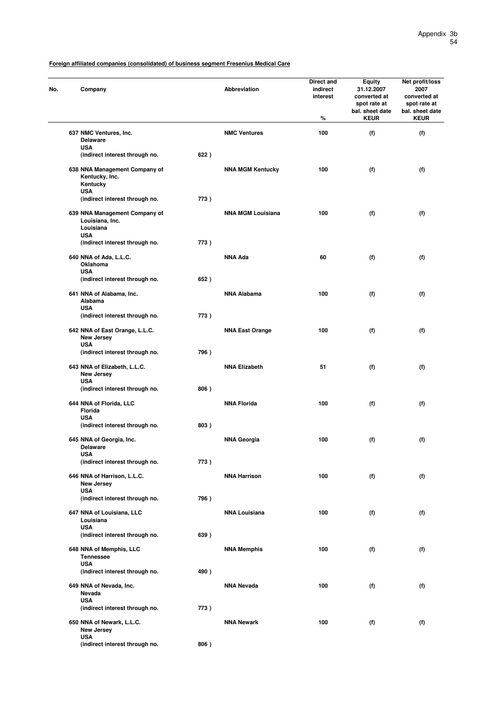| No. | Company                                                                     |      | Abbreviation             | Direct and<br>indirect<br>interest<br>% | <b>Equity</b><br>31.12.2007<br>converted at<br>spot rate at<br>bal. sheet date<br><b>KEUR</b> | Net profit/loss<br>2007<br>converted at<br>spot rate at<br>bal. sheet date<br><b>KEUR</b> |
|-----|-----------------------------------------------------------------------------|------|--------------------------|-----------------------------------------|-----------------------------------------------------------------------------------------------|-------------------------------------------------------------------------------------------|
|     | 637 NMC Ventures, Inc.<br><b>Delaware</b>                                   |      | <b>NMC Ventures</b>      | 100                                     | (f)                                                                                           | (f)                                                                                       |
|     | <b>USA</b><br>(indirect interest through no.                                | 622) |                          |                                         |                                                                                               |                                                                                           |
|     | 638 NNA Management Company of<br>Kentucky, Inc.<br>Kentucky<br><b>USA</b>   |      | <b>NNA MGM Kentucky</b>  | 100                                     | (f)                                                                                           | (f)                                                                                       |
|     | (indirect interest through no.                                              | 773) |                          |                                         |                                                                                               |                                                                                           |
|     | 639 NNA Management Company of<br>Louisiana, Inc.<br>Louisiana<br><b>USA</b> |      | <b>NNA MGM Louisiana</b> | 100                                     | (f)                                                                                           | (f)                                                                                       |
|     | (indirect interest through no.                                              | 773) |                          |                                         |                                                                                               |                                                                                           |
|     | 640 NNA of Ada, L.L.C.<br>Oklahoma<br><b>USA</b>                            |      | <b>NNA Ada</b>           | 60                                      | (f)                                                                                           | (f)                                                                                       |
|     | (indirect interest through no.                                              | 652) |                          |                                         |                                                                                               |                                                                                           |
|     | 641 NNA of Alabama, Inc.<br>Alabama<br><b>USA</b>                           |      | <b>NNA Alabama</b>       | 100                                     | (f)                                                                                           | (f)                                                                                       |
|     | (indirect interest through no.                                              | 773) |                          |                                         |                                                                                               |                                                                                           |
|     | 642 NNA of East Orange, L.L.C.<br>New Jersey                                |      | <b>NNA East Orange</b>   | 100                                     | (f)                                                                                           | (f)                                                                                       |
|     | <b>USA</b><br>(indirect interest through no.                                | 796) |                          |                                         |                                                                                               |                                                                                           |
|     | 643 NNA of Elizabeth, L.L.C.<br>New Jersey<br><b>USA</b>                    |      | <b>NNA Elizabeth</b>     | 51                                      | (f)                                                                                           | (f)                                                                                       |
|     | (indirect interest through no.                                              | 806) |                          |                                         |                                                                                               |                                                                                           |
|     | 644 NNA of Florida, LLC<br><b>Florida</b><br><b>USA</b>                     |      | <b>NNA Florida</b>       | 100                                     | (f)                                                                                           | (f)                                                                                       |
|     | (indirect interest through no.                                              | 803) |                          |                                         |                                                                                               |                                                                                           |
|     | 645 NNA of Georgia, Inc.<br><b>Delaware</b><br>USA                          |      | <b>NNA Georgia</b>       | 100                                     | (f)                                                                                           | (f)                                                                                       |
|     | (indirect interest through no.                                              | 773) |                          |                                         |                                                                                               |                                                                                           |
|     | 646 NNA of Harrison, L.L.C.<br>New Jersey<br><b>USA</b>                     |      | <b>NNA Harrison</b>      | 100                                     | (f)                                                                                           | (f)                                                                                       |
|     | (indirect interest through no.                                              | 796) |                          |                                         |                                                                                               |                                                                                           |
|     | 647 NNA of Louisiana, LLC<br>Louisiana<br><b>USA</b>                        |      | <b>NNA Louisiana</b>     | 100                                     | (f)                                                                                           | (f)                                                                                       |
|     | (indirect interest through no.                                              | 639) |                          |                                         |                                                                                               |                                                                                           |
|     | 648 NNA of Memphis, LLC<br><b>Tennessee</b><br><b>USA</b>                   |      | <b>NNA Memphis</b>       | 100                                     | (f)                                                                                           | (f)                                                                                       |
|     | (indirect interest through no.                                              | 490) |                          |                                         |                                                                                               |                                                                                           |
|     | 649 NNA of Nevada, Inc.<br>Nevada<br><b>USA</b>                             |      | <b>NNA Nevada</b>        | 100                                     | (f)                                                                                           | (f)                                                                                       |
|     | (indirect interest through no.                                              | 773) |                          |                                         |                                                                                               |                                                                                           |
|     | 650 NNA of Newark, L.L.C.<br>New Jersey<br><b>USA</b>                       |      | <b>NNA Newark</b>        | 100                                     | (f)                                                                                           | (f)                                                                                       |
|     | (indirect interest through no.                                              | 806) |                          |                                         |                                                                                               |                                                                                           |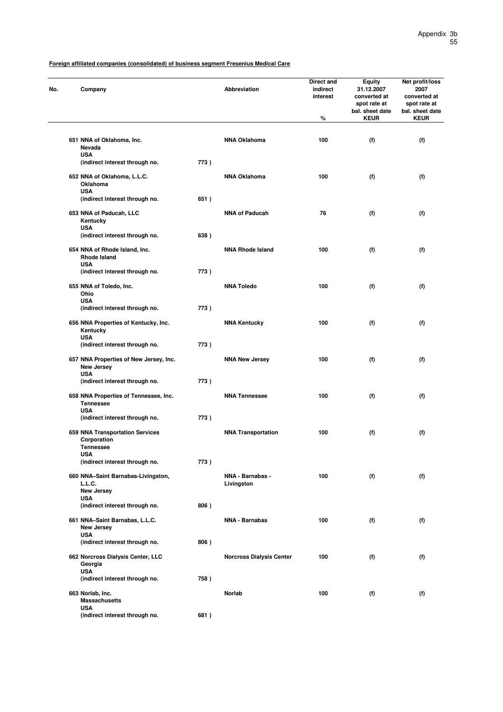| No. | Company                                                                 |      | <b>Abbreviation</b>             | Direct and<br>indirect<br>interest<br>% | <b>Equity</b><br>31.12.2007<br>converted at<br>spot rate at<br>bal. sheet date<br><b>KEUR</b> | Net profit/loss<br>2007<br>converted at<br>spot rate at<br>bal. sheet date<br><b>KEUR</b> |
|-----|-------------------------------------------------------------------------|------|---------------------------------|-----------------------------------------|-----------------------------------------------------------------------------------------------|-------------------------------------------------------------------------------------------|
|     |                                                                         |      |                                 |                                         |                                                                                               |                                                                                           |
|     | 651 NNA of Oklahoma, Inc.<br>Nevada                                     |      | <b>NNA Oklahoma</b>             | 100                                     | (f)                                                                                           | (f)                                                                                       |
|     | <b>USA</b><br>(indirect interest through no.                            | 773) |                                 |                                         |                                                                                               |                                                                                           |
|     | 652 NNA of Oklahoma, L.L.C.<br>Oklahoma<br><b>USA</b>                   |      | <b>NNA Oklahoma</b>             | 100                                     | (f)                                                                                           | (f)                                                                                       |
|     | (indirect interest through no.                                          | 651) |                                 |                                         |                                                                                               |                                                                                           |
|     | 653 NNA of Paducah, LLC<br>Kentucky<br><b>USA</b>                       |      | <b>NNA of Paducah</b>           | 76                                      | (f)                                                                                           | (f)                                                                                       |
|     | (indirect interest through no.                                          | 638) |                                 |                                         |                                                                                               |                                                                                           |
|     | 654 NNA of Rhode Island, Inc.<br><b>Rhode Island</b><br><b>USA</b>      |      | <b>NNA Rhode Island</b>         | 100                                     | (f)                                                                                           | (f)                                                                                       |
|     | (indirect interest through no.                                          | 773) |                                 |                                         |                                                                                               |                                                                                           |
|     | 655 NNA of Toledo, Inc.<br>Ohio                                         |      | <b>NNA Toledo</b>               | 100                                     | (f)                                                                                           | (f)                                                                                       |
|     | <b>USA</b><br>(indirect interest through no.                            | 773) |                                 |                                         |                                                                                               |                                                                                           |
|     | 656 NNA Properties of Kentucky, Inc.<br>Kentucky                        |      | <b>NNA Kentucky</b>             | 100                                     | (f)                                                                                           | (f)                                                                                       |
|     | <b>USA</b><br>(indirect interest through no.                            | 773) |                                 |                                         |                                                                                               |                                                                                           |
|     | 657 NNA Properties of New Jersey, Inc.<br>New Jersey                    |      | <b>NNA New Jersey</b>           | 100                                     | (f)                                                                                           | (f)                                                                                       |
|     | <b>USA</b><br>(indirect interest through no.                            | 773) |                                 |                                         |                                                                                               |                                                                                           |
|     | 658 NNA Properties of Tennessee, Inc.<br><b>Tennessee</b><br><b>USA</b> |      | <b>NNA Tennessee</b>            | 100                                     | (f)                                                                                           | (f)                                                                                       |
|     | (indirect interest through no.                                          | 773) |                                 |                                         |                                                                                               |                                                                                           |
|     | 659 NNA Transportation Services<br>Corporation<br><b>Tennessee</b>      |      | <b>NNA Transportation</b>       | 100                                     | (f)                                                                                           | (f)                                                                                       |
|     | USA<br>(indirect interest through no.                                   | 773) |                                 |                                         |                                                                                               |                                                                                           |
|     | 660 NNA-Saint Barnabas-Livingston,<br>L.L.C.                            |      | NNA - Barnabas -<br>Livingston  | 100                                     | (f)                                                                                           | (f)                                                                                       |
|     | <b>New Jersey</b><br><b>USA</b>                                         |      |                                 |                                         |                                                                                               |                                                                                           |
|     | (indirect interest through no.                                          | 806) |                                 |                                         |                                                                                               |                                                                                           |
|     | 661 NNA-Saint Barnabas, L.L.C.<br>New Jersey<br><b>USA</b>              |      | <b>NNA - Barnabas</b>           | 100                                     | (f)                                                                                           | (f)                                                                                       |
|     | (indirect interest through no.                                          | 806) |                                 |                                         |                                                                                               |                                                                                           |
|     | 662 Norcross Dialysis Center, LLC<br>Georgia                            |      | <b>Norcross Dialysis Center</b> | 100                                     | (f)                                                                                           | (f)                                                                                       |
|     | <b>USA</b><br>(indirect interest through no.                            | 758) |                                 |                                         |                                                                                               |                                                                                           |
|     | 663 Norlab, Inc.<br><b>Massachusetts</b>                                |      | Norlab                          | 100                                     | (f)                                                                                           | (f)                                                                                       |
|     | <b>USA</b><br>(indirect interest through no.                            | 681) |                                 |                                         |                                                                                               |                                                                                           |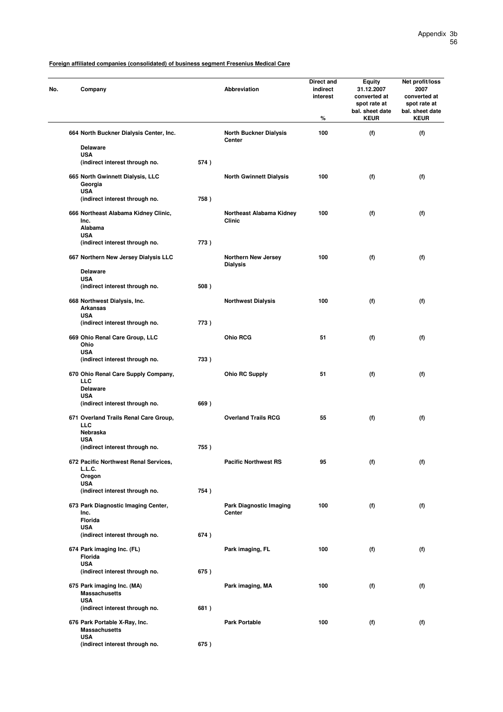| No. | Company                                                              |      | Abbreviation                                  | Direct and<br>indirect<br>interest<br>℅ | Equity<br>31.12.2007<br>converted at<br>spot rate at<br>bal. sheet date<br><b>KEUR</b> | Net profit/loss<br>2007<br>converted at<br>spot rate at<br>bal. sheet date<br><b>KEUR</b> |
|-----|----------------------------------------------------------------------|------|-----------------------------------------------|-----------------------------------------|----------------------------------------------------------------------------------------|-------------------------------------------------------------------------------------------|
|     | 664 North Buckner Dialysis Center, Inc.<br><b>Delaware</b>           |      | <b>North Buckner Dialysis</b><br>Center       | 100                                     | (f)                                                                                    | (f)                                                                                       |
|     | <b>USA</b>                                                           |      |                                               |                                         |                                                                                        |                                                                                           |
|     | (indirect interest through no.                                       | 574) |                                               |                                         |                                                                                        |                                                                                           |
|     | 665 North Gwinnett Dialysis, LLC<br>Georgia<br><b>USA</b>            |      | <b>North Gwinnett Dialysis</b>                | 100                                     | (f)                                                                                    | (f)                                                                                       |
|     | (indirect interest through no.                                       | 758) |                                               |                                         |                                                                                        |                                                                                           |
|     | 666 Northeast Alabama Kidney Clinic,<br>Inc.<br>Alabama              |      | Northeast Alabama Kidney<br>Clinic            | 100                                     | (f)                                                                                    | (f)                                                                                       |
|     | <b>USA</b><br>(indirect interest through no.                         | 773) |                                               |                                         |                                                                                        |                                                                                           |
|     | 667 Northern New Jersey Dialysis LLC                                 |      | <b>Northern New Jersey</b><br><b>Dialysis</b> | 100                                     | (f)                                                                                    | (f)                                                                                       |
|     | <b>Delaware</b>                                                      |      |                                               |                                         |                                                                                        |                                                                                           |
|     | <b>USA</b><br>(indirect interest through no.                         | 508) |                                               |                                         |                                                                                        |                                                                                           |
|     | 668 Northwest Dialysis, Inc.<br><b>Arkansas</b>                      |      | <b>Northwest Dialysis</b>                     | 100                                     | (f)                                                                                    | (f)                                                                                       |
|     | <b>USA</b><br>(indirect interest through no.                         | 773) |                                               |                                         |                                                                                        |                                                                                           |
|     |                                                                      |      | Ohio RCG                                      | 51                                      |                                                                                        |                                                                                           |
|     | 669 Ohio Renal Care Group, LLC<br>Ohio<br><b>USA</b>                 |      |                                               |                                         | (f)                                                                                    | (f)                                                                                       |
|     | (indirect interest through no.                                       | 733) |                                               |                                         |                                                                                        |                                                                                           |
|     | 670 Ohio Renal Care Supply Company,<br><b>LLC</b><br><b>Delaware</b> |      | <b>Ohio RC Supply</b>                         | 51                                      | (f)                                                                                    | (f)                                                                                       |
|     | <b>USA</b><br>(indirect interest through no.                         | 669) |                                               |                                         |                                                                                        |                                                                                           |
|     | 671 Overland Trails Renal Care Group,<br>LLC                         |      | <b>Overland Trails RCG</b>                    | 55                                      | (f)                                                                                    | (f)                                                                                       |
|     | Nebraska<br><b>USA</b>                                               |      |                                               |                                         |                                                                                        |                                                                                           |
|     | (indirect interest through no.                                       | 755) |                                               |                                         |                                                                                        |                                                                                           |
|     | 672 Pacific Northwest Renal Services,                                |      | <b>Pacific Northwest RS</b>                   | 95                                      | (f)                                                                                    | (f)                                                                                       |
|     | L.L.C.<br>Oregon                                                     |      |                                               |                                         |                                                                                        |                                                                                           |
|     | <b>USA</b>                                                           |      |                                               |                                         |                                                                                        |                                                                                           |
|     | (indirect interest through no.                                       | 754) |                                               |                                         |                                                                                        |                                                                                           |
|     | 673 Park Diagnostic Imaging Center,<br>Inc.<br>Florida               |      | <b>Park Diagnostic Imaging</b><br>Center      | 100                                     | (f)                                                                                    | (f)                                                                                       |
|     | <b>USA</b>                                                           |      |                                               |                                         |                                                                                        |                                                                                           |
|     | (indirect interest through no.                                       | 674) |                                               |                                         |                                                                                        |                                                                                           |
|     | 674 Park imaging Inc. (FL)<br>Florida<br><b>USA</b>                  |      | Park imaging, FL                              | 100                                     | (f)                                                                                    | (f)                                                                                       |
|     | (indirect interest through no.                                       | 675) |                                               |                                         |                                                                                        |                                                                                           |
|     | 675 Park imaging Inc. (MA)<br><b>Massachusetts</b>                   |      | Park imaging, MA                              | 100                                     | (f)                                                                                    | (f)                                                                                       |
|     | <b>USA</b><br>(indirect interest through no.                         | 681) |                                               |                                         |                                                                                        |                                                                                           |
|     | 676 Park Portable X-Ray, Inc.<br><b>Massachusetts</b>                |      | <b>Park Portable</b>                          | 100                                     | (f)                                                                                    | (f)                                                                                       |
|     | <b>USA</b><br>(indirect interest through no.                         | 675) |                                               |                                         |                                                                                        |                                                                                           |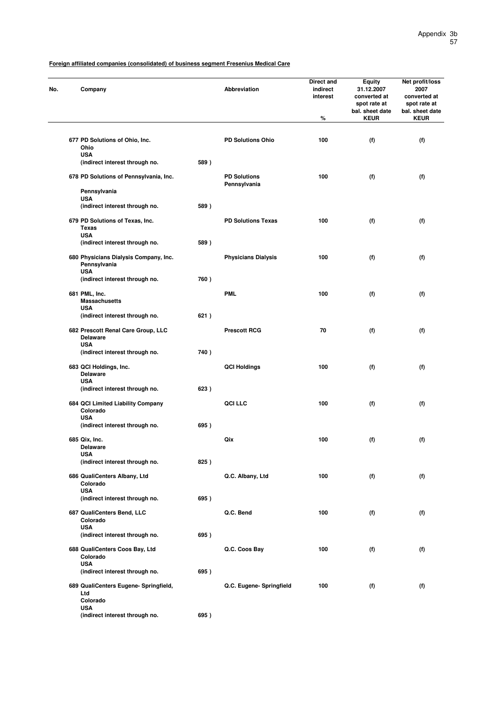| No. | Company                                               |      | Abbreviation                        | Direct and<br>indirect<br>interest<br>% | <b>Equity</b><br>31.12.2007<br>converted at<br>spot rate at<br>bal. sheet date<br><b>KEUR</b> | Net profit/loss<br>2007<br>converted at<br>spot rate at<br>bal. sheet date<br><b>KEUR</b> |
|-----|-------------------------------------------------------|------|-------------------------------------|-----------------------------------------|-----------------------------------------------------------------------------------------------|-------------------------------------------------------------------------------------------|
|     |                                                       |      |                                     |                                         |                                                                                               |                                                                                           |
|     | 677 PD Solutions of Ohio, Inc.<br>Ohio                |      | <b>PD Solutions Ohio</b>            | 100                                     | (f)                                                                                           | (f)                                                                                       |
|     | <b>USA</b><br>(indirect interest through no.          | 589) |                                     |                                         |                                                                                               |                                                                                           |
|     | 678 PD Solutions of Pennsylvania, Inc.                |      | <b>PD Solutions</b><br>Pennsylvania | 100                                     | (f)                                                                                           | (f)                                                                                       |
|     | Pennsylvania<br><b>USA</b>                            |      |                                     |                                         |                                                                                               |                                                                                           |
|     | (indirect interest through no.                        | 589) |                                     |                                         |                                                                                               |                                                                                           |
|     | 679 PD Solutions of Texas, Inc.<br><b>Texas</b>       |      | <b>PD Solutions Texas</b>           | 100                                     | (f)                                                                                           | (f)                                                                                       |
|     | <b>USA</b><br>(indirect interest through no.          | 589) |                                     |                                         |                                                                                               |                                                                                           |
|     | 680 Physicians Dialysis Company, Inc.<br>Pennsylvania |      | <b>Physicians Dialysis</b>          | 100                                     | (f)                                                                                           | (f)                                                                                       |
|     | <b>USA</b><br>(indirect interest through no.          | 760) |                                     |                                         |                                                                                               |                                                                                           |
|     | 681 PML, Inc.<br><b>Massachusetts</b>                 |      | <b>PML</b>                          | 100                                     | (f)                                                                                           | (f)                                                                                       |
|     | <b>USA</b><br>(indirect interest through no.          | 621) |                                     |                                         |                                                                                               |                                                                                           |
|     | 682 Prescott Renal Care Group, LLC<br><b>Delaware</b> |      | <b>Prescott RCG</b>                 | 70                                      | (f)                                                                                           | (f)                                                                                       |
|     | <b>USA</b><br>(indirect interest through no.          | 740) |                                     |                                         |                                                                                               |                                                                                           |
|     | 683 QCI Holdings, Inc.<br><b>Delaware</b>             |      | <b>QCI Holdings</b>                 | 100                                     | (f)                                                                                           | (f)                                                                                       |
|     | <b>USA</b><br>(indirect interest through no.          | 623) |                                     |                                         |                                                                                               |                                                                                           |
|     | 684 QCI Limited Liability Company<br>Colorado         |      | <b>QCI LLC</b>                      | 100                                     | (f)                                                                                           | (f)                                                                                       |
|     | <b>USA</b><br>(indirect interest through no.          | 695) |                                     |                                         |                                                                                               |                                                                                           |
|     | 685 Qix, Inc.                                         |      | Qix                                 | 100                                     | (f)                                                                                           | (f)                                                                                       |
|     | <b>Delaware</b><br>USA                                |      |                                     |                                         |                                                                                               |                                                                                           |
|     | (indirect interest through no.                        | 825) |                                     |                                         |                                                                                               |                                                                                           |
|     | 686 QualiCenters Albany, Ltd<br>Colorado              |      | Q.C. Albany, Ltd                    | 100                                     | (f)                                                                                           | (f)                                                                                       |
|     | <b>USA</b><br>(indirect interest through no.          | 695) |                                     |                                         |                                                                                               |                                                                                           |
|     | 687 QualiCenters Bend, LLC<br>Colorado                |      | Q.C. Bend                           | 100                                     | (f)                                                                                           | (f)                                                                                       |
|     | <b>USA</b><br>(indirect interest through no.          | 695) |                                     |                                         |                                                                                               |                                                                                           |
|     | 688 QualiCenters Coos Bay, Ltd<br>Colorado            |      | Q.C. Coos Bay                       | 100                                     | (f)                                                                                           | (f)                                                                                       |
|     | <b>USA</b><br>(indirect interest through no.          | 695) |                                     |                                         |                                                                                               |                                                                                           |
|     | 689 QualiCenters Eugene- Springfield,                 |      | Q.C. Eugene- Springfield            | 100                                     | (f)                                                                                           | (f)                                                                                       |
|     | Ltd<br>Colorado                                       |      |                                     |                                         |                                                                                               |                                                                                           |
|     | <b>USA</b><br>(indirect interest through no.          | 695) |                                     |                                         |                                                                                               |                                                                                           |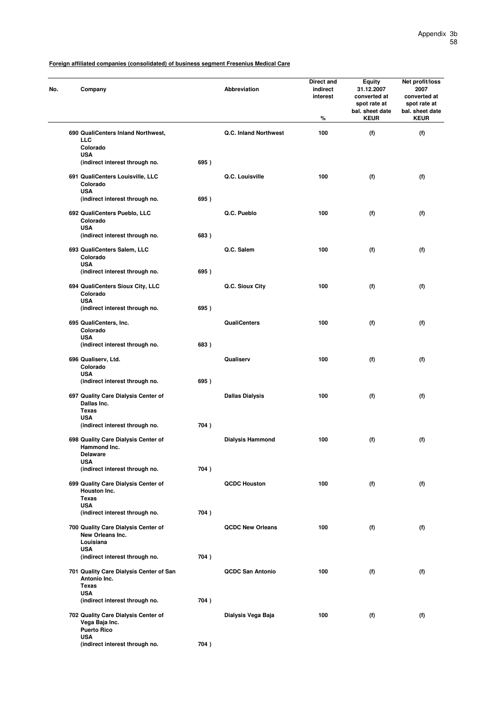| No. | Company                                                                     |      | Abbreviation            | Direct and<br>indirect<br>interest<br>℅ | <b>Equity</b><br>31.12.2007<br>converted at<br>spot rate at<br>bal. sheet date<br><b>KEUR</b> | Net profit/loss<br>2007<br>converted at<br>spot rate at<br>bal. sheet date<br><b>KEUR</b> |
|-----|-----------------------------------------------------------------------------|------|-------------------------|-----------------------------------------|-----------------------------------------------------------------------------------------------|-------------------------------------------------------------------------------------------|
|     | 690 QualiCenters Inland Northwest,<br>LLC<br>Colorado                       |      | Q.C. Inland Northwest   | 100                                     | (f)                                                                                           | (f)                                                                                       |
|     | <b>USA</b><br>(indirect interest through no.                                | 695) |                         |                                         |                                                                                               |                                                                                           |
|     | 691 QualiCenters Louisville, LLC<br>Colorado                                |      | Q.C. Louisville         | 100                                     | (f)                                                                                           | (f)                                                                                       |
|     | <b>USA</b><br>(indirect interest through no.                                | 695) |                         |                                         |                                                                                               |                                                                                           |
|     | 692 QualiCenters Pueblo, LLC<br>Colorado<br><b>USA</b>                      |      | Q.C. Pueblo             | 100                                     | (f)                                                                                           | (f)                                                                                       |
|     | (indirect interest through no.                                              | 683) |                         |                                         |                                                                                               |                                                                                           |
|     | 693 QualiCenters Salem, LLC<br>Colorado<br><b>USA</b>                       |      | Q.C. Salem              | 100                                     | (f)                                                                                           | (f)                                                                                       |
|     | (indirect interest through no.                                              | 695) |                         |                                         |                                                                                               |                                                                                           |
|     | 694 QualiCenters Sioux City, LLC<br>Colorado                                |      | Q.C. Sioux City         | 100                                     | (f)                                                                                           | (f)                                                                                       |
|     | <b>USA</b><br>(indirect interest through no.                                | 695) |                         |                                         |                                                                                               |                                                                                           |
|     | 695 QualiCenters, Inc.<br>Colorado                                          |      | <b>QualiCenters</b>     | 100                                     | (f)                                                                                           | (f)                                                                                       |
|     | <b>USA</b><br>(indirect interest through no.                                | 683) |                         |                                         |                                                                                               |                                                                                           |
|     | 696 Qualiserv, Ltd.<br>Colorado<br><b>USA</b>                               |      | Qualiserv               | 100                                     | (f)                                                                                           | (f)                                                                                       |
|     | (indirect interest through no.                                              | 695) |                         |                                         |                                                                                               |                                                                                           |
|     | 697 Quality Care Dialysis Center of<br>Dallas Inc.<br>Texas                 |      | <b>Dallas Dialysis</b>  | 100                                     | (f)                                                                                           | (f)                                                                                       |
|     | <b>USA</b><br>(indirect interest through no.                                | 704) |                         |                                         |                                                                                               |                                                                                           |
|     | 698 Quality Care Dialysis Center of<br>Hammond Inc.<br>Delaware             |      | <b>Dialysis Hammond</b> | 100                                     | (f)                                                                                           | (f)                                                                                       |
|     | <b>USA</b><br>(indirect interest through no.                                | 704) |                         |                                         |                                                                                               |                                                                                           |
|     | 699 Quality Care Dialysis Center of<br>Houston Inc.<br><b>Texas</b>         |      | <b>QCDC Houston</b>     | 100                                     | (f)                                                                                           | (f)                                                                                       |
|     | <b>USA</b><br>(indirect interest through no.                                | 704) |                         |                                         |                                                                                               |                                                                                           |
|     | 700 Quality Care Dialysis Center of<br>New Orleans Inc.<br>Louisiana        |      | <b>QCDC New Orleans</b> | 100                                     | (f)                                                                                           | (f)                                                                                       |
|     | <b>USA</b><br>(indirect interest through no.                                | 704) |                         |                                         |                                                                                               |                                                                                           |
|     | 701 Quality Care Dialysis Center of San<br>Antonio Inc.<br><b>Texas</b>     |      | <b>QCDC San Antonio</b> | 100                                     | (f)                                                                                           | (f)                                                                                       |
|     | <b>USA</b><br>(indirect interest through no.                                | 704) |                         |                                         |                                                                                               |                                                                                           |
|     | 702 Quality Care Dialysis Center of<br>Vega Baja Inc.<br><b>Puerto Rico</b> |      | Dialysis Vega Baja      | 100                                     | (f)                                                                                           | (f)                                                                                       |
|     | <b>USA</b><br>(indirect interest through no.                                | 704) |                         |                                         |                                                                                               |                                                                                           |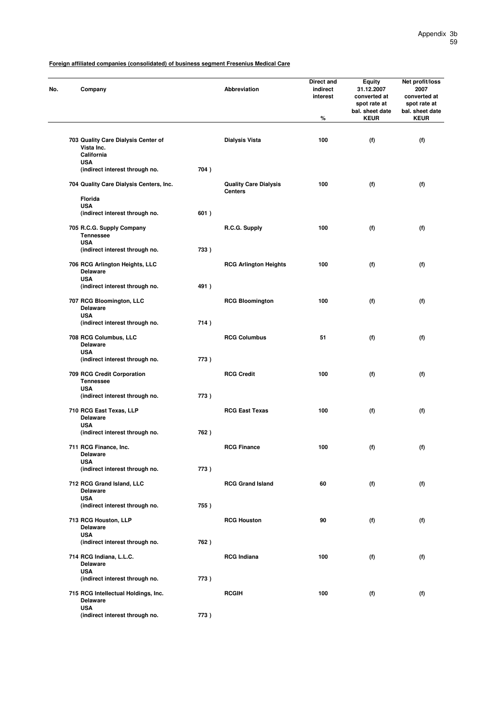| No. | Company                                                                       |      | Abbreviation                                   | Direct and<br>indirect<br>interest<br>$\%$ | <b>Equity</b><br>31.12.2007<br>converted at<br>spot rate at<br>bal. sheet date<br><b>KEUR</b> | Net profit/loss<br>2007<br>converted at<br>spot rate at<br>bal. sheet date<br><b>KEUR</b> |
|-----|-------------------------------------------------------------------------------|------|------------------------------------------------|--------------------------------------------|-----------------------------------------------------------------------------------------------|-------------------------------------------------------------------------------------------|
|     |                                                                               |      |                                                |                                            |                                                                                               |                                                                                           |
|     | 703 Quality Care Dialysis Center of<br>Vista Inc.<br>California<br><b>USA</b> |      | <b>Dialysis Vista</b>                          | 100                                        | (f)                                                                                           | (f)                                                                                       |
|     | (indirect interest through no.                                                | 704) |                                                |                                            |                                                                                               |                                                                                           |
|     | 704 Quality Care Dialysis Centers, Inc.                                       |      | <b>Quality Care Dialysis</b><br><b>Centers</b> | 100                                        | (f)                                                                                           | (f)                                                                                       |
|     | <b>Florida</b>                                                                |      |                                                |                                            |                                                                                               |                                                                                           |
|     | <b>USA</b><br>(indirect interest through no.                                  | 601) |                                                |                                            |                                                                                               |                                                                                           |
|     | 705 R.C.G. Supply Company<br><b>Tennessee</b>                                 |      | R.C.G. Supply                                  | 100                                        | (f)                                                                                           | (f)                                                                                       |
|     | <b>USA</b><br>(indirect interest through no.                                  | 733) |                                                |                                            |                                                                                               |                                                                                           |
|     | 706 RCG Arlington Heights, LLC<br><b>Delaware</b>                             |      | <b>RCG Arlington Heights</b>                   | 100                                        | (f)                                                                                           | (f)                                                                                       |
|     | <b>USA</b><br>(indirect interest through no.                                  | 491) |                                                |                                            |                                                                                               |                                                                                           |
|     | 707 RCG Bloomington, LLC<br><b>Delaware</b>                                   |      | <b>RCG Bloomington</b>                         | 100                                        | (f)                                                                                           | (f)                                                                                       |
|     | <b>USA</b><br>(indirect interest through no.                                  | 714) |                                                |                                            |                                                                                               |                                                                                           |
|     | 708 RCG Columbus, LLC<br><b>Delaware</b><br><b>USA</b>                        |      | <b>RCG Columbus</b>                            | 51                                         | (f)                                                                                           | (f)                                                                                       |
|     | (indirect interest through no.                                                | 773) |                                                |                                            |                                                                                               |                                                                                           |
|     | 709 RCG Credit Corporation<br><b>Tennessee</b>                                |      | <b>RCG Credit</b>                              | 100                                        | (f)                                                                                           | (f)                                                                                       |
|     | <b>USA</b><br>(indirect interest through no.                                  | 773) |                                                |                                            |                                                                                               |                                                                                           |
|     | 710 RCG East Texas, LLP<br><b>Delaware</b>                                    |      | <b>RCG East Texas</b>                          | 100                                        | (f)                                                                                           | (f)                                                                                       |
|     | <b>USA</b><br>(indirect interest through no.                                  | 762) |                                                |                                            |                                                                                               |                                                                                           |
|     | 711 RCG Finance, Inc.<br><b>Delaware</b>                                      |      | <b>RCG Finance</b>                             | 100                                        | (f)                                                                                           | (f)                                                                                       |
|     | <b>USA</b><br>(indirect interest through no.                                  | 773) |                                                |                                            |                                                                                               |                                                                                           |
|     |                                                                               |      |                                                |                                            |                                                                                               |                                                                                           |
|     | 712 RCG Grand Island, LLC<br><b>Delaware</b><br><b>USA</b>                    |      | <b>RCG Grand Island</b>                        | 60                                         | (f)                                                                                           | (f)                                                                                       |
|     | (indirect interest through no.                                                | 755) |                                                |                                            |                                                                                               |                                                                                           |
|     | 713 RCG Houston, LLP<br><b>Delaware</b><br><b>USA</b>                         |      | <b>RCG Houston</b>                             | 90                                         | (f)                                                                                           | (f)                                                                                       |
|     | (indirect interest through no.                                                | 762) |                                                |                                            |                                                                                               |                                                                                           |
|     | 714 RCG Indiana, L.L.C.<br><b>Delaware</b>                                    |      | <b>RCG Indiana</b>                             | 100                                        | (f)                                                                                           | (f)                                                                                       |
|     | <b>USA</b><br>(indirect interest through no.                                  | 773) |                                                |                                            |                                                                                               |                                                                                           |
|     | 715 RCG Intellectual Holdings, Inc.<br><b>Delaware</b>                        |      | <b>RCGIH</b>                                   | 100                                        | (f)                                                                                           | (f)                                                                                       |
|     | <b>USA</b><br>(indirect interest through no.                                  | 773) |                                                |                                            |                                                                                               |                                                                                           |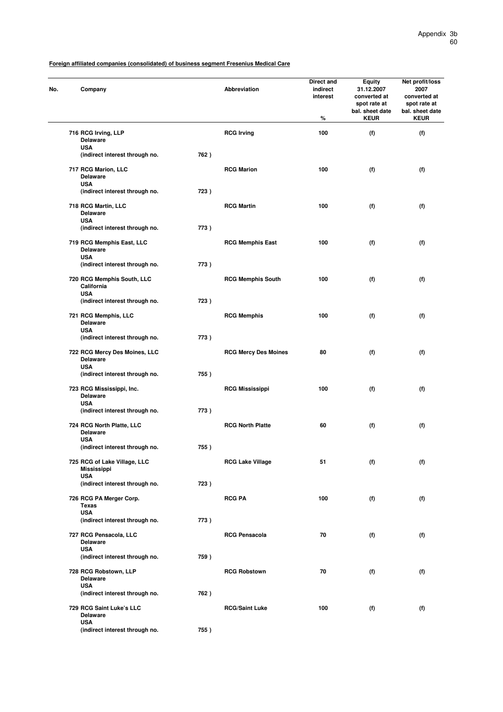| No. | Company                                                          |      | Abbreviation                | Direct and<br>indirect<br>interest<br>$\%$ | <b>Equity</b><br>31.12.2007<br>converted at<br>spot rate at<br>bal. sheet date<br><b>KEUR</b> | Net profit/loss<br>2007<br>converted at<br>spot rate at<br>bal. sheet date<br><b>KEUR</b> |
|-----|------------------------------------------------------------------|------|-----------------------------|--------------------------------------------|-----------------------------------------------------------------------------------------------|-------------------------------------------------------------------------------------------|
|     | 716 RCG Irving, LLP<br><b>Delaware</b>                           |      | <b>RCG Irving</b>           | 100                                        | (f)                                                                                           | (f)                                                                                       |
|     | <b>USA</b><br>(indirect interest through no.                     | 762) |                             |                                            |                                                                                               |                                                                                           |
|     | 717 RCG Marion, LLC<br><b>Delaware</b><br><b>USA</b>             |      | <b>RCG Marion</b>           | 100                                        | (f)                                                                                           | (f)                                                                                       |
|     | (indirect interest through no.                                   | 723) |                             |                                            |                                                                                               |                                                                                           |
|     | 718 RCG Martin, LLC<br><b>Delaware</b><br><b>USA</b>             |      | <b>RCG Martin</b>           | 100                                        | (f)                                                                                           | (f)                                                                                       |
|     | (indirect interest through no.                                   | 773) |                             |                                            |                                                                                               |                                                                                           |
|     | 719 RCG Memphis East, LLC<br><b>Delaware</b><br><b>USA</b>       |      | <b>RCG Memphis East</b>     | 100                                        | (f)                                                                                           | (f)                                                                                       |
|     | (indirect interest through no.                                   | 773) |                             |                                            |                                                                                               |                                                                                           |
|     | 720 RCG Memphis South, LLC<br>California<br><b>USA</b>           |      | <b>RCG Memphis South</b>    | 100                                        | (f)                                                                                           | (f)                                                                                       |
|     | (indirect interest through no.                                   | 723) |                             |                                            |                                                                                               |                                                                                           |
|     | 721 RCG Memphis, LLC<br><b>Delaware</b>                          |      | <b>RCG Memphis</b>          | 100                                        | (f)                                                                                           | (f)                                                                                       |
|     | <b>USA</b><br>(indirect interest through no.                     | 773) |                             |                                            |                                                                                               |                                                                                           |
|     | 722 RCG Mercy Des Moines, LLC<br><b>Delaware</b>                 |      | <b>RCG Mercy Des Moines</b> | 80                                         | (f)                                                                                           | (f)                                                                                       |
|     | <b>USA</b><br>(indirect interest through no.                     | 755) |                             |                                            |                                                                                               |                                                                                           |
|     | 723 RCG Mississippi, Inc.<br><b>Delaware</b>                     |      | <b>RCG Mississippi</b>      | 100                                        | (f)                                                                                           | (f)                                                                                       |
|     | <b>USA</b><br>(indirect interest through no.                     | 773) |                             |                                            |                                                                                               |                                                                                           |
|     | 724 RCG North Platte, LLC<br><b>Delaware</b><br><b>USA</b>       |      | <b>RCG North Platte</b>     | 60                                         | (f)                                                                                           | (f)                                                                                       |
|     | (indirect interest through no.                                   | 755) |                             |                                            |                                                                                               |                                                                                           |
|     | 725 RCG of Lake Village, LLC<br><b>Mississippi</b><br><b>USA</b> |      | <b>RCG Lake Village</b>     | 51                                         | (f)                                                                                           | (f)                                                                                       |
|     | (indirect interest through no.                                   | 723) |                             |                                            |                                                                                               |                                                                                           |
|     | 726 RCG PA Merger Corp.<br>Texas                                 |      | <b>RCG PA</b>               | 100                                        | (f)                                                                                           | (f)                                                                                       |
|     | <b>USA</b><br>(indirect interest through no.                     | 773) |                             |                                            |                                                                                               |                                                                                           |
|     | 727 RCG Pensacola, LLC<br><b>Delaware</b>                        |      | <b>RCG Pensacola</b>        | 70                                         | (f)                                                                                           | (f)                                                                                       |
|     | <b>USA</b><br>(indirect interest through no.                     | 759) |                             |                                            |                                                                                               |                                                                                           |
|     | 728 RCG Robstown, LLP<br><b>Delaware</b>                         |      | <b>RCG Robstown</b>         | 70                                         | (f)                                                                                           | (f)                                                                                       |
|     | <b>USA</b><br>(indirect interest through no.                     | 762) |                             |                                            |                                                                                               |                                                                                           |
|     | 729 RCG Saint Luke's LLC<br><b>Delaware</b>                      |      | <b>RCG/Saint Luke</b>       | 100                                        | (f)                                                                                           | (f)                                                                                       |
|     | <b>USA</b><br>(indirect interest through no.                     | 755) |                             |                                            |                                                                                               |                                                                                           |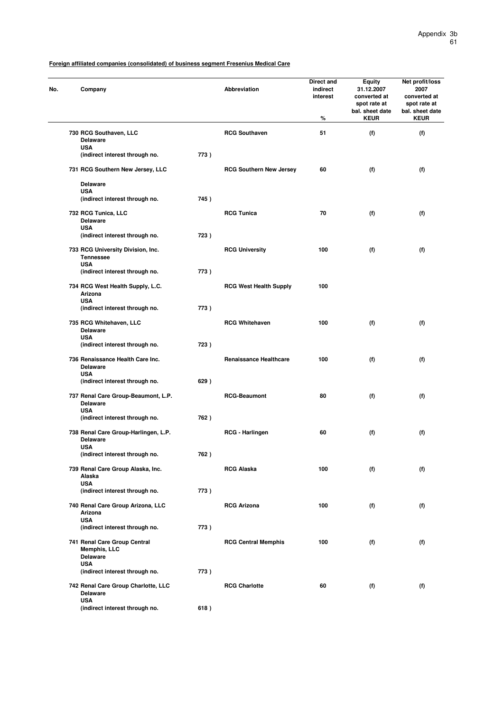| No. | Company                                                               |      | Abbreviation                   | Direct and<br>indirect<br>interest<br>% | <b>Equity</b><br>31.12.2007<br>converted at<br>spot rate at<br>bal. sheet date<br><b>KEUR</b> | Net profit/loss<br>2007<br>converted at<br>spot rate at<br>bal. sheet date<br><b>KEUR</b> |
|-----|-----------------------------------------------------------------------|------|--------------------------------|-----------------------------------------|-----------------------------------------------------------------------------------------------|-------------------------------------------------------------------------------------------|
|     | 730 RCG Southaven, LLC<br><b>Delaware</b>                             |      | <b>RCG Southaven</b>           | 51                                      | (f)                                                                                           | (f)                                                                                       |
|     | <b>USA</b><br>(indirect interest through no.                          | 773) |                                |                                         |                                                                                               |                                                                                           |
|     | 731 RCG Southern New Jersey, LLC                                      |      | <b>RCG Southern New Jersey</b> | 60                                      | (f)                                                                                           | (f)                                                                                       |
|     | <b>Delaware</b><br><b>USA</b>                                         |      |                                |                                         |                                                                                               |                                                                                           |
|     | (indirect interest through no.                                        | 745) |                                |                                         |                                                                                               |                                                                                           |
|     | 732 RCG Tunica, LLC<br><b>Delaware</b><br><b>USA</b>                  |      | <b>RCG Tunica</b>              | 70                                      | (f)                                                                                           | (f)                                                                                       |
|     | (indirect interest through no.                                        | 723) |                                |                                         |                                                                                               |                                                                                           |
|     | 733 RCG University Division, Inc.<br><b>Tennessee</b>                 |      | <b>RCG University</b>          | 100                                     | (f)                                                                                           | (f)                                                                                       |
|     | <b>USA</b><br>(indirect interest through no.                          | 773) |                                |                                         |                                                                                               |                                                                                           |
|     | 734 RCG West Health Supply, L.C.<br>Arizona<br><b>USA</b>             |      | <b>RCG West Health Supply</b>  | 100                                     |                                                                                               |                                                                                           |
|     | (indirect interest through no.                                        | 773) |                                |                                         |                                                                                               |                                                                                           |
|     | 735 RCG Whitehaven, LLC<br><b>Delaware</b><br><b>USA</b>              |      | <b>RCG Whitehaven</b>          | 100                                     | (f)                                                                                           | (f)                                                                                       |
|     | (indirect interest through no.                                        | 723) |                                |                                         |                                                                                               |                                                                                           |
|     | 736 Renaissance Health Care Inc.<br><b>Delaware</b><br><b>USA</b>     |      | <b>Renaissance Healthcare</b>  | 100                                     | (f)                                                                                           | (f)                                                                                       |
|     | (indirect interest through no.                                        | 629) |                                |                                         |                                                                                               |                                                                                           |
|     | 737 Renal Care Group-Beaumont, L.P.<br><b>Delaware</b><br><b>USA</b>  |      | <b>RCG-Beaumont</b>            | 80                                      | (f)                                                                                           | (f)                                                                                       |
|     | (indirect interest through no.                                        | 762) |                                |                                         |                                                                                               |                                                                                           |
|     | 738 Renal Care Group-Harlingen, L.P.<br><b>Delaware</b><br><b>USA</b> |      | RCG - Harlingen                | 60                                      | (f)                                                                                           | (f)                                                                                       |
|     | (indirect interest through no.                                        | 762) |                                |                                         |                                                                                               |                                                                                           |
|     | 739 Renal Care Group Alaska, Inc.<br>Alaska                           |      | <b>RCG Alaska</b>              | 100                                     | (f)                                                                                           | (f)                                                                                       |
|     | <b>USA</b><br>(indirect interest through no.                          | 773) |                                |                                         |                                                                                               |                                                                                           |
|     | 740 Renal Care Group Arizona, LLC<br>Arizona                          |      | <b>RCG Arizona</b>             | 100                                     | (f)                                                                                           | (f)                                                                                       |
|     | <b>USA</b><br>(indirect interest through no.                          | 773) |                                |                                         |                                                                                               |                                                                                           |
|     | 741 Renal Care Group Central<br>Memphis, LLC<br><b>Delaware</b>       |      | <b>RCG Central Memphis</b>     | 100                                     | (f)                                                                                           | (f)                                                                                       |
|     | <b>USA</b><br>(indirect interest through no.                          | 773) |                                |                                         |                                                                                               |                                                                                           |
|     | 742 Renal Care Group Charlotte, LLC<br><b>Delaware</b>                |      | <b>RCG Charlotte</b>           | 60                                      | (f)                                                                                           | (f)                                                                                       |
|     | <b>USA</b><br>(indirect interest through no.                          | 618) |                                |                                         |                                                                                               |                                                                                           |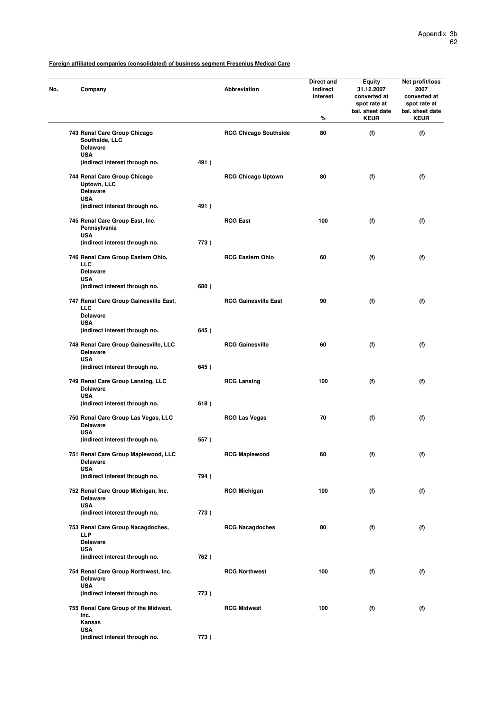| No. | Company                                                                      |      | Abbreviation                 | Direct and<br>indirect<br>interest<br>% | <b>Equity</b><br>31.12.2007<br>converted at<br>spot rate at<br>bal. sheet date<br><b>KEUR</b> | Net profit/loss<br>2007<br>converted at<br>spot rate at<br>bal. sheet date<br><b>KEUR</b> |
|-----|------------------------------------------------------------------------------|------|------------------------------|-----------------------------------------|-----------------------------------------------------------------------------------------------|-------------------------------------------------------------------------------------------|
|     | 743 Renal Care Group Chicago<br>Southside, LLC<br><b>Delaware</b>            |      | <b>RCG Chicago Southside</b> | 80                                      | (f)                                                                                           | (f)                                                                                       |
|     | <b>USA</b><br>(indirect interest through no.                                 | 491) |                              |                                         |                                                                                               |                                                                                           |
|     | 744 Renal Care Group Chicago<br>Uptown, LLC<br><b>Delaware</b><br><b>USA</b> |      | <b>RCG Chicago Uptown</b>    | 80                                      | (f)                                                                                           | (f)                                                                                       |
|     | (indirect interest through no.                                               | 491) |                              |                                         |                                                                                               |                                                                                           |
|     | 745 Renal Care Group East, Inc.<br>Pennsylvania<br><b>USA</b>                |      | <b>RCG East</b>              | 100                                     | (f)                                                                                           | (f)                                                                                       |
|     | (indirect interest through no.                                               | 773) |                              |                                         |                                                                                               |                                                                                           |
|     | 746 Renal Care Group Eastern Ohio,<br><b>LLC</b><br><b>Delaware</b>          |      | <b>RCG Eastern Ohio</b>      | 60                                      | (f)                                                                                           | (f)                                                                                       |
|     | <b>USA</b><br>(indirect interest through no.                                 | 680) |                              |                                         |                                                                                               |                                                                                           |
|     | 747 Renal Care Group Gainesville East,<br><b>LLC</b>                         |      | <b>RCG Gainesville East</b>  | 90                                      | (f)                                                                                           | (f)                                                                                       |
|     | <b>Delaware</b><br><b>USA</b><br>(indirect interest through no.              | 645) |                              |                                         |                                                                                               |                                                                                           |
|     | 748 Renal Care Group Gainesville, LLC<br><b>Delaware</b><br><b>USA</b>       |      | <b>RCG Gainesville</b>       | 60                                      | (f)                                                                                           | (f)                                                                                       |
|     | (indirect interest through no.                                               | 645) |                              |                                         |                                                                                               |                                                                                           |
|     | 749 Renal Care Group Lansing, LLC<br><b>Delaware</b><br><b>USA</b>           |      | <b>RCG Lansing</b>           | 100                                     | (f)                                                                                           | (f)                                                                                       |
|     | (indirect interest through no.                                               | 618) |                              |                                         |                                                                                               |                                                                                           |
|     | 750 Renal Care Group Las Vegas, LLC<br><b>Delaware</b><br><b>USA</b>         |      | <b>RCG Las Vegas</b>         | 70                                      | (f)                                                                                           | (f)                                                                                       |
|     | (indirect interest through no.                                               | 557) |                              |                                         |                                                                                               |                                                                                           |
|     | 751 Renal Care Group Maplewood, LLC<br>Delaware<br><b>USA</b>                |      | <b>RCG Maplewood</b>         | 60                                      | (†)                                                                                           | (f)                                                                                       |
|     | (indirect interest through no.                                               | 794) |                              |                                         |                                                                                               |                                                                                           |
|     | 752 Renal Care Group Michigan, Inc.<br><b>Delaware</b><br><b>USA</b>         |      | <b>RCG Michigan</b>          | 100                                     | (f)                                                                                           | (f)                                                                                       |
|     | (indirect interest through no.                                               | 773) |                              |                                         |                                                                                               |                                                                                           |
|     | 753 Renal Care Group Nacagdoches,<br><b>LLP</b><br><b>Delaware</b>           |      | <b>RCG Nacagdoches</b>       | 80                                      | (f)                                                                                           | (f)                                                                                       |
|     | <b>USA</b>                                                                   |      |                              |                                         |                                                                                               |                                                                                           |
|     | (indirect interest through no.                                               | 762) |                              |                                         |                                                                                               |                                                                                           |
|     | 754 Renal Care Group Northwest, Inc.<br><b>Delaware</b><br><b>USA</b>        |      | <b>RCG Northwest</b>         | 100                                     | (f)                                                                                           | (f)                                                                                       |
|     | (indirect interest through no.                                               | 773) |                              |                                         |                                                                                               |                                                                                           |
|     | 755 Renal Care Group of the Midwest,<br>Inc.<br>Kansas                       |      | <b>RCG Midwest</b>           | 100                                     | (f)                                                                                           | (f)                                                                                       |
|     | <b>USA</b><br>(indirect interest through no.                                 | 773) |                              |                                         |                                                                                               |                                                                                           |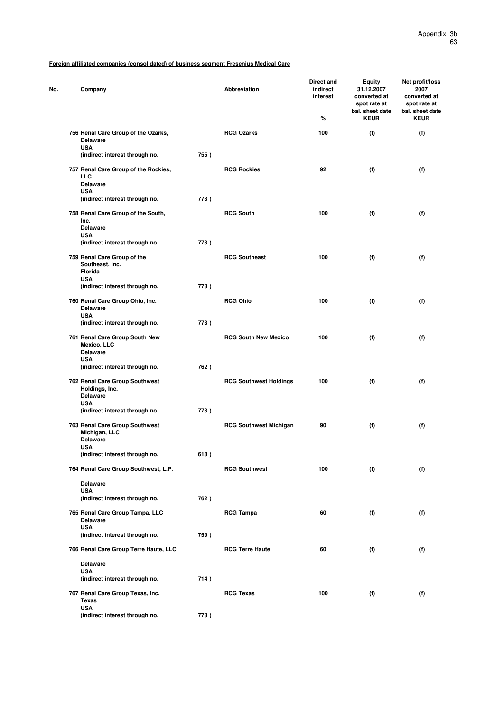| No. | Company                                                                             |      | <b>Abbreviation</b>           | Direct and<br>indirect<br>interest<br>% | <b>Equity</b><br>31.12.2007<br>converted at<br>spot rate at<br>bal. sheet date<br><b>KEUR</b> | Net profit/loss<br>2007<br>converted at<br>spot rate at<br>bal. sheet date<br><b>KEUR</b> |
|-----|-------------------------------------------------------------------------------------|------|-------------------------------|-----------------------------------------|-----------------------------------------------------------------------------------------------|-------------------------------------------------------------------------------------------|
|     | 756 Renal Care Group of the Ozarks,<br><b>Delaware</b>                              |      | <b>RCG Ozarks</b>             | 100                                     | (f)                                                                                           | (f)                                                                                       |
|     | <b>USA</b><br>(indirect interest through no.                                        | 755) |                               |                                         |                                                                                               |                                                                                           |
|     | 757 Renal Care Group of the Rockies,<br><b>LLC</b><br><b>Delaware</b><br><b>USA</b> |      | <b>RCG Rockies</b>            | 92                                      | (f)                                                                                           | (f)                                                                                       |
|     | (indirect interest through no.                                                      | 773) |                               |                                         |                                                                                               |                                                                                           |
|     | 758 Renal Care Group of the South,<br>Inc.<br><b>Delaware</b>                       |      | <b>RCG South</b>              | 100                                     | (f)                                                                                           | (f)                                                                                       |
|     | <b>USA</b><br>(indirect interest through no.                                        | 773) |                               |                                         |                                                                                               |                                                                                           |
|     | 759 Renal Care Group of the<br>Southeast, Inc.<br><b>Florida</b>                    |      | <b>RCG Southeast</b>          | 100                                     | (f)                                                                                           | (f)                                                                                       |
|     | <b>USA</b><br>(indirect interest through no.                                        | 773) |                               |                                         |                                                                                               |                                                                                           |
|     | 760 Renal Care Group Ohio, Inc.<br><b>Delaware</b><br><b>USA</b>                    |      | <b>RCG Ohio</b>               | 100                                     | (f)                                                                                           | (f)                                                                                       |
|     | (indirect interest through no.                                                      | 773) |                               |                                         |                                                                                               |                                                                                           |
|     | 761 Renal Care Group South New<br>Mexico, LLC<br><b>Delaware</b><br><b>USA</b>      |      | <b>RCG South New Mexico</b>   | 100                                     | (f)                                                                                           | (f)                                                                                       |
|     | (indirect interest through no.                                                      | 762) |                               |                                         |                                                                                               |                                                                                           |
|     | 762 Renal Care Group Southwest<br>Holdings, Inc.<br><b>Delaware</b><br><b>USA</b>   |      | <b>RCG Southwest Holdings</b> | 100                                     | (f)                                                                                           | (f)                                                                                       |
|     | (indirect interest through no.                                                      | 773) |                               |                                         |                                                                                               |                                                                                           |
|     | 763 Renal Care Group Southwest<br>Michigan, LLC<br><b>Delaware</b>                  |      | <b>RCG Southwest Michigan</b> | 90                                      | (f)                                                                                           | (f)                                                                                       |
|     | <b>USA</b><br>(indirect interest through no.                                        | 618) |                               |                                         |                                                                                               |                                                                                           |
|     | 764 Renal Care Group Southwest, L.P.                                                |      | <b>RCG Southwest</b>          | 100                                     | (f)                                                                                           | (f)                                                                                       |
|     | <b>Delaware</b><br><b>USA</b>                                                       |      |                               |                                         |                                                                                               |                                                                                           |
|     | (indirect interest through no.                                                      | 762) |                               |                                         |                                                                                               |                                                                                           |
|     | 765 Renal Care Group Tampa, LLC<br><b>Delaware</b><br><b>USA</b>                    |      | <b>RCG Tampa</b>              | 60                                      | (f)                                                                                           | (f)                                                                                       |
|     | (indirect interest through no.                                                      | 759) |                               |                                         |                                                                                               |                                                                                           |
|     | 766 Renal Care Group Terre Haute, LLC                                               |      | <b>RCG Terre Haute</b>        | 60                                      | (f)                                                                                           | (f)                                                                                       |
|     | <b>Delaware</b><br><b>USA</b>                                                       |      |                               |                                         |                                                                                               |                                                                                           |
|     | (indirect interest through no.                                                      | 714) |                               |                                         |                                                                                               |                                                                                           |
|     | 767 Renal Care Group Texas, Inc.<br>Texas<br><b>USA</b>                             |      | <b>RCG Texas</b>              | 100                                     | (f)                                                                                           | (f)                                                                                       |
|     | (indirect interest through no.                                                      | 773) |                               |                                         |                                                                                               |                                                                                           |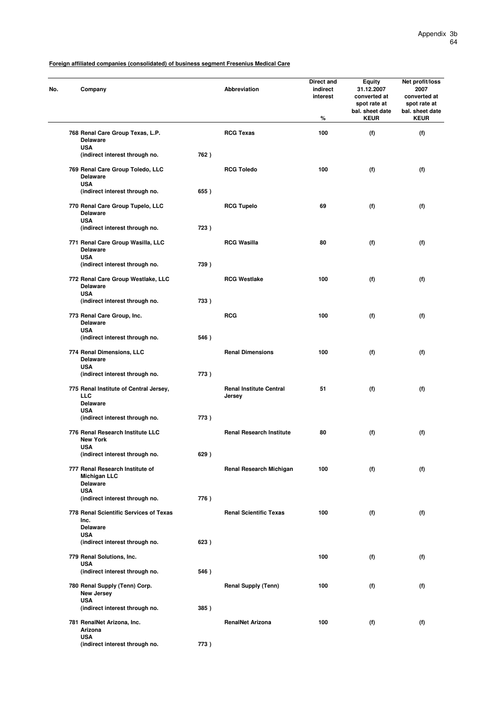| No. | Company                                                                   |      | Abbreviation                             | Direct and<br>indirect<br>interest<br>% | Equity<br>31.12.2007<br>converted at<br>spot rate at<br>bal. sheet date<br><b>KEUR</b> | Net profit/loss<br>2007<br>converted at<br>spot rate at<br>bal. sheet date<br><b>KEUR</b> |
|-----|---------------------------------------------------------------------------|------|------------------------------------------|-----------------------------------------|----------------------------------------------------------------------------------------|-------------------------------------------------------------------------------------------|
|     | 768 Renal Care Group Texas, L.P.<br><b>Delaware</b>                       |      | <b>RCG Texas</b>                         | 100                                     | (f)                                                                                    | (f)                                                                                       |
|     | <b>USA</b><br>(indirect interest through no.                              | 762) |                                          |                                         |                                                                                        |                                                                                           |
|     | 769 Renal Care Group Toledo, LLC                                          |      | <b>RCG Toledo</b>                        | 100                                     | (f)                                                                                    | (f)                                                                                       |
|     | <b>Delaware</b><br><b>USA</b>                                             |      |                                          |                                         |                                                                                        |                                                                                           |
|     | (indirect interest through no.<br>770 Renal Care Group Tupelo, LLC        | 655) | <b>RCG Tupelo</b>                        | 69                                      | (f)                                                                                    | (f)                                                                                       |
|     | <b>Delaware</b><br><b>USA</b>                                             |      |                                          |                                         |                                                                                        |                                                                                           |
|     | (indirect interest through no.                                            | 723) |                                          |                                         |                                                                                        |                                                                                           |
|     | 771 Renal Care Group Wasilla, LLC<br><b>Delaware</b><br><b>USA</b>        |      | <b>RCG Wasilla</b>                       | 80                                      | (f)                                                                                    | (f)                                                                                       |
|     | (indirect interest through no.                                            | 739) |                                          |                                         |                                                                                        |                                                                                           |
|     | 772 Renal Care Group Westlake, LLC<br><b>Delaware</b><br><b>USA</b>       |      | <b>RCG Westlake</b>                      | 100                                     | (f)                                                                                    | (f)                                                                                       |
|     | (indirect interest through no.                                            | 733) |                                          |                                         |                                                                                        |                                                                                           |
|     | 773 Renal Care Group, Inc.<br><b>Delaware</b>                             |      | <b>RCG</b>                               | 100                                     | (f)                                                                                    | (f)                                                                                       |
|     | <b>USA</b><br>(indirect interest through no.                              | 546) |                                          |                                         |                                                                                        |                                                                                           |
|     | 774 Renal Dimensions, LLC<br><b>Delaware</b><br><b>USA</b>                |      | <b>Renal Dimensions</b>                  | 100                                     | (f)                                                                                    | (f)                                                                                       |
|     | (indirect interest through no.                                            | 773) |                                          |                                         |                                                                                        |                                                                                           |
|     | 775 Renal Institute of Central Jersey,<br><b>LLC</b>                      |      | <b>Renal Institute Central</b><br>Jersey | 51                                      | (f)                                                                                    | (f)                                                                                       |
|     | <b>Delaware</b><br><b>USA</b>                                             |      |                                          |                                         |                                                                                        |                                                                                           |
|     | (indirect interest through no.                                            | 773) |                                          |                                         |                                                                                        |                                                                                           |
|     | 776 Renal Research Institute LLC<br><b>New York</b><br><b>USA</b>         |      | <b>Renal Research Institute</b>          | 80                                      | (f)                                                                                    | (f)                                                                                       |
|     | (indirect interest through no.                                            | 629) |                                          |                                         |                                                                                        |                                                                                           |
|     | 777 Renal Research Institute of<br><b>Michigan LLC</b><br><b>Delaware</b> |      | <b>Renal Research Michigan</b>           | 100                                     | (f)                                                                                    | (f)                                                                                       |
|     | <b>USA</b><br>(indirect interest through no.                              | 776) |                                          |                                         |                                                                                        |                                                                                           |
|     | 778 Renal Scientific Services of Texas<br>Inc.                            |      | <b>Renal Scientific Texas</b>            | 100                                     | (f)                                                                                    | (f)                                                                                       |
|     | <b>Delaware</b><br><b>USA</b>                                             |      |                                          |                                         |                                                                                        |                                                                                           |
|     | (indirect interest through no.                                            | 623) |                                          |                                         |                                                                                        |                                                                                           |
|     | 779 Renal Solutions, Inc.                                                 |      |                                          | 100                                     | (f)                                                                                    | (f)                                                                                       |
|     | <b>USA</b><br>(indirect interest through no.                              | 546) |                                          |                                         |                                                                                        |                                                                                           |
|     | 780 Renal Supply (Tenn) Corp.<br>New Jersey                               |      | <b>Renal Supply (Tenn)</b>               | 100                                     | (f)                                                                                    | (f)                                                                                       |
|     | <b>USA</b><br>(indirect interest through no.                              | 385) |                                          |                                         |                                                                                        |                                                                                           |
|     | 781 RenalNet Arizona, Inc.<br>Arizona                                     |      | <b>RenalNet Arizona</b>                  | 100                                     | (f)                                                                                    | (f)                                                                                       |
|     | <b>USA</b><br>(indirect interest through no.                              | 773) |                                          |                                         |                                                                                        |                                                                                           |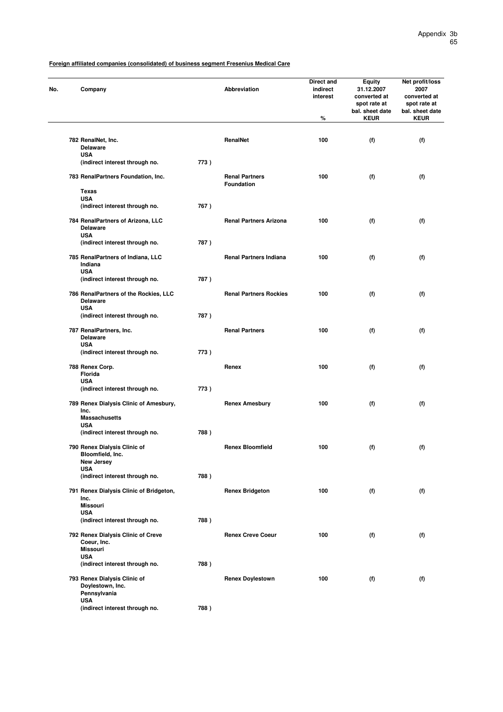| No. | Company                                                        |      | Abbreviation                               | Direct and<br>indirect<br>interest<br>% | <b>Equity</b><br>31.12.2007<br>converted at<br>spot rate at<br>bal. sheet date<br><b>KEUR</b> | Net profit/loss<br>2007<br>converted at<br>spot rate at<br>bal. sheet date<br><b>KEUR</b> |
|-----|----------------------------------------------------------------|------|--------------------------------------------|-----------------------------------------|-----------------------------------------------------------------------------------------------|-------------------------------------------------------------------------------------------|
|     |                                                                |      |                                            |                                         |                                                                                               |                                                                                           |
|     | 782 RenalNet, Inc.<br><b>Delaware</b><br><b>USA</b>            |      | RenalNet                                   | 100                                     | (f)                                                                                           | (f)                                                                                       |
|     | (indirect interest through no.                                 | 773) |                                            |                                         |                                                                                               |                                                                                           |
|     | 783 RenalPartners Foundation, Inc.                             |      | <b>Renal Partners</b><br><b>Foundation</b> | 100                                     | (f)                                                                                           | (f)                                                                                       |
|     | Texas                                                          |      |                                            |                                         |                                                                                               |                                                                                           |
|     | <b>USA</b><br>(indirect interest through no.                   | 767) |                                            |                                         |                                                                                               |                                                                                           |
|     | 784 RenalPartners of Arizona, LLC                              |      | <b>Renal Partners Arizona</b>              | 100                                     | (f)                                                                                           | (f)                                                                                       |
|     | <b>Delaware</b><br><b>USA</b>                                  |      |                                            |                                         |                                                                                               |                                                                                           |
|     | (indirect interest through no.                                 | 787) |                                            |                                         |                                                                                               |                                                                                           |
|     | 785 RenalPartners of Indiana, LLC<br>Indiana                   |      | <b>Renal Partners Indiana</b>              | 100                                     | (f)                                                                                           | (f)                                                                                       |
|     | <b>USA</b><br>(indirect interest through no.                   | 787) |                                            |                                         |                                                                                               |                                                                                           |
|     | 786 RenalPartners of the Rockies, LLC<br><b>Delaware</b>       |      | <b>Renal Partners Rockies</b>              | 100                                     | (f)                                                                                           | (f)                                                                                       |
|     | <b>USA</b><br>(indirect interest through no.                   | 787) |                                            |                                         |                                                                                               |                                                                                           |
|     | 787 RenalPartners, Inc.<br><b>Delaware</b>                     |      | <b>Renal Partners</b>                      | 100                                     | (f)                                                                                           | (f)                                                                                       |
|     | <b>USA</b>                                                     |      |                                            |                                         |                                                                                               |                                                                                           |
|     | (indirect interest through no.                                 | 773) |                                            |                                         |                                                                                               |                                                                                           |
|     | 788 Renex Corp.<br><b>Florida</b>                              |      | Renex                                      | 100                                     | (f)                                                                                           | (f)                                                                                       |
|     | <b>USA</b><br>(indirect interest through no.                   | 773) |                                            |                                         |                                                                                               |                                                                                           |
|     | 789 Renex Dialysis Clinic of Amesbury,<br>Inc.                 |      | <b>Renex Amesbury</b>                      | 100                                     | (f)                                                                                           | (f)                                                                                       |
|     | <b>Massachusetts</b><br><b>USA</b>                             |      |                                            |                                         |                                                                                               |                                                                                           |
|     | (indirect interest through no.                                 | 788) |                                            |                                         |                                                                                               |                                                                                           |
|     | 790 Renex Dialysis Clinic of<br>Bloomfield, Inc.<br>New Jersey |      | <b>Renex Bloomfield</b>                    | 100                                     | (f)                                                                                           | (f)                                                                                       |
|     | <b>USA</b>                                                     |      |                                            |                                         |                                                                                               |                                                                                           |
|     | (indirect interest through no.                                 | 788) |                                            |                                         |                                                                                               |                                                                                           |
|     | 791 Renex Dialysis Clinic of Bridgeton,<br>Inc.                |      | <b>Renex Bridgeton</b>                     | 100                                     | (f)                                                                                           | (f)                                                                                       |
|     | <b>Missouri</b>                                                |      |                                            |                                         |                                                                                               |                                                                                           |
|     | <b>USA</b><br>(indirect interest through no.                   | 788) |                                            |                                         |                                                                                               |                                                                                           |
|     | 792 Renex Dialysis Clinic of Creve<br>Coeur, Inc.              |      | <b>Renex Creve Coeur</b>                   | 100                                     | (f)                                                                                           | (f)                                                                                       |
|     | <b>Missouri</b>                                                |      |                                            |                                         |                                                                                               |                                                                                           |
|     | <b>USA</b><br>(indirect interest through no.                   | 788) |                                            |                                         |                                                                                               |                                                                                           |
|     | 793 Renex Dialysis Clinic of                                   |      | <b>Renex Doylestown</b>                    | 100                                     | (f)                                                                                           | (f)                                                                                       |
|     | Doylestown, Inc.<br>Pennsylvania                               |      |                                            |                                         |                                                                                               |                                                                                           |
|     | <b>USA</b><br>(indirect interest through no.                   | 788) |                                            |                                         |                                                                                               |                                                                                           |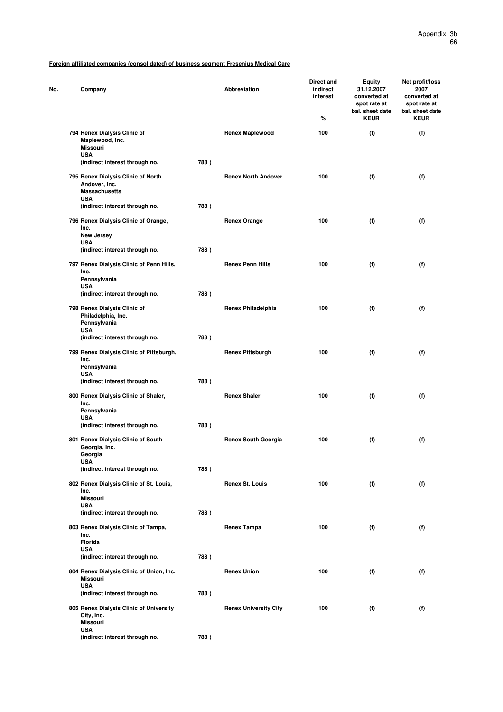| No. | Company                                                                   |      | Abbreviation                 | Direct and<br>indirect<br>interest<br>% | <b>Equity</b><br>31.12.2007<br>converted at<br>spot rate at<br>bal. sheet date<br><b>KEUR</b> | Net profit/loss<br>2007<br>converted at<br>spot rate at<br>bal. sheet date<br><b>KEUR</b> |
|-----|---------------------------------------------------------------------------|------|------------------------------|-----------------------------------------|-----------------------------------------------------------------------------------------------|-------------------------------------------------------------------------------------------|
|     | 794 Renex Dialysis Clinic of<br>Maplewood, Inc.<br><b>Missouri</b>        |      | <b>Renex Maplewood</b>       | 100                                     | (f)                                                                                           | (f)                                                                                       |
|     | <b>USA</b><br>(indirect interest through no.                              | 788) |                              |                                         |                                                                                               |                                                                                           |
|     | 795 Renex Dialysis Clinic of North                                        |      | <b>Renex North Andover</b>   | 100                                     | (f)                                                                                           | (f)                                                                                       |
|     | Andover, Inc.<br><b>Massachusetts</b><br><b>USA</b>                       |      |                              |                                         |                                                                                               |                                                                                           |
|     | (indirect interest through no.                                            | 788) |                              |                                         |                                                                                               |                                                                                           |
|     | 796 Renex Dialysis Clinic of Orange,<br>Inc.                              |      | <b>Renex Orange</b>          | 100                                     | (f)                                                                                           | (f)                                                                                       |
|     | New Jersey<br><b>USA</b>                                                  |      |                              |                                         |                                                                                               |                                                                                           |
|     | (indirect interest through no.                                            | 788) |                              |                                         |                                                                                               |                                                                                           |
|     | 797 Renex Dialysis Clinic of Penn Hills,<br>Inc.                          |      | <b>Renex Penn Hills</b>      | 100                                     | (f)                                                                                           | (f)                                                                                       |
|     | Pennsylvania<br><b>USA</b>                                                |      |                              |                                         |                                                                                               |                                                                                           |
|     | (indirect interest through no.                                            | 788) |                              |                                         |                                                                                               |                                                                                           |
|     | 798 Renex Dialysis Clinic of<br>Philadelphia, Inc.<br>Pennsylvania        |      | Renex Philadelphia           | 100                                     | (f)                                                                                           | (f)                                                                                       |
|     | <b>USA</b><br>(indirect interest through no.                              | 788) |                              |                                         |                                                                                               |                                                                                           |
|     |                                                                           |      | <b>Renex Pittsburgh</b>      | 100                                     | (f)                                                                                           | (f)                                                                                       |
|     | 799 Renex Dialysis Clinic of Pittsburgh,<br>Inc.<br>Pennsylvania          |      |                              |                                         |                                                                                               |                                                                                           |
|     | <b>USA</b><br>(indirect interest through no.                              | 788) |                              |                                         |                                                                                               |                                                                                           |
|     | 800 Renex Dialysis Clinic of Shaler,<br>Inc.                              |      | <b>Renex Shaler</b>          | 100                                     | (f)                                                                                           | (f)                                                                                       |
|     | Pennsylvania                                                              |      |                              |                                         |                                                                                               |                                                                                           |
|     | <b>USA</b><br>(indirect interest through no.                              | 788) |                              |                                         |                                                                                               |                                                                                           |
|     | 801 Renex Dialysis Clinic of South<br>Georgia, Inc.                       |      | <b>Renex South Georgia</b>   | 100                                     | (f)                                                                                           | (f)                                                                                       |
|     | Georgia<br><b>USA</b>                                                     |      |                              |                                         |                                                                                               |                                                                                           |
|     | (indirect interest through no.                                            | 788) |                              |                                         |                                                                                               |                                                                                           |
|     | 802 Renex Dialysis Clinic of St. Louis,<br>Inc.                           |      | <b>Renex St. Louis</b>       | 100                                     | (f)                                                                                           | (f)                                                                                       |
|     | Missouri<br><b>USA</b>                                                    |      |                              |                                         |                                                                                               |                                                                                           |
|     | (indirect interest through no.                                            | 788) |                              |                                         |                                                                                               |                                                                                           |
|     | 803 Renex Dialysis Clinic of Tampa,<br>Inc.                               |      | <b>Renex Tampa</b>           | 100                                     | (f)                                                                                           | (f)                                                                                       |
|     | Florida<br><b>USA</b>                                                     |      |                              |                                         |                                                                                               |                                                                                           |
|     | (indirect interest through no.                                            | 788) |                              |                                         |                                                                                               |                                                                                           |
|     | 804 Renex Dialysis Clinic of Union, Inc.<br><b>Missouri</b><br><b>USA</b> |      | <b>Renex Union</b>           | 100                                     | (f)                                                                                           | (f)                                                                                       |
|     | (indirect interest through no.                                            | 788) |                              |                                         |                                                                                               |                                                                                           |
|     | 805 Renex Dialysis Clinic of University<br>City, Inc.<br><b>Missouri</b>  |      | <b>Renex University City</b> | 100                                     | (f)                                                                                           | (f)                                                                                       |
|     | <b>USA</b><br>(indirect interest through no.                              | 788) |                              |                                         |                                                                                               |                                                                                           |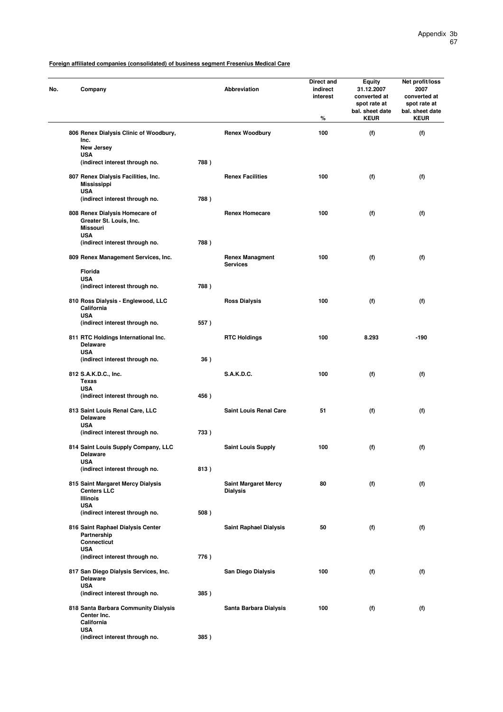| No. | Company                                                                      |      | Abbreviation                                   | Direct and<br>indirect<br>interest<br>% | <b>Equity</b><br>31.12.2007<br>converted at<br>spot rate at<br>bal. sheet date<br><b>KEUR</b> | Net profit/loss<br>2007<br>converted at<br>spot rate at<br>bal. sheet date<br><b>KEUR</b> |
|-----|------------------------------------------------------------------------------|------|------------------------------------------------|-----------------------------------------|-----------------------------------------------------------------------------------------------|-------------------------------------------------------------------------------------------|
|     | 806 Renex Dialysis Clinic of Woodbury,<br>Inc.                               |      | <b>Renex Woodbury</b>                          | 100                                     | (f)                                                                                           | (f)                                                                                       |
|     | New Jersey<br><b>USA</b>                                                     |      |                                                |                                         |                                                                                               |                                                                                           |
|     | (indirect interest through no.                                               | 788) |                                                |                                         |                                                                                               |                                                                                           |
|     | 807 Renex Dialysis Facilities, Inc.<br><b>Mississippi</b><br><b>USA</b>      |      | <b>Renex Facilities</b>                        | 100                                     | (f)                                                                                           | (f)                                                                                       |
|     | (indirect interest through no.                                               | 788) |                                                |                                         |                                                                                               |                                                                                           |
|     | 808 Renex Dialysis Homecare of<br>Greater St. Louis, Inc.<br><b>Missouri</b> |      | <b>Renex Homecare</b>                          | 100                                     | (f)                                                                                           | (f)                                                                                       |
|     | <b>USA</b><br>(indirect interest through no.                                 | 788) |                                                |                                         |                                                                                               |                                                                                           |
|     | 809 Renex Management Services, Inc.                                          |      | <b>Renex Managment</b><br><b>Services</b>      | 100                                     | (f)                                                                                           | (f)                                                                                       |
|     | <b>Florida</b><br><b>USA</b>                                                 |      |                                                |                                         |                                                                                               |                                                                                           |
|     | (indirect interest through no.                                               | 788) |                                                |                                         |                                                                                               |                                                                                           |
|     | 810 Ross Dialysis - Englewood, LLC<br>California<br><b>USA</b>               |      | <b>Ross Dialysis</b>                           | 100                                     | (f)                                                                                           | (f)                                                                                       |
|     | (indirect interest through no.                                               | 557) |                                                |                                         |                                                                                               |                                                                                           |
|     | 811 RTC Holdings International Inc.<br><b>Delaware</b><br><b>USA</b>         |      | <b>RTC Holdings</b>                            | 100                                     | 8.293                                                                                         | $-190$                                                                                    |
|     | (indirect interest through no.                                               | 36)  |                                                |                                         |                                                                                               |                                                                                           |
|     | 812 S.A.K.D.C., Inc.<br>Texas                                                |      | S.A.K.D.C.                                     | 100                                     | (f)                                                                                           | (f)                                                                                       |
|     | <b>USA</b><br>(indirect interest through no.                                 | 456) |                                                |                                         |                                                                                               |                                                                                           |
|     | 813 Saint Louis Renal Care, LLC<br><b>Delaware</b>                           |      | <b>Saint Louis Renal Care</b>                  | 51                                      | (f)                                                                                           | (f)                                                                                       |
|     | <b>USA</b><br>(indirect interest through no.                                 | 733) |                                                |                                         |                                                                                               |                                                                                           |
|     | 814 Saint Louis Supply Company, LLC<br>Delaware                              |      | <b>Saint Louis Supply</b>                      | 100                                     | (f)                                                                                           | (f)                                                                                       |
|     | <b>USA</b><br>(indirect interest through no.                                 | 813) |                                                |                                         |                                                                                               |                                                                                           |
|     | 815 Saint Margaret Mercy Dialysis<br><b>Centers LLC</b>                      |      | <b>Saint Margaret Mercy</b><br><b>Dialysis</b> | 80                                      | (f)                                                                                           | (f)                                                                                       |
|     | <b>Illinois</b><br><b>USA</b>                                                |      |                                                |                                         |                                                                                               |                                                                                           |
|     | (indirect interest through no.                                               | 508) |                                                |                                         |                                                                                               |                                                                                           |
|     | 816 Saint Raphael Dialysis Center<br>Partnership<br><b>Connecticut</b>       |      | <b>Saint Raphael Dialysis</b>                  | 50                                      | (f)                                                                                           | (f)                                                                                       |
|     | <b>USA</b>                                                                   |      |                                                |                                         |                                                                                               |                                                                                           |
|     | (indirect interest through no.                                               | 776) |                                                |                                         |                                                                                               |                                                                                           |
|     | 817 San Diego Dialysis Services, Inc.<br><b>Delaware</b><br><b>USA</b>       |      | San Diego Dialysis                             | 100                                     | (f)                                                                                           | (f)                                                                                       |
|     | (indirect interest through no.                                               | 385) |                                                |                                         |                                                                                               |                                                                                           |
|     | 818 Santa Barbara Community Dialysis<br>Center Inc.<br>California            |      | Santa Barbara Dialysis                         | 100                                     | (f)                                                                                           | (f)                                                                                       |
|     | <b>USA</b><br>(indirect interest through no.                                 | 385) |                                                |                                         |                                                                                               |                                                                                           |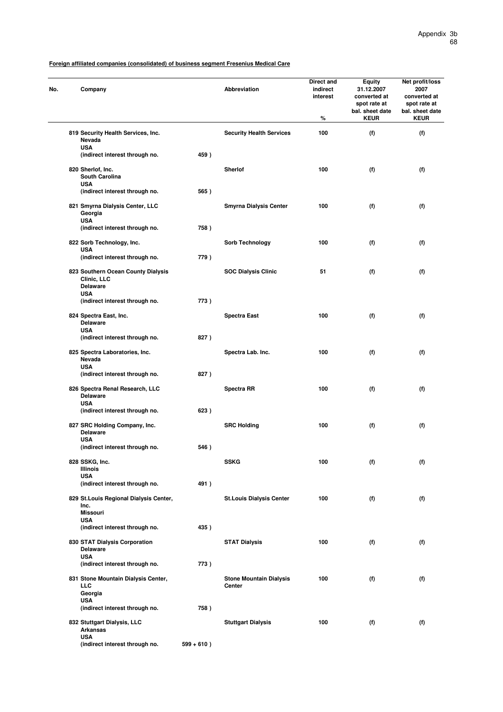| No. | Company                                                            |               | Abbreviation                             | Direct and<br>indirect<br>interest<br>% | Equity<br>31.12.2007<br>converted at<br>spot rate at<br>bal. sheet date<br><b>KEUR</b> | Net profit/loss<br>2007<br>converted at<br>spot rate at<br>bal. sheet date<br><b>KEUR</b> |
|-----|--------------------------------------------------------------------|---------------|------------------------------------------|-----------------------------------------|----------------------------------------------------------------------------------------|-------------------------------------------------------------------------------------------|
|     | 819 Security Health Services, Inc.<br>Nevada                       |               | <b>Security Health Services</b>          | 100                                     | (f)                                                                                    | (f)                                                                                       |
|     | <b>USA</b><br>(indirect interest through no.                       | 459)          |                                          |                                         |                                                                                        |                                                                                           |
|     | 820 Sherlof, Inc.                                                  |               | <b>Sherlof</b>                           | 100                                     | (f)                                                                                    | (f)                                                                                       |
|     | <b>South Carolina</b><br><b>USA</b>                                |               |                                          |                                         |                                                                                        |                                                                                           |
|     | (indirect interest through no.                                     | 565)          |                                          |                                         |                                                                                        |                                                                                           |
|     | 821 Smyrna Dialysis Center, LLC<br>Georgia<br><b>USA</b>           |               | <b>Smyrna Dialysis Center</b>            | 100                                     | (f)                                                                                    | (f)                                                                                       |
|     | (indirect interest through no.                                     | 758)          |                                          |                                         |                                                                                        |                                                                                           |
|     | 822 Sorb Technology, Inc.                                          |               | Sorb Technology                          | 100                                     | (f)                                                                                    | (f)                                                                                       |
|     | <b>USA</b><br>(indirect interest through no.                       | 779)          |                                          |                                         |                                                                                        |                                                                                           |
|     | 823 Southern Ocean County Dialysis<br>Clinic, LLC                  |               | <b>SOC Dialysis Clinic</b>               | 51                                      | (f)                                                                                    | (f)                                                                                       |
|     | <b>Delaware</b><br><b>USA</b>                                      |               |                                          |                                         |                                                                                        |                                                                                           |
|     | (indirect interest through no.                                     | 773)          |                                          |                                         |                                                                                        |                                                                                           |
|     | 824 Spectra East, Inc.<br><b>Delaware</b><br><b>USA</b>            |               | <b>Spectra East</b>                      | 100                                     | (f)                                                                                    | (f)                                                                                       |
|     | (indirect interest through no.                                     | 827)          |                                          |                                         |                                                                                        |                                                                                           |
|     | 825 Spectra Laboratories, Inc.<br>Nevada<br><b>USA</b>             |               | Spectra Lab. Inc.                        | 100                                     | (f)                                                                                    | (f)                                                                                       |
|     | (indirect interest through no.                                     | 827)          |                                          |                                         |                                                                                        |                                                                                           |
|     | 826 Spectra Renal Research, LLC<br><b>Delaware</b><br><b>USA</b>   |               | <b>Spectra RR</b>                        | 100                                     | (f)                                                                                    | (f)                                                                                       |
|     | (indirect interest through no.                                     | 623)          |                                          |                                         |                                                                                        |                                                                                           |
|     | 827 SRC Holding Company, Inc.<br><b>Delaware</b>                   |               | <b>SRC Holding</b>                       | 100                                     | (f)                                                                                    | (f)                                                                                       |
|     | <b>USA</b><br>(indirect interest through no.                       | 546)          |                                          |                                         |                                                                                        |                                                                                           |
|     | 828 SSKG, Inc.<br>Illinois                                         |               | <b>SSKG</b>                              | 100                                     | (f)                                                                                    | (f)                                                                                       |
|     | <b>USA</b>                                                         | 491)          |                                          |                                         |                                                                                        |                                                                                           |
|     | (indirect interest through no.                                     |               |                                          |                                         |                                                                                        |                                                                                           |
|     | 829 St. Louis Regional Dialysis Center,<br>Inc.<br><b>Missouri</b> |               | <b>St.Louis Dialysis Center</b>          | 100                                     | (f)                                                                                    | (f)                                                                                       |
|     | <b>USA</b><br>(indirect interest through no.                       | 435)          |                                          |                                         |                                                                                        |                                                                                           |
|     | 830 STAT Dialysis Corporation<br><b>Delaware</b>                   |               | <b>STAT Dialysis</b>                     | 100                                     | (f)                                                                                    | (f)                                                                                       |
|     | <b>USA</b>                                                         |               |                                          |                                         |                                                                                        |                                                                                           |
|     | (indirect interest through no.                                     | 773)          |                                          |                                         |                                                                                        |                                                                                           |
|     | 831 Stone Mountain Dialysis Center,<br><b>LLC</b><br>Georgia       |               | <b>Stone Mountain Dialysis</b><br>Center | 100                                     | (f)                                                                                    | (f)                                                                                       |
|     | <b>USA</b><br>(indirect interest through no.                       | 758)          |                                          |                                         |                                                                                        |                                                                                           |
|     | 832 Stuttgart Dialysis, LLC<br><b>Arkansas</b>                     |               | <b>Stuttgart Dialysis</b>                | 100                                     | (f)                                                                                    | (f)                                                                                       |
|     | <b>USA</b><br>(indirect interest through no.                       | $599 + 610$ ) |                                          |                                         |                                                                                        |                                                                                           |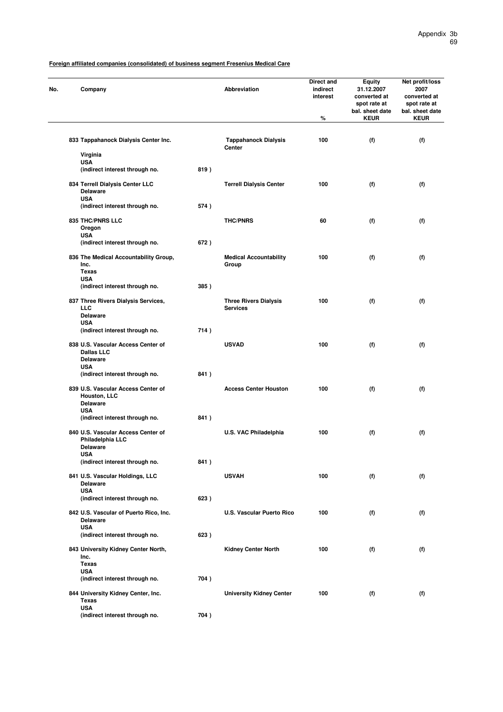| No. | Company                                                                                  |      | <b>Abbreviation</b>                             | Direct and<br>indirect<br>interest<br>$\%$ | <b>Equity</b><br>31.12.2007<br>converted at<br>spot rate at<br>bal. sheet date<br><b>KEUR</b> | Net profit/loss<br>2007<br>converted at<br>spot rate at<br>bal. sheet date<br><b>KEUR</b> |
|-----|------------------------------------------------------------------------------------------|------|-------------------------------------------------|--------------------------------------------|-----------------------------------------------------------------------------------------------|-------------------------------------------------------------------------------------------|
|     |                                                                                          |      |                                                 |                                            |                                                                                               |                                                                                           |
|     | 833 Tappahanock Dialysis Center Inc.                                                     |      | <b>Tappahanock Dialysis</b><br>Center           | 100                                        | (f)                                                                                           | (f)                                                                                       |
|     | Virginia                                                                                 |      |                                                 |                                            |                                                                                               |                                                                                           |
|     | <b>USA</b><br>(indirect interest through no.                                             | 819) |                                                 |                                            |                                                                                               |                                                                                           |
|     |                                                                                          |      |                                                 |                                            |                                                                                               |                                                                                           |
|     | 834 Terrell Dialysis Center LLC<br><b>Delaware</b><br><b>USA</b>                         |      | <b>Terrell Dialysis Center</b>                  | 100                                        | (f)                                                                                           | (f)                                                                                       |
|     | (indirect interest through no.                                                           | 574) |                                                 |                                            |                                                                                               |                                                                                           |
|     | 835 THC/PNRS LLC<br>Oregon                                                               |      | <b>THC/PNRS</b>                                 | 60                                         | (f)                                                                                           | (f)                                                                                       |
|     | <b>USA</b>                                                                               |      |                                                 |                                            |                                                                                               |                                                                                           |
|     | (indirect interest through no.                                                           | 672) |                                                 |                                            |                                                                                               |                                                                                           |
|     | 836 The Medical Accountability Group,<br>Inc.<br><b>Texas</b>                            |      | <b>Medical Accountability</b><br>Group          | 100                                        | (f)                                                                                           | (f)                                                                                       |
|     | <b>USA</b>                                                                               |      |                                                 |                                            |                                                                                               |                                                                                           |
|     | (indirect interest through no.                                                           | 385) |                                                 |                                            |                                                                                               |                                                                                           |
|     | 837 Three Rivers Dialysis Services,<br><b>LLC</b><br><b>Delaware</b>                     |      | <b>Three Rivers Dialysis</b><br><b>Services</b> | 100                                        | (f)                                                                                           | (f)                                                                                       |
|     | <b>USA</b><br>(indirect interest through no.                                             | 714) |                                                 |                                            |                                                                                               |                                                                                           |
|     |                                                                                          |      |                                                 |                                            |                                                                                               |                                                                                           |
|     | 838 U.S. Vascular Access Center of<br><b>Dallas LLC</b><br><b>Delaware</b><br><b>USA</b> |      | <b>USVAD</b>                                    | 100                                        | (f)                                                                                           | (f)                                                                                       |
|     | (indirect interest through no.                                                           | 841) |                                                 |                                            |                                                                                               |                                                                                           |
|     | 839 U.S. Vascular Access Center of<br>Houston, LLC<br><b>Delaware</b>                    |      | <b>Access Center Houston</b>                    | 100                                        | (f)                                                                                           | (f)                                                                                       |
|     | <b>USA</b>                                                                               |      |                                                 |                                            |                                                                                               |                                                                                           |
|     | (indirect interest through no.                                                           | 841) |                                                 |                                            |                                                                                               |                                                                                           |
|     | 840 U.S. Vascular Access Center of<br>Philadelphia LLC<br><b>Delaware</b>                |      | U.S. VAC Philadelphia                           | 100                                        | (f)                                                                                           | (f)                                                                                       |
|     | USA<br>(indirect interest through no.                                                    | 841) |                                                 |                                            |                                                                                               |                                                                                           |
|     |                                                                                          |      |                                                 |                                            |                                                                                               |                                                                                           |
|     | 841 U.S. Vascular Holdings, LLC<br><b>Delaware</b><br><b>USA</b>                         |      | <b>USVAH</b>                                    | 100                                        | (f)                                                                                           | (f)                                                                                       |
|     | (indirect interest through no.                                                           | 623) |                                                 |                                            |                                                                                               |                                                                                           |
|     | 842 U.S. Vascular of Puerto Rico, Inc.<br><b>Delaware</b>                                |      | <b>U.S. Vascular Puerto Rico</b>                | 100                                        | (f)                                                                                           | (f)                                                                                       |
|     | <b>USA</b><br>(indirect interest through no.                                             | 623) |                                                 |                                            |                                                                                               |                                                                                           |
|     | 843 University Kidney Center North,<br>Inc.                                              |      | <b>Kidney Center North</b>                      | 100                                        | (f)                                                                                           | (f)                                                                                       |
|     | <b>Texas</b>                                                                             |      |                                                 |                                            |                                                                                               |                                                                                           |
|     | <b>USA</b><br>(indirect interest through no.                                             | 704) |                                                 |                                            |                                                                                               |                                                                                           |
|     |                                                                                          |      |                                                 |                                            |                                                                                               |                                                                                           |
|     | 844 University Kidney Center, Inc.<br><b>Texas</b><br><b>USA</b>                         |      | <b>University Kidney Center</b>                 | 100                                        | (f)                                                                                           | (f)                                                                                       |
|     | (indirect interest through no.                                                           | 704) |                                                 |                                            |                                                                                               |                                                                                           |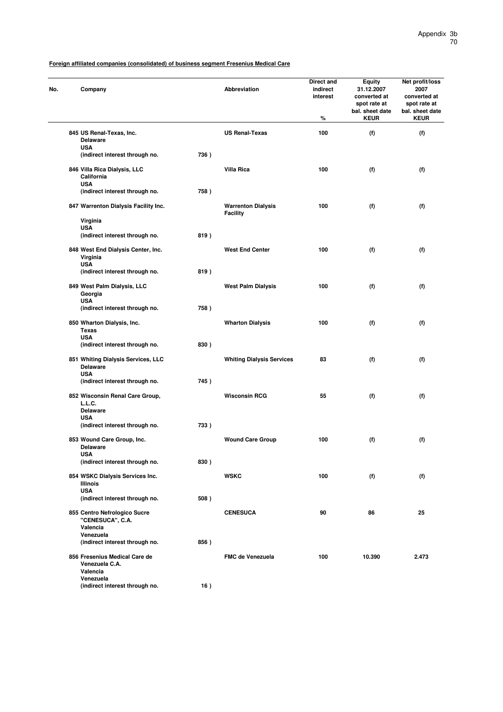| No. | Company                                                             |      | Abbreviation                                 | Direct and<br>indirect<br>interest<br>% | <b>Equity</b><br>31.12.2007<br>converted at<br>spot rate at<br>bal. sheet date<br><b>KEUR</b> | Net profit/loss<br>2007<br>converted at<br>spot rate at<br>bal. sheet date<br><b>KEUR</b> |
|-----|---------------------------------------------------------------------|------|----------------------------------------------|-----------------------------------------|-----------------------------------------------------------------------------------------------|-------------------------------------------------------------------------------------------|
|     | 845 US Renal-Texas, Inc.                                            |      | <b>US Renal-Texas</b>                        | 100                                     | (f)                                                                                           | (f)                                                                                       |
|     | <b>Delaware</b><br><b>USA</b>                                       |      |                                              |                                         |                                                                                               |                                                                                           |
|     | (indirect interest through no.                                      | 736) |                                              |                                         |                                                                                               |                                                                                           |
|     | 846 Villa Rica Dialysis, LLC<br>California<br><b>USA</b>            |      | <b>Villa Rica</b>                            | 100                                     | (f)                                                                                           | (f)                                                                                       |
|     | (indirect interest through no.                                      | 758) |                                              |                                         |                                                                                               |                                                                                           |
|     | 847 Warrenton Dialysis Facility Inc.                                |      | <b>Warrenton Dialysis</b><br><b>Facility</b> | 100                                     | (f)                                                                                           | (f)                                                                                       |
|     | Virginia<br><b>USA</b>                                              |      |                                              |                                         |                                                                                               |                                                                                           |
|     | (indirect interest through no.                                      | 819) |                                              |                                         |                                                                                               |                                                                                           |
|     | 848 West End Dialysis Center, Inc.<br>Virginia<br><b>USA</b>        |      | <b>West End Center</b>                       | 100                                     | (f)                                                                                           | (f)                                                                                       |
|     | (indirect interest through no.                                      | 819) |                                              |                                         |                                                                                               |                                                                                           |
|     | 849 West Palm Dialysis, LLC<br>Georgia                              |      | <b>West Palm Dialysis</b>                    | 100                                     | (f)                                                                                           | (f)                                                                                       |
|     | <b>USA</b><br>(indirect interest through no.                        | 758) |                                              |                                         |                                                                                               |                                                                                           |
|     | 850 Wharton Dialysis, Inc.<br><b>Texas</b><br><b>USA</b>            |      | <b>Wharton Dialysis</b>                      | 100                                     | (f)                                                                                           | (f)                                                                                       |
|     | (indirect interest through no.                                      | 830) |                                              |                                         |                                                                                               |                                                                                           |
|     | 851 Whiting Dialysis Services, LLC<br><b>Delaware</b><br><b>USA</b> |      | <b>Whiting Dialysis Services</b>             | 83                                      | (f)                                                                                           | (f)                                                                                       |
|     | (indirect interest through no.                                      | 745) |                                              |                                         |                                                                                               |                                                                                           |
|     | 852 Wisconsin Renal Care Group,<br>L.L.C.                           |      | <b>Wisconsin RCG</b>                         | 55                                      | (f)                                                                                           | (f)                                                                                       |
|     | <b>Delaware</b><br><b>USA</b>                                       |      |                                              |                                         |                                                                                               |                                                                                           |
|     | (indirect interest through no.                                      | 733) |                                              |                                         |                                                                                               |                                                                                           |
|     | 853 Wound Care Group, Inc.<br><b>Delaware</b>                       |      | <b>Wound Care Group</b>                      | 100                                     | (f)                                                                                           | (f)                                                                                       |
|     | USA<br>(indirect interest through no.                               | 830) |                                              |                                         |                                                                                               |                                                                                           |
|     | 854 WSKC Dialysis Services Inc.<br>Illinois                         |      | <b>WSKC</b>                                  | 100                                     | (f)                                                                                           | (f)                                                                                       |
|     | <b>USA</b><br>(indirect interest through no.                        | 508) |                                              |                                         |                                                                                               |                                                                                           |
|     | 855 Centro Nefrologico Sucre<br>"CENESUCA", C.A.                    |      | <b>CENESUCA</b>                              | 90                                      | 86                                                                                            | 25                                                                                        |
|     | Valencia<br>Venezuela                                               |      |                                              |                                         |                                                                                               |                                                                                           |
|     | (indirect interest through no.                                      | 856) |                                              |                                         |                                                                                               |                                                                                           |
|     | 856 Fresenius Medical Care de<br>Venezuela C.A.<br>Valencia         |      | <b>FMC de Venezuela</b>                      | 100                                     | 10.390                                                                                        | 2.473                                                                                     |
|     | Venezuela<br>(indirect interest through no.                         | 16)  |                                              |                                         |                                                                                               |                                                                                           |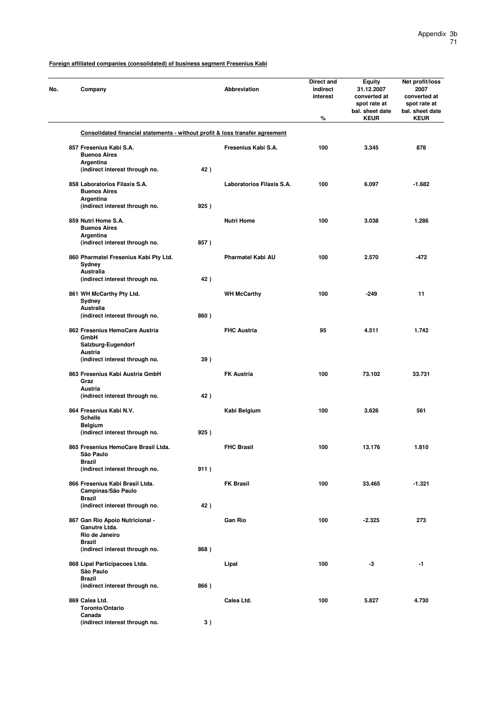| Company                                                                      |      | Abbreviation              | Direct and<br>indirect<br>interest<br>$\%$ | <b>Equity</b><br>31.12.2007<br>converted at<br>spot rate at<br>bal. sheet date<br><b>KEUR</b> | Net profit/loss<br>2007<br>converted at<br>spot rate at<br>bal. sheet date<br><b>KEUR</b> |
|------------------------------------------------------------------------------|------|---------------------------|--------------------------------------------|-----------------------------------------------------------------------------------------------|-------------------------------------------------------------------------------------------|
| Consolidated financial statements - without profit & loss transfer agreement |      |                           |                                            |                                                                                               |                                                                                           |
| 857 Fresenius Kabi S.A.<br><b>Buenos Aires</b>                               |      | Fresenius Kabi S.A.       | 100                                        | 3.345                                                                                         | 878                                                                                       |
| Argentina<br>(indirect interest through no.                                  | 42)  |                           |                                            |                                                                                               |                                                                                           |
| 858 Laboratorios Filaxis S.A.<br><b>Buenos Aires</b><br>Argentina            |      | Laboratorios Filaxis S.A. | 100                                        | 6.097                                                                                         | $-1.682$                                                                                  |
| (indirect interest through no.                                               | 925) |                           |                                            |                                                                                               |                                                                                           |
| 859 Nutri Home S.A.<br><b>Buenos Aires</b>                                   |      | <b>Nutri Home</b>         | 100                                        | 3.038                                                                                         | 1.286                                                                                     |
| Argentina<br>(indirect interest through no.                                  | 857) |                           |                                            |                                                                                               |                                                                                           |
| 860 Pharmatel Fresenius Kabi Pty Ltd.<br>Sydney                              |      | Pharmatel Kabi AU         | 100                                        | 2.570                                                                                         | -472                                                                                      |
| Australia<br>(indirect interest through no.                                  | 42)  |                           |                                            |                                                                                               |                                                                                           |
| 861 WH McCarthy Pty Ltd.<br>Sydney                                           |      | <b>WH McCarthy</b>        | 100                                        | $-249$                                                                                        | 11                                                                                        |
| <b>Australia</b><br>(indirect interest through no.                           | 860) |                           |                                            |                                                                                               |                                                                                           |
| 862 Fresenius HemoCare Austria<br>GmbH                                       |      | <b>FHC Austria</b>        | 95                                         | 4.511                                                                                         | 1.742                                                                                     |
| Salzburg-Eugendorf<br>Austria                                                |      |                           |                                            |                                                                                               |                                                                                           |
| (indirect interest through no.                                               | 39)  |                           |                                            |                                                                                               |                                                                                           |
| 863 Fresenius Kabi Austria GmbH<br>Graz                                      |      | <b>FK Austria</b>         | 100                                        | 73.102                                                                                        | 33.731                                                                                    |
| Austria<br>(indirect interest through no.                                    | 42)  |                           |                                            |                                                                                               |                                                                                           |
| 864 Fresenius Kabi N.V.<br><b>Schelle</b>                                    |      | Kabi Belgium              | 100                                        | 3.626                                                                                         | 561                                                                                       |
| <b>Belgium</b><br>(indirect interest through no.                             | 925) |                           |                                            |                                                                                               |                                                                                           |
| 865 Fresenius HemoCare Brasil Ltda.<br>Sao Paulo                             |      | <b>FHC Brasil</b>         | 100                                        | 13.176                                                                                        | 1.810                                                                                     |
| Brazil<br>(indirect interest through no.                                     | 911) |                           |                                            |                                                                                               |                                                                                           |
| 866 Fresenius Kabi Brasil Ltda.<br>Campinas/São Paulo                        |      | <b>FK Brasil</b>          | 100                                        | 33.465                                                                                        | $-1.321$                                                                                  |
| <b>Brazil</b><br>(indirect interest through no.                              | 42)  |                           |                                            |                                                                                               |                                                                                           |
| 867 Gan Rio Apoio Nutricional -<br>Ganutre Ltda.                             |      | <b>Gan Rio</b>            | 100                                        | $-2.325$                                                                                      | 273                                                                                       |
| Rio de Janeiro<br>Brazil                                                     |      |                           |                                            |                                                                                               |                                                                                           |
| (indirect interest through no.                                               | 868) |                           |                                            |                                                                                               |                                                                                           |
| 868 Lipal Participacoes Ltda.<br>São Paulo                                   |      | Lipal                     | 100                                        | -3                                                                                            | -1                                                                                        |
| <b>Brazil</b><br>(indirect interest through no.                              | 866) |                           |                                            |                                                                                               |                                                                                           |
| 869 Calea Ltd.<br>Toronto/Ontario                                            |      | Calea Ltd.                | 100                                        | 5.827                                                                                         | 4.730                                                                                     |
| Canada<br>(indirect interest through no.                                     | 3)   |                           |                                            |                                                                                               |                                                                                           |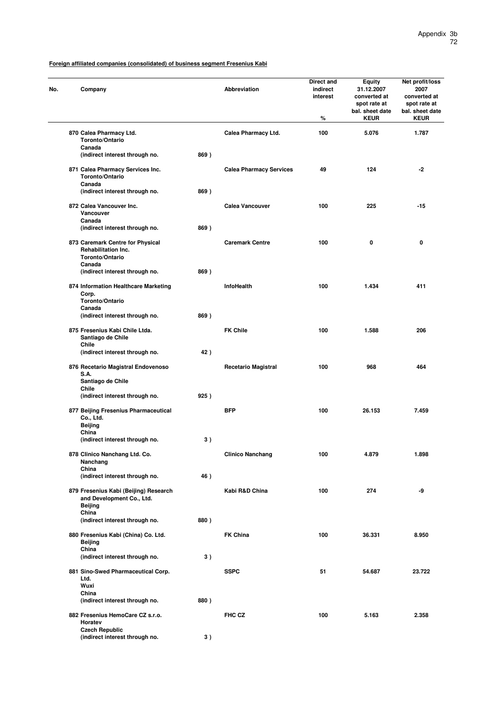| No. | Company                                                                       |      | <b>Abbreviation</b>            | Direct and<br>indirect<br>interest<br>% | <b>Equity</b><br>31.12.2007<br>converted at<br>spot rate at<br>bal. sheet date<br><b>KEUR</b> | Net profit/loss<br>2007<br>converted at<br>spot rate at<br>bal. sheet date<br><b>KEUR</b> |
|-----|-------------------------------------------------------------------------------|------|--------------------------------|-----------------------------------------|-----------------------------------------------------------------------------------------------|-------------------------------------------------------------------------------------------|
|     | 870 Calea Pharmacy Ltd.<br>Toronto/Ontario                                    |      | Calea Pharmacy Ltd.            | 100                                     | 5.076                                                                                         | 1.787                                                                                     |
|     | Canada<br>(indirect interest through no.                                      | 869) |                                |                                         |                                                                                               |                                                                                           |
|     | 871 Calea Pharmacy Services Inc.                                              |      | <b>Calea Pharmacy Services</b> | 49                                      | 124                                                                                           | -2                                                                                        |
|     | Toronto/Ontario<br>Canada<br>(indirect interest through no.                   | 869) |                                |                                         |                                                                                               |                                                                                           |
|     | 872 Calea Vancouver Inc.                                                      |      | Calea Vancouver                | 100                                     | 225                                                                                           | $-15$                                                                                     |
|     | Vancouver                                                                     |      |                                |                                         |                                                                                               |                                                                                           |
|     | Canada<br>(indirect interest through no.                                      | 869) |                                |                                         |                                                                                               |                                                                                           |
|     | 873 Caremark Centre for Physical<br>Rehabilitation Inc.<br>Toronto/Ontario    |      | <b>Caremark Centre</b>         | 100                                     | 0                                                                                             | 0                                                                                         |
|     | Canada<br>(indirect interest through no.                                      | 869) |                                |                                         |                                                                                               |                                                                                           |
|     |                                                                               |      |                                |                                         |                                                                                               |                                                                                           |
|     | 874 Information Healthcare Marketing<br>Corp.                                 |      | InfoHealth                     | 100                                     | 1.434                                                                                         | 411                                                                                       |
|     | Toronto/Ontario<br>Canada                                                     |      |                                |                                         |                                                                                               |                                                                                           |
|     | (indirect interest through no.                                                | 869) |                                |                                         |                                                                                               |                                                                                           |
|     | 875 Fresenius Kabi Chile Ltda.<br>Santiago de Chile<br>Chile                  |      | <b>FK Chile</b>                | 100                                     | 1.588                                                                                         | 206                                                                                       |
|     | (indirect interest through no.                                                | 42)  |                                |                                         |                                                                                               |                                                                                           |
|     | 876 Recetario Magistral Endovenoso<br>S.A.<br>Santiago de Chile               |      | <b>Recetario Magistral</b>     | 100                                     | 968                                                                                           | 464                                                                                       |
|     | Chile                                                                         |      |                                |                                         |                                                                                               |                                                                                           |
|     | (indirect interest through no.                                                | 925) |                                |                                         |                                                                                               |                                                                                           |
|     | 877 Beijing Fresenius Pharmaceutical<br>Co., Ltd.<br>Beijing                  |      | BFP                            | 100                                     | 26.153                                                                                        | 7.459                                                                                     |
|     | China<br>(indirect interest through no.                                       | 3)   |                                |                                         |                                                                                               |                                                                                           |
|     |                                                                               |      |                                |                                         |                                                                                               |                                                                                           |
|     | 878 Clinico Nanchang Ltd. Co.<br>Nanchang<br>China                            |      | <b>Clinico Nanchang</b>        | 100                                     | 4.879                                                                                         | 1.898                                                                                     |
|     | (indirect interest through no.                                                | 46)  |                                |                                         |                                                                                               |                                                                                           |
|     | 879 Fresenius Kabi (Beijing) Research<br>and Development Co., Ltd.<br>Beijing |      | Kabi R&D China                 | 100                                     | 274                                                                                           | -9                                                                                        |
|     | China<br>(indirect interest through no.                                       | 880) |                                |                                         |                                                                                               |                                                                                           |
|     | 880 Fresenius Kabi (China) Co. Ltd.<br>Beijing                                |      | <b>FK China</b>                | 100                                     | 36.331                                                                                        | 8.950                                                                                     |
|     | China                                                                         |      |                                |                                         |                                                                                               |                                                                                           |
|     | (indirect interest through no.                                                | 3)   |                                |                                         |                                                                                               |                                                                                           |
|     | 881 Sino-Swed Pharmaceutical Corp.<br>Ltd.<br>Wuxi                            |      | <b>SSPC</b>                    | 51                                      | 54.687                                                                                        | 23.722                                                                                    |
|     | China<br>(indirect interest through no.                                       | 880) |                                |                                         |                                                                                               |                                                                                           |
|     | 882 Fresenius HemoCare CZ s.r.o.<br>Horatev                                   |      | FHC CZ                         | 100                                     | 5.163                                                                                         | 2.358                                                                                     |
|     | <b>Czech Republic</b><br>(indirect interest through no.                       | 3)   |                                |                                         |                                                                                               |                                                                                           |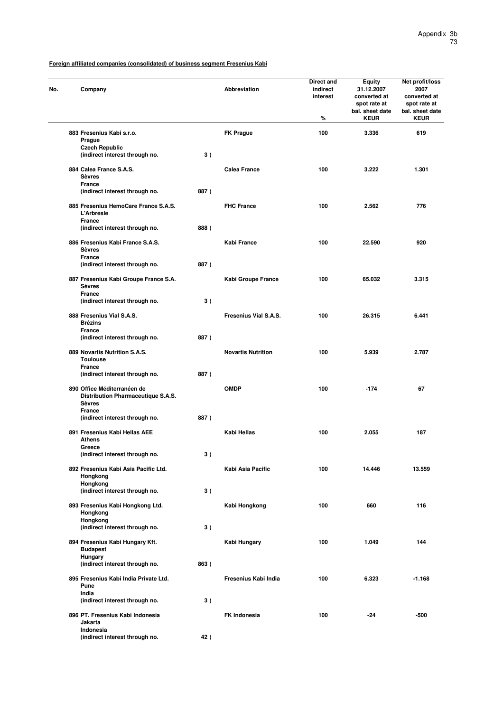| Company                                                                            |      | Abbreviation              | Direct and<br>indirect<br>interest<br>% | Equity<br>31.12.2007<br>converted at<br>spot rate at<br>bal. sheet date<br><b>KEUR</b> | Net profit/loss<br>2007<br>converted at<br>spot rate at<br>bal. sheet date<br><b>KEUR</b> |
|------------------------------------------------------------------------------------|------|---------------------------|-----------------------------------------|----------------------------------------------------------------------------------------|-------------------------------------------------------------------------------------------|
| 883 Fresenius Kabi s.r.o.                                                          |      | <b>FK Prague</b>          | 100                                     | 3.336                                                                                  | 619                                                                                       |
| Prague                                                                             |      |                           |                                         |                                                                                        |                                                                                           |
| <b>Czech Republic</b>                                                              |      |                           |                                         |                                                                                        |                                                                                           |
| (indirect interest through no.                                                     | 3)   |                           |                                         |                                                                                        |                                                                                           |
| 884 Calea France S.A.S.<br><b>Sèvres</b>                                           |      | <b>Calea France</b>       | 100                                     | 3.222                                                                                  | 1.301                                                                                     |
| <b>France</b>                                                                      |      |                           |                                         |                                                                                        |                                                                                           |
| (indirect interest through no.                                                     | 887) |                           |                                         |                                                                                        |                                                                                           |
| 885 Fresenius HemoCare France S.A.S.<br><b>L'Arbresle</b>                          |      | <b>FHC France</b>         | 100                                     | 2.562                                                                                  | 776                                                                                       |
| France                                                                             |      |                           |                                         |                                                                                        |                                                                                           |
| (indirect interest through no.                                                     | 888) |                           |                                         |                                                                                        |                                                                                           |
| 886 Fresenius Kabi France S.A.S.<br><b>Sèvres</b>                                  |      | Kabi France               | 100                                     | 22.590                                                                                 | 920                                                                                       |
| France                                                                             |      |                           |                                         |                                                                                        |                                                                                           |
| (indirect interest through no.                                                     | 887) |                           |                                         |                                                                                        |                                                                                           |
| 887 Fresenius Kabi Groupe France S.A.<br><b>Sèvres</b>                             |      | Kabi Groupe France        | 100                                     | 65.032                                                                                 | 3.315                                                                                     |
| France                                                                             |      |                           |                                         |                                                                                        |                                                                                           |
| (indirect interest through no.                                                     | 3)   |                           |                                         |                                                                                        |                                                                                           |
| 888 Fresenius Vial S.A.S.                                                          |      | Fresenius Vial S.A.S.     | 100                                     | 26.315                                                                                 | 6.441                                                                                     |
| <b>Brézins</b>                                                                     |      |                           |                                         |                                                                                        |                                                                                           |
| France                                                                             |      |                           |                                         |                                                                                        |                                                                                           |
| (indirect interest through no.                                                     | 887) |                           |                                         |                                                                                        |                                                                                           |
| 889 Novartis Nutrition S.A.S.                                                      |      | <b>Novartis Nutrition</b> | 100                                     | 5.939                                                                                  | 2.787                                                                                     |
| <b>Toulouse</b>                                                                    |      |                           |                                         |                                                                                        |                                                                                           |
| France                                                                             |      |                           |                                         |                                                                                        |                                                                                           |
| (indirect interest through no.                                                     | 887) |                           |                                         |                                                                                        |                                                                                           |
|                                                                                    |      |                           |                                         |                                                                                        |                                                                                           |
| 890 Office Méditerranéen de<br>Distribution Pharmaceutique S.A.S.<br><b>Sèvres</b> |      | <b>OMDP</b>               | 100                                     | $-174$                                                                                 | 67                                                                                        |
| France                                                                             |      |                           |                                         |                                                                                        |                                                                                           |
| (indirect interest through no.                                                     | 887) |                           |                                         |                                                                                        |                                                                                           |
| 891 Fresenius Kabi Hellas AEE<br><b>Athens</b>                                     |      | Kabi Hellas               | 100                                     | 2.055                                                                                  | 187                                                                                       |
| Greece                                                                             |      |                           |                                         |                                                                                        |                                                                                           |
| (indirect interest through no.                                                     | 3)   |                           |                                         |                                                                                        |                                                                                           |
| 892 Fresenius Kabi Asia Pacific Ltd.<br>Hongkong                                   |      | Kabi Asia Pacific         | 100                                     | 14.446                                                                                 | 13.559                                                                                    |
| Hongkong                                                                           |      |                           |                                         |                                                                                        |                                                                                           |
| (indirect interest through no.                                                     | 3)   |                           |                                         |                                                                                        |                                                                                           |
| 893 Fresenius Kabi Hongkong Ltd.                                                   |      | Kabi Hongkong             | 100                                     | 660                                                                                    | 116                                                                                       |
| Hongkong<br>Hongkong                                                               |      |                           |                                         |                                                                                        |                                                                                           |
| (indirect interest through no.                                                     | 3)   |                           |                                         |                                                                                        |                                                                                           |
|                                                                                    |      |                           |                                         |                                                                                        |                                                                                           |
| 894 Fresenius Kabi Hungary Kft.<br><b>Budapest</b>                                 |      | Kabi Hungary              | 100                                     | 1.049                                                                                  | 144                                                                                       |
| <b>Hungary</b><br>(indirect interest through no.                                   | 863) |                           |                                         |                                                                                        |                                                                                           |
| 895 Fresenius Kabi India Private Ltd.                                              |      | Fresenius Kabi India      | 100                                     | 6.323                                                                                  | $-1.168$                                                                                  |
| Pune<br>India                                                                      |      |                           |                                         |                                                                                        |                                                                                           |
| (indirect interest through no.                                                     | 3)   |                           |                                         |                                                                                        |                                                                                           |
|                                                                                    |      |                           |                                         |                                                                                        |                                                                                           |
| 896 PT. Fresenius Kabi Indonesia<br>Jakarta<br>Indonesia                           |      | <b>FK Indonesia</b>       | 100                                     | -24                                                                                    | $-500$                                                                                    |
| (indirect interest through no.                                                     | 42)  |                           |                                         |                                                                                        |                                                                                           |
|                                                                                    |      |                           |                                         |                                                                                        |                                                                                           |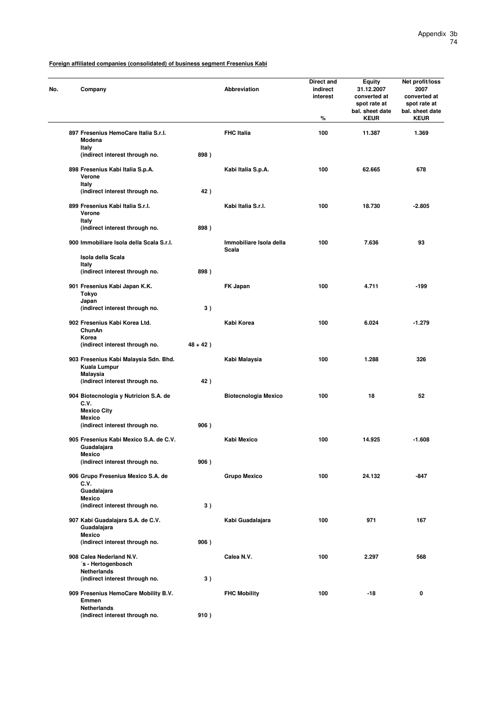| No. | Company                                                           |             | <b>Abbreviation</b>              | Direct and<br>indirect<br>interest<br>℅ | <b>Equity</b><br>31.12.2007<br>converted at<br>spot rate at<br>bal. sheet date<br><b>KEUR</b> | Net profit/loss<br>2007<br>converted at<br>spot rate at<br>bal. sheet date<br><b>KEUR</b> |
|-----|-------------------------------------------------------------------|-------------|----------------------------------|-----------------------------------------|-----------------------------------------------------------------------------------------------|-------------------------------------------------------------------------------------------|
|     | 897 Fresenius HemoCare Italia S.r.l.<br>Modena                    |             | <b>FHC Italia</b>                | 100                                     | 11.387                                                                                        | 1.369                                                                                     |
|     | Italy<br>(indirect interest through no.                           | 898)        |                                  |                                         |                                                                                               |                                                                                           |
|     | 898 Fresenius Kabi Italia S.p.A.<br>Verone                        |             | Kabi Italia S.p.A.               | 100                                     | 62.665                                                                                        | 678                                                                                       |
|     | Italy<br>(indirect interest through no.                           | 42)         |                                  |                                         |                                                                                               |                                                                                           |
|     | 899 Fresenius Kabi Italia S.r.l.<br>Verone                        |             | Kabi Italia S.r.I.               | 100                                     | 18.730                                                                                        | $-2.805$                                                                                  |
|     | Italy<br>(indirect interest through no.                           | 898)        |                                  |                                         |                                                                                               |                                                                                           |
|     | 900 Immobiliare Isola della Scala S.r.l.                          |             | Immobiliare Isola della<br>Scala | 100                                     | 7.636                                                                                         | 93                                                                                        |
|     | Isola della Scala<br>Italy                                        |             |                                  |                                         |                                                                                               |                                                                                           |
|     | (indirect interest through no.                                    | 898)        |                                  |                                         |                                                                                               |                                                                                           |
|     | 901 Fresenius Kabi Japan K.K.<br>Tokyo<br>Japan                   |             | FK Japan                         | 100                                     | 4.711                                                                                         | $-199$                                                                                    |
|     | (indirect interest through no.                                    | 3)          |                                  |                                         |                                                                                               |                                                                                           |
|     | 902 Fresenius Kabi Korea Ltd.<br>ChunAn<br>Korea                  |             | Kabi Korea                       | 100                                     | 6.024                                                                                         | $-1.279$                                                                                  |
|     | (indirect interest through no.                                    | $48 + 42$ ) |                                  |                                         |                                                                                               |                                                                                           |
|     | 903 Fresenius Kabi Malaysia Sdn. Bhd.<br>Kuala Lumpur<br>Malaysia |             | Kabi Malaysia                    | 100                                     | 1.288                                                                                         | 326                                                                                       |
|     | (indirect interest through no.                                    | 42)         |                                  |                                         |                                                                                               |                                                                                           |
|     | 904 Biotecnologia y Nutricion S.A. de<br>C.V.                     |             | <b>Biotecnologia Mexico</b>      | 100                                     | 18                                                                                            | 52                                                                                        |
|     | <b>Mexico City</b><br><b>Mexico</b>                               |             |                                  |                                         |                                                                                               |                                                                                           |
|     | (indirect interest through no.                                    | 906)        |                                  |                                         |                                                                                               |                                                                                           |
|     | 905 Fresenius Kabi Mexico S.A. de C.V.<br>Guadalajara<br>Mexico   |             | Kabi Mexico                      | 100                                     | 14.925                                                                                        | $-1.608$                                                                                  |
|     | (indirect interest through no.                                    | 906)        |                                  |                                         |                                                                                               |                                                                                           |
|     | 906 Grupo Fresenius Mexico S.A. de<br>C.V.                        |             | <b>Grupo Mexico</b>              | 100                                     | 24.132                                                                                        | -847                                                                                      |
|     | Guadalajara<br><b>Mexico</b>                                      |             |                                  |                                         |                                                                                               |                                                                                           |
|     | (indirect interest through no.                                    | 3)          |                                  |                                         |                                                                                               |                                                                                           |
|     | 907 Kabi Guadalajara S.A. de C.V.<br>Guadalajara<br><b>Mexico</b> |             | Kabi Guadalajara                 | 100                                     | 971                                                                                           | 167                                                                                       |
|     | (indirect interest through no.                                    | 906)        |                                  |                                         |                                                                                               |                                                                                           |
|     | 908 Calea Nederland N.V.<br>'s - Hertogenbosch                    |             | Calea N.V.                       | 100                                     | 2.297                                                                                         | 568                                                                                       |
|     | Netherlands<br>(indirect interest through no.                     | 3)          |                                  |                                         |                                                                                               |                                                                                           |
|     | 909 Fresenius HemoCare Mobility B.V.<br>Emmen                     |             | <b>FHC Mobility</b>              | 100                                     | -18                                                                                           | 0                                                                                         |
|     | <b>Netherlands</b><br>(indirect interest through no.              | 910)        |                                  |                                         |                                                                                               |                                                                                           |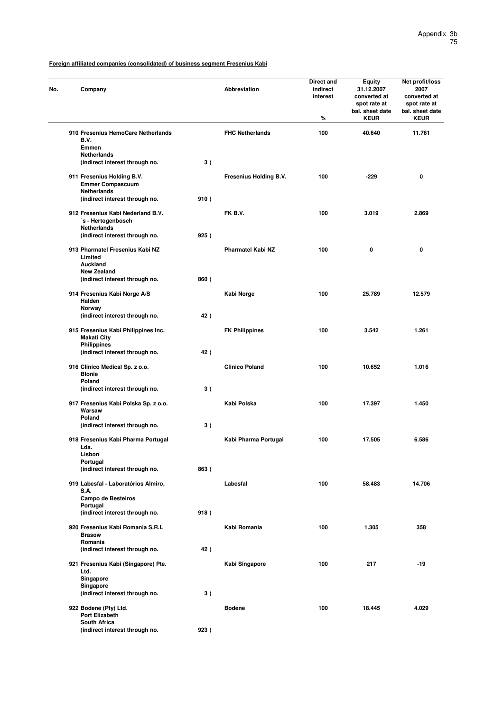| No. | Company                                                                       |      | Abbreviation             | Direct and<br>indirect<br>interest<br>% | <b>Equity</b><br>31.12.2007<br>converted at<br>spot rate at<br>bal. sheet date<br><b>KEUR</b> | Net profit/loss<br>2007<br>converted at<br>spot rate at<br>bal. sheet date<br><b>KEUR</b> |
|-----|-------------------------------------------------------------------------------|------|--------------------------|-----------------------------------------|-----------------------------------------------------------------------------------------------|-------------------------------------------------------------------------------------------|
|     | 910 Fresenius HemoCare Netherlands<br>B.V.<br><b>Emmen</b>                    |      | <b>FHC Netherlands</b>   | 100                                     | 40.640                                                                                        | 11.761                                                                                    |
|     | <b>Netherlands</b><br>(indirect interest through no.                          | 3)   |                          |                                         |                                                                                               |                                                                                           |
|     | 911 Fresenius Holding B.V.<br><b>Emmer Compascuum</b><br><b>Netherlands</b>   |      | Fresenius Holding B.V.   | 100                                     | $-229$                                                                                        | 0                                                                                         |
|     | (indirect interest through no.                                                | 910) |                          |                                         |                                                                                               |                                                                                           |
|     | 912 Fresenius Kabi Nederland B.V.<br>'s - Hertogenbosch<br><b>Netherlands</b> |      | FK B.V.                  | 100                                     | 3.019                                                                                         | 2.869                                                                                     |
|     | (indirect interest through no.                                                | 925) |                          |                                         |                                                                                               |                                                                                           |
|     | 913 Pharmatel Fresenius Kabi NZ<br>Limited<br>Auckland                        |      | <b>Pharmatel Kabi NZ</b> | 100                                     | 0                                                                                             | 0                                                                                         |
|     | <b>New Zealand</b><br>(indirect interest through no.                          | 860) |                          |                                         |                                                                                               |                                                                                           |
|     | 914 Fresenius Kabi Norge A/S<br>Halden                                        |      | Kabi Norge               | 100                                     | 25.789                                                                                        | 12.579                                                                                    |
|     | Norway<br>(indirect interest through no.                                      | 42)  |                          |                                         |                                                                                               |                                                                                           |
|     | 915 Fresenius Kabi Philippines Inc.<br><b>Makati City</b>                     |      | <b>FK Philippines</b>    | 100                                     | 3.542                                                                                         | 1.261                                                                                     |
|     | <b>Philippines</b><br>(indirect interest through no.                          | 42)  |                          |                                         |                                                                                               |                                                                                           |
|     | 916 Clinico Medical Sp. z o.o.<br><b>Blonie</b>                               |      | <b>Clinico Poland</b>    | 100                                     | 10.652                                                                                        | 1.016                                                                                     |
|     | Poland<br>(indirect interest through no.                                      | 3)   |                          |                                         |                                                                                               |                                                                                           |
|     | 917 Fresenius Kabi Polska Sp. z o.o.<br>Warsaw<br>Poland                      |      | Kabi Polska              | 100                                     | 17.397                                                                                        | 1.450                                                                                     |
|     | (indirect interest through no.                                                | 3)   |                          |                                         |                                                                                               |                                                                                           |
|     | 918 Fresenius Kabi Pharma Portugal<br>Lda.                                    |      | Kabi Pharma Portugal     | 100                                     | 17.505                                                                                        | 6.586                                                                                     |
|     | <b>Lisbon</b><br>Portugal                                                     |      |                          |                                         |                                                                                               |                                                                                           |
|     | (indirect interest through no.                                                | 863) |                          |                                         |                                                                                               |                                                                                           |
|     | 919 Labesfal - Laboratórios Almiro,<br><b>S.A.</b><br>Campo de Besteiros      |      | Labesfal                 | 100                                     | 58.483                                                                                        | 14.706                                                                                    |
|     | Portugal<br>(indirect interest through no.                                    | 918) |                          |                                         |                                                                                               |                                                                                           |
|     | 920 Fresenius Kabi Romania S.R.L<br><b>Brasow</b>                             |      | Kabi Romania             | 100                                     | 1.305                                                                                         | 358                                                                                       |
|     | Romania<br>(indirect interest through no.                                     | 42)  |                          |                                         |                                                                                               |                                                                                           |
|     | 921 Fresenius Kabi (Singapore) Pte.<br>Ltd.                                   |      | Kabi Singapore           | 100                                     | 217                                                                                           | -19                                                                                       |
|     | Singapore<br>Singapore                                                        |      |                          |                                         |                                                                                               |                                                                                           |
|     | (indirect interest through no.                                                | 3)   |                          |                                         |                                                                                               |                                                                                           |
|     | 922 Bodene (Pty) Ltd.<br><b>Port Elizabeth</b><br><b>South Africa</b>         |      | <b>Bodene</b>            | 100                                     | 18.445                                                                                        | 4.029                                                                                     |
|     | (indirect interest through no.                                                | 923) |                          |                                         |                                                                                               |                                                                                           |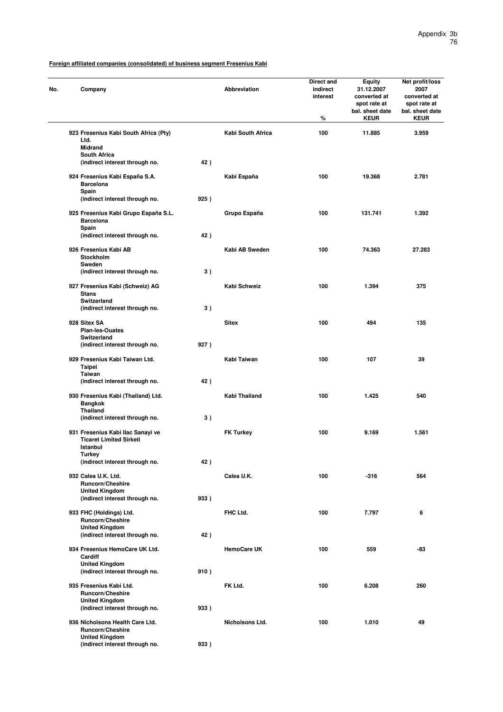| No. | Company                                                                             |      | Abbreviation       | Direct and<br>indirect<br>interest<br>% | Equity<br>31.12.2007<br>converted at<br>spot rate at<br>bal. sheet date<br><b>KEUR</b> | Net profit/loss<br>2007<br>converted at<br>spot rate at<br>bal. sheet date<br><b>KEUR</b> |
|-----|-------------------------------------------------------------------------------------|------|--------------------|-----------------------------------------|----------------------------------------------------------------------------------------|-------------------------------------------------------------------------------------------|
|     | 923 Fresenius Kabi South Africa (Pty)<br>Ltd.<br><b>Midrand</b>                     |      | Kabi South Africa  | 100                                     | 11.885                                                                                 | 3.959                                                                                     |
|     | <b>South Africa</b><br>(indirect interest through no.                               | 42)  |                    |                                         |                                                                                        |                                                                                           |
|     | 924 Fresenius Kabi España S.A.<br><b>Barcelona</b><br>Spain                         |      | Kabi España        | 100                                     | 19.368                                                                                 | 2.781                                                                                     |
|     | (indirect interest through no.                                                      | 925) |                    |                                         |                                                                                        |                                                                                           |
|     | 925 Fresenius Kabi Grupo España S.L.<br><b>Barcelona</b><br>Spain                   |      | Grupo España       | 100                                     | 131.741                                                                                | 1.392                                                                                     |
|     | (indirect interest through no.                                                      | 42)  |                    |                                         |                                                                                        |                                                                                           |
|     | 926 Fresenius Kabi AB<br>Stockholm<br>Sweden                                        |      | Kabi AB Sweden     | 100                                     | 74.363                                                                                 | 27.283                                                                                    |
|     | (indirect interest through no.                                                      | 3)   |                    |                                         |                                                                                        |                                                                                           |
|     | 927 Fresenius Kabi (Schweiz) AG<br><b>Stans</b><br>Switzerland                      |      | Kabi Schweiz       | 100                                     | 1.394                                                                                  | 375                                                                                       |
|     | (indirect interest through no.                                                      | 3)   |                    |                                         |                                                                                        |                                                                                           |
|     | 928 Sitex SA<br><b>Plan-les-Ouates</b><br>Switzerland                               |      | <b>Sitex</b>       | 100                                     | 494                                                                                    | 135                                                                                       |
|     | (indirect interest through no.                                                      | 927) |                    |                                         |                                                                                        |                                                                                           |
|     | 929 Fresenius Kabi Taiwan Ltd.<br><b>Taipei</b><br><b>Taiwan</b>                    |      | Kabi Taiwan        | 100                                     | 107                                                                                    | 39                                                                                        |
|     | (indirect interest through no.                                                      | 42)  |                    |                                         |                                                                                        |                                                                                           |
|     | 930 Fresenius Kabi (Thailand) Ltd.<br><b>Bangkok</b><br><b>Thailand</b>             |      | Kabi Thailand      | 100                                     | 1.425                                                                                  | 540                                                                                       |
|     | (indirect interest through no.                                                      | 3)   |                    |                                         |                                                                                        |                                                                                           |
|     | 931 Fresenius Kabi Ilac Sanayi ve<br><b>Ticaret Limited Sirketi</b><br>Istanbul     |      | <b>FK Turkey</b>   | 100                                     | 9.169                                                                                  | 1.561                                                                                     |
|     | <b>Turkey</b><br>(indirect interest through no.                                     | 42)  |                    |                                         |                                                                                        |                                                                                           |
|     | 932 Calea U.K. Ltd.<br><b>Runcorn/Cheshire</b>                                      |      | Calea U.K.         | 100                                     | $-316$                                                                                 | 564                                                                                       |
|     | <b>United Kingdom</b><br>(indirect interest through no.                             | 933) |                    |                                         |                                                                                        |                                                                                           |
|     | 933 FHC (Holdings) Ltd.<br>Runcorn/Cheshire                                         |      | FHC Ltd.           | 100                                     | 7.797                                                                                  | 6                                                                                         |
|     | <b>United Kingdom</b><br>(indirect interest through no.                             | 42)  |                    |                                         |                                                                                        |                                                                                           |
|     | 934 Fresenius HemoCare UK Ltd.<br>Cardiff                                           |      | <b>HemoCare UK</b> | 100                                     | 559                                                                                    | -83                                                                                       |
|     | <b>United Kingdom</b><br>(indirect interest through no.                             | 910) |                    |                                         |                                                                                        |                                                                                           |
|     | 935 Fresenius Kabi Ltd.<br><b>Runcorn/Cheshire</b><br><b>United Kingdom</b>         |      | FK Ltd.            | 100                                     | 6.208                                                                                  | 260                                                                                       |
|     | (indirect interest through no.                                                      | 933) |                    |                                         |                                                                                        |                                                                                           |
|     | 936 Nicholsons Health Care Ltd.<br><b>Runcorn/Cheshire</b><br><b>United Kingdom</b> |      | Nicholsons Ltd.    | 100                                     | 1.010                                                                                  | 49                                                                                        |
|     | (indirect interest through no.                                                      | 933) |                    |                                         |                                                                                        |                                                                                           |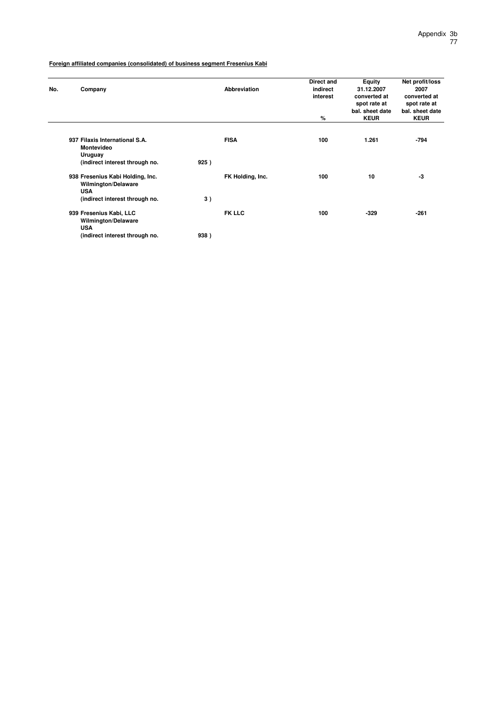| No. | Company                                                                                                        |      | Abbreviation     | Direct and<br>indirect<br>interest<br>% | Equity<br>31.12.2007<br>converted at<br>spot rate at<br>bal. sheet date<br><b>KEUR</b> | Net profit/loss<br>2007<br>converted at<br>spot rate at<br>bal. sheet date<br><b>KEUR</b> |
|-----|----------------------------------------------------------------------------------------------------------------|------|------------------|-----------------------------------------|----------------------------------------------------------------------------------------|-------------------------------------------------------------------------------------------|
|     | 937 Filaxis International S.A.<br><b>Montevideo</b><br>Uruguay<br>(indirect interest through no.               | 925) | <b>FISA</b>      | 100                                     | 1.261                                                                                  | $-794$                                                                                    |
|     | 938 Fresenius Kabi Holding, Inc.<br><b>Wilmington/Delaware</b><br><b>USA</b><br>(indirect interest through no. | 3)   | FK Holding, Inc. | 100                                     | 10                                                                                     | -3                                                                                        |
|     | 939 Fresenius Kabi, LLC<br>Wilmington/Delaware<br><b>USA</b><br>(indirect interest through no.                 | 938) | <b>FK LLC</b>    | 100                                     | $-329$                                                                                 | $-261$                                                                                    |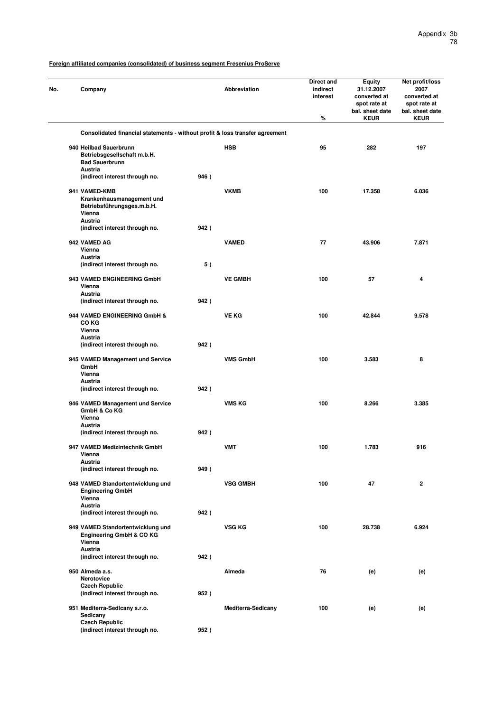| No. | Company                                                                                   |      | Abbreviation              | Direct and<br>indirect<br>interest<br>% | Equity<br>31.12.2007<br>converted at<br>spot rate at<br>bal. sheet date<br><b>KEUR</b> | Net profit/loss<br>2007<br>converted at<br>spot rate at<br>bal. sheet date<br><b>KEUR</b> |
|-----|-------------------------------------------------------------------------------------------|------|---------------------------|-----------------------------------------|----------------------------------------------------------------------------------------|-------------------------------------------------------------------------------------------|
|     | Consolidated financial statements - without profit & loss transfer agreement              |      |                           |                                         |                                                                                        |                                                                                           |
|     | 940 Heilbad Sauerbrunn<br>Betriebsgesellschaft m.b.H.<br><b>Bad Sauerbrunn</b>            |      | <b>HSB</b>                | 95                                      | 282                                                                                    | 197                                                                                       |
|     | Austria<br>(indirect interest through no.                                                 | 946) |                           |                                         |                                                                                        |                                                                                           |
|     | 941 VAMED-KMB<br>Krankenhausmanagement und<br>Betriebsführungsges.m.b.H.<br>Vienna        |      | <b>VKMB</b>               | 100                                     | 17.358                                                                                 | 6.036                                                                                     |
|     | <b>Austria</b><br>(indirect interest through no.                                          | 942) |                           |                                         |                                                                                        |                                                                                           |
|     | 942 VAMED AG<br>Vienna<br>Austria<br>(indirect interest through no.                       | 5)   | <b>VAMED</b>              | 77                                      | 43.906                                                                                 | 7.871                                                                                     |
|     | 943 VAMED ENGINEERING GmbH<br>Vienna<br>Austria                                           |      | <b>VE GMBH</b>            | 100                                     | 57                                                                                     | 4                                                                                         |
|     | (indirect interest through no.                                                            | 942) |                           |                                         |                                                                                        |                                                                                           |
|     | 944 VAMED ENGINEERING GmbH &<br>CO KG<br>Vienna<br><b>Austria</b>                         |      | <b>VE KG</b>              | 100                                     | 42.844                                                                                 | 9.578                                                                                     |
|     | (indirect interest through no.                                                            | 942) |                           |                                         |                                                                                        |                                                                                           |
|     | 945 VAMED Management und Service<br>GmbH<br>Vienna<br><b>Austria</b>                      |      | <b>VMS GmbH</b>           | 100                                     | 3.583                                                                                  | 8                                                                                         |
|     | (indirect interest through no.                                                            | 942) |                           |                                         |                                                                                        |                                                                                           |
|     | 946 VAMED Management und Service<br>GmbH & Co KG<br>Vienna<br>Austria                     |      | <b>VMS KG</b>             | 100                                     | 8.266                                                                                  | 3.385                                                                                     |
|     | (indirect interest through no.                                                            | 942) |                           |                                         |                                                                                        |                                                                                           |
|     | 947 VAMED Medizintechnik GmbH<br>Vienna<br>Austria<br>(indirect interest through no.      | 949) | <b>VMT</b>                | 100                                     | 1.783                                                                                  | 916                                                                                       |
|     | 948 VAMED Standortentwicklung und<br><b>Engineering GmbH</b><br>Vienna                    |      | <b>VSG GMBH</b>           | 100                                     | 47                                                                                     | $\mathbf 2$                                                                               |
|     | <b>Austria</b><br>(indirect interest through no.                                          | 942) |                           |                                         |                                                                                        |                                                                                           |
|     | 949 VAMED Standortentwicklung und<br>Engineering GmbH & CO KG<br>Vienna<br><b>Austria</b> |      | VSG KG                    | 100                                     | 28.738                                                                                 | 6.924                                                                                     |
|     | (indirect interest through no.                                                            | 942) |                           |                                         |                                                                                        |                                                                                           |
|     | 950 Almeda a.s.<br>Nerotovice<br><b>Czech Republic</b>                                    |      | Almeda                    | 76                                      | (e)                                                                                    | (e)                                                                                       |
|     | (indirect interest through no.<br>951 Mediterra-Sedicany s.r.o.                           | 952) | <b>Mediterra-Sedicany</b> | 100                                     | (e)                                                                                    | (e)                                                                                       |
|     | Sedicany<br><b>Czech Republic</b><br>(indirect interest through no.                       | 952) |                           |                                         |                                                                                        |                                                                                           |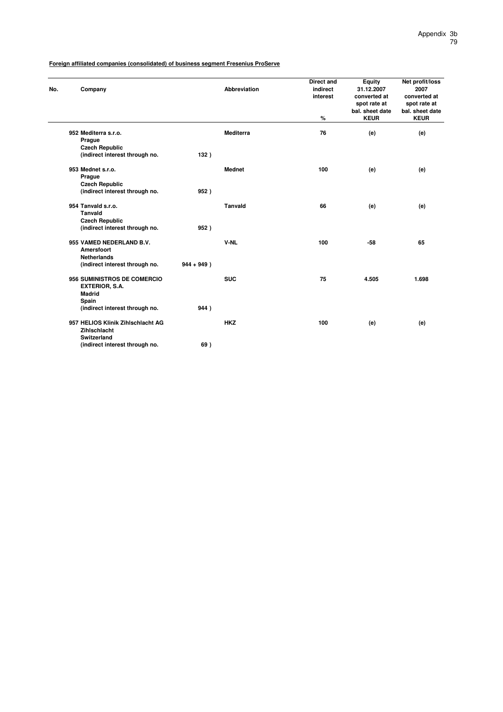| No. | Company                           |               | <b>Abbreviation</b> | <b>Direct and</b><br>indirect<br>interest | Equity<br>31.12.2007<br>converted at           | Net profit/loss<br>2007<br>converted at        |
|-----|-----------------------------------|---------------|---------------------|-------------------------------------------|------------------------------------------------|------------------------------------------------|
|     |                                   |               |                     | $\%$                                      | spot rate at<br>bal. sheet date<br><b>KEUR</b> | spot rate at<br>bal. sheet date<br><b>KEUR</b> |
|     | 952 Mediterra s.r.o.              |               | <b>Mediterra</b>    | 76                                        | (e)                                            | (e)                                            |
|     | Prague                            |               |                     |                                           |                                                |                                                |
|     | <b>Czech Republic</b>             |               |                     |                                           |                                                |                                                |
|     | (indirect interest through no.    | 132)          |                     |                                           |                                                |                                                |
|     | 953 Mednet s.r.o.                 |               | <b>Mednet</b>       | 100                                       | (e)                                            | (e)                                            |
|     | Prague                            |               |                     |                                           |                                                |                                                |
|     | <b>Czech Republic</b>             |               |                     |                                           |                                                |                                                |
|     | (indirect interest through no.    | 952)          |                     |                                           |                                                |                                                |
|     | 954 Tanvald s.r.o.                |               | <b>Tanvald</b>      | 66                                        | (e)                                            | (e)                                            |
|     | <b>Tanvald</b>                    |               |                     |                                           |                                                |                                                |
|     | <b>Czech Republic</b>             |               |                     |                                           |                                                |                                                |
|     | (indirect interest through no.    | 952)          |                     |                                           |                                                |                                                |
|     | 955 VAMED NEDERLAND B.V.          |               | V-NL                | 100                                       | $-58$                                          | 65                                             |
|     | Amersfoort                        |               |                     |                                           |                                                |                                                |
|     | <b>Netherlands</b>                |               |                     |                                           |                                                |                                                |
|     | (indirect interest through no.    | $944 + 949$ ) |                     |                                           |                                                |                                                |
|     | 956 SUMINISTROS DE COMERCIO       |               | <b>SUC</b>          | 75                                        | 4.505                                          | 1.698                                          |
|     | <b>EXTERIOR, S.A.</b>             |               |                     |                                           |                                                |                                                |
|     | <b>Madrid</b>                     |               |                     |                                           |                                                |                                                |
|     | Spain                             |               |                     |                                           |                                                |                                                |
|     | (indirect interest through no.    | 944)          |                     |                                           |                                                |                                                |
|     | 957 HELIOS Klinik Zihlschlacht AG |               | <b>HKZ</b>          | 100                                       | (e)                                            | (e)                                            |
|     | Zihlschlacht                      |               |                     |                                           |                                                |                                                |
|     | <b>Switzerland</b>                |               |                     |                                           |                                                |                                                |
|     | (indirect interest through no.    | 69)           |                     |                                           |                                                |                                                |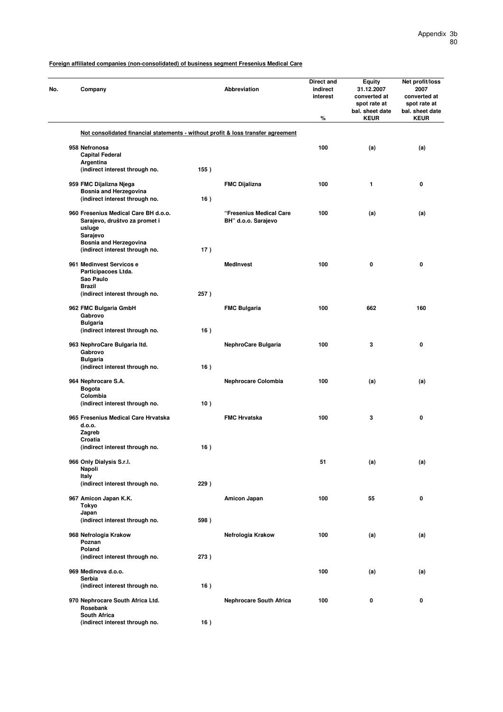**Foreign affiliated companies (non-consolidated) of business segment Fresenius Medical Care**

| No. | Company                                                                                     |      | <b>Abbreviation</b>                            | Direct and<br>indirect<br>interest<br>$\%$ | Equity<br>31.12.2007<br>converted at<br>spot rate at<br>bal. sheet date<br><b>KEUR</b> | Net profit/loss<br>2007<br>converted at<br>spot rate at<br>bal. sheet date<br><b>KEUR</b> |
|-----|---------------------------------------------------------------------------------------------|------|------------------------------------------------|--------------------------------------------|----------------------------------------------------------------------------------------|-------------------------------------------------------------------------------------------|
|     | Not consolidated financial statements - without profit & loss transfer agreement            |      |                                                |                                            |                                                                                        |                                                                                           |
|     | 958 Nefronosa                                                                               |      |                                                | 100                                        | (a)                                                                                    | (a)                                                                                       |
|     | <b>Capital Federal</b>                                                                      |      |                                                |                                            |                                                                                        |                                                                                           |
|     | Argentina<br>(indirect interest through no.                                                 | 155) |                                                |                                            |                                                                                        |                                                                                           |
|     | 959 FMC Dijalizna Njega<br><b>Bosnia and Herzegovina</b>                                    |      | <b>FMC Dijalizna</b>                           | 100                                        | 1                                                                                      | 0                                                                                         |
|     | (indirect interest through no.                                                              | 16)  |                                                |                                            |                                                                                        |                                                                                           |
|     | 960 Fresenius Medical Care BH d.o.o.<br>Sarajevo, društvo za promet i<br>usluge<br>Sarajevo |      | "Fresenius Medical Care<br>BH" d.o.o. Sarajevo | 100                                        | (a)                                                                                    | (a)                                                                                       |
|     | <b>Bosnia and Herzegovina</b><br>(indirect interest through no.                             | 17)  |                                                |                                            |                                                                                        |                                                                                           |
|     | 961 Medinvest Servicos e                                                                    |      | <b>MedInvest</b>                               | 100                                        | $\mathbf 0$                                                                            | 0                                                                                         |
|     | Participacoes Ltda.<br>Sao Paulo<br><b>Brazil</b>                                           |      |                                                |                                            |                                                                                        |                                                                                           |
|     | (indirect interest through no.                                                              | 257) |                                                |                                            |                                                                                        |                                                                                           |
|     | 962 FMC Bulgaria GmbH<br>Gabrovo                                                            |      | <b>FMC Bulgaria</b>                            | 100                                        | 662                                                                                    | 160                                                                                       |
|     | <b>Bulgaria</b>                                                                             |      |                                                |                                            |                                                                                        |                                                                                           |
|     | (indirect interest through no.                                                              | 16)  |                                                |                                            |                                                                                        |                                                                                           |
|     | 963 NephroCare Bulgaria Itd.<br>Gabrovo<br><b>Bulgaria</b>                                  |      | NephroCare Bulgaria                            | 100                                        | 3                                                                                      | 0                                                                                         |
|     | (indirect interest through no.                                                              | 16)  |                                                |                                            |                                                                                        |                                                                                           |
|     | 964 Nephrocare S.A.<br><b>Bogota</b>                                                        |      | Nephrocare Colombia                            | 100                                        | (a)                                                                                    | (a)                                                                                       |
|     | Colombia<br>(indirect interest through no.                                                  | 10)  |                                                |                                            |                                                                                        |                                                                                           |
|     | 965 Fresenius Medical Care Hrvatska<br>d.o.o.                                               |      | <b>FMC Hrvatska</b>                            | 100                                        | 3                                                                                      | 0                                                                                         |
|     | Zagreb                                                                                      |      |                                                |                                            |                                                                                        |                                                                                           |
|     | Croatia<br>(indirect interest through no.                                                   | 16)  |                                                |                                            |                                                                                        |                                                                                           |
|     | 966 Only Dialysis S.r.l.<br>Napoli                                                          |      |                                                | 51                                         | (a)                                                                                    | (a)                                                                                       |
|     | Italy<br>(indirect interest through no.                                                     | 229) |                                                |                                            |                                                                                        |                                                                                           |
|     | 967 Amicon Japan K.K.<br>Tokyo                                                              |      | Amicon Japan                                   | 100                                        | 55                                                                                     | 0                                                                                         |
|     | Japan<br>(indirect interest through no.                                                     | 598) |                                                |                                            |                                                                                        |                                                                                           |
|     | 968 Nefrologia Krakow                                                                       |      | Nefrologia Krakow                              | 100                                        | (a)                                                                                    | (a)                                                                                       |
|     | Poznan<br>Poland<br>(indirect interest through no.                                          | 273) |                                                |                                            |                                                                                        |                                                                                           |
|     | 969 Medinova d.o.o.                                                                         |      |                                                | 100                                        | (a)                                                                                    | (a)                                                                                       |
|     | Serbia                                                                                      |      |                                                |                                            |                                                                                        |                                                                                           |
|     | (indirect interest through no.<br>970 Nephrocare South Africa Ltd.                          | 16)  | <b>Nephrocare South Africa</b>                 | 100                                        | 0                                                                                      | 0                                                                                         |
|     | Rosebank<br><b>South Africa</b>                                                             |      |                                                |                                            |                                                                                        |                                                                                           |
|     | (indirect interest through no.                                                              | 16)  |                                                |                                            |                                                                                        |                                                                                           |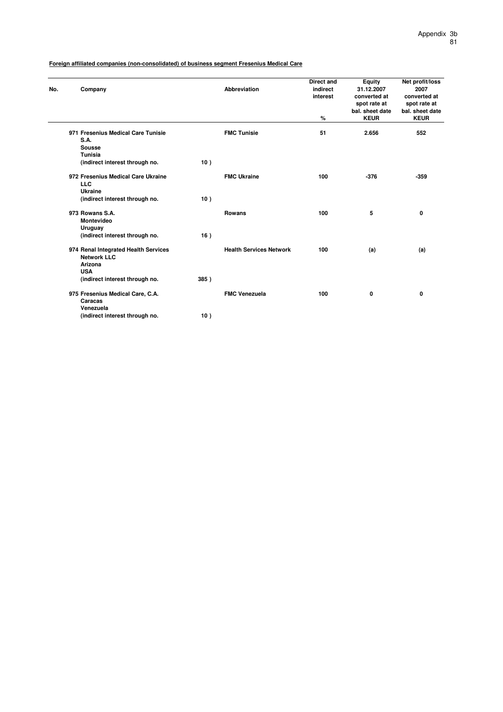**Foreign affiliated companies (non-consolidated) of business segment Fresenius Medical Care**

| No. | Company                                                                             |      | <b>Abbreviation</b>            | <b>Direct and</b><br>indirect<br>interest | Equity<br>31.12.2007<br>converted at<br>spot rate at | Net profit/loss<br>2007<br>converted at<br>spot rate at |
|-----|-------------------------------------------------------------------------------------|------|--------------------------------|-------------------------------------------|------------------------------------------------------|---------------------------------------------------------|
|     |                                                                                     |      |                                | %                                         | bal. sheet date<br><b>KEUR</b>                       | bal, sheet date<br><b>KEUR</b>                          |
|     | 971 Fresenius Medical Care Tunisie<br>S.A.<br>Sousse                                |      | <b>FMC Tunisie</b>             | 51                                        | 2.656                                                | 552                                                     |
|     | Tunisia<br>(indirect interest through no.                                           | 10)  |                                |                                           |                                                      |                                                         |
|     | 972 Fresenius Medical Care Ukraine<br><b>LLC</b><br><b>Ukraine</b>                  |      | <b>FMC Ukraine</b>             | 100                                       | $-376$                                               | $-359$                                                  |
|     | (indirect interest through no.                                                      | 10)  |                                |                                           |                                                      |                                                         |
|     | 973 Rowans S.A.<br><b>Montevideo</b><br>Uruguay                                     |      | <b>Rowans</b>                  | 100                                       | 5                                                    | 0                                                       |
|     | (indirect interest through no.                                                      | 16)  |                                |                                           |                                                      |                                                         |
|     | 974 Renal Integrated Health Services<br><b>Network LLC</b><br>Arizona<br><b>USA</b> |      | <b>Health Services Network</b> | 100                                       | (a)                                                  | (a)                                                     |
|     | (indirect interest through no.                                                      | 385) |                                |                                           |                                                      |                                                         |
|     | 975 Fresenius Medical Care, C.A.<br>Caracas<br>Venezuela                            |      | <b>FMC Venezuela</b>           | 100                                       | 0                                                    | 0                                                       |
|     | (indirect interest through no.                                                      | 10)  |                                |                                           |                                                      |                                                         |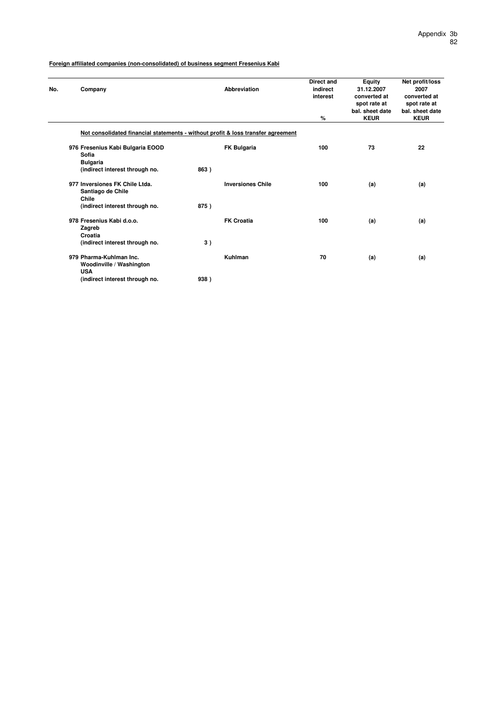| No. | Company                                                                          |      | Abbreviation             | Direct and<br>indirect<br>interest<br>% | Equity<br>31.12.2007<br>converted at<br>spot rate at<br>bal. sheet date<br><b>KEUR</b> | Net profit/loss<br>2007<br>converted at<br>spot rate at<br>bal. sheet date<br><b>KEUR</b> |
|-----|----------------------------------------------------------------------------------|------|--------------------------|-----------------------------------------|----------------------------------------------------------------------------------------|-------------------------------------------------------------------------------------------|
|     | Not consolidated financial statements - without profit & loss transfer agreement |      |                          |                                         |                                                                                        |                                                                                           |
|     | 976 Fresenius Kabi Bulgaria EOOD<br>Sofia<br><b>Bulgaria</b>                     |      | <b>FK Bulgaria</b>       | 100                                     | 73                                                                                     | 22                                                                                        |
|     | (indirect interest through no.                                                   | 863) |                          |                                         |                                                                                        |                                                                                           |
|     | 977 Inversiones FK Chile Ltda.<br>Santiago de Chile<br>Chile                     |      | <b>Inversiones Chile</b> | 100                                     | (a)                                                                                    | (a)                                                                                       |
|     | (indirect interest through no.                                                   | 875) |                          |                                         |                                                                                        |                                                                                           |
|     | 978 Fresenius Kabi d.o.o.<br>Zagreb<br>Croatia                                   |      | <b>FK Croatia</b>        | 100                                     | (a)                                                                                    | (a)                                                                                       |
|     | (indirect interest through no.                                                   | 3)   |                          |                                         |                                                                                        |                                                                                           |
|     | 979 Pharma-Kuhlman Inc.<br>Woodinville / Washington<br><b>USA</b>                |      | Kuhlman                  | 70                                      | (a)                                                                                    | (a)                                                                                       |
|     | (indirect interest through no.                                                   | 938) |                          |                                         |                                                                                        |                                                                                           |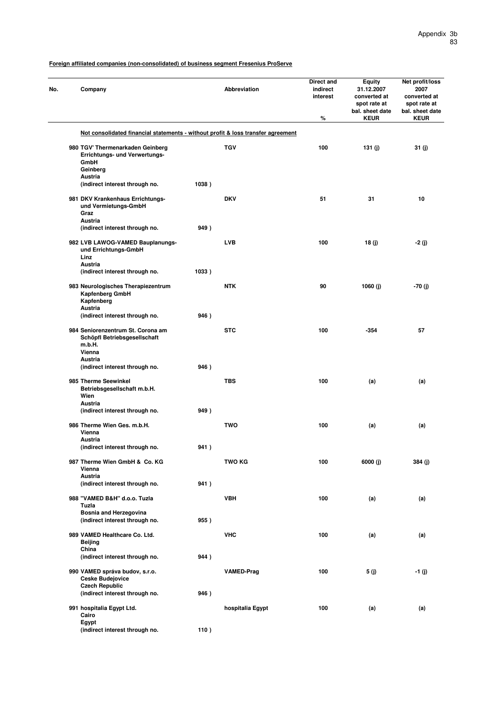| No. | Company                                                                                                 |       | <b>Abbreviation</b> | Direct and<br>indirect<br>interest<br>% | <b>Equity</b><br>31.12.2007<br>converted at<br>spot rate at<br>bal. sheet date<br><b>KEUR</b> | Net profit/loss<br>2007<br>converted at<br>spot rate at<br>bal. sheet date<br><b>KEUR</b> |
|-----|---------------------------------------------------------------------------------------------------------|-------|---------------------|-----------------------------------------|-----------------------------------------------------------------------------------------------|-------------------------------------------------------------------------------------------|
|     | Not consolidated financial statements - without profit & loss transfer agreement                        |       |                     |                                         |                                                                                               |                                                                                           |
|     | 980 TGV' Thermenarkaden Geinberg<br>Errichtungs- und Verwertungs-<br>GmbH<br>Geinberg<br><b>Austria</b> |       | <b>TGV</b>          | 100                                     | 131 $(j)$                                                                                     | 31 (j)                                                                                    |
|     | (indirect interest through no.                                                                          | 1038) |                     |                                         |                                                                                               |                                                                                           |
|     | 981 DKV Krankenhaus Errichtungs-<br>und Vermietungs-GmbH<br>Graz                                        |       | <b>DKV</b>          | 51                                      | 31                                                                                            | 10                                                                                        |
|     | <b>Austria</b>                                                                                          |       |                     |                                         |                                                                                               |                                                                                           |
|     | (indirect interest through no.                                                                          | 949)  |                     |                                         |                                                                                               |                                                                                           |
|     | 982 LVB LAWOG-VAMED Bauplanungs-<br>und Errichtungs-GmbH<br>Linz<br><b>Austria</b>                      |       | <b>LVB</b>          | 100                                     | 18(j)                                                                                         | -2 (j)                                                                                    |
|     | (indirect interest through no.                                                                          | 1033) |                     |                                         |                                                                                               |                                                                                           |
|     | 983 Neurologisches Therapiezentrum<br>Kapfenberg GmbH<br>Kapfenberg                                     |       | <b>NTK</b>          | 90                                      | 1060 (j)                                                                                      | $-70(j)$                                                                                  |
|     | <b>Austria</b><br>(indirect interest through no.                                                        | 946)  |                     |                                         |                                                                                               |                                                                                           |
|     | 984 Seniorenzentrum St. Corona am<br>Schöpfl Betriebsgesellschaft<br>m.b.H.                             |       | <b>STC</b>          | 100                                     | $-354$                                                                                        | 57                                                                                        |
|     | Vienna                                                                                                  |       |                     |                                         |                                                                                               |                                                                                           |
|     | <b>Austria</b><br>(indirect interest through no.                                                        | 946)  |                     |                                         |                                                                                               |                                                                                           |
|     | 985 Therme Seewinkel<br>Betriebsgesellschaft m.b.H.<br>Wien<br><b>Austria</b>                           |       | <b>TBS</b>          | 100                                     | (a)                                                                                           | (a)                                                                                       |
|     | (indirect interest through no.                                                                          | 949)  |                     |                                         |                                                                                               |                                                                                           |
|     | 986 Therme Wien Ges. m.b.H.<br>Vienna<br>Austria                                                        |       | TWO                 | 100                                     | (a)                                                                                           | (a)                                                                                       |
|     | (indirect interest through no.                                                                          | 941)  |                     |                                         |                                                                                               |                                                                                           |
|     | 987 Therme Wien GmbH & Co. KG<br>Vienna<br><b>Austria</b>                                               |       | TWO KG              | 100                                     | 6000 (j)                                                                                      | 384 (j)                                                                                   |
|     | (indirect interest through no.                                                                          | 941)  |                     |                                         |                                                                                               |                                                                                           |
|     | 988 "VAMED B&H" d.o.o. Tuzla<br>Tuzla                                                                   |       | <b>VBH</b>          | 100                                     | (a)                                                                                           | (a)                                                                                       |
|     | Bosnia and Herzegovina<br>(indirect interest through no.                                                | 955)  |                     |                                         |                                                                                               |                                                                                           |
|     | 989 VAMED Healthcare Co. Ltd.                                                                           |       | <b>VHC</b>          | 100                                     | (a)                                                                                           | (a)                                                                                       |
|     | <b>Beijing</b><br>China                                                                                 |       |                     |                                         |                                                                                               |                                                                                           |
|     | (indirect interest through no.                                                                          | 944)  |                     |                                         |                                                                                               |                                                                                           |
|     | 990 VAMED správa budov, s.r.o.<br><b>Ceske Budejovice</b><br><b>Czech Republic</b>                      |       | <b>VAMED-Prag</b>   | 100                                     | 5 (j)                                                                                         | -1 (j)                                                                                    |
|     | (indirect interest through no.                                                                          | 946)  |                     |                                         |                                                                                               |                                                                                           |
|     | 991 hospitalia Egypt Ltd.<br>Cairo<br>Egypt                                                             |       | hospitalia Egypt    | 100                                     | (a)                                                                                           | (a)                                                                                       |
|     | (indirect interest through no.                                                                          | 110)  |                     |                                         |                                                                                               |                                                                                           |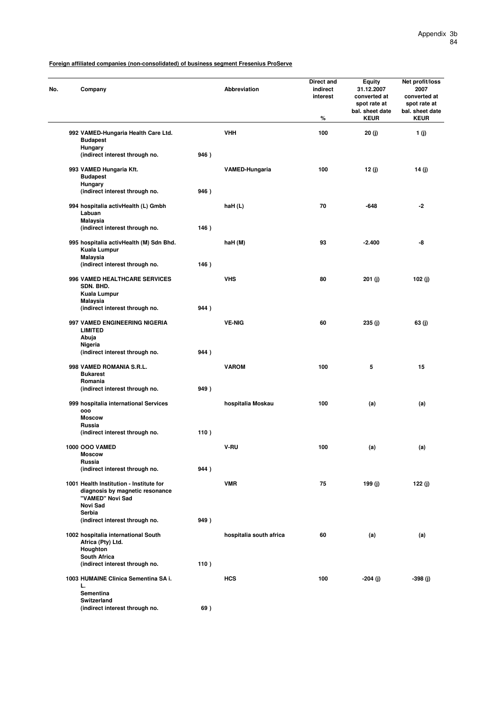| No. | Company                                                                                        |      | Abbreviation            | Direct and<br>indirect<br>interest<br>% | Equity<br>31.12.2007<br>converted at<br>spot rate at<br>bal. sheet date<br><b>KEUR</b> | Net profit/loss<br>2007<br>converted at<br>spot rate at<br>bal. sheet date<br><b>KEUR</b> |
|-----|------------------------------------------------------------------------------------------------|------|-------------------------|-----------------------------------------|----------------------------------------------------------------------------------------|-------------------------------------------------------------------------------------------|
|     | 992 VAMED-Hungaria Health Care Ltd.                                                            |      | <b>VHH</b>              | 100                                     | 20(j)                                                                                  | 1(j)                                                                                      |
|     | <b>Budapest</b><br>Hungary                                                                     |      |                         |                                         |                                                                                        |                                                                                           |
|     | (indirect interest through no.                                                                 | 946) |                         |                                         |                                                                                        |                                                                                           |
|     | 993 VAMED Hungaria Kft.<br><b>Budapest</b><br>Hungary                                          |      | <b>VAMED-Hungaria</b>   | 100                                     | 12 (j)                                                                                 | 14 (j)                                                                                    |
|     | (indirect interest through no.                                                                 | 946) |                         |                                         |                                                                                        |                                                                                           |
|     | 994 hospitalia activHealth (L) Gmbh<br>Labuan                                                  |      | haH (L)                 | 70                                      | $-648$                                                                                 | -2                                                                                        |
|     | <b>Malaysia</b><br>(indirect interest through no.                                              | 146) |                         |                                         |                                                                                        |                                                                                           |
|     | 995 hospitalia activHealth (M) Sdn Bhd.<br>Kuala Lumpur                                        |      | haH (M)                 | 93                                      | $-2.400$                                                                               | -8                                                                                        |
|     | <b>Malaysia</b><br>(indirect interest through no.                                              | 146) |                         |                                         |                                                                                        |                                                                                           |
|     |                                                                                                |      | <b>VHS</b>              | 80                                      |                                                                                        |                                                                                           |
|     | 996 VAMED HEALTHCARE SERVICES<br>SDN. BHD.<br>Kuala Lumpur                                     |      |                         |                                         | 201 (j)                                                                                | 102 $(j)$                                                                                 |
|     | Malaysia<br>(indirect interest through no.                                                     | 944) |                         |                                         |                                                                                        |                                                                                           |
|     |                                                                                                |      |                         |                                         |                                                                                        |                                                                                           |
|     | 997 VAMED ENGINEERING NIGERIA<br><b>LIMITED</b><br>Abuja                                       |      | <b>VE-NIG</b>           | 60                                      | 235 (j)                                                                                | 63(j)                                                                                     |
|     | Nigeria                                                                                        |      |                         |                                         |                                                                                        |                                                                                           |
|     | (indirect interest through no.                                                                 | 944) |                         |                                         |                                                                                        |                                                                                           |
|     | 998 VAMED ROMANIA S.R.L.<br><b>Bukarest</b><br>Romania                                         |      | <b>VAROM</b>            | 100                                     | 5                                                                                      | 15                                                                                        |
|     | (indirect interest through no.                                                                 | 949) |                         |                                         |                                                                                        |                                                                                           |
|     | 999 hospitalia international Services                                                          |      | hospitalia Moskau       | 100                                     | (a)                                                                                    | (a)                                                                                       |
|     | 000<br><b>Moscow</b>                                                                           |      |                         |                                         |                                                                                        |                                                                                           |
|     | Russia                                                                                         |      |                         |                                         |                                                                                        |                                                                                           |
|     | (indirect interest through no.                                                                 | 110) |                         |                                         |                                                                                        |                                                                                           |
|     | <b>1000 OOO VAMED</b>                                                                          |      | V-RU                    | 100                                     | (a)                                                                                    | (a)                                                                                       |
|     | Moscow<br>Russia                                                                               |      |                         |                                         |                                                                                        |                                                                                           |
|     | (indirect interest through no.                                                                 | 944) |                         |                                         |                                                                                        |                                                                                           |
|     | 1001 Health Institution - Institute for<br>diagnosis by magnetic resonance<br>"VAMED" Novi Sad |      | <b>VMR</b>              | 75                                      | 199 (j)                                                                                | 122 (j)                                                                                   |
|     | Novi Sad                                                                                       |      |                         |                                         |                                                                                        |                                                                                           |
|     | Serbia<br>(indirect interest through no.                                                       | 949) |                         |                                         |                                                                                        |                                                                                           |
|     |                                                                                                |      |                         |                                         |                                                                                        |                                                                                           |
|     | 1002 hospitalia international South<br>Africa (Pty) Ltd.<br>Houghton                           |      | hospitalia south africa | 60                                      | (a)                                                                                    | (a)                                                                                       |
|     | <b>South Africa</b><br>(indirect interest through no.                                          | 110) |                         |                                         |                                                                                        |                                                                                           |
|     | 1003 HUMAINE Clinica Sementina SA i.                                                           |      | <b>HCS</b>              | 100                                     | -204 (j)                                                                               | -398 (j)                                                                                  |
|     | L.<br>Sementina<br>Switzerland                                                                 |      |                         |                                         |                                                                                        |                                                                                           |
|     | (indirect interest through no.                                                                 | 69)  |                         |                                         |                                                                                        |                                                                                           |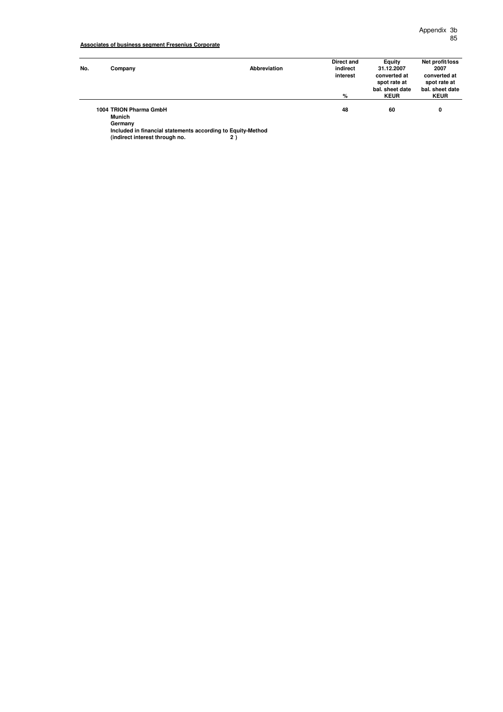| No. | Company                                            | Abbreviation | Direct and<br>indirect<br>interest<br>% | Equity<br>31.12.2007<br>converted at<br>spot rate at<br>bal, sheet date<br><b>KEUR</b> | Net profit/loss<br>2007<br>converted at<br>spot rate at<br>bal, sheet date<br><b>KEUR</b> |
|-----|----------------------------------------------------|--------------|-----------------------------------------|----------------------------------------------------------------------------------------|-------------------------------------------------------------------------------------------|
|     | 1004 TRION Pharma GmbH<br><b>Munich</b><br>Germany |              | 48                                      | 60                                                                                     | 0                                                                                         |

**Included in financial statements according to Equity-Method (indirect interest through no. 2 )**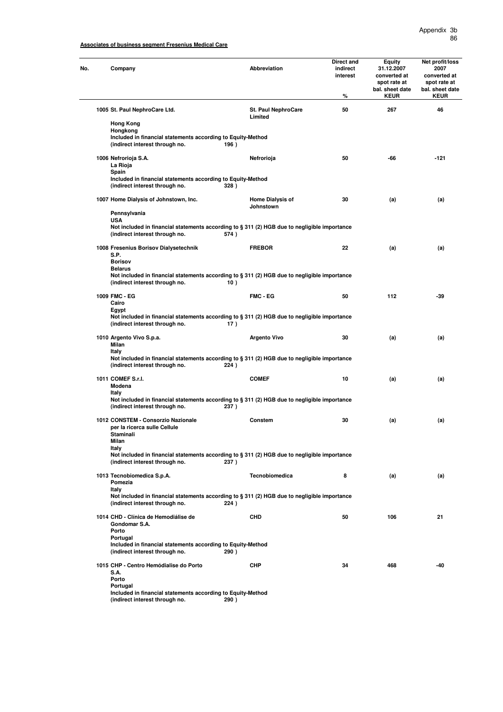# **Associates of business segment Fresenius Medical Care**

| No. | Company                                                                                                                                        | Abbreviation                          | Direct and<br>indirect<br>interest<br>% | Equity<br>31.12.2007<br>converted at<br>spot rate at<br>bal. sheet date<br><b>KEUR</b> | Net profit/loss<br>2007<br>converted at<br>spot rate at<br>bal. sheet date<br><b>KEUR</b> |
|-----|------------------------------------------------------------------------------------------------------------------------------------------------|---------------------------------------|-----------------------------------------|----------------------------------------------------------------------------------------|-------------------------------------------------------------------------------------------|
|     | 1005 St. Paul NephroCare Ltd.                                                                                                                  | <b>St. Paul NephroCare</b><br>Limited | 50                                      | 267                                                                                    | 46                                                                                        |
|     | <b>Hong Kong</b><br>Hongkong<br>Included in financial statements according to Equity-Method                                                    |                                       |                                         |                                                                                        |                                                                                           |
|     | (indirect interest through no.                                                                                                                 | 196)                                  |                                         |                                                                                        |                                                                                           |
|     | 1006 Nefrorioja S.A.<br>La Rioja<br>Spain                                                                                                      | Nefrorioja                            | 50                                      | -66                                                                                    | $-121$                                                                                    |
|     | Included in financial statements according to Equity-Method<br>(indirect interest through no.                                                  | 328)                                  |                                         |                                                                                        |                                                                                           |
|     | 1007 Home Dialysis of Johnstown, Inc.                                                                                                          | <b>Home Dialysis of</b><br>Johnstown  | 30                                      | (a)                                                                                    | (a)                                                                                       |
|     | Pennsylvania<br><b>USA</b>                                                                                                                     |                                       |                                         |                                                                                        |                                                                                           |
|     | Not included in financial statements according to § 311 (2) HGB due to negligible importance<br>(indirect interest through no.                 | 574)                                  |                                         |                                                                                        |                                                                                           |
|     | 1008 Fresenius Borisov Dialysetechnik<br>S.P.                                                                                                  | <b>FREBOR</b>                         | 22                                      | (a)                                                                                    | (a)                                                                                       |
|     | <b>Borisov</b><br><b>Belarus</b>                                                                                                               |                                       |                                         |                                                                                        |                                                                                           |
|     | Not included in financial statements according to § 311 (2) HGB due to negligible importance<br>(indirect interest through no.                 | 10)                                   |                                         |                                                                                        |                                                                                           |
|     | 1009 FMC - EG                                                                                                                                  | FMC - EG                              | 50                                      | 112                                                                                    | $-39$                                                                                     |
|     | Cairo<br>Egypt                                                                                                                                 |                                       |                                         |                                                                                        |                                                                                           |
|     | Not included in financial statements according to § 311 (2) HGB due to negligible importance<br>(indirect interest through no.                 | 17)                                   |                                         |                                                                                        |                                                                                           |
|     | 1010 Argento Vivo S.p.a.<br>Milan<br><b>Italy</b>                                                                                              | <b>Argento Vivo</b>                   | 30                                      | (a)                                                                                    | (a)                                                                                       |
|     | Not included in financial statements according to § 311 (2) HGB due to negligible importance<br>(indirect interest through no.                 | 224)                                  |                                         |                                                                                        |                                                                                           |
|     | 1011 COMEF S.r.I.<br>Modena                                                                                                                    | <b>COMEF</b>                          | 10                                      | (a)                                                                                    | (a)                                                                                       |
|     | Italy<br>Not included in financial statements according to § 311 (2) HGB due to negligible importance<br>(indirect interest through no.        | 237)                                  |                                         |                                                                                        |                                                                                           |
|     | 1012 CONSTEM - Consorzio Nazionale<br>per la ricerca sulle Cellule                                                                             | Constem                               | 30                                      | (a)                                                                                    | (a)                                                                                       |
|     | Staminali<br>Milan                                                                                                                             |                                       |                                         |                                                                                        |                                                                                           |
|     | Italy<br>Not included in financial statements according to § 311 (2) HGB due to negligible importance<br>(indirect interest through no.        | 237)                                  |                                         |                                                                                        |                                                                                           |
|     | 1013 Tecnobiomedica S.p.A.<br>Pomezia                                                                                                          | <b>Tecnobiomedica</b>                 | 8                                       | (a)                                                                                    | (a)                                                                                       |
|     | <b>Italy</b><br>Not included in financial statements according to § 311 (2) HGB due to negligible importance<br>(indirect interest through no. | 224)                                  |                                         |                                                                                        |                                                                                           |
|     | 1014 CHD - Clínica de Hemodiálise de<br>Gondomar S.A.                                                                                          | <b>CHD</b>                            | 50                                      | 106                                                                                    | 21                                                                                        |
|     | Porto<br>Portugal                                                                                                                              |                                       |                                         |                                                                                        |                                                                                           |
|     | Included in financial statements according to Equity-Method<br>(indirect interest through no.                                                  | 290)                                  |                                         |                                                                                        |                                                                                           |
|     | 1015 CHP - Centro Hemódialise do Porto<br>S.A.                                                                                                 | <b>CHP</b>                            | 34                                      | 468                                                                                    | -40                                                                                       |
|     | Porto<br>Portugal                                                                                                                              |                                       |                                         |                                                                                        |                                                                                           |
|     | Included in financial statements according to Equity-Method<br>(indirect interest through no.                                                  | 290)                                  |                                         |                                                                                        |                                                                                           |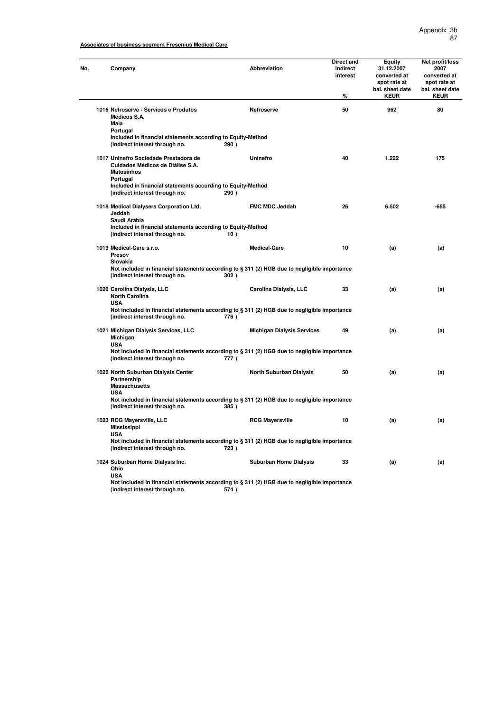# **Associates of business segment Fresenius Medical Care**

| Company                                                                                                   | Abbreviation                                                                                            | Direct and<br>indirect<br>interest<br>$\%$ | Equity<br>31.12.2007<br>converted at<br>spot rate at<br>bal. sheet date<br><b>KEUR</b> | Net profit/loss<br>2007<br>converted at<br>spot rate at<br>bal. sheet date<br><b>KEUR</b> |
|-----------------------------------------------------------------------------------------------------------|---------------------------------------------------------------------------------------------------------|--------------------------------------------|----------------------------------------------------------------------------------------|-------------------------------------------------------------------------------------------|
| 1016 Nefroserve - Servicos e Produtos<br>Médicos S.A.                                                     | Nefroserve                                                                                              | 50                                         | 962                                                                                    | 80                                                                                        |
| Maia<br>Portugal                                                                                          |                                                                                                         |                                            |                                                                                        |                                                                                           |
| Included in financial statements according to Equity-Method<br>(indirect interest through no.             | 290)                                                                                                    |                                            |                                                                                        |                                                                                           |
| 1017 Uninefro Sociedade Prestadora de<br>Cuidados Médicos de Diálise S.A.<br><b>Matosinhos</b>            | Uninefro                                                                                                | 40                                         | 1.222                                                                                  | 175                                                                                       |
| Portugal<br>Included in financial statements according to Equity-Method<br>(indirect interest through no. | 290)                                                                                                    |                                            |                                                                                        |                                                                                           |
| 1018 Medical Dialysers Corporation Ltd.<br>Jeddah<br>Saudi Arabia                                         | FMC MDC Jeddah                                                                                          | 26                                         | 6.502                                                                                  | $-655$                                                                                    |
| Included in financial statements according to Equity-Method<br>(indirect interest through no.             | 10)                                                                                                     |                                            |                                                                                        |                                                                                           |
| 1019 Medical-Care s.r.o.<br>Presov<br>Slovakia                                                            | <b>Medical-Care</b>                                                                                     | 10                                         | (a)                                                                                    | (a)                                                                                       |
| (indirect interest through no.                                                                            | Not included in financial statements according to § 311 (2) HGB due to negligible importance<br>302)    |                                            |                                                                                        |                                                                                           |
| 1020 Carolina Dialysis, LLC<br><b>North Carolina</b><br><b>USA</b>                                        | Carolina Dialysis, LLC                                                                                  | 33                                         | (a)                                                                                    | (a)                                                                                       |
| (indirect interest through no.                                                                            | Not included in financial statements according to § 311 (2) HGB due to negligible importance<br>776)    |                                            |                                                                                        |                                                                                           |
| 1021 Michigan Dialysis Services, LLC<br>Michigan<br><b>USA</b>                                            | <b>Michigan Dialysis Services</b>                                                                       | 49                                         | (a)                                                                                    | (a)                                                                                       |
| (indirect interest through no.                                                                            | Not included in financial statements according to § 311 (2) HGB due to negligible importance<br>777)    |                                            |                                                                                        |                                                                                           |
| 1022 North Suburban Dialysis Center<br>Partnership<br><b>Massachusetts</b>                                | <b>North Suburban Dialysis</b>                                                                          | 50                                         | (a)                                                                                    | (a)                                                                                       |
| <b>USA</b><br>(indirect interest through no.                                                              | Not included in financial statements according to § 311 (2) HGB due to negligible importance<br>385)    |                                            |                                                                                        |                                                                                           |
| 1023 RCG Mayersville, LLC<br><b>Mississippi</b>                                                           | <b>RCG Mayersville</b>                                                                                  | 10                                         | (a)                                                                                    | (a)                                                                                       |
| <b>USA</b><br>(indirect interest through no.                                                              | Not included in financial statements according to $\S 311$ (2) HGB due to negligible importance<br>723) |                                            |                                                                                        |                                                                                           |
| 1024 Suburban Home Dialysis Inc.<br>Ohio                                                                  | <b>Suburban Home Dialysis</b>                                                                           | 33                                         | (a)                                                                                    | (a)                                                                                       |
| <b>USA</b>                                                                                                | Not included in financial statements according to § 311 (2) HGB due to negligible importance            |                                            |                                                                                        |                                                                                           |

**(indirect interest through no. 574 )**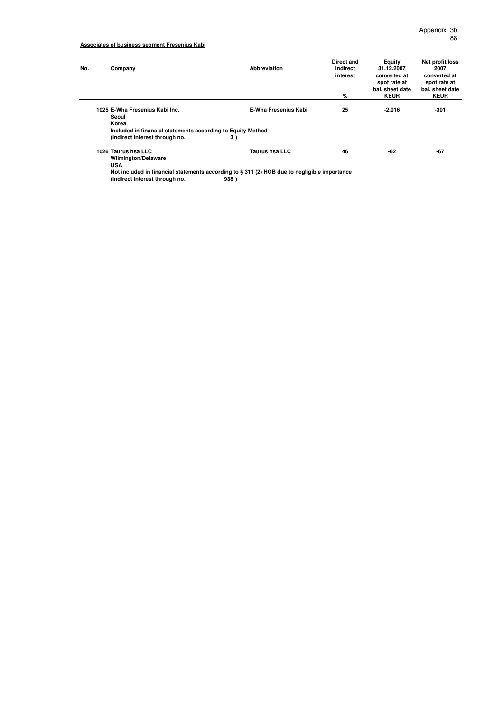## **Associates of business segment Fresenius Kabi**

| No. | Company                                                     | Abbreviation                                                                                 | Direct and<br>indirect<br>interest | Equity<br>31.12.2007<br>converted at<br>spot rate at | Net profit/loss<br>2007<br>converted at<br>spot rate at |  |  |  |
|-----|-------------------------------------------------------------|----------------------------------------------------------------------------------------------|------------------------------------|------------------------------------------------------|---------------------------------------------------------|--|--|--|
|     |                                                             |                                                                                              | %                                  | bal. sheet date<br><b>KEUR</b>                       | bal, sheet date<br><b>KEUR</b>                          |  |  |  |
|     | 1025 E-Wha Fresenius Kabi Inc.<br>Seoul<br>Korea            | E-Wha Fresenius Kabi                                                                         | 25                                 | $-2.016$                                             | $-301$                                                  |  |  |  |
|     | Included in financial statements according to Equity-Method |                                                                                              |                                    |                                                      |                                                         |  |  |  |
|     | (indirect interest through no.                              | 3)                                                                                           |                                    |                                                      |                                                         |  |  |  |
|     | 1026 Taurus hsa LLC<br><b>Wilmington/Delaware</b>           | <b>Taurus hsa LLC</b>                                                                        | 46                                 | -62                                                  | -67                                                     |  |  |  |
|     | <b>USA</b>                                                  |                                                                                              |                                    |                                                      |                                                         |  |  |  |
|     |                                                             | Not included in financial statements according to § 311 (2) HGB due to negligible importance |                                    |                                                      |                                                         |  |  |  |
|     | (indirect interest through no.                              | 938)                                                                                         |                                    |                                                      |                                                         |  |  |  |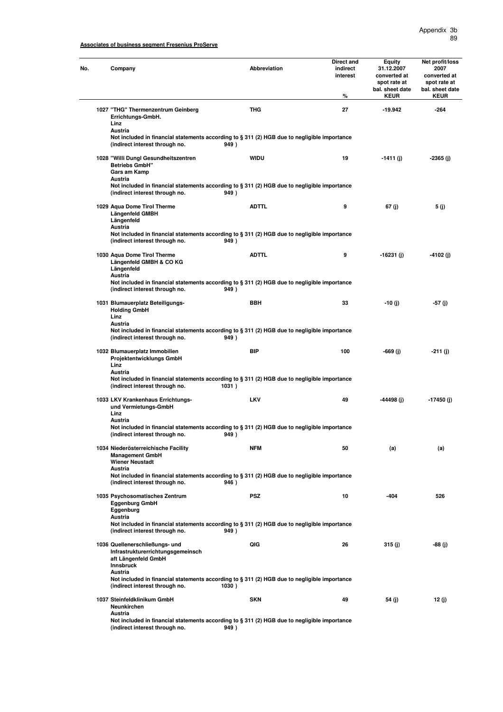| Company                                                                                                                                   | <b>Abbreviation</b> | Direct and<br>indirect<br>interest<br>% | Equity<br>31.12.2007<br>converted at<br>spot rate at<br>bal. sheet date<br><b>KEUR</b> | Net profit/loss<br>2007<br>converted at<br>spot rate at<br>bal. sheet date<br><b>KEUR</b> |
|-------------------------------------------------------------------------------------------------------------------------------------------|---------------------|-----------------------------------------|----------------------------------------------------------------------------------------|-------------------------------------------------------------------------------------------|
| 1027 "THG" Thermenzentrum Geinberg<br>Errichtungs-GmbH.<br>Linz                                                                           | THG                 | 27                                      | $-19.942$                                                                              | $-264$                                                                                    |
| Austria<br>Not included in financial statements according to § 311 (2) HGB due to negligible importance<br>(indirect interest through no. | 949)                |                                         |                                                                                        |                                                                                           |
| 1028 "Willi Dungl Gesundheitszentren<br><b>Betriebs GmbH"</b><br>Gars am Kamp<br>Austria                                                  | <b>WIDU</b>         | 19                                      | -1411 (j)                                                                              | -2365 (j)                                                                                 |
| Not included in financial statements according to § 311 (2) HGB due to negligible importance<br>(indirect interest through no.            | 949)                |                                         |                                                                                        |                                                                                           |
| 1029 Aqua Dome Tirol Therme<br>Längenfeld GMBH<br>Längenfeld<br>Austria                                                                   | <b>ADTTL</b>        | 9                                       | 67 (j)                                                                                 | 5 (j)                                                                                     |
| Not included in financial statements according to § 311 (2) HGB due to negligible importance<br>(indirect interest through no.            | 949)                |                                         |                                                                                        |                                                                                           |
| 1030 Aqua Dome Tirol Therme<br>Längenfeld GMBH & CO KG<br>Längenfeld<br>Austria                                                           | <b>ADTTL</b>        | 9                                       | -16231 (j)                                                                             | -4102 (j)                                                                                 |
| Not included in financial statements according to § 311 (2) HGB due to negligible importance<br>(indirect interest through no.            | 949)                |                                         |                                                                                        |                                                                                           |
| 1031 Blumauerplatz Beteiligungs-<br><b>Holding GmbH</b><br>Linz                                                                           | <b>BBH</b>          | 33                                      | $-10$ (j)                                                                              | -57 (j)                                                                                   |
| Austria<br>Not included in financial statements according to § 311 (2) HGB due to negligible importance<br>(indirect interest through no. | 949)                |                                         |                                                                                        |                                                                                           |
| 1032 Blumauerplatz Immobilien<br>Projektentwicklungs GmbH<br>Linz<br>Austria                                                              | BIP                 | 100                                     | -669 (j)                                                                               | -211 (j)                                                                                  |
| Not included in financial statements according to § 311 (2) HGB due to negligible importance<br>(indirect interest through no.            | 1031)               |                                         |                                                                                        |                                                                                           |
| 1033 LKV Krankenhaus Errichtungs-<br>und Vermietungs-GmbH<br>Linz                                                                         | <b>LKV</b>          | 49                                      | -44498 (i)                                                                             | -17450 (j)                                                                                |
| Austria<br>Not included in financial statements according to § 311 (2) HGB due to negligible importance<br>(indirect interest through no. | 949)                |                                         |                                                                                        |                                                                                           |
| 1034 Niederösterreichische Facility<br><b>Management GmbH</b><br><b>Wiener Neustadt</b>                                                   | NFM                 | 50                                      | (a)                                                                                    | (a)                                                                                       |
| Austria<br>Not included in financial statements according to § 311 (2) HGB due to negligible importance<br>(indirect interest through no. | 946)                |                                         |                                                                                        |                                                                                           |
| 1035 Psychosomatisches Zentrum<br><b>Eggenburg GmbH</b><br>Eggenburg                                                                      | <b>PSZ</b>          | 10                                      | -404                                                                                   | 526                                                                                       |
| Austria<br>Not included in financial statements according to § 311 (2) HGB due to negligible importance<br>(indirect interest through no. | 949)                |                                         |                                                                                        |                                                                                           |
| 1036 Quellenerschließungs- und<br>Infrastrukturerrichtungsgemeinsch<br>aft Längenfeld GmbH<br><b>Innsbruck</b><br>Austria                 | QIG                 | 26                                      | 315 (j)                                                                                | -88 (j)                                                                                   |
| Not included in financial statements according to § 311 (2) HGB due to negligible importance<br>(indirect interest through no.            | 1030)               |                                         |                                                                                        |                                                                                           |
| 1037 Steinfeldklinikum GmbH<br>Neunkirchen<br>Austria                                                                                     | <b>SKN</b>          | 49                                      | 54 (j)                                                                                 | 12 (j)                                                                                    |
| Not included in financial statements according to § 311 (2) HGB due to negligible importance<br>(indirect interest through no.            | 949)                |                                         |                                                                                        |                                                                                           |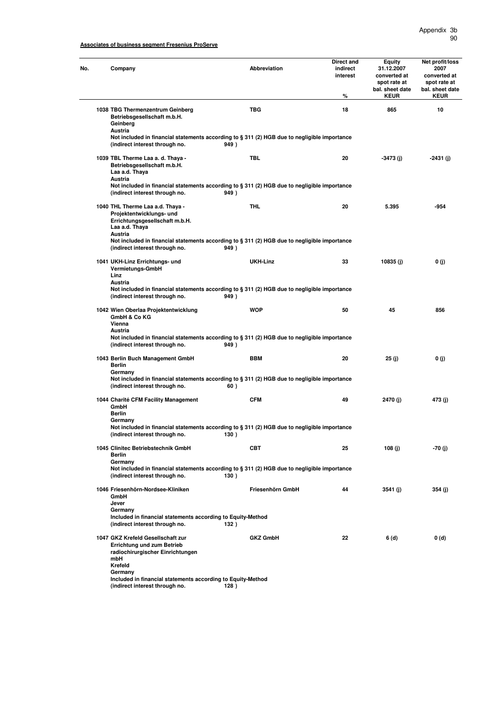|  | Company                                                                                                                                                                                                                                  | <b>Abbreviation</b>     | Direct and<br>indirect<br>interest<br>℅ | Equity<br>31.12.2007<br>converted at<br>spot rate at<br>bal. sheet date<br><b>KEUR</b> | Net profit/loss<br>2007<br>converted at<br>spot rate at<br>bal. sheet date<br><b>KEUR</b> |
|--|------------------------------------------------------------------------------------------------------------------------------------------------------------------------------------------------------------------------------------------|-------------------------|-----------------------------------------|----------------------------------------------------------------------------------------|-------------------------------------------------------------------------------------------|
|  | 1038 TBG Thermenzentrum Geinberg<br>Betriebsgesellschaft m.b.H.<br>Geinberg                                                                                                                                                              | TBG                     | 18                                      | 865                                                                                    | 10                                                                                        |
|  | Austria<br>Not included in financial statements according to § 311 (2) HGB due to negligible importance<br>(indirect interest through no.                                                                                                | 949)                    |                                         |                                                                                        |                                                                                           |
|  | 1039 TBL Therme Laa a. d. Thaya -<br>Betriebsgesellschaft m.b.H.<br>Laa a.d. Thaya<br>Austria                                                                                                                                            | <b>TBL</b>              | 20                                      | $-3473$ (i)                                                                            | -2431 (j)                                                                                 |
|  | Not included in financial statements according to § 311 (2) HGB due to negligible importance<br>(indirect interest through no.                                                                                                           | 949)                    |                                         |                                                                                        |                                                                                           |
|  | 1040 THL Therme Laa a.d. Thaya -<br>Projektentwicklungs- und<br>Errichtungsgesellschaft m.b.H.<br>Laa a.d. Thaya<br>Austria                                                                                                              | <b>THL</b>              | 20                                      | 5.395                                                                                  | -954                                                                                      |
|  | Not included in financial statements according to § 311 (2) HGB due to negligible importance<br>(indirect interest through no.                                                                                                           | 949)                    |                                         |                                                                                        |                                                                                           |
|  | 1041 UKH-Linz Errichtungs- und<br>Vermietungs-GmbH<br>Linz<br>Austria                                                                                                                                                                    | <b>UKH-Linz</b>         | 33                                      | 10835(j)                                                                               | 0(j)                                                                                      |
|  | Not included in financial statements according to § 311 (2) HGB due to negligible importance<br>(indirect interest through no.                                                                                                           | 949)                    |                                         |                                                                                        |                                                                                           |
|  | 1042 Wien Oberlaa Projektentwicklung<br>GmbH & Co KG<br>Vienna<br>Austria<br>Not included in financial statements according to § 311 (2) HGB due to negligible importance                                                                | <b>WOP</b>              | 50                                      | 45                                                                                     | 856                                                                                       |
|  | (indirect interest through no.                                                                                                                                                                                                           | 949)<br><b>BBM</b>      |                                         |                                                                                        |                                                                                           |
|  | 1043 Berlin Buch Management GmbH<br>Berlin<br>Germany<br>Not included in financial statements according to § 311 (2) HGB due to negligible importance<br>(indirect interest through no.                                                  | 60)                     | 20                                      | 25 (j)                                                                                 | 0(j)                                                                                      |
|  | 1044 Charité CFM Facility Management<br>GmbH<br>Berlin                                                                                                                                                                                   | <b>CFM</b>              | 49                                      | 2470 (i)                                                                               | 473 (j)                                                                                   |
|  | Germany<br>Not included in financial statements according to § 311 (2) HGB due to negligible importance<br>(indirect interest through no.                                                                                                | 13U)                    |                                         |                                                                                        |                                                                                           |
|  | 1045 Clinitec Betriebstechnik GmbH<br>Berlin<br>Germany                                                                                                                                                                                  | CBT                     | 25                                      | 108 (j)                                                                                | -70 (j)                                                                                   |
|  | Not included in financial statements according to § 311 (2) HGB due to negligible importance<br>(indirect interest through no.                                                                                                           | 130)                    |                                         |                                                                                        |                                                                                           |
|  | 1046 Friesenhörn-Nordsee-Kliniken<br>GmbH<br>Jever                                                                                                                                                                                       | Friesenhörn GmbH        | 44                                      | 3541 (i)                                                                               | 354 (j)                                                                                   |
|  | Germany<br>Included in financial statements according to Equity-Method<br>(indirect interest through no.                                                                                                                                 | 132)                    |                                         |                                                                                        |                                                                                           |
|  | 1047 GKZ Krefeld Gesellschaft zur<br><b>Errichtung und zum Betrieb</b><br>radiochirurgischer Einrichtungen<br>mbH<br>Krefeld<br>Germany<br>Included in financial statements according to Equity-Method<br>(indirect interest through no. | <b>GKZ GmbH</b><br>128) | 22                                      | 6 (d)                                                                                  | 0(d)                                                                                      |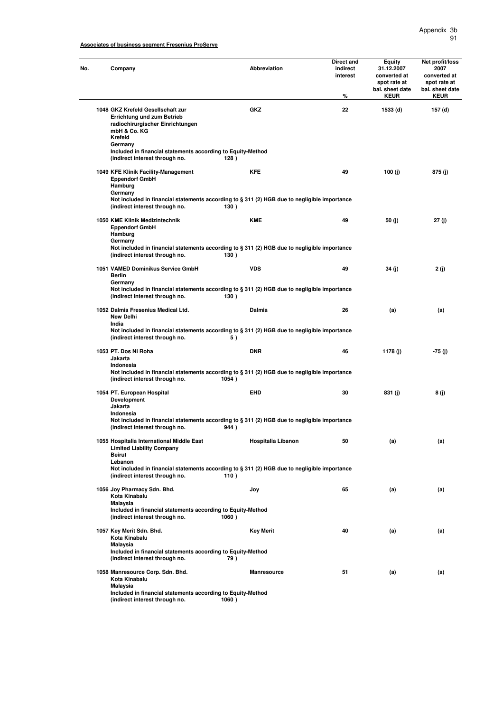| No. | Company                                                                                                                                                                                                  | <b>Abbreviation</b>  | Direct and<br>indirect<br>interest<br>% | Equity<br>31.12.2007<br>converted at<br>spot rate at<br>bal. sheet date<br><b>KEUR</b> | Net profit/loss<br>2007<br>converted at<br>spot rate at<br>bal. sheet date<br><b>KEUR</b> |
|-----|----------------------------------------------------------------------------------------------------------------------------------------------------------------------------------------------------------|----------------------|-----------------------------------------|----------------------------------------------------------------------------------------|-------------------------------------------------------------------------------------------|
|     | 1048 GKZ Krefeld Gesellschaft zur<br>Errichtung und zum Betrieb<br>radiochirurgischer Einrichtungen<br>mbH & Co. KG<br>Krefeld<br>Germany<br>Included in financial statements according to Equity-Method | GKZ<br>128)          | 22                                      | 1533 (d)                                                                               | 157 (d)                                                                                   |
|     | (indirect interest through no.<br>1049 KFE Klinik Facility-Management<br><b>Eppendorf GmbH</b><br>Hamburg                                                                                                | <b>KFE</b>           | 49                                      | 100 (j)                                                                                | 875 (j)                                                                                   |
|     | Germany<br>Not included in financial statements according to § 311 (2) HGB due to negligible importance<br>(indirect interest through no.                                                                | 130)                 |                                         |                                                                                        |                                                                                           |
|     | 1050 KME Klinik Medizintechnik<br><b>Eppendorf GmbH</b><br>Hamburg<br>Germany<br>Not included in financial statements according to § 311 (2) HGB due to negligible importance                            | <b>KME</b>           | 49                                      | 50 (j)                                                                                 | 27 (j)                                                                                    |
|     | (indirect interest through no.<br>1051 VAMED Dominikus Service GmbH                                                                                                                                      | 130)<br><b>VDS</b>   | 49                                      | 34(j)                                                                                  | 2 (j)                                                                                     |
|     | Berlin<br>Germany<br>Not included in financial statements according to § 311 (2) HGB due to negligible importance<br>(indirect interest through no.                                                      | 130)                 |                                         |                                                                                        |                                                                                           |
|     | 1052 Dalmia Fresenius Medical Ltd.<br><b>New Delhi</b><br>India<br>Not included in financial statements according to § 311 (2) HGB due to negligible importance                                          | Dalmia               | 26                                      | (a)                                                                                    | (a)                                                                                       |
|     | (indirect interest through no.<br>1053 PT. Dos Ni Roha<br>Jakarta                                                                                                                                        | 5)<br><b>DNR</b>     | 46                                      | 1178 (j)                                                                               | -75 (j)                                                                                   |
|     | Indonesia<br>Not included in financial statements according to § 311 (2) HGB due to negligible importance<br>(indirect interest through no.                                                              | 1054)                |                                         |                                                                                        |                                                                                           |
|     | 1054 PT. European Hospital<br><b>Development</b><br>Jakarta<br>Indonesia                                                                                                                                 | EHD                  | 30                                      | 831 (j)                                                                                | 8 (j)                                                                                     |
|     | Not included in financial statements according to § 311 (2) HGB due to negligible importance<br>(indirect interest through no.                                                                           | 944)                 |                                         |                                                                                        |                                                                                           |
|     | 1055 Hospitalia International Middle East<br><b>Limited Liability Company</b><br><b>Beirut</b><br>Lebanon                                                                                                | Hospitalia Libanon   | 50                                      | (a)                                                                                    | (a)                                                                                       |
|     | Not included in financial statements according to § 311 (2) HGB due to negligible importance<br>(indirect interest through no.                                                                           | 110)                 |                                         |                                                                                        |                                                                                           |
|     | 1056 Joy Pharmacy Sdn. Bhd.<br>Kota Kinabalu<br>Malaysia<br>Included in financial statements according to Equity-Method<br>(indirect interest through no.                                                | Joy<br>1060)         | 65                                      | (a)                                                                                    | (a)                                                                                       |
|     | 1057 Key Merit Sdn. Bhd.<br>Kota Kinabalu<br>Malaysia<br>Included in financial statements according to Equity-Method                                                                                     | Key Merit            | 40                                      | (a)                                                                                    | (a)                                                                                       |
|     | (indirect interest through no.                                                                                                                                                                           | 79)                  |                                         |                                                                                        |                                                                                           |
|     | 1058 Manresource Corp. Sdn. Bhd.<br>Kota Kinabalu<br>Malaysia<br>Included in financial statements according to Equity-Method<br>(indirect interest through no.                                           | Manresource<br>1060) | 51                                      | (a)                                                                                    | (a)                                                                                       |